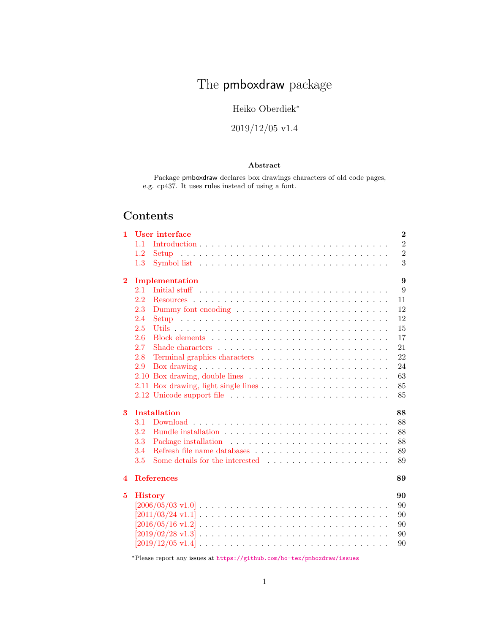# The pmboxdraw package

# Heiko Oberdiek<sup>∗</sup>

# 2019/12/05 v1.4

### Abstract

Package pmboxdraw declares box drawings characters of old code pages, e.g. cp437. It uses rules instead of using a font.

# Contents

| 1        | User interface                                                                                           |  |  |  |  |  |  |  | $\bf{2}$       |
|----------|----------------------------------------------------------------------------------------------------------|--|--|--|--|--|--|--|----------------|
|          | 1.1                                                                                                      |  |  |  |  |  |  |  | $\overline{2}$ |
|          | 1.2                                                                                                      |  |  |  |  |  |  |  | $\overline{2}$ |
|          | 1.3                                                                                                      |  |  |  |  |  |  |  | 3              |
| $\bf{2}$ | Implementation                                                                                           |  |  |  |  |  |  |  | 9              |
|          | 2.1                                                                                                      |  |  |  |  |  |  |  | 9              |
|          | 2.2                                                                                                      |  |  |  |  |  |  |  | 11             |
|          | 2.3                                                                                                      |  |  |  |  |  |  |  | 12             |
|          | 2.4                                                                                                      |  |  |  |  |  |  |  | 12             |
|          | 2.5                                                                                                      |  |  |  |  |  |  |  | 15             |
|          | 2.6                                                                                                      |  |  |  |  |  |  |  | 17             |
|          | 2.7                                                                                                      |  |  |  |  |  |  |  | 21             |
|          | 2.8                                                                                                      |  |  |  |  |  |  |  | 22             |
|          | 2.9                                                                                                      |  |  |  |  |  |  |  | 24             |
|          |                                                                                                          |  |  |  |  |  |  |  | 63             |
|          |                                                                                                          |  |  |  |  |  |  |  | 85             |
|          |                                                                                                          |  |  |  |  |  |  |  | 85             |
| 3        | <b>Installation</b>                                                                                      |  |  |  |  |  |  |  | 88             |
|          | 3.1                                                                                                      |  |  |  |  |  |  |  | 88             |
|          | 3.2                                                                                                      |  |  |  |  |  |  |  | 88             |
|          | 3.3                                                                                                      |  |  |  |  |  |  |  | 88             |
|          | 3.4                                                                                                      |  |  |  |  |  |  |  | 89             |
|          | 3.5                                                                                                      |  |  |  |  |  |  |  | 89             |
| 4        | <b>References</b>                                                                                        |  |  |  |  |  |  |  | 89             |
|          |                                                                                                          |  |  |  |  |  |  |  | 90             |
| 5        | <b>History</b>                                                                                           |  |  |  |  |  |  |  |                |
|          |                                                                                                          |  |  |  |  |  |  |  | 90             |
|          |                                                                                                          |  |  |  |  |  |  |  | 90<br>90       |
|          |                                                                                                          |  |  |  |  |  |  |  | 90             |
|          |                                                                                                          |  |  |  |  |  |  |  | 90             |
|          | $[2019/12/05 \text{ v}1.4] \ldots \ldots \ldots \ldots \ldots \ldots \ldots \ldots \ldots \ldots \ldots$ |  |  |  |  |  |  |  |                |

<sup>∗</sup>Please report any issues at <https://github.com/ho-tex/pmboxdraw/issues>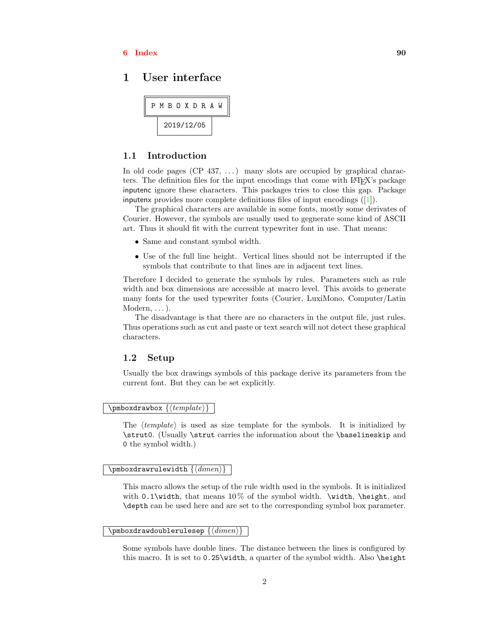### $6$  Index  $90$

### <span id="page-1-0"></span>1 User interface

|  |  |  |            | P M B O X D R A W |  |  |
|--|--|--|------------|-------------------|--|--|
|  |  |  | 2019/12/05 |                   |  |  |

### <span id="page-1-1"></span>1.1 Introduction

In old code pages  $(CP_437, ...)$  many slots are occupied by graphical characters. The definition files for the input encodings that come with LATEX's package inputenc ignore these characters. This packages tries to close this gap. Package inputenx provides more complete definitions files of input encodings ([\[1\]](#page-88-3)).

The graphical characters are available in some fonts, mostly some derivates of Courier. However, the symbols are usually used to gegnerate some kind of ASCII art. Thus it should fit with the current typewriter font in use. That means:

- Same and constant symbol width.
- Use of the full line height. Vertical lines should not be interrupted if the symbols that contribute to that lines are in adjacent text lines.

Therefore I decided to generate the symbols by rules. Parameters such as rule width and box dimensions are accessible at macro level. This avoids to generate many fonts for the used typewriter fonts (Courier, LuxiMono, Computer/Latin  $Modern, \ldots$ ).

The disadvantage is that there are no characters in the output file, just rules. Thus operations such as cut and paste or text search will not detect these graphical characters.

### <span id="page-1-2"></span>1.2 Setup

Usually the box drawings symbols of this package derive its parameters from the current font. But they can be set explicitly.

### \pmboxdrawbox  $\{ \langle template \rangle \}$

The  $\langle template \rangle$  is used as size template for the symbols. It is initialized by \strut0. (Usually \strut carries the information about the \baselineskip and 0 the symbol width.)

#### $\pmb{\text{numberd} } \{ \langle \text{dimen} \rangle \}$

This macro allows the setup of the rule width used in the symbols. It is initialized with 0.1\width, that means  $10\%$  of the symbol width. \width, \height, and \depth can be used here and are set to the corresponding symbol box parameter.

### $\overline{\setminus{\text{pmboxdrawdoublerulesep}\ \{\langle\text{dimen}\rangle\}}}$

Some symbols have double lines. The distance between the lines is configured by this macro. It is set to  $0.25\width$  a quarter of the symbol width. Also **\height**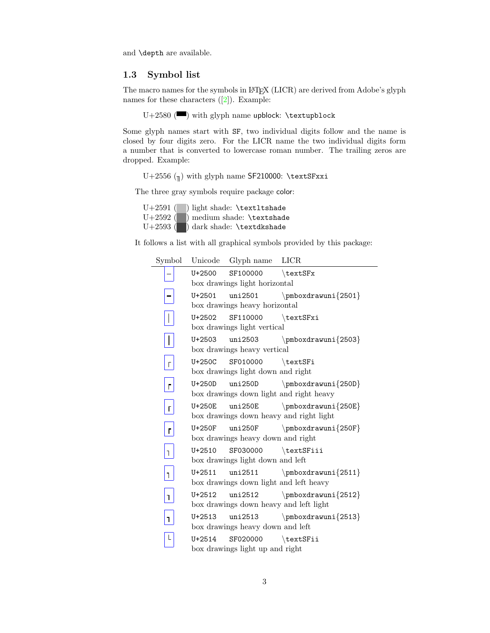and \depth are available.

### <span id="page-2-0"></span>1.3 Symbol list

The macro names for the symbols in LAT<sub>EX</sub> (LICR) are derived from Adobe's glyph names for these characters  $([2])$  $([2])$  $([2])$ . Example:

 $U+2580$  ( $\blacksquare$ ) with glyph name upblock: \textupblock

Some glyph names start with SF, two individual digits follow and the name is closed by four digits zero. For the LICR name the two individual digits form a number that is converted to lowercase roman number. The trailing zeros are dropped. Example:

U+2556  $(\pi)$  with glyph name SF210000: \textSFxxi

The three gray symbols require package color:

U+2591 ( ) light shade: \textltshade U+2592 ( ) medium shade: \textshade U+2593 ( $\Box$ ) dark shade: \textdkshade

It follows a list with all graphical symbols provided by this package:

| Symbol         |        | Unicode Glyph name LICR           |                                         |
|----------------|--------|-----------------------------------|-----------------------------------------|
|                | U+2500 | $SF100000$ \textSFx               |                                         |
|                |        | box drawings light horizontal     |                                         |
|                | U+2501 |                                   |                                         |
|                |        | box drawings heavy horizontal     |                                         |
|                | U+2502 | $SF110000$ \textSFxi              |                                         |
|                |        | box drawings light vertical       |                                         |
| $\mathbf{I}$   |        |                                   | $U+2503$ uni2503 \pmboxdrawuni{2503}    |
|                |        | box drawings heavy vertical       |                                         |
| $\bar{\Gamma}$ |        | U+250C SF010000 \textSFi          |                                         |
|                |        | box drawings light down and right |                                         |
| г              | U+250D |                                   | uni250D $\pm 250D$                      |
|                |        |                                   | box drawings down light and right heavy |
| Г              | U+250E |                                   |                                         |
|                |        |                                   | box drawings down heavy and right light |
| $\mathbf{r}$   |        |                                   |                                         |
|                |        | box drawings heavy down and right |                                         |
| $\overline{1}$ |        | U+2510 SF030000 \textSFiii        |                                         |
|                |        | box drawings light down and left  |                                         |
| T.             | U+2511 |                                   |                                         |
|                |        |                                   | box drawings down light and left heavy  |
| $\mathbf{I}$   | U+2512 |                                   | uni2512 $\pm 2512$                      |
|                |        |                                   | box drawings down heavy and left light  |
| 1              | U+2513 |                                   |                                         |
|                |        | box drawings heavy down and left  |                                         |
| L              | U+2514 | SF020000 \textSFii                |                                         |
|                |        | box drawings light up and right   |                                         |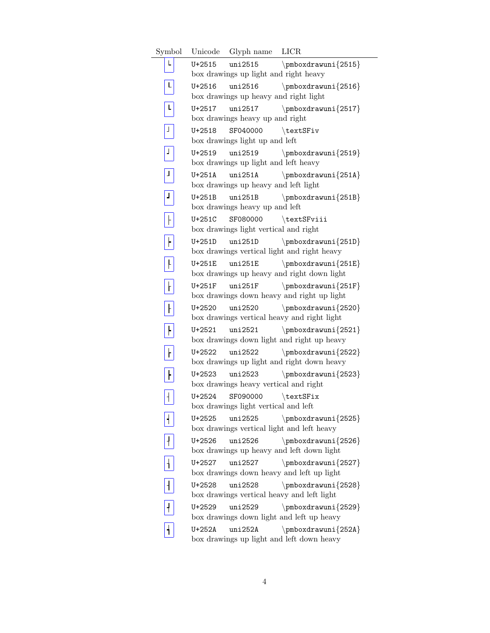Symbol Unicode Glyph name LICR  $\mathsf L$ U+2515 uni2515  $\pm 2515$ box drawings up light and right heavy  $\overline{\mathbf{L}}$ U+2516 uni2516 \pmboxdrawuni{2516} box drawings up heavy and right light  $\overline{L}$ U+2517 uni2517 \pmboxdrawuni{2517} box drawings heavy up and right  $\boxed{\bot}$ U+2518 SF040000 \textSFiv box drawings light up and left  $\boxed{1}$ U+2519 uni2519 \pmboxdrawuni{2519} box drawings up light and left heavy  $\boxed{1}$ U+251A uni251A  $\pm 251$ A box drawings up heavy and left light  $\boxed{1}$ U+251B uni251B  $\pm 251B$ box drawings heavy up and left  $\boxed{\phantom{1}}$ U+251C SF080000 \textSFviii box drawings light vertical and right  $\boxed{\phantom{1}}$ U+251D uni251D  $\pm 251D$ box drawings vertical light and right heavy  $\overline{+}$ U+251E uni251E  $\langle$  \pmboxdrawuni{251E} box drawings up heavy and right down light  $\overline{\mathsf{t}}$ U+251F uni251F  $\langle$ 251F} box drawings down heavy and right up light  $\boxed{\phantom{1}}$ U+2520 uni2520 \pmboxdrawuni{2520} box drawings vertical heavy and right light  $\overline{F}$ U+2521 uni2521 \pmboxdrawuni{2521} box drawings down light and right up heavy  $\boxed{\phantom{1}}$ U+2522 uni2522 \pmboxdrawuni{2522} box drawings up light and right down heavy  $\boxed{\phantom{1}}$ U+2523 uni2523 \pmboxdrawuni{2523} box drawings heavy vertical and right  $\boxed{+}$ U+2524 SF090000 \textSFix box drawings light vertical and left  $\overline{\mathbf{1}}$ U+2525 uni2525  $\pm 2525$ box drawings vertical light and left heavy  $\boxed{1}$ U+2526 uni2526 \pmboxdrawuni{2526} box drawings up heavy and left down light  $\overline{1}$ U+2527 uni2527 \pmboxdrawuni{2527} box drawings down heavy and left up light  $\overline{1}$ U+2528 uni2528 \pmboxdrawuni{2528} box drawings vertical heavy and left light  $\boxed{1}$ U+2529 uni2529 \pmboxdrawuni{2529} box drawings down light and left up heavy  $\vert$  + U+252A uni252A \pmboxdrawuni{252A} box drawings up light and left down heavy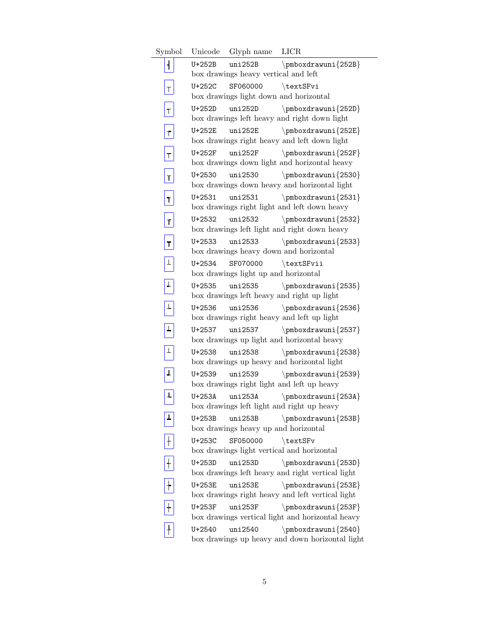Symbol Unicode Glyph name LICR  $\mathbf{H}$ U+252B uni252B \pmboxdrawuni{252B} box drawings heavy vertical and left  $\top$ U+252C SF060000 \textSFvi box drawings light down and horizontal  $\mathbf{T}$ U+252D uni252D \pmboxdrawuni{252D} box drawings left heavy and right down light  $\vert$  t U+252E uni252E  $\langle$  \pmboxdrawuni{252E} box drawings right heavy and left down light  $\overline{\mathbf{r}}$ U+252F uni252F  $\langle$  \pmboxdrawuni{252F} box drawings down light and horizontal heavy  $|\mathbf{T}|$ U+2530 uni2530 \pmboxdrawuni{2530} box drawings down heavy and horizontal light  $\boxed{\mathbf{r}}$ U+2531 uni2531  $\pmb{\text{rowni}}{2531}$ box drawings right light and left down heavy  $\vert$  T  $\vert$ U+2532 uni2532 \pmboxdrawuni{2532} box drawings left light and right down heavy  $\boxed{\mathbf{r}}$ U+2533 uni2533 \pmboxdrawuni{2533} box drawings heavy down and horizontal  $\boxed{1}$ U+2534 SF070000 \textSFvii box drawings light up and horizontal  $\boxed{\perp}$ U+2535 uni2535 \pmboxdrawuni{2535} box drawings left heavy and right up light  $\overline{1}$ U+2536 uni2536 \pmboxdrawuni{2536} box drawings right heavy and left up light  $\boxed{\perp}$ U+2537 uni2537 \pmboxdrawuni{2537} box drawings up light and horizontal heavy  $\boxed{\perp}$ U+2538 uni2538 \pmboxdrawuni{2538} box drawings up heavy and horizontal light  $\boxed{1}$ U+2539 uni2539 \pmboxdrawuni{2539} box drawings right light and left up heavy  $\boxed{\mathbf{L}}$ U+253A uni253A \pmboxdrawuni{253A} box drawings left light and right up heavy  $\boxed{\textcolor{red}{\blacktriangle}}$ U+253B uni253B  $\pm 253B$ box drawings heavy up and horizontal  $\boxed{+}$ U+253C SF050000 \textSFv box drawings light vertical and horizontal  $\boxed{+}$ U+253D uni253D \pmboxdrawuni{253D} box drawings left heavy and right vertical light  $\boxed{+}$ U+253E uni253E  $\pm 253E$ box drawings right heavy and left vertical light  $\overline{+}$ U+253F uni253F  $\langle$  \pmboxdrawuni{253F} box drawings vertical light and horizontal heavy  $\vert + \vert$ U+2540 uni2540 \pmboxdrawuni{2540} box drawings up heavy and down horizontal light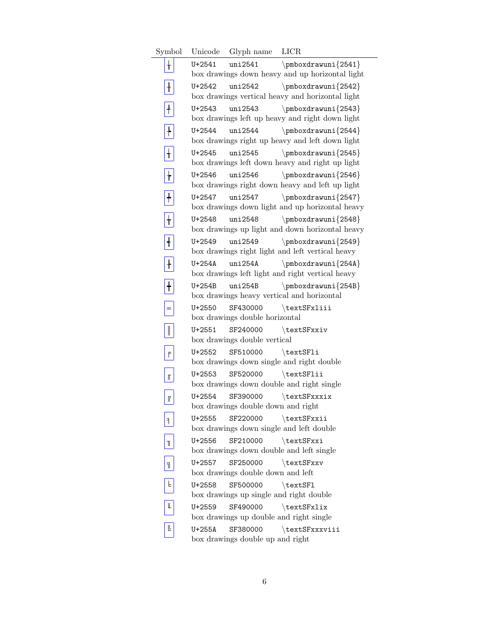Symbol Unicode Glyph name LICR  $\mathbf{+}$ U+2541 uni2541 \pmboxdrawuni{2541} box drawings down heavy and up horizontal light  $\overline{+}$ U+2542 uni2542 \pmboxdrawuni{2542} box drawings vertical heavy and horizontal light  $\boxed{\mathrm{+}}$ U+2543 uni2543 \pmboxdrawuni{2543} box drawings left up heavy and right down light  $\overline{+}$ U+2544 uni2544  $\pm 2544$ box drawings right up heavy and left down light  $\overline{+}$ U+2545 uni2545  $\pm 2545$ box drawings left down heavy and right up light  $\overline{+}$ U+2546 uni2546 \pmboxdrawuni{2546} box drawings right down heavy and left up light  $\overline{\mathbf{+}}$ U+2547 uni2547 \pmboxdrawuni{2547} box drawings down light and up horizontal heavy  $\boxed{+}$ U+2548 uni2548 \pmboxdrawuni{2548} box drawings up light and down horizontal heavy  $\overline{1}$ U+2549 uni2549 \pmboxdrawuni{2549} box drawings right light and left vertical heavy  $\overline{+}$ U+254A uni254A  $\pm 254A$ box drawings left light and right vertical heavy  $\overline{+}$ U+254B uni254B \pmboxdrawuni{254B} box drawings heavy vertical and horizontal  $=$ U+2550 SF430000 \textSFxliii box drawings double horizontal  $\boxed{\parallel}$ U+2551 SF240000 \textSFxxiv box drawings double vertical  $F$ U+2552 SF510000 \textSFli box drawings down single and right double  $\mathbb{I}$ U+2553 SF520000 \textSFlii box drawings down double and right single  $\ensuremath{\mathsf{F}}$ U+2554 SF390000 \textSFxxxix box drawings double down and right  $\boxed{1}$ U+2555 SF220000 \textSFxxii box drawings down single and left double  $\boxed{\mathbb{L}}$ U+2556 SF210000 \textSFxxi box drawings down double and left single  $\boxed{\overline{\mathbb{1}}}$ U+2557 SF250000 \textSFxxv box drawings double down and left  $\mathsf F$ U+2558 SF500000 \textSFl box drawings up single and right double  $\mathrel{\mathbb{L}}$ U+2559 SF490000 \textSFxlix box drawings up double and right single  $\mathbb{L}$ U+255A SF380000 \textSFxxxviii box drawings double up and right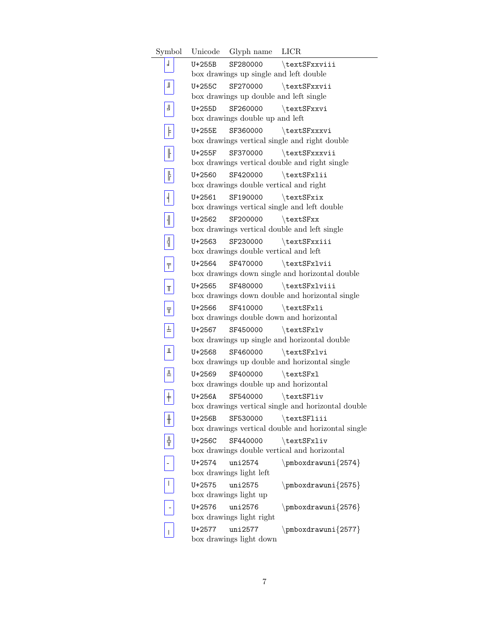Symbol Unicode Glyph name LICR  $\overline{1}$ U+255B SF280000 \textSFxxviii box drawings up single and left double  $\mathbbmss{1}$ U+255C SF270000 \textSFxxvii box drawings up double and left single  $\overline{\mathbb{R}}$ U+255D SF260000 \textSFxxvi box drawings double up and left  $\ensuremath{\mathsf{F}}$ U+255E SF360000 \textSFxxxvi box drawings vertical single and right double  $\overline{\parallel}$ U+255F SF370000 \textSFxxxvii box drawings vertical double and right single  $\begin{array}{c} \hline \text{ } \\ \text{ } \\ \text{ } \\ \text{ } \end{array}$ U+2560 SF420000 \textSFxlii box drawings double vertical and right  $\frac{1}{2}$ U+2561 SF190000 \textSFxix box drawings vertical single and left double  $\parallel$ U+2562 SF200000 \textSFxx box drawings vertical double and left single  $\boxed{\frac{1}{1}}$ U+2563 SF230000 \textSFxxiii box drawings double vertical and left  $\overline{\top}$ U+2564 SF470000 \textSFxlvii box drawings down single and horizontal double U+2565 SF480000 \textSFxlviii  $\mathbb T$ box drawings down double and horizontal single  $\overline{\text{H}}$ U+2566 SF410000 \textSFxli box drawings double down and horizontal  $\pm$ U+2567 SF450000 \textSFxlv box drawings up single and horizontal double  $\frac{1}{2}$ U+2568 SF460000 \textSFxlvi box drawings up double and horizontal single  $\boxed{\mathbb{I}}$ U+2569 SF400000 \textSFxl box drawings double up and horizontal  $\overline{+}$ U+256A SF540000 \textSFliv box drawings vertical single and horizontal double  $\boxed{\! \textcolor{blue}{\textbf{+}}\! \textcolor{blue}{\textbf{+}}}$ U+256B SF530000 \textSFliii box drawings vertical double and horizontal single  $\frac{1}{11}$ U+256C SF440000 \textSFxliv box drawings double vertical and horizontal  $\overline{a}$ U+2574 uni2574 \pmboxdrawuni{2574} box drawings light left  $\overline{\mathbb{L}}$ U+2575 uni2575 \pmboxdrawuni{2575} box drawings light up U+2576 uni2576 \pmboxdrawuni{2576} box drawings light right U+2577 uni2577 \pmboxdrawuni{2577}  $\bar{\mathbb{L}}$ box drawings light down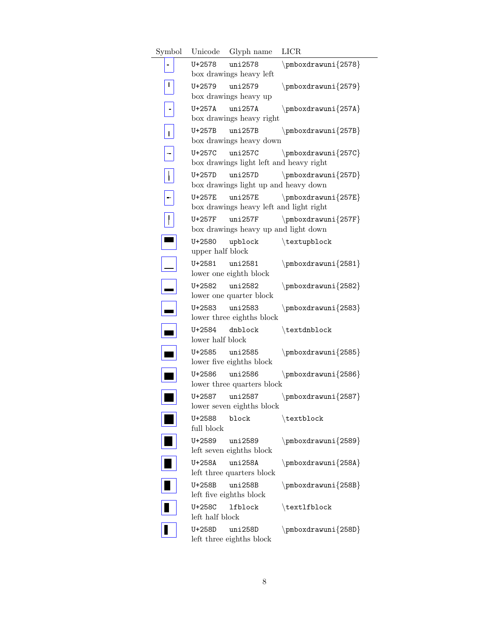| Symbol |                            | Unicode Glyph name                                 | <b>LICR</b>         |
|--------|----------------------------|----------------------------------------------------|---------------------|
|        | U+2578                     | uni2578<br>box drawings heavy left                 | \pmboxdrawuni{2578} |
|        | $U + 2579$                 | uni2579                                            | $\pm\$ 2579         |
|        |                            | box drawings heavy up                              |                     |
|        | U+257A                     | uni257A<br>box drawings heavy right                | $\pm\$ 257A}        |
| Г      | U+257B                     | uni257B<br>box drawings heavy down                 | $\pm\$ 257B}        |
|        | U+257C                     | uni257C<br>box drawings light left and heavy right | $\pm\$ 257C         |
|        | U+257D                     | uni257D<br>box drawings light up and heavy down    | $\pm\$ 257D}        |
|        | U+257E                     | uni257E                                            | $\pm\$ 257E         |
|        |                            | box drawings heavy left and light right            |                     |
|        | U+257F                     | uni257F<br>box drawings heavy up and light down    | $\pm\$ 257F         |
|        | U+2580<br>upper half block | upblock                                            | \textupblock        |
|        | U+2581 uni2581             | lower one eighth block                             | $\pm\$ 2581         |
|        | U+2582                     | uni2582<br>lower one quarter block                 | $\pm\$ 2582         |
|        | $U + 2583$                 | uni2583<br>lower three eighths block               | \pmboxdrawuni{2583} |
|        | U+2584<br>lower half block | dnblock                                            | \textdnblock        |
|        | U+2585 uni2585             | lower five eighths block                           | $\pm\$ 2585         |
|        | U+2586                     | uni2586<br>lower three quarters block              | $\pm\$ 2586         |
|        | U+2587                     | uni2587<br>lower seven eighths block               | $\pm\$ 2587         |
|        | U+2588<br>full block       | block                                              | \textblock          |
|        | U+2589                     | uni2589<br>left seven eighths block                | $\pm\$ 2589         |
|        | U+258A                     | uni258A<br>left three quarters block               | $\pm\$ 258A}        |
|        | U+258B                     | uni258B<br>left five eighths block                 | $\pm\$ 258B}        |
|        | U+258C<br>left half block  | lfblock                                            | \textlfblock        |
|        | U+258D                     | uni258D<br>left three eighths block                | $\pm\$ 258D}        |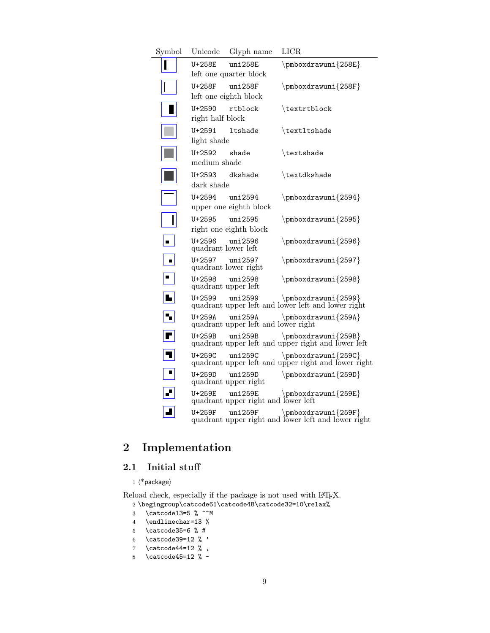| Symbol                  | Unicode                        | Glyph name                                     | <b>LICR</b>                                                                                                                              |
|-------------------------|--------------------------------|------------------------------------------------|------------------------------------------------------------------------------------------------------------------------------------------|
|                         | U+258E                         | uni258E<br>left one quarter block              | $\pm\$ 258E                                                                                                                              |
|                         | U+258F                         | uni258F<br>left one eighth block               | $\pm\$ 258F                                                                                                                              |
|                         | $U + 2590$<br>right half block | rtblock                                        | \textrtblock                                                                                                                             |
|                         | $U + 2591$<br>light shade      | <b>ltshade</b>                                 | \text1tshade                                                                                                                             |
|                         | U+2592<br>medium shade         | shade                                          | \textshade                                                                                                                               |
|                         | $U + 2593$<br>dark shade       | dkshade                                        | \textdkshade                                                                                                                             |
|                         | U+2594                         | uni2594<br>upper one eighth block              | \pmboxdrawuni{2594}                                                                                                                      |
|                         | $U + 2595$                     | uni2595<br>right one eighth block              | \pmboxdrawuni{2595}                                                                                                                      |
| n,                      | U+2596<br>quadrant lower left  | uni2596                                        | $\pm\$ 2596                                                                                                                              |
| $\blacksquare$          | $U + 2597$                     | uni2597<br>quadrant lower right                | $\pm\$ 2597                                                                                                                              |
| $\blacksquare$          | $U + 2598$                     | uni2598<br>quadrant upper left                 | $\pm\$ 2598                                                                                                                              |
| L                       | $U + 2599$                     | uni2599                                        | $\pm\$ 2599}<br>quadrant upper left and lower left and lower right                                                                       |
| ٧,                      | U+259A                         | uni259A<br>quadrant upper left and lower right | $\pm\$ 259A                                                                                                                              |
| $\blacksquare$          | U+259B                         | uni259B                                        | $\pm\$ 259B}<br>quadrant upper left and upper right and lower left                                                                       |
| $\overline{\mathbf{u}}$ | U+259C                         | uni259C                                        | $\pm\$ 259C<br>quadrant upper left and upper right and lower right                                                                       |
|                         | $U+259D$                       | uni259D<br>quadrant upper right                | $\pm\$ 259D}                                                                                                                             |
|                         |                                |                                                | $\begin{tabular}{ll} \texttt{U+259E} & \texttt{pmbordramuni}\{259E} \\ \texttt{qudrand upper right} & \texttt{lower left} \end{tabular}$ |
|                         | U+259F                         | uni259F                                        | \pmboxdrawuni{259F}<br>quadrant upper right and lower left and lower right                                                               |

# <span id="page-8-0"></span>2 Implementation

## <span id="page-8-1"></span>2.1 Initial stuff

 $1 \langle *packet$ ackage $\rangle$ 

Reload check, especially if the package is not used with LATEX.  $2 \begin{array}{c} 2 \begin{array}{c} 2 \end{array} \end{array}$ 

- 3 \catcode13=5  $\%$  ^^M
- 4 \endlinechar=13 %
- 5 \catcode35=6  $\%$  #
- 6 \catcode39=12  $\%$  '
- 7 \catcode44=12  $\%$ ,
- 8 \catcode45=12 % -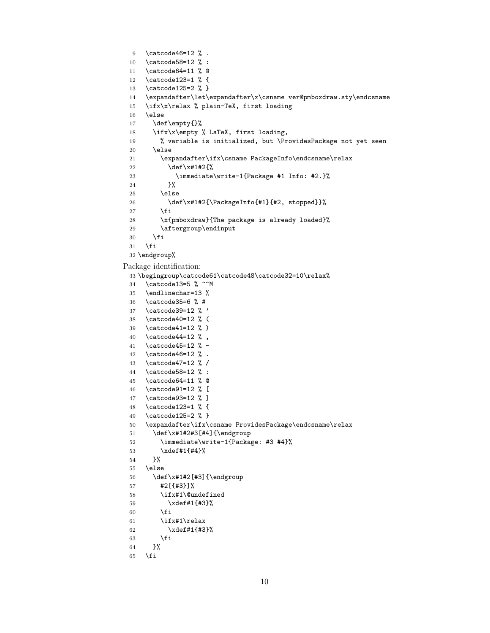```
9 \catcode46=12 % .
 10 \catcode58=12 % :
 11 \catcode64=11 % @
 12 \catcode123=1 % {
 13 \catcode125=2 % }
 14 \expandafter\let\expandafter\x\csname ver@pmboxdraw.sty\endcsname
 15 \ifx\x\relax % plain-TeX, first loading
 16 \else
 17 \def\empty{}%
 18 \ifx\x\empty % LaTeX, first loading,
 19 % variable is initialized, but \ProvidesPackage not yet seen
 20 \else
 21 \expandafter\ifx\csname PackageInfo\endcsname\relax
 22 \det\{x\#1\#2\23 \immediate\write-1{Package #1 Info: #2.}%
 24 }%
 25 \else
 26 \def\x#1#2{\PackageInfo{#1}{#2, stopped}}%
 27 \setminusfi
 28 \x{pmboxdraw}{The package is already loaded}%
 29 \aftergroup\endinput
 30 \overrightarrow{fi}31 \fi
 32 \endgroup%
Package identification:
 33 \begingroup\catcode61\catcode48\catcode32=10\relax%
 34 \catcode13=5 % ^^M
 35 \endlinechar=13 %
 36 \catcode35=6 % #
 37 \catcode39=12 % '
 38 \catcode40=12 % (
 39 \catcode41=12 % )
 40 \catcode44=12 % ,
 41 \catcode45=12 % -
 42 \catcode46=12 % .
 43 \catcode47=12 % /
 44 \catcode58=12 % :
 45 \catcode64=11 % @
 46 \catcode91=12 % [
 47 \catcode93=12 % ]
 48 \catcode123=1 % {
 49 \catcode125=2 % }
 50 \expandafter\ifx\csname ProvidesPackage\endcsname\relax
 51 \def\x#1#2#3[#4]{\endgroup
 52 \immediate\write-1{Package: #3 #4}%
 53 \xdef\{+1}{+4}\%54 }%
 55 \else
 56 \def\x#1#2[#3]{\endgroup
 57 #2[{#3}]%
 58 \ifx#1\@undefined
 59 \xdef#1{#3}%
 60 \overrightarrow{fi}61 \ifx#1\relax
 62 \quad \chi \text{def#1}\{\#3\}\text{63 \overline{\text{1}}64 }%
 65 \setminusfi
```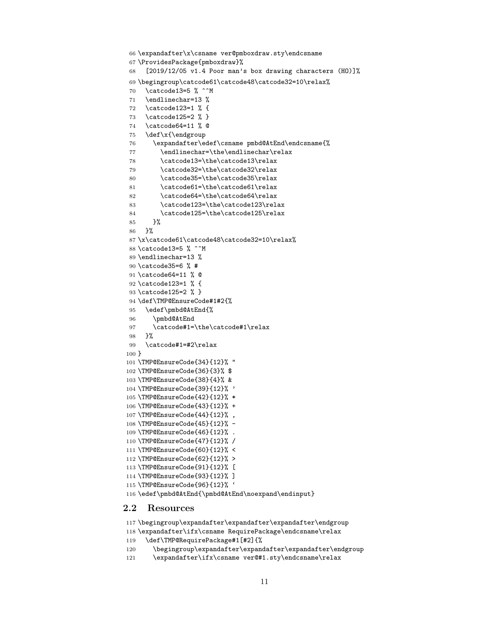```
66 \expandafter\x\csname ver@pmboxdraw.sty\endcsname
67 \ProvidesPackage{pmboxdraw}%
68 [2019/12/05 v1.4 Poor man's box drawing characters (HO)]%
69 \begingroup\catcode61\catcode48\catcode32=10\relax%
70 \catcode13=5 % ^^M
71 \endlinechar=13 %
72 \catcode123=1 % {
73 \catcode125=2 % }
74 \catcode64=11 % @
75 \def\x{\endgroup
76 \expandafter\edef\csname pmbd@AtEnd\endcsname{%
77 \endlinechar=\the\endlinechar\relax
78 \catcode13=\the\catcode13\relax
79 \catcode32=\the\catcode32\relax
80 \catcode35=\the\catcode35\relax
81 \catcode61=\the\catcode61\relax
82 \catcode64=\the\catcode64\relax
83 \catcode123=\the\catcode123\relax
84 \catcode125=\the\catcode125\relax
85 }%
86 }%
87 \x\catcode61\catcode48\catcode32=10\relax%
88 \catcode13=5 % ^^M
89 \endlinechar=13 %
90 \catcode35=6 % #
91 \catcode64=11 % @
92 \catcode123=1 % {
93 \catcode125=2 % }
94 \def\TMP@EnsureCode#1#2{%
95 \edef\pmbd@AtEnd{%
96 \pmbd@AtEnd
97 \catcode#1=\the\catcode#1\relax
98 }%
99 \catcode#1=#2\relax
100 }
101 \TMP@EnsureCode{34}{12}% "
102 \TMP@EnsureCode{36}{3}% $
103 \TMP@EnsureCode{38}{4}% &
104 \TMP@EnsureCode{39}{12}% '
105 \TMP@EnsureCode{42}{12}% *
106 \TMP@EnsureCode{43}{12}% +
107 \TMP@EnsureCode{44}{12}% ,
108 \TMP@EnsureCode{45}{12}% -
109 \TMP@EnsureCode{46}{12}% .
110 \TMP@EnsureCode{47}{12}% /
111 \TMP@EnsureCode{60}{12}% <
112 \TMP@EnsureCode{62}{12}% >
113 \TMP@EnsureCode{91}{12}% [
114 \TMP@EnsureCode{93}{12}% ]
115 \TMP@EnsureCode{96}{12}% '
116 \edef\pmbd@AtEnd{\pmbd@AtEnd\noexpand\endinput}
```
#### <span id="page-10-0"></span>2.2 Resources

```
117 \begingroup\expandafter\expandafter\expandafter\endgroup
118 \expandafter\ifx\csname RequirePackage\endcsname\relax
119 \def\TMP@RequirePackage#1[#2]{%
```
- \begingroup\expandafter\expandafter\expandafter\endgroup
- \expandafter\ifx\csname ver@#1.sty\endcsname\relax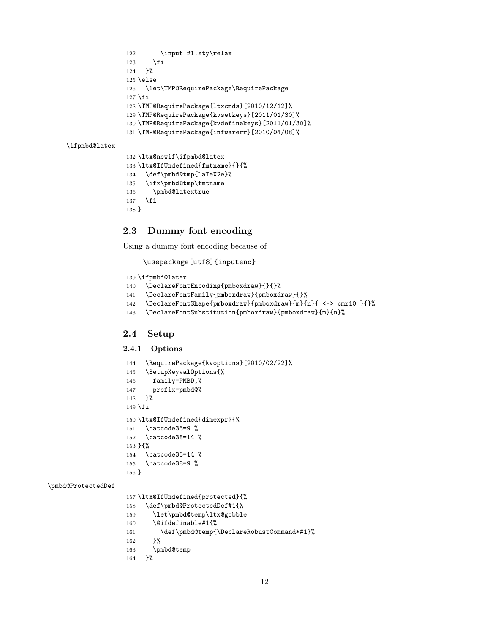122 \input #1.sty\relax \fi }% \else \let\TMP@RequirePackage\RequirePackage 127  $\fi$  \TMP@RequirePackage{ltxcmds}[2010/12/12]% \TMP@RequirePackage{kvsetkeys}[2011/01/30]% \TMP@RequirePackage{kvdefinekeys}[2011/01/30]% \TMP@RequirePackage{infwarerr}[2010/04/08]% \ifpmbd@latex \ltx@newif\ifpmbd@latex \ltx@IfUndefined{fmtname}{}{% \def\pmbd@tmp{LaTeX2e}%

```
135 \ifx\pmbd@tmp\fmtname
```

```
136 \pmbd@latextrue
137 \fi
```

```
138 }
```
## <span id="page-11-0"></span>2.3 Dummy font encoding

Using a dummy font encoding because of

\usepackage[utf8]{inputenc}

```
139 \ifpmbd@latex
```

```
140 \DeclareFontEncoding{pmboxdraw}{}{}%
```

```
141 \DeclareFontFamily{pmboxdraw}{pmboxdraw}{}%
```

```
142 \DeclareFontShape{pmboxdraw}{pmboxdraw}{m}{n}{ <-> cmr10 }{}%
```
\DeclareFontSubstitution{pmboxdraw}{pmboxdraw}{m}{n}%

## <span id="page-11-1"></span>2.4 Setup

### 2.4.1 Options

```
144 \RequirePackage{kvoptions}[2010/02/22]%
145 \SetupKeyvalOptions{%
146 family=PMBD,%
147 prefix=pmbd@%
148 }%
149 \fi
150 \ltx@IfUndefined{dimexpr}{%
151 \catcode36=9 %
152 \catcode38=14 %
153 }{%
154 \catcode36=14 %
155 \catcode38=9 %
156 }
```
### \pmbd@ProtectedDef

```
157 \ltx@IfUndefined{protected}{%
158 \def\pmbd@ProtectedDef#1{%
159 \let\pmbd@temp\ltx@gobble
160 \@ifdefinable#1{%
161 \def\pmbd@temp{\DeclareRobustCommand*#1}%
162 }%
163 \pmbd@temp
164 }%
```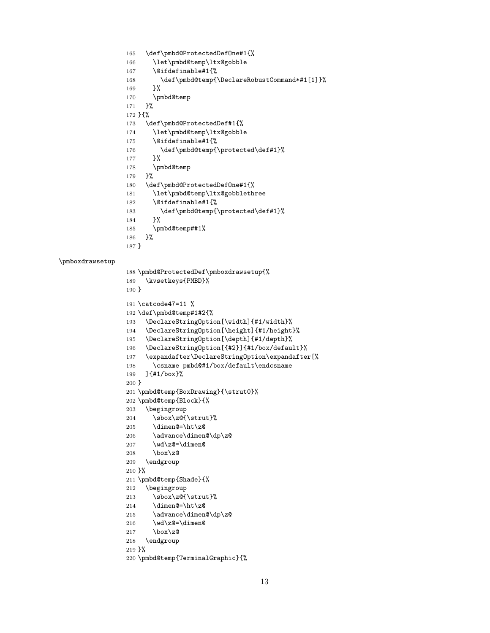```
165 \def\pmbd@ProtectedDefOne#1{%
166 \let\pmbd@temp\ltx@gobble
167 \@ifdefinable#1{%
168 \def\pmbd@temp{\DeclareRobustCommand*#1[1]}%
169 }%
170 \pmbd@temp
171 }%
172 }{%
173 \def\pmbd@ProtectedDef#1{%
174 \let\pmbd@temp\ltx@gobble
175 \@ifdefinable#1{%
176 \def\pmbd@temp{\protected\def#1}%
177 }%
178 \pmbd@temp
179 }%
180 \def\pmbd@ProtectedDefOne#1{%
181 \let\pmbd@temp\ltx@gobblethree
182 \@ifdefinable#1{%
183 \def\pmbd@temp{\protected\def#1}%
184 }%
185 \pmbd@temp##1%
186 }%
187 }
```

```
\pmboxdrawsetup
```

```
188 \pmbd@ProtectedDef\pmboxdrawsetup{%
189 \kvsetkeys{PMBD}%
190 }
191 \catcode47=11 %
192 \def\pmbd@temp#1#2{%
193 \DeclareStringOption[\width]{#1/width}%
194 \DeclareStringOption[\height]{#1/height}%
195 \DeclareStringOption[\depth]{#1/depth}%
196 \DeclareStringOption[{#2}]{#1/box/default}%
197 \expandafter\DeclareStringOption\expandafter[%
198 \csname pmbd@#1/box/default\endcsname
199 ]{#1/box}%
200 }
201 \pmbd@temp{BoxDrawing}{\strut0}%
202 \pmbd@temp{Block}{%
203 \begingroup
204 \sbox\zC\{\text{}\205 \dimen@=\ht\z@
206 \advance\dimen@\dp\z@
207 \wd\zeta=\dimen@208 \box\z@
209 \endgroup
210 }%
211 \pmbd@temp{Shade}{%
212 \begingroup
213 \sbox\zC{\text{}}214 \dimen@=\ht\z@
215 \advance\dimen@\dp\z@
216 \wd\zeta=\dimen@217 \box\z@
218 \endgroup
219 }%
220 \pmbd@temp{TerminalGraphic}{%
```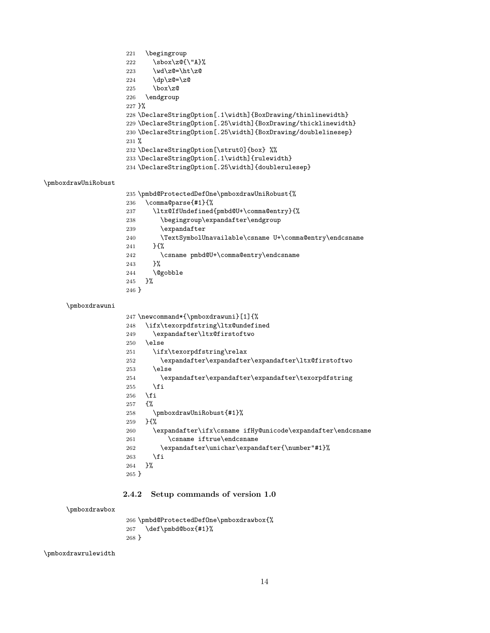```
221 \begingroup
                     222 \sbox\z@{\"A}%
                     223 \wd\zeta=\h t\zeta224 \qquad \qquad \qquad \qquad \qquad \dp\z@=\z@
                     225 \text{box} \mathsf{z@}226 \endgroup
                     227 }%
                     228 \DeclareStringOption[.1\width]{BoxDrawing/thinlinewidth}
                     229 \DeclareStringOption[.25\width]{BoxDrawing/thicklinewidth}
                     230 \DeclareStringOption[.25\width]{BoxDrawing/doublelinesep}
                     231 %
                     232 \DeclareStringOption[\strut0]{box} %%
                     233 \DeclareStringOption[.1\width]{rulewidth}
                     234 \DeclareStringOption[.25\width]{doublerulesep}
\pmboxdrawUniRobust
                     235 \pmbd@ProtectedDefOne\pmboxdrawUniRobust{%
                     236 \comma@parse{#1}{%
                     237 \ltx@IfUndefined{pmbd@U+\comma@entry}{%
                     238 \begingroup\expandafter\endgroup
                     239 \expandafter
                     240 \TextSymbolUnavailable\csname U+\comma@entry\endcsname
                     241 }{%
                     242 \csname pmbd@U+\comma@entry\endcsname
                     243 }%
                     244 \@gobble
                     245 }%
                     246 }
     \pmboxdrawuni
                     247 \newcommand*{\pmboxdrawuni}[1]{%
                     248 \ifx\texorpdfstring\ltx@undefined
                     249 \expandafter\ltx@firstoftwo
                     250 \else
                     251 \ifx\texorpdfstring\relax
                     252 \expandafter\expandafter\expandafter\ltx@firstoftwo
                     253 \else
                     254 \expandafter\expandafter\expandafter\texorpdfstring
                     255 \fi
                     256 \fi
                     257 {%
                     258 \pmboxdrawUniRobust{#1}%
                     259 }{%
                     260 \expandafter\ifx\csname ifHy@unicode\expandafter\endcsname
                     261 \csname iftrue\endcsname
                     262 \expandafter\unichar\expandafter{\number"#1}%
                     263 \fi
                     264 }%
                     265 }
                    2.4.2 Setup commands of version 1.0
```
\pmboxdrawbox

 \pmbd@ProtectedDefOne\pmboxdrawbox{% \def\pmbd@box{#1}% }

\pmboxdrawrulewidth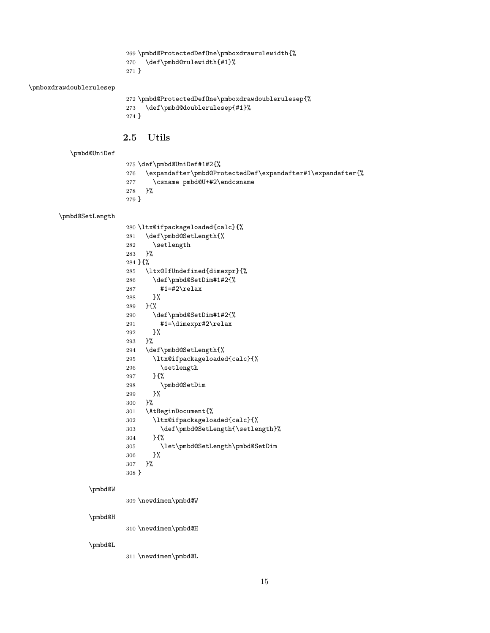\pmbd@ProtectedDefOne\pmboxdrawrulewidth{% \def\pmbd@rulewidth{#1}% }

### \pmboxdrawdoublerulesep

```
272 \pmbd@ProtectedDefOne\pmboxdrawdoublerulesep{%
273 \def\pmbd@doublerulesep{#1}%
274 }
```
### <span id="page-14-0"></span>2.5 Utils

### \pmbd@UniDef

 \def\pmbd@UniDef#1#2{% \expandafter\pmbd@ProtectedDef\expandafter#1\expandafter{% \csname pmbd@U+#2\endcsname }% }

### \pmbd@SetLength

|         | 280 \ltx@ifpackageloaded{calc}{% |
|---------|----------------------------------|
| 281     | \def\pmbd@SetLength{%            |
| 282     | \setlength                       |
| 283     | ጉ%                               |
|         | 284 H%                           |
| 285     | \ltx@IfUndefined{dimexpr}{%      |
| 286     | \def\pmbd@SetDim#1#2{%           |
| 287     | #1=#2\relax                      |
| 288     | ጉ%                               |
| 289     | ን ና‰                             |
| 290     | \def\pmbd@SetDim#1#2{%           |
| 291     | #1=\dimexpr#2\relax              |
| 292     | ን%                               |
| 293     | ን%                               |
| 294     | \def\pmbd@SetLength{%            |
| 295     | \ltx@ifpackageloaded{calc}{%     |
| 296     | \setlength                       |
| 297     | H%                               |
| 298     | \pmbd@SetDim                     |
| 299     | ን%                               |
| 300     | ን%                               |
| 301     | \AtBeginDocument{%               |
| 302     | \ltx@ifpackageloaded{calc}{%     |
| 303     | \def\pmbd@SetLength{\setlength}% |
| 304     | H%                               |
| 305     | \let\pmbd@SetLength\pmbd@SetDim  |
| 306     | ን%                               |
| 307     | ጉ%                               |
| $308$ } |                                  |

#### \pmbd@W

\newdimen\pmbd@W

### \pmbd@H

\newdimen\pmbd@H

## \pmbd@L

\newdimen\pmbd@L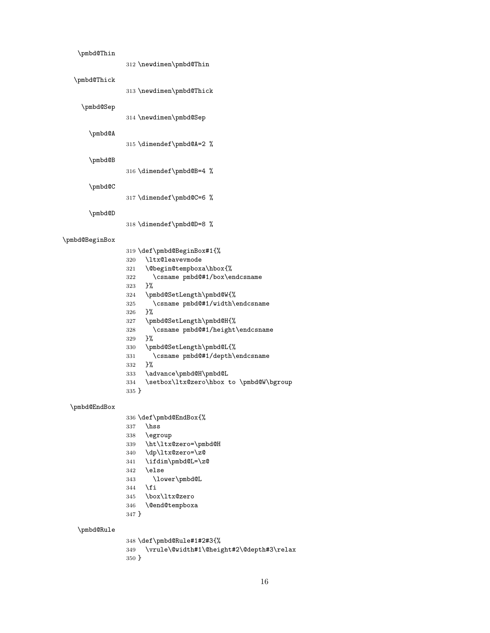| \pmbd@Thin     |                                                                 |
|----------------|-----------------------------------------------------------------|
|                |                                                                 |
|                | 312 \newdimen\pmbd@Thin                                         |
| \pmbd@Thick    |                                                                 |
|                |                                                                 |
|                | 313 \newdimen\pmbd@Thick                                        |
| \pmbd@Sep      |                                                                 |
|                |                                                                 |
|                | 314 \newdimen\pmbd@Sep                                          |
|                |                                                                 |
| \pmbd@A        |                                                                 |
|                | 315 \dimendef\pmbd@A=2 %                                        |
|                |                                                                 |
| \pmbd@B        |                                                                 |
|                | 316 \dimendef\pmbd@B=4 %                                        |
|                |                                                                 |
| \pmbd@C        |                                                                 |
|                | 317 \dimendef\pmbd@C=6 %                                        |
|                |                                                                 |
| \pmbd@D        |                                                                 |
|                | 318 \dimendef\pmbd@D=8 %                                        |
|                |                                                                 |
| \pmbd@BeginBox |                                                                 |
|                | 319 \def\pmbd@BeginBox#1{%                                      |
|                | \ltx@leavevmode<br>320                                          |
|                |                                                                 |
|                | \@begin@tempboxa\hbox{%<br>321<br>\csname pmbd@#1/box\endcsname |
|                | 322                                                             |
|                | }‰<br>323                                                       |
|                | \pmbd@SetLength\pmbd@W{%<br>324                                 |
|                | \csname pmbd@#1/width\endcsname<br>325                          |
|                | }‰<br>326                                                       |
|                | \pmbd@SetLength\pmbd@H{%<br>327                                 |
|                | \csname pmbd@#1/height\endcsname<br>328                         |
|                | }‰<br>329                                                       |
|                | \pmbd@SetLength\pmbd@L{%<br>330                                 |
|                | \csname pmbd@#1/depth\endcsname<br>331                          |
|                | }‰<br>332                                                       |
|                | \advance\pmbd@H\pmbd@L<br>333                                   |
|                | \setbox\ltx@zero\hbox to \pmbd@W\bgroup<br>334                  |
|                | 335 }                                                           |
|                |                                                                 |
| \pmbd@EndBox   |                                                                 |
|                | 336 \def\pmbd@EndBox{%                                          |
|                | \hss<br>337                                                     |
|                | \egroup<br>338                                                  |
|                | \ht\ltx@zero=\pmbd@H<br>339                                     |
|                | \dp\ltx@zero=\z@<br>340                                         |
|                | 341<br>\ifdim\pmbd@L=\z@                                        |
|                | \else<br>342                                                    |
|                | \lower\pmbd@L<br>343                                            |
|                | \fi<br>344                                                      |
|                | \box\ltx@zero<br>345                                            |
|                | \@end@tempboxa<br>346                                           |
|                | 347 }                                                           |
|                |                                                                 |
| \pmbd@Rule     |                                                                 |
|                | 348 \def\pmbd@Rule#1#2#3{%                                      |
|                | \vrule\@width#1\@height#2\@depth#3\relax<br>349                 |
|                | 350 }                                                           |
|                |                                                                 |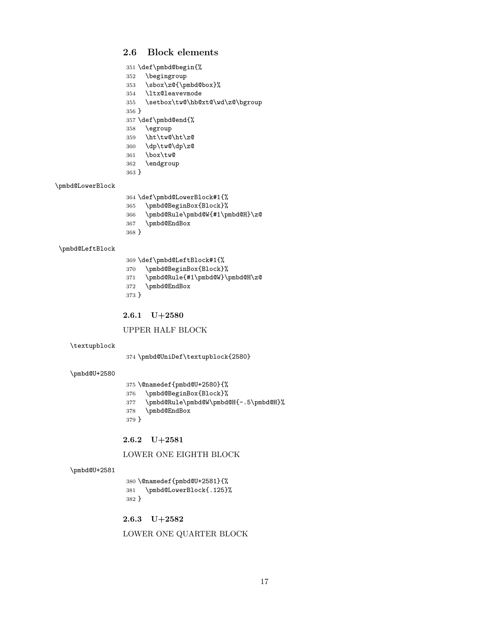# <span id="page-16-0"></span>2.6 Block elements

| 352<br>\begingroup<br>\sbox\z@{\pmbd@box}%<br>353<br>354<br>\ltx@leavevmode<br>355<br>\setbox\tw@\hb@xt@\wd\z@\bgroup<br>$356$ }<br>357 \def\pmbd@end{%<br>\egroup<br>358<br>\ht\tw@\ht\z@<br>359<br>360 $\d{p\tw\Q\dp\zeta}$<br>361 $\h{box\tw\Q}$<br>\box\tw@<br>361<br>362<br>\endgroup<br>$363$ }<br>\pmbd@LowerBlock<br>364 \def\pmbd@LowerBlock#1{%<br>\pmbd@BeginBox{Block}%<br>365<br>\pmbd@Rule\pmbd@W{#1\pmbd@H}\z@<br>366<br>\pmbd@EndBox<br>367<br>368 }<br>\pmbd@LeftBlock<br>369 \def\pmbd@LeftBlock#1{%<br>\pmbd@BeginBox{Block}%<br>370<br>\pmbd@Rule{#1\pmbd@W}\pmbd@H\z@<br>371<br>\pmbd@EndBox<br>372<br>373 }<br>$2.6.1 \quad U + 2580$<br>UPPER HALF BLOCK<br>\textupblock<br>374 \pmbd@UniDef\textupblock{2580}<br>\pmbd@U+2580<br>375 \@namedef{pmbd@U+2580}{%<br>\pmbd@BeginBox{Block}%<br>376<br>\pmbd@Rule\pmbd@W\pmbd@H{-.5\pmbd@H}%<br>377<br>\pmbd@EndBox<br>378<br>379 }<br>2.6.2<br>$U + 2581$<br>LOWER ONE EIGHTH BLOCK |              | 351 \def\pmbd@begin{% |
|---------------------------------------------------------------------------------------------------------------------------------------------------------------------------------------------------------------------------------------------------------------------------------------------------------------------------------------------------------------------------------------------------------------------------------------------------------------------------------------------------------------------------------------------------------------------------------------------------------------------------------------------------------------------------------------------------------------------------------------------------------------------------------------------------------------------------------------------------------------------------------------------------------------------------------------------------------|--------------|-----------------------|
|                                                                                                                                                                                                                                                                                                                                                                                                                                                                                                                                                                                                                                                                                                                                                                                                                                                                                                                                                         |              |                       |
|                                                                                                                                                                                                                                                                                                                                                                                                                                                                                                                                                                                                                                                                                                                                                                                                                                                                                                                                                         |              |                       |
|                                                                                                                                                                                                                                                                                                                                                                                                                                                                                                                                                                                                                                                                                                                                                                                                                                                                                                                                                         |              |                       |
|                                                                                                                                                                                                                                                                                                                                                                                                                                                                                                                                                                                                                                                                                                                                                                                                                                                                                                                                                         |              |                       |
|                                                                                                                                                                                                                                                                                                                                                                                                                                                                                                                                                                                                                                                                                                                                                                                                                                                                                                                                                         |              |                       |
|                                                                                                                                                                                                                                                                                                                                                                                                                                                                                                                                                                                                                                                                                                                                                                                                                                                                                                                                                         |              |                       |
|                                                                                                                                                                                                                                                                                                                                                                                                                                                                                                                                                                                                                                                                                                                                                                                                                                                                                                                                                         |              |                       |
|                                                                                                                                                                                                                                                                                                                                                                                                                                                                                                                                                                                                                                                                                                                                                                                                                                                                                                                                                         |              |                       |
|                                                                                                                                                                                                                                                                                                                                                                                                                                                                                                                                                                                                                                                                                                                                                                                                                                                                                                                                                         |              |                       |
|                                                                                                                                                                                                                                                                                                                                                                                                                                                                                                                                                                                                                                                                                                                                                                                                                                                                                                                                                         |              |                       |
|                                                                                                                                                                                                                                                                                                                                                                                                                                                                                                                                                                                                                                                                                                                                                                                                                                                                                                                                                         |              |                       |
|                                                                                                                                                                                                                                                                                                                                                                                                                                                                                                                                                                                                                                                                                                                                                                                                                                                                                                                                                         |              |                       |
|                                                                                                                                                                                                                                                                                                                                                                                                                                                                                                                                                                                                                                                                                                                                                                                                                                                                                                                                                         |              |                       |
|                                                                                                                                                                                                                                                                                                                                                                                                                                                                                                                                                                                                                                                                                                                                                                                                                                                                                                                                                         |              |                       |
|                                                                                                                                                                                                                                                                                                                                                                                                                                                                                                                                                                                                                                                                                                                                                                                                                                                                                                                                                         |              |                       |
|                                                                                                                                                                                                                                                                                                                                                                                                                                                                                                                                                                                                                                                                                                                                                                                                                                                                                                                                                         |              |                       |
|                                                                                                                                                                                                                                                                                                                                                                                                                                                                                                                                                                                                                                                                                                                                                                                                                                                                                                                                                         |              |                       |
|                                                                                                                                                                                                                                                                                                                                                                                                                                                                                                                                                                                                                                                                                                                                                                                                                                                                                                                                                         |              |                       |
|                                                                                                                                                                                                                                                                                                                                                                                                                                                                                                                                                                                                                                                                                                                                                                                                                                                                                                                                                         |              |                       |
|                                                                                                                                                                                                                                                                                                                                                                                                                                                                                                                                                                                                                                                                                                                                                                                                                                                                                                                                                         |              |                       |
|                                                                                                                                                                                                                                                                                                                                                                                                                                                                                                                                                                                                                                                                                                                                                                                                                                                                                                                                                         |              |                       |
|                                                                                                                                                                                                                                                                                                                                                                                                                                                                                                                                                                                                                                                                                                                                                                                                                                                                                                                                                         |              |                       |
|                                                                                                                                                                                                                                                                                                                                                                                                                                                                                                                                                                                                                                                                                                                                                                                                                                                                                                                                                         |              |                       |
|                                                                                                                                                                                                                                                                                                                                                                                                                                                                                                                                                                                                                                                                                                                                                                                                                                                                                                                                                         |              |                       |
|                                                                                                                                                                                                                                                                                                                                                                                                                                                                                                                                                                                                                                                                                                                                                                                                                                                                                                                                                         |              |                       |
|                                                                                                                                                                                                                                                                                                                                                                                                                                                                                                                                                                                                                                                                                                                                                                                                                                                                                                                                                         |              |                       |
|                                                                                                                                                                                                                                                                                                                                                                                                                                                                                                                                                                                                                                                                                                                                                                                                                                                                                                                                                         |              |                       |
|                                                                                                                                                                                                                                                                                                                                                                                                                                                                                                                                                                                                                                                                                                                                                                                                                                                                                                                                                         |              |                       |
|                                                                                                                                                                                                                                                                                                                                                                                                                                                                                                                                                                                                                                                                                                                                                                                                                                                                                                                                                         |              |                       |
|                                                                                                                                                                                                                                                                                                                                                                                                                                                                                                                                                                                                                                                                                                                                                                                                                                                                                                                                                         |              |                       |
|                                                                                                                                                                                                                                                                                                                                                                                                                                                                                                                                                                                                                                                                                                                                                                                                                                                                                                                                                         |              |                       |
|                                                                                                                                                                                                                                                                                                                                                                                                                                                                                                                                                                                                                                                                                                                                                                                                                                                                                                                                                         |              |                       |
|                                                                                                                                                                                                                                                                                                                                                                                                                                                                                                                                                                                                                                                                                                                                                                                                                                                                                                                                                         |              |                       |
|                                                                                                                                                                                                                                                                                                                                                                                                                                                                                                                                                                                                                                                                                                                                                                                                                                                                                                                                                         |              |                       |
|                                                                                                                                                                                                                                                                                                                                                                                                                                                                                                                                                                                                                                                                                                                                                                                                                                                                                                                                                         |              |                       |
|                                                                                                                                                                                                                                                                                                                                                                                                                                                                                                                                                                                                                                                                                                                                                                                                                                                                                                                                                         |              |                       |
|                                                                                                                                                                                                                                                                                                                                                                                                                                                                                                                                                                                                                                                                                                                                                                                                                                                                                                                                                         |              |                       |
|                                                                                                                                                                                                                                                                                                                                                                                                                                                                                                                                                                                                                                                                                                                                                                                                                                                                                                                                                         |              |                       |
|                                                                                                                                                                                                                                                                                                                                                                                                                                                                                                                                                                                                                                                                                                                                                                                                                                                                                                                                                         |              |                       |
|                                                                                                                                                                                                                                                                                                                                                                                                                                                                                                                                                                                                                                                                                                                                                                                                                                                                                                                                                         |              |                       |
|                                                                                                                                                                                                                                                                                                                                                                                                                                                                                                                                                                                                                                                                                                                                                                                                                                                                                                                                                         |              |                       |
|                                                                                                                                                                                                                                                                                                                                                                                                                                                                                                                                                                                                                                                                                                                                                                                                                                                                                                                                                         | \pmbd@U+2581 |                       |

 \@namedef{pmbd@U+2581}{% \pmbd@LowerBlock{.125}% }

2.6.3 U+2582

LOWER ONE QUARTER BLOCK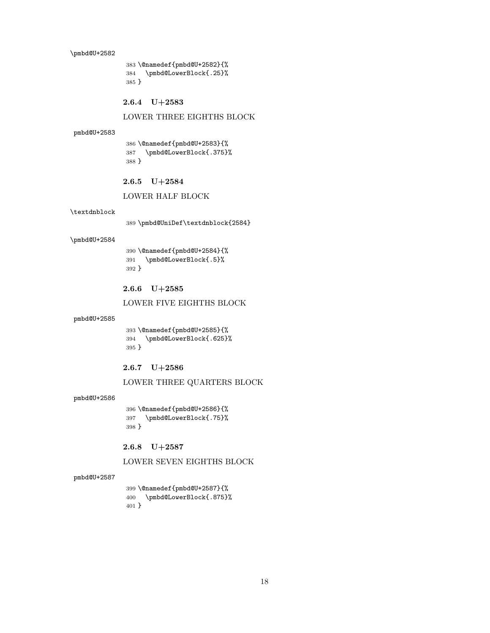\pmbd@U+2582

383 \@namedef{pmbd@U+2582}{% 384 \pmbd@LowerBlock{.25}% 385 }

2.6.4 U+2583

### LOWER THREE EIGHTHS BLOCK

### pmbd@U+2583

386 \@namedef{pmbd@U+2583}{% 387 \pmbd@LowerBlock{.375}% 388 }

### 2.6.5 U+2584

#### LOWER HALF BLOCK

#### \textdnblock

389 \pmbd@UniDef\textdnblock{2584}

#### \pmbd@U+2584

390 \@namedef{pmbd@U+2584}{% 391 \pmbd@LowerBlock{.5}% 392 }

### 2.6.6 U+2585

### LOWER FIVE EIGHTHS BLOCK

### pmbd@U+2585

393 \@namedef{pmbd@U+2585}{% 394 \pmbd@LowerBlock{.625}% 395 }

### 2.6.7 U+2586

### LOWER THREE QUARTERS BLOCK

#### pmbd@U+2586

396 \@namedef{pmbd@U+2586}{% 397 \pmbd@LowerBlock{.75}% 398 }

2.6.8 U+2587

### LOWER SEVEN EIGHTHS BLOCK

### pmbd@U+2587

399 \@namedef{pmbd@U+2587}{% 400 \pmbd@LowerBlock{.875}% 401 }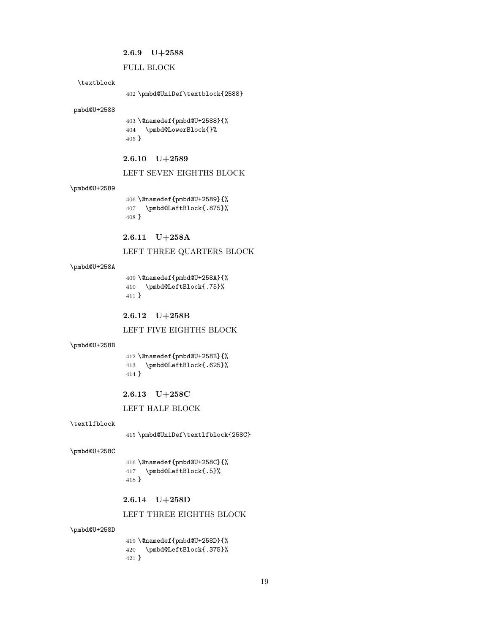### 2.6.9 U+2588

### FULL BLOCK

### \textblock

402 \pmbd@UniDef\textblock{2588}

#### pmbd@U+2588

403 \@namedef{pmbd@U+2588}{% 404 \pmbd@LowerBlock{}% 405 }

### 2.6.10 U+2589

### LEFT SEVEN EIGHTHS BLOCK

#### \pmbd@U+2589

406 \@namedef{pmbd@U+2589}{% 407 \pmbd@LeftBlock{.875}% 408 }

### 2.6.11 U+258A

LEFT THREE QUARTERS BLOCK

#### \pmbd@U+258A

409 \@namedef{pmbd@U+258A}{% 410 \pmbd@LeftBlock{.75}% 411 }

2.6.12 U+258B

LEFT FIVE EIGHTHS BLOCK

#### \pmbd@U+258B

412 \@namedef{pmbd@U+258B}{% 413 \pmbd@LeftBlock{.625}% 414 }

#### 2.6.13 U+258C

LEFT HALF BLOCK

#### \textlfblock

415 \pmbd@UniDef\textlfblock{258C}

#### \pmbd@U+258C

416 \@namedef{pmbd@U+258C}{% 417 \pmbd@LeftBlock{.5}% 418 }

### 2.6.14 U+258D

### LEFT THREE EIGHTHS BLOCK

#### \pmbd@U+258D

419 \@namedef{pmbd@U+258D}{% 420 \pmbd@LeftBlock{.375}% 421 }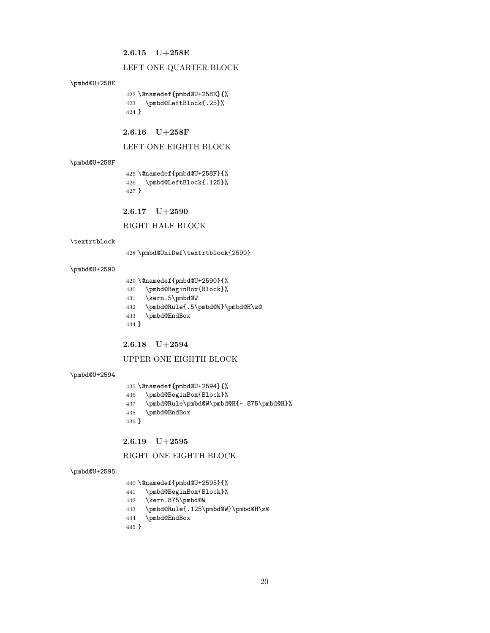### 2.6.15 U+258E

#### LEFT ONE QUARTER BLOCK

#### \pmbd@U+258E

 \@namedef{pmbd@U+258E}{% \pmbd@LeftBlock{.25}% }

### 2.6.16 U+258F

LEFT ONE EIGHTH BLOCK

#### \pmbd@U+258F

 \@namedef{pmbd@U+258F}{% \pmbd@LeftBlock{.125}% }

2.6.17 U+2590

### RIGHT HALF BLOCK

#### \textrtblock

\pmbd@UniDef\textrtblock{2590}

#### \pmbd@U+2590

- \@namedef{pmbd@U+2590}{%
- \pmbd@BeginBox{Block}%
- \kern.5\pmbd@W
- \pmbd@Rule{.5\pmbd@W}\pmbd@H\z@
- \pmbd@EndBox
- }

### 2.6.18 U+2594

### UPPER ONE EIGHTH BLOCK

#### \pmbd@U+2594

 \@namedef{pmbd@U+2594}{% \pmbd@BeginBox{Block}%

- 
- \pmbd@Rule\pmbd@W\pmbd@H{-.875\pmbd@H}%
- \pmbd@EndBox
- }

### 2.6.19 U+2595

### RIGHT ONE EIGHTH BLOCK

#### \pmbd@U+2595

- \@namedef{pmbd@U+2595}{%
- \pmbd@BeginBox{Block}%
- \kern.875\pmbd@W
- \pmbd@Rule{.125\pmbd@W}\pmbd@H\z@
- \pmbd@EndBox

### }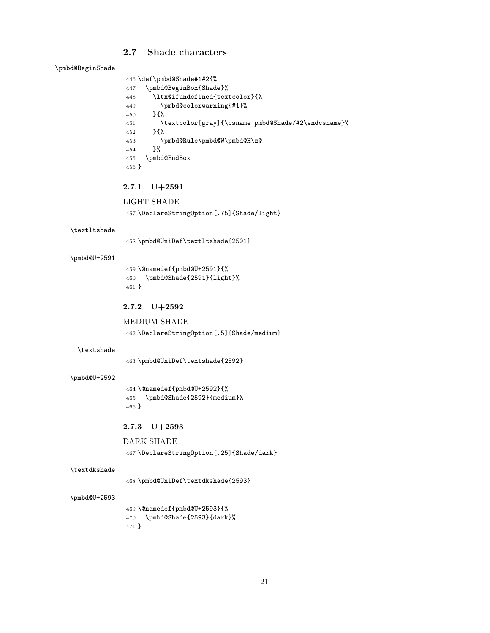### <span id="page-20-0"></span>2.7 Shade characters

\pmbd@BeginShade

```
446 \def\pmbd@Shade#1#2{%
447 \pmbd@BeginBox{Shade}%
448 \ltx@ifundefined{textcolor}{%
449 \pmbd@colorwarning{#1}%
450 }{%
451 \textcolor[gray]{\csname pmbd@Shade/#2\endcsname}%
452 }{%
453 \pmbd@Rule\pmbd@W\pmbd@H\z@
454 }%
455 \pmbd@EndBox
456 }
```
### 2.7.1 U+2591

```
LIGHT SHADE
```
\DeclareStringOption[.75]{Shade/light}

#### \textltshade

\pmbd@UniDef\textltshade{2591}

#### \pmbd@U+2591

 \@namedef{pmbd@U+2591}{% \pmbd@Shade{2591}{light}% }

### 2.7.2 U+2592

MEDIUM SHADE \DeclareStringOption[.5]{Shade/medium}

#### \textshade

\pmbd@UniDef\textshade{2592}

#### \pmbd@U+2592

 \@namedef{pmbd@U+2592}{% \pmbd@Shade{2592}{medium}% }

### 2.7.3 U+2593

DARK SHADE \DeclareStringOption[.25]{Shade/dark}

#### \textdkshade

\pmbd@UniDef\textdkshade{2593}

#### \pmbd@U+2593

 \@namedef{pmbd@U+2593}{% \pmbd@Shade{2593}{dark}% }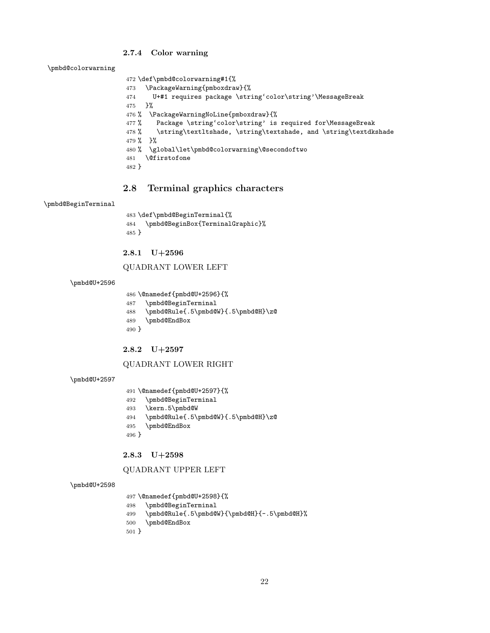### 2.7.4 Color warning

\pmbd@colorwarning

```
472 \def\pmbd@colorwarning#1{%
473 \PackageWarning{pmboxdraw}{%
474 U+#1 requires package \string'color\string'\MessageBreak
475 }%
476 % \PackageWarningNoLine{pmboxdraw}{%
477 % Package \string'color\string' is required for\MessageBreak
478% \string\textltshade, \string\textshade, and \string\textdkshade
479 % }%
480 % \global\let\pmbd@colorwarning\@secondoftwo
481 \@firstofone
482 }
```
### <span id="page-21-0"></span>2.8 Terminal graphics characters

#### \pmbd@BeginTerminal

 \def\pmbd@BeginTerminal{% \pmbd@BeginBox{TerminalGraphic}% }

### 2.8.1 U+2596

### QUADRANT LOWER LEFT

### \pmbd@U+2596

\@namedef{pmbd@U+2596}{%

```
487 \pmbd@BeginTerminal
```

```
488 \pmbd@Rule{.5\pmbd@W}{.5\pmbd@H}\z@
```

```
489 \pmbd@EndBox
```
}

### 2.8.2 U+2597

### QUADRANT LOWER RIGHT

#### \pmbd@U+2597

- \@namedef{pmbd@U+2597}{%
- \pmbd@BeginTerminal
- \kern.5\pmbd@W
- \pmbd@Rule{.5\pmbd@W}{.5\pmbd@H}\z@
- \pmbd@EndBox

```
496 }
```
### 2.8.3 U+2598

#### QUADRANT UPPER LEFT

#### \pmbd@U+2598

```
497 \@namedef{pmbd@U+2598}{%
498 \pmbd@BeginTerminal
499 \pmbd@Rule{.5\pmbd@W}{\pmbd@H}{-.5\pmbd@H}%
500 \pmbd@EndBox
501 }
```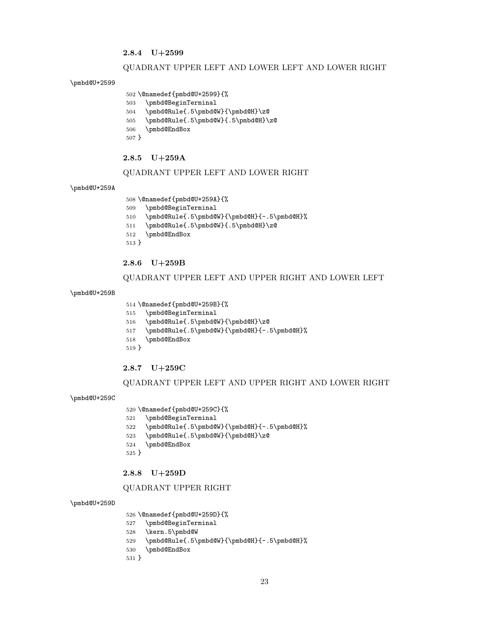### 2.8.4 U+2599

#### QUADRANT UPPER LEFT AND LOWER LEFT AND LOWER RIGHT

#### \pmbd@U+2599

```
502 \@namedef{pmbd@U+2599}{%
```
- \pmbd@BeginTerminal \pmbd@Rule{.5\pmbd@W}{\pmbd@H}\z@
- \pmbd@Rule{.5\pmbd@W}{.5\pmbd@H}\z@
- \pmbd@EndBox
- }

#### 2.8.5 U+259A

#### QUADRANT UPPER LEFT AND LOWER RIGHT

#### \pmbd@U+259A

\@namedef{pmbd@U+259A}{%

- \pmbd@BeginTerminal
- \pmbd@Rule{.5\pmbd@W}{\pmbd@H}{-.5\pmbd@H}%
- \pmbd@Rule{.5\pmbd@W}{.5\pmbd@H}\z@
- \pmbd@EndBox
- }

### 2.8.6 U+259B

### QUADRANT UPPER LEFT AND UPPER RIGHT AND LOWER LEFT

#### \pmbd@U+259B

- \@namedef{pmbd@U+259B}{%
- \pmbd@BeginTerminal
- \pmbd@Rule{.5\pmbd@W}{\pmbd@H}\z@
- \pmbd@Rule{.5\pmbd@W}{\pmbd@H}{-.5\pmbd@H}%
- \pmbd@EndBox
- }

### 2.8.7 U+259C

### QUADRANT UPPER LEFT AND UPPER RIGHT AND LOWER RIGHT

#### \pmbd@U+259C

\@namedef{pmbd@U+259C}{%

- \pmbd@BeginTerminal
- \pmbd@Rule{.5\pmbd@W}{\pmbd@H}{-.5\pmbd@H}%
- \pmbd@Rule{.5\pmbd@W}{\pmbd@H}\z@
- \pmbd@EndBox
- }

#### 2.8.8 U+259D

### QUADRANT UPPER RIGHT

#### \pmbd@U+259D

\@namedef{pmbd@U+259D}{%

- \pmbd@BeginTerminal
- \kern.5\pmbd@W
- \pmbd@Rule{.5\pmbd@W}{\pmbd@H}{-.5\pmbd@H}%
- \pmbd@EndBox

### }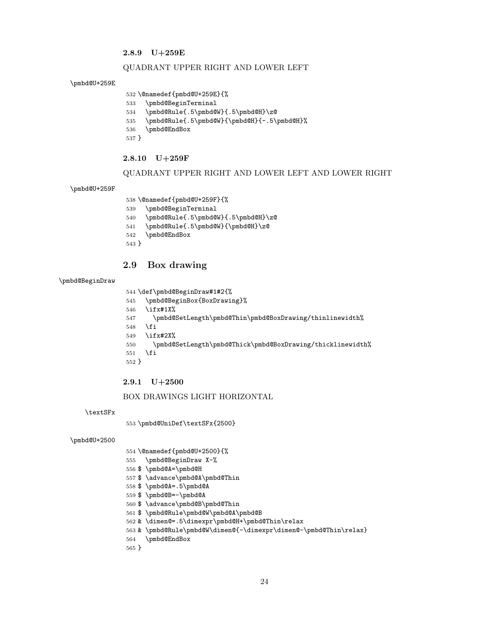### 2.8.9 U+259E

#### QUADRANT UPPER RIGHT AND LOWER LEFT

#### \pmbd@U+259E

```
532 \@namedef{pmbd@U+259E}{%
```
- \pmbd@BeginTerminal
- \pmbd@Rule{.5\pmbd@W}{.5\pmbd@H}\z@
- \pmbd@Rule{.5\pmbd@W}{\pmbd@H}{-.5\pmbd@H}%
- \pmbd@EndBox
- }

### 2.8.10 U+259F

#### QUADRANT UPPER RIGHT AND LOWER LEFT AND LOWER RIGHT

#### \pmbd@U+259F

```
538 \@namedef{pmbd@U+259F}{%
```
- \pmbd@BeginTerminal
- \pmbd@Rule{.5\pmbd@W}{.5\pmbd@H}\z@
- \pmbd@Rule{.5\pmbd@W}{\pmbd@H}\z@
- \pmbd@EndBox
- }

## <span id="page-23-0"></span>2.9 Box drawing

### \pmbd@BeginDraw

\def\pmbd@BeginDraw#1#2{%

- \pmbd@BeginBox{BoxDrawing}%
- \ifx#1X%
- \pmbd@SetLength\pmbd@Thin\pmbd@BoxDrawing/thinlinewidth%
- \fi
- \ifx#2X%
- \pmbd@SetLength\pmbd@Thick\pmbd@BoxDrawing/thicklinewidth%
- \fi
- }

### 2.9.1 U+2500

#### BOX DRAWINGS LIGHT HORIZONTAL

\textSFx

\pmbd@UniDef\textSFx{2500}

#### \pmbd@U+2500

- \@namedef{pmbd@U+2500}{%
- \pmbd@BeginDraw X-%
- \$ \pmbd@A=\pmbd@H
- \$ \advance\pmbd@A\pmbd@Thin
- \$ \pmbd@A=.5\pmbd@A
- \$ \pmbd@B=-\pmbd@A
- \$ \advance\pmbd@B\pmbd@Thin
- \$ \pmbd@Rule\pmbd@W\pmbd@A\pmbd@B
- & \dimen@=.5\dimexpr\pmbd@H+\pmbd@Thin\relax
- & \pmbd@Rule\pmbd@W\dimen@{-\dimexpr\dimen@-\pmbd@Thin\relax}
- \pmbd@EndBox
- }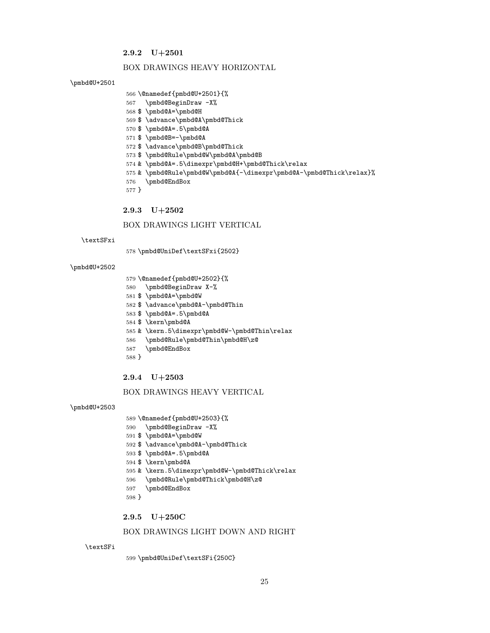### 2.9.2 U+2501

#### BOX DRAWINGS HEAVY HORIZONTAL

#### \pmbd@U+2501

- \@namedef{pmbd@U+2501}{%
- \pmbd@BeginDraw -X%
- \$ \pmbd@A=\pmbd@H
- \$ \advance\pmbd@A\pmbd@Thick
- \$ \pmbd@A=.5\pmbd@A
- \$ \pmbd@B=-\pmbd@A
- \$ \advance\pmbd@B\pmbd@Thick
- \$ \pmbd@Rule\pmbd@W\pmbd@A\pmbd@B
- & \pmbd@A=.5\dimexpr\pmbd@H+\pmbd@Thick\relax
- & \pmbd@Rule\pmbd@W\pmbd@A{-\dimexpr\pmbd@A-\pmbd@Thick\relax}%
- \pmbd@EndBox
- }
- 2.9.3 U+2502

### BOX DRAWINGS LIGHT VERTICAL

#### \textSFxi

\pmbd@UniDef\textSFxi{2502}

#### \pmbd@U+2502

- \@namedef{pmbd@U+2502}{%
- \pmbd@BeginDraw X-%
- \$ \pmbd@A=\pmbd@W
- \$ \advance\pmbd@A-\pmbd@Thin
- \$ \pmbd@A=.5\pmbd@A
- \$ \kern\pmbd@A
- & \kern.5\dimexpr\pmbd@W-\pmbd@Thin\relax
- \pmbd@Rule\pmbd@Thin\pmbd@H\z@
- \pmbd@EndBox
- }

### 2.9.4 U+2503

### BOX DRAWINGS HEAVY VERTICAL

#### \pmbd@U+2503

- \@namedef{pmbd@U+2503}{%
- \pmbd@BeginDraw -X%
- \$ \pmbd@A=\pmbd@W
- \$ \advance\pmbd@A-\pmbd@Thick
- \$ \pmbd@A=.5\pmbd@A
- \$ \kern\pmbd@A
- & \kern.5\dimexpr\pmbd@W-\pmbd@Thick\relax
- \pmbd@Rule\pmbd@Thick\pmbd@H\z@
- \pmbd@EndBox
- }

### 2.9.5 U+250C

### BOX DRAWINGS LIGHT DOWN AND RIGHT

#### \textSFi

\pmbd@UniDef\textSFi{250C}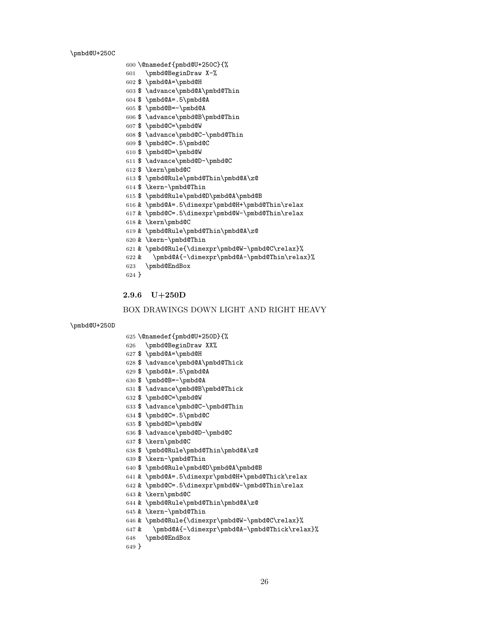\pmbd@U+250C

```
601 \pmbd@BeginDraw X-%
602 $ \pmbd@A=\pmbd@H
603 $ \advance\pmbd@A\pmbd@Thin
604 $ \pmbd@A=.5\pmbd@A
605 $ \pmbd@B=-\pmbd@A
606 $ \advance\pmbd@B\pmbd@Thin
607 $ \pmbd@C=\pmbd@W
608 $ \advance\pmbd@C-\pmbd@Thin
609 $ \pmbd@C=.5\pmbd@C
610 $ \pmbd@D=\pmbd@W
611 $ \advance\pmbd@D-\pmbd@C
612 $ \kern\pmbd@C
613 $ \pmbd@Rule\pmbd@Thin\pmbd@A\z@
614 $ \kern-\pmbd@Thin
615 $ \pmbd@Rule\pmbd@D\pmbd@A\pmbd@B
616 & \pmbd@A=.5\dimexpr\pmbd@H+\pmbd@Thin\relax
617 & \pmbd@C=.5\dimexpr\pmbd@W-\pmbd@Thin\relax
618 & \kern\pmbd@C
619 & \pmbd@Rule\pmbd@Thin\pmbd@A\z@
620 & \kern-\pmbd@Thin
621 & \pmbd@Rule{\dimexpr\pmbd@W-\pmbd@C\relax}%
622 & \pmbd@A{-\dimexpr\pmbd@A-\pmbd@Thin\relax}%
623 \pmbd@EndBox
624 }
```
\@namedef{pmbd@U+250C}{%

#### 2.9.6 U+250D

```
BOX DRAWINGS DOWN LIGHT AND RIGHT HEAVY
```

```
\pmbd@U+250D
```

```
625 \@namedef{pmbd@U+250D}{%
```
- -
	- \pmbd@BeginDraw XX%
	-
	-
	- \$ \pmbd@A=\pmbd@H
	-
	-
	-
	-
	-
	-
	-
	-
	-
	-
	-
	-
	-
	-
	-
	-
	-
	-
	-
	-
	-
	-
	-
	- \$ \advance\pmbd@A\pmbd@Thick
	-
	- \$ \pmbd@A=.5\pmbd@A
	-
	-
	-
	- \$ \pmbd@B=-\pmbd@A
	-
	-
	-
	-
	- \$ \advance\pmbd@B\pmbd@Thick
	-

 \$ \pmbd@C=.5\pmbd@C \$ \pmbd@D=\pmbd@W

\$ \kern-\pmbd@Thin

& \kern-\pmbd@Thin

\$ \kern\pmbd@C

& \kern\pmbd@C

\pmbd@EndBox

}

- 
- 
- 

\$ \advance\pmbd@D-\pmbd@C

\$ \pmbd@Rule\pmbd@Thin\pmbd@A\z@

\$ \pmbd@Rule\pmbd@D\pmbd@A\pmbd@B

& \pmbd@Rule\pmbd@Thin\pmbd@A\z@

- 
- 
- \$ \advance\pmbd@C-\pmbd@Thin
- 
- \$ \pmbd@C=\pmbd@W
- 
- 
- 

& \pmbd@C=.5\dimexpr\pmbd@W-\pmbd@Thin\relax

& \pmbd@A=.5\dimexpr\pmbd@H+\pmbd@Thick\relax

 & \pmbd@Rule{\dimexpr\pmbd@W-\pmbd@C\relax}% & \pmbd@A{-\dimexpr\pmbd@A-\pmbd@Thick\relax}%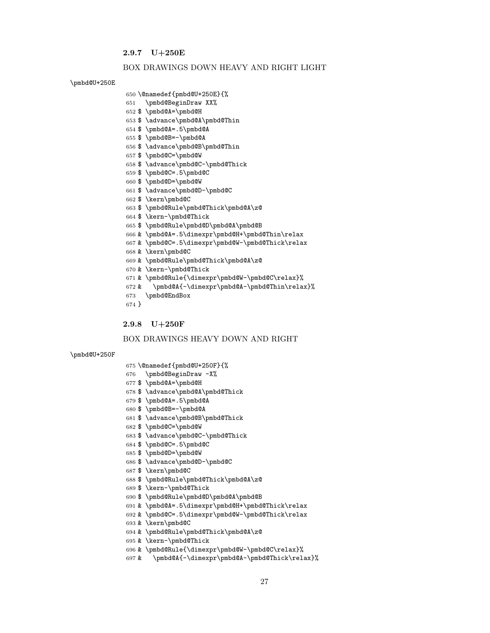### 2.9.7 U+250E

### BOX DRAWINGS DOWN HEAVY AND RIGHT LIGHT

### \pmbd@U+250E

```
650 \@namedef{pmbd@U+250E}{%
651 \pmbd@BeginDraw XX%
652 $ \pmbd@A=\pmbd@H
653 $ \advance\pmbd@A\pmbd@Thin
654 $ \pmbd@A=.5\pmbd@A
655 $ \pmbd@B=-\pmbd@A
656 $ \advance\pmbd@B\pmbd@Thin
657 $ \pmbd@C=\pmbd@W
658 $ \advance\pmbd@C-\pmbd@Thick
659 $ \pmbd@C=.5\pmbd@C
660 $ \pmbd@D=\pmbd@W
661 $ \advance\pmbd@D-\pmbd@C
662 $ \kern\pmbd@C
663 $ \pmbd@Rule\pmbd@Thick\pmbd@A\z@
664 $ \kern-\pmbd@Thick
665 $ \pmbd@Rule\pmbd@D\pmbd@A\pmbd@B
666 & \pmbd@A=.5\dimexpr\pmbd@H+\pmbd@Thin\relax
667 & \pmbd@C=.5\dimexpr\pmbd@W-\pmbd@Thick\relax
668 & \kern\pmbd@C
669 & \pmbd@Rule\pmbd@Thick\pmbd@A\z@
670 & \kern-\pmbd@Thick
671 & \pmbd@Rule{\dimexpr\pmbd@W-\pmbd@C\relax}%
672 & \pmbd@A{-\dimexpr\pmbd@A-\pmbd@Thin\relax}%
673 \pmbd@EndBox
674 }
```
### 2.9.8 U+250F

\@namedef{pmbd@U+250F}{%

### BOX DRAWINGS HEAVY DOWN AND RIGHT

#### \pmbd@U+250F

|       | 676 \pmbd@BeginDraw -X%                           |
|-------|---------------------------------------------------|
|       | $677$ \$ \pmbd@A=\pmbd@H                          |
|       | 678 \$ \advance\pmbd@A\pmbd@Thick                 |
|       | $679$ \$ \pmbd@A=.5\pmbd@A                        |
|       | 680 \$ \pmbd@B=-\pmbd@A                           |
|       | 681 \$ \advance\pmbd@B\pmbd@Thick                 |
|       | 682 \$ \pmbd@C=\pmbd@W                            |
|       | 683 \$ \advance\pmbd@C-\pmbd@Thick                |
|       | 684 \$ \pmbd@C=.5\pmbd@C                          |
|       | 685 \$ \pmbd@D=\pmbd@W                            |
|       | 686 \$ \advance\pmbd@D-\pmbd@C                    |
|       | 687 \$ \kern\pmbd@C                               |
|       | 688 \$ \pmbd@Rule\pmbd@Thick\pmbd@A\z@            |
|       | 689 \$ \kern-\pmbd@Thick                          |
|       | 690 \$ \pmbd@Rule\pmbd@D\pmbd@A\pmbd@B            |
|       | 691 & \pmbd@A=.5\dimexpr\pmbd@H+\pmbd@Thick\relax |
|       | 692 & \pmbd@C=.5\dimexpr\pmbd@W-\pmbd@Thick\relax |
|       | 693 & \kern\pmbd@C                                |
|       | 694 & \pmbd@Rule\pmbd@Thick\pmbd@A\z@             |
|       | 695 & \kern-\pmbd@Thick                           |
|       | 696 & \pmbd@Rule{\dimexpr\pmbd@W-\pmbd@C\relax}%  |
| 697 & | \pmbd@A{-\dimexpr\pmbd@A-\pmbd@Thick\relax}%      |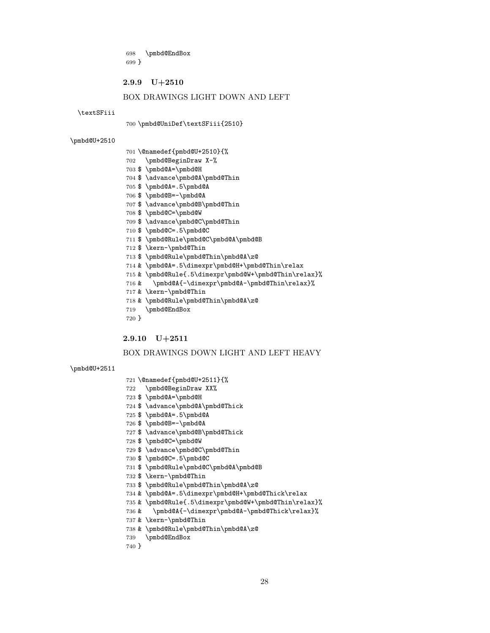\pmbd@EndBox }

#### 2.9.9 U+2510

### BOX DRAWINGS LIGHT DOWN AND LEFT

#### \textSFiii

#### \pmbd@UniDef\textSFiii{2510}

#### \pmbd@U+2510

- \@namedef{pmbd@U+2510}{%
- \pmbd@BeginDraw X-%
- \$ \pmbd@A=\pmbd@H
- \$ \advance\pmbd@A\pmbd@Thin
- \$ \pmbd@A=.5\pmbd@A
- \$ \pmbd@B=-\pmbd@A
- \$ \advance\pmbd@B\pmbd@Thin
- \$ \pmbd@C=\pmbd@W
- \$ \advance\pmbd@C\pmbd@Thin
- \$ \pmbd@C=.5\pmbd@C
- \$ \pmbd@Rule\pmbd@C\pmbd@A\pmbd@B
- \$ \kern-\pmbd@Thin
- \$ \pmbd@Rule\pmbd@Thin\pmbd@A\z@
- & \pmbd@A=.5\dimexpr\pmbd@H+\pmbd@Thin\relax
- & \pmbd@Rule{.5\dimexpr\pmbd@W+\pmbd@Thin\relax}%
- & \pmbd@A{-\dimexpr\pmbd@A-\pmbd@Thin\relax}%
- & \kern-\pmbd@Thin
- & \pmbd@Rule\pmbd@Thin\pmbd@A\z@
- \pmbd@EndBox
- }

### 2.9.10 U+2511

### BOX DRAWINGS DOWN LIGHT AND LEFT HEAVY

#### \pmbd@U+2511

- \@namedef{pmbd@U+2511}{%
- \pmbd@BeginDraw XX%
- \$ \pmbd@A=\pmbd@H
- \$ \advance\pmbd@A\pmbd@Thick
- \$ \pmbd@A=.5\pmbd@A
- 
- \$ \pmbd@B=-\pmbd@A
- \$ \advance\pmbd@B\pmbd@Thick
- \$ \pmbd@C=\pmbd@W
- \$ \advance\pmbd@C\pmbd@Thin
- \$ \pmbd@C=.5\pmbd@C
- \$ \pmbd@Rule\pmbd@C\pmbd@A\pmbd@B
- \$ \kern-\pmbd@Thin
- \$ \pmbd@Rule\pmbd@Thin\pmbd@A\z@
- & \pmbd@A=.5\dimexpr\pmbd@H+\pmbd@Thick\relax
- & \pmbd@Rule{.5\dimexpr\pmbd@W+\pmbd@Thin\relax}%
- & \pmbd@A{-\dimexpr\pmbd@A-\pmbd@Thick\relax}%
- & \kern-\pmbd@Thin
- & \pmbd@Rule\pmbd@Thin\pmbd@A\z@
- \pmbd@EndBox
- }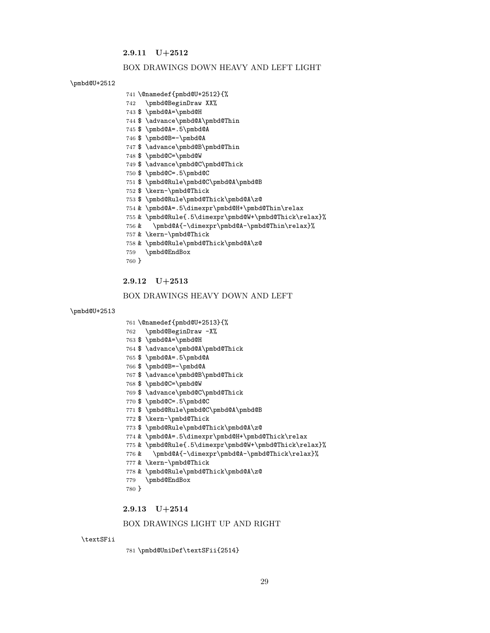### 2.9.11 U+2512

#### BOX DRAWINGS DOWN HEAVY AND LEFT LIGHT

#### \pmbd@U+2512

- \@namedef{pmbd@U+2512}{%
- \pmbd@BeginDraw XX%
- \$ \pmbd@A=\pmbd@H
- \$ \advance\pmbd@A\pmbd@Thin
- \$ \pmbd@A=.5\pmbd@A
- \$ \pmbd@B=-\pmbd@A
- \$ \advance\pmbd@B\pmbd@Thin
- \$ \pmbd@C=\pmbd@W
- \$ \advance\pmbd@C\pmbd@Thick
- \$ \pmbd@C=.5\pmbd@C
- \$ \pmbd@Rule\pmbd@C\pmbd@A\pmbd@B
- \$ \kern-\pmbd@Thick
- \$ \pmbd@Rule\pmbd@Thick\pmbd@A\z@
- & \pmbd@A=.5\dimexpr\pmbd@H+\pmbd@Thin\relax
- & \pmbd@Rule{.5\dimexpr\pmbd@W+\pmbd@Thick\relax}%
- & \pmbd@A{-\dimexpr\pmbd@A-\pmbd@Thin\relax}%
- & \kern-\pmbd@Thick
- & \pmbd@Rule\pmbd@Thick\pmbd@A\z@
- \pmbd@EndBox
- }

### 2.9.12 U+2513

#### BOX DRAWINGS HEAVY DOWN AND LEFT

#### \pmbd@U+2513

- \@namedef{pmbd@U+2513}{%
- \pmbd@BeginDraw -X%
- \$ \pmbd@A=\pmbd@H
- \$ \advance\pmbd@A\pmbd@Thick
- \$ \pmbd@A=.5\pmbd@A
- \$ \pmbd@B=-\pmbd@A
- \$ \advance\pmbd@B\pmbd@Thick
- \$ \pmbd@C=\pmbd@W
- \$ \advance\pmbd@C\pmbd@Thick
- \$ \pmbd@C=.5\pmbd@C
- \$ \pmbd@Rule\pmbd@C\pmbd@A\pmbd@B
- \$ \kern-\pmbd@Thick
- \$ \pmbd@Rule\pmbd@Thick\pmbd@A\z@
- & \pmbd@A=.5\dimexpr\pmbd@H+\pmbd@Thick\relax
- & \pmbd@Rule{.5\dimexpr\pmbd@W+\pmbd@Thick\relax}%
- 776 & \pmbd@A{-\dimexpr\pmbd@A-\pmbd@Thick\relax}%
- & \kern-\pmbd@Thick
- & \pmbd@Rule\pmbd@Thick\pmbd@A\z@
- \pmbd@EndBox
- }

### 2.9.13 U+2514

### BOX DRAWINGS LIGHT UP AND RIGHT

#### \textSFii

\pmbd@UniDef\textSFii{2514}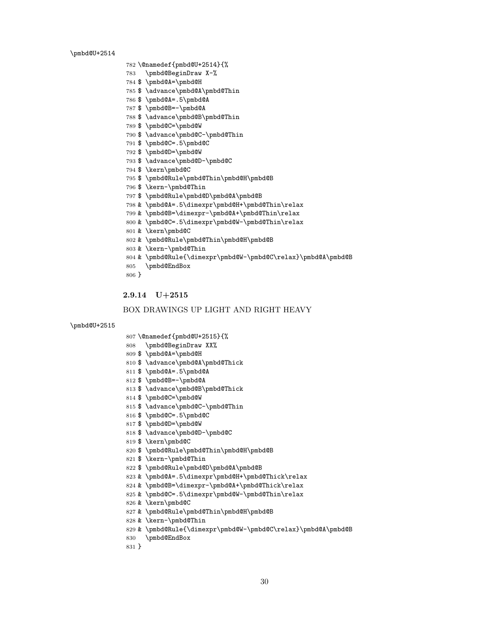\pmbd@U+2514

```
828 & \kern-\pmbd@Thin
829 & \pmbd@Rule{\dimexpr\pmbd@W-\pmbd@C\relax}\pmbd@A\pmbd@B
```
- 
- 
- 
- 
- 
- 
- 
- 
- 
- 
- 
- 
- 
- 
- 
- & \pmbd@Rule\pmbd@Thin\pmbd@H\pmbd@B
- 

\pmbd@EndBox

}

- 
- 
- 
- 
- 
- 
- 
- 
- 
- 
- & \kern\pmbd@C
- 
- & \pmbd@C=.5\dimexpr\pmbd@W-\pmbd@Thin\relax
- 
- 
- & \pmbd@B=\dimexpr-\pmbd@A+\pmbd@Thick\relax
- 
- & \pmbd@A=.5\dimexpr\pmbd@H+\pmbd@Thick\relax
- \$ \pmbd@Rule\pmbd@D\pmbd@A\pmbd@B
- \$ \kern-\pmbd@Thin
- \$ \pmbd@Rule\pmbd@Thin\pmbd@H\pmbd@B
- \$ \kern\pmbd@C
- \$ \advance\pmbd@D-\pmbd@C
- \$ \pmbd@D=\pmbd@W
- \$ \pmbd@C=.5\pmbd@C
- \$ \advance\pmbd@C-\pmbd@Thin
- \$ \pmbd@C=\pmbd@W
- \$ \advance\pmbd@B\pmbd@Thick
- 
- \$ \pmbd@B=-\pmbd@A
- 
- \$ \pmbd@A=.5\pmbd@A
- \$ \advance\pmbd@A\pmbd@Thick
- \$ \pmbd@A=\pmbd@H
- 
- 

 \@namedef{pmbd@U+2514}{% \pmbd@BeginDraw X-% \$ \pmbd@A=\pmbd@H

 \$ \pmbd@A=.5\pmbd@A \$ \pmbd@B=-\pmbd@A

\$ \pmbd@C=\pmbd@W

\$ \kern\pmbd@C

& \kern\pmbd@C

\pmbd@EndBox

2.9.14 U+2515

}

\pmbd@U+2515

& \kern-\pmbd@Thin

 \$ \pmbd@C=.5\pmbd@C \$ \pmbd@D=\pmbd@W

\$ \kern-\pmbd@Thin

\$ \advance\pmbd@A\pmbd@Thin

\$ \advance\pmbd@B\pmbd@Thin

\$ \advance\pmbd@C-\pmbd@Thin

\$ \pmbd@Rule\pmbd@Thin\pmbd@H\pmbd@B

& \pmbd@Rule\pmbd@Thin\pmbd@H\pmbd@B

 & \pmbd@A=.5\dimexpr\pmbd@H+\pmbd@Thin\relax & \pmbd@B=\dimexpr-\pmbd@A+\pmbd@Thin\relax & \pmbd@C=.5\dimexpr\pmbd@W-\pmbd@Thin\relax

BOX DRAWINGS UP LIGHT AND RIGHT HEAVY

& \pmbd@Rule{\dimexpr\pmbd@W-\pmbd@C\relax}\pmbd@A\pmbd@B

\$ \pmbd@Rule\pmbd@D\pmbd@A\pmbd@B

\$ \advance\pmbd@D-\pmbd@C

- 
- \@namedef{pmbd@U+2515}{%
- 
- 
- 
- 
- 
- 
- 
- 
- 
- 
- 
- 
- 
- 
- 
- 
- 
- 
- 
- 
- 
- 
- 
- 
- 
- 
- \pmbd@BeginDraw XX%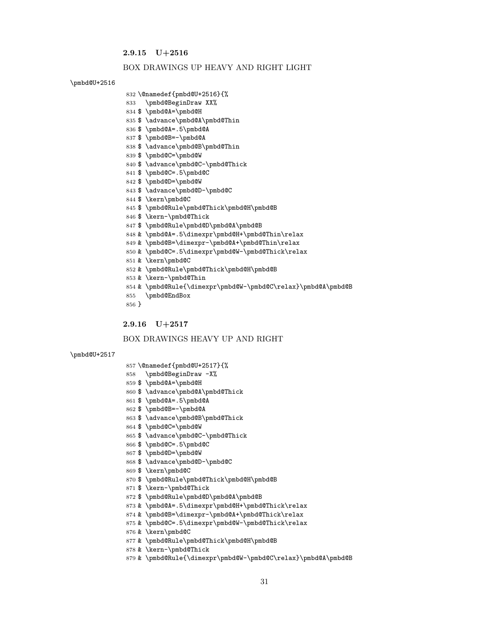### 2.9.15 U+2516

#### BOX DRAWINGS UP HEAVY AND RIGHT LIGHT

#### \pmbd@U+2516

#### \@namedef{pmbd@U+2516}{%

```
833 \pmbd@BeginDraw XX%
```

```
834 $ \pmbd@A=\pmbd@H
```
- \$ \advance\pmbd@A\pmbd@Thin
- 
- \$ \pmbd@A=.5\pmbd@A
- \$ \pmbd@B=-\pmbd@A
- \$ \advance\pmbd@B\pmbd@Thin
- \$ \pmbd@C=\pmbd@W
- \$ \advance\pmbd@C-\pmbd@Thick
- \$ \pmbd@C=.5\pmbd@C
- \$ \pmbd@D=\pmbd@W
- \$ \advance\pmbd@D-\pmbd@C
- \$ \kern\pmbd@C
- \$ \pmbd@Rule\pmbd@Thick\pmbd@H\pmbd@B
- \$ \kern-\pmbd@Thick
- \$ \pmbd@Rule\pmbd@D\pmbd@A\pmbd@B
- 
- & \pmbd@A=.5\dimexpr\pmbd@H+\pmbd@Thin\relax
- & \pmbd@B=\dimexpr-\pmbd@A+\pmbd@Thin\relax
- 
- & \pmbd@C=.5\dimexpr\pmbd@W-\pmbd@Thick\relax
- 
- 
- 
- 
- & \kern\pmbd@C
- & \pmbd@Rule\pmbd@Thick\pmbd@H\pmbd@B

BOX DRAWINGS HEAVY UP AND RIGHT

& \kern-\pmbd@Thin

 \@namedef{pmbd@U+2517}{% \pmbd@BeginDraw -X% \$ \pmbd@A=\pmbd@H

 \$ \pmbd@A=.5\pmbd@A \$ \pmbd@B=-\pmbd@A

\$ \pmbd@C=\pmbd@W

\$ \kern\pmbd@C

& \kern\pmbd@C

 \$ \pmbd@C=.5\pmbd@C \$ \pmbd@D=\pmbd@W

\$ \kern-\pmbd@Thick

& \kern-\pmbd@Thick

\$ \advance\pmbd@A\pmbd@Thick

\$ \advance\pmbd@B\pmbd@Thick

\$ \advance\pmbd@C-\pmbd@Thick

\$ \pmbd@Rule\pmbd@Thick\pmbd@H\pmbd@B

& \pmbd@Rule\pmbd@Thick\pmbd@H\pmbd@B

 & \pmbd@A=.5\dimexpr\pmbd@H+\pmbd@Thick\relax & \pmbd@B=\dimexpr-\pmbd@A+\pmbd@Thick\relax & \pmbd@C=.5\dimexpr\pmbd@W-\pmbd@Thick\relax

& \pmbd@Rule{\dimexpr\pmbd@W-\pmbd@C\relax}\pmbd@A\pmbd@B

\$ \pmbd@Rule\pmbd@D\pmbd@A\pmbd@B

\$ \advance\pmbd@D-\pmbd@C

\pmbd@EndBox

2.9.16 U+2517

}

\pmbd@U+2517

- 
- 
- 
- 
- 
- 
- 
- & \pmbd@Rule{\dimexpr\pmbd@W-\pmbd@C\relax}\pmbd@A\pmbd@B
- 
- 
- 
- 
- 
- 
- 
- 
- 
- 
- 
- 
- 
- 
- 
- 
- 
- 
- 
- 
- 
- 
- 
- 
-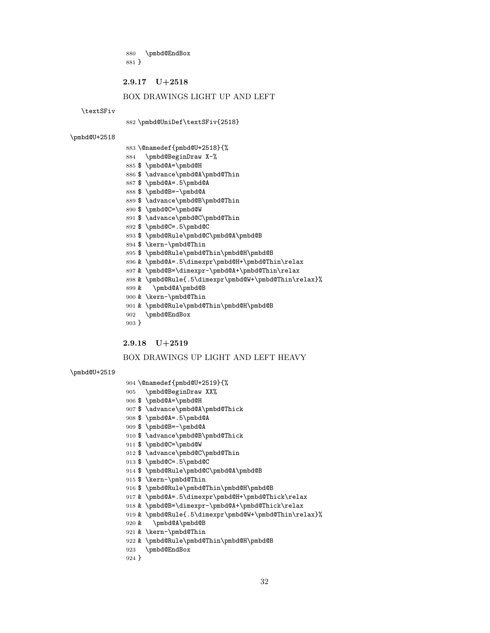\pmbd@EndBox }

#### 2.9.17 U+2518

### BOX DRAWINGS LIGHT UP AND LEFT

\textSFiv

#### \pmbd@UniDef\textSFiv{2518}

\pmbd@U+2518

|  | 883 \@namedef{pmbd@U+2518}{% |
|--|------------------------------|
|--|------------------------------|

- \pmbd@BeginDraw X-%
- \$ \pmbd@A=\pmbd@H
- \$ \advance\pmbd@A\pmbd@Thin
- \$ \pmbd@A=.5\pmbd@A
- \$ \pmbd@B=-\pmbd@A
- \$ \advance\pmbd@B\pmbd@Thin
- \$ \pmbd@C=\pmbd@W
- \$ \advance\pmbd@C\pmbd@Thin
- \$ \pmbd@C=.5\pmbd@C
- \$ \pmbd@Rule\pmbd@C\pmbd@A\pmbd@B
- \$ \kern-\pmbd@Thin
- \$ \pmbd@Rule\pmbd@Thin\pmbd@H\pmbd@B
- & \pmbd@A=.5\dimexpr\pmbd@H+\pmbd@Thin\relax
- & \pmbd@B=\dimexpr-\pmbd@A+\pmbd@Thin\relax
- & \pmbd@Rule{.5\dimexpr\pmbd@W+\pmbd@Thin\relax}%
- & \pmbd@A\pmbd@B
- & \kern-\pmbd@Thin
- & \pmbd@Rule\pmbd@Thin\pmbd@H\pmbd@B
- \pmbd@EndBox
- }

#### 2.9.18 U+2519

### BOX DRAWINGS UP LIGHT AND LEFT HEAVY

```
\pmbd@U+2519
```
- \@namedef{pmbd@U+2519}{%
- \pmbd@BeginDraw XX%
- \$ \pmbd@A=\pmbd@H
- \$ \advance\pmbd@A\pmbd@Thick
- \$ \pmbd@A=.5\pmbd@A
- 
- \$ \pmbd@B=-\pmbd@A
- \$ \advance\pmbd@B\pmbd@Thick
- \$ \pmbd@C=\pmbd@W
- \$ \advance\pmbd@C\pmbd@Thin
- \$ \pmbd@C=.5\pmbd@C
- \$ \pmbd@Rule\pmbd@C\pmbd@A\pmbd@B
- \$ \kern-\pmbd@Thin
- \$ \pmbd@Rule\pmbd@Thin\pmbd@H\pmbd@B
- 
- 
- & \pmbd@A=.5\dimexpr\pmbd@H+\pmbd@Thick\relax
- 
- 
- & \pmbd@B=\dimexpr-\pmbd@A+\pmbd@Thick\relax
- 
- 
- 
- 
- 
- & \pmbd@Rule{.5\dimexpr\pmbd@W+\pmbd@Thin\relax}%
- & \pmbd@A\pmbd@B
- & \kern-\pmbd@Thin
- & \pmbd@Rule\pmbd@Thin\pmbd@H\pmbd@B
- \pmbd@EndBox

```
924 }
```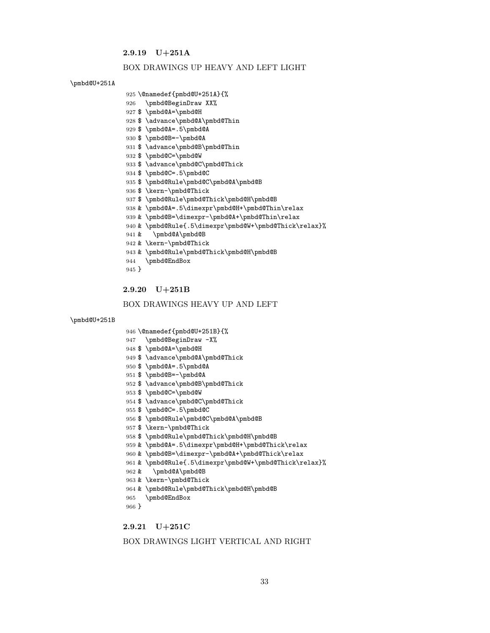### 2.9.19 U+251A

#### BOX DRAWINGS UP HEAVY AND LEFT LIGHT

### \pmbd@U+251A

- \@namedef{pmbd@U+251A}{%
- \pmbd@BeginDraw XX%
- \$ \pmbd@A=\pmbd@H
- \$ \advance\pmbd@A\pmbd@Thin
- \$ \pmbd@A=.5\pmbd@A
- \$ \pmbd@B=-\pmbd@A
- \$ \advance\pmbd@B\pmbd@Thin
- \$ \pmbd@C=\pmbd@W
- \$ \advance\pmbd@C\pmbd@Thick
- \$ \pmbd@C=.5\pmbd@C
- \$ \pmbd@Rule\pmbd@C\pmbd@A\pmbd@B
- \$ \kern-\pmbd@Thick
- \$ \pmbd@Rule\pmbd@Thick\pmbd@H\pmbd@B
- & \pmbd@A=.5\dimexpr\pmbd@H+\pmbd@Thin\relax
- & \pmbd@B=\dimexpr-\pmbd@A+\pmbd@Thin\relax
- & \pmbd@Rule{.5\dimexpr\pmbd@W+\pmbd@Thick\relax}%
- & \pmbd@A\pmbd@B
- & \kern-\pmbd@Thick
- & \pmbd@Rule\pmbd@Thick\pmbd@H\pmbd@B
- \pmbd@EndBox
- }

### 2.9.20 U+251B

#### BOX DRAWINGS HEAVY UP AND LEFT

#### \pmbd@U+251B

- \@namedef{pmbd@U+251B}{%
- \pmbd@BeginDraw -X%
- \$ \pmbd@A=\pmbd@H
- \$ \advance\pmbd@A\pmbd@Thick
- \$ \pmbd@A=.5\pmbd@A
- \$ \pmbd@B=-\pmbd@A
- \$ \advance\pmbd@B\pmbd@Thick
- \$ \pmbd@C=\pmbd@W
- \$ \advance\pmbd@C\pmbd@Thick
- \$ \pmbd@C=.5\pmbd@C
- 
- \$ \pmbd@Rule\pmbd@C\pmbd@A\pmbd@B
- \$ \kern-\pmbd@Thick
- \$ \pmbd@Rule\pmbd@Thick\pmbd@H\pmbd@B
- 
- & \pmbd@A=.5\dimexpr\pmbd@H+\pmbd@Thick\relax
- & \pmbd@B=\dimexpr-\pmbd@A+\pmbd@Thick\relax
- & \pmbd@Rule{.5\dimexpr\pmbd@W+\pmbd@Thick\relax}%
- & \pmbd@A\pmbd@B
- & \kern-\pmbd@Thick
- & \pmbd@Rule\pmbd@Thick\pmbd@H\pmbd@B
- \pmbd@EndBox
- }
- 

### 2.9.21 U+251C

#### BOX DRAWINGS LIGHT VERTICAL AND RIGHT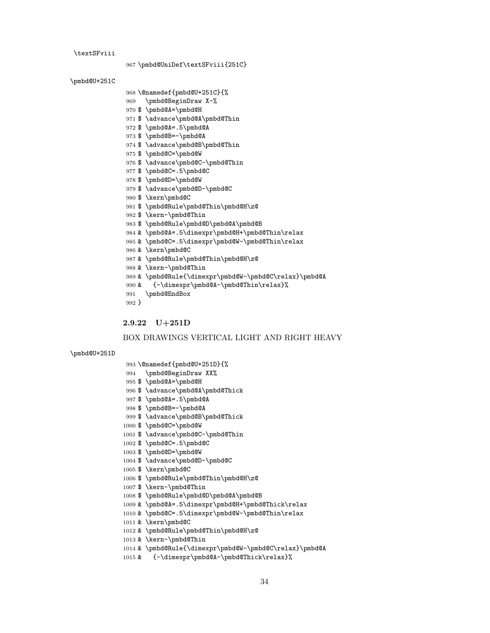```
1009 & \pmbd@A=.5\dimexpr\pmbd@H+\pmbd@Thick\relax
1010 & \pmbd@C=.5\dimexpr\pmbd@W-\pmbd@Thin\relax
1011 & \kern\pmbd@C
1012 & \pmbd@Rule\pmbd@Thin\pmbd@H\z@
1013 & \kern-\pmbd@Thin
1014 & \pmbd@Rule{\dimexpr\pmbd@W-\pmbd@C\relax}\pmbd@A
```

```
1015 & {-\dimexpr\pmbd@A-\pmbd@Thick\relax}%
```

```
34
```

```
1003 $ \pmbd@D=\pmbd@W
1004 $ \advance\pmbd@D-\pmbd@C
```
\$ \kern-\pmbd@Thin

\$ \kern\pmbd@C

```
1002 $ \pmbd@C=.5\pmbd@C
```

```
1001 $ \advance\pmbd@C-\pmbd@Thin
```

```
1000 $ \pmbd@C=\pmbd@W
```

```
999 $ \advance\pmbd@B\pmbd@Thick
```
\$ \pmbd@Rule\pmbd@Thin\pmbd@H\z@

\$ \pmbd@Rule\pmbd@D\pmbd@A\pmbd@B

```
998 $ \pmbd@B=-\pmbd@A
```

```
997 $ \pmbd@A=.5\pmbd@A
```

```
996 $ \advance\pmbd@A\pmbd@Thick
```

```
995 $ \pmbd@A=\pmbd@H
```

```
994 \pmbd@BeginDraw XX%
```

```
993 \@namedef{pmbd@U+251D}{%
```
}

```
\pmbd@U+251D
```
## BOX DRAWINGS VERTICAL LIGHT AND RIGHT HEAVY

```
2.9.22 U+251D
```

```
971 $ \advance\pmbd@A\pmbd@Thin
972 $ \pmbd@A=.5\pmbd@A
973 $ \pmbd@B=-\pmbd@A
974 $ \advance\pmbd@B\pmbd@Thin
975 $ \pmbd@C=\pmbd@W
976 $ \advance\pmbd@C-\pmbd@Thin
977 $ \pmbd@C=.5\pmbd@C
978 $ \pmbd@D=\pmbd@W
979 $ \advance\pmbd@D-\pmbd@C
980 $ \kern\pmbd@C
981 $ \pmbd@Rule\pmbd@Thin\pmbd@H\z@
982 $ \kern-\pmbd@Thin
983 $ \pmbd@Rule\pmbd@D\pmbd@A\pmbd@B
984 & \pmbd@A=.5\dimexpr\pmbd@H+\pmbd@Thin\relax
985 & \pmbd@C=.5\dimexpr\pmbd@W-\pmbd@Thin\relax
986 & \kern\pmbd@C
987 & \pmbd@Rule\pmbd@Thin\pmbd@H\z@
988 & \kern-\pmbd@Thin
989 & \pmbd@Rule{\dimexpr\pmbd@W-\pmbd@C\relax}\pmbd@A
990 & {-\dimexpr\pmbd@A-\pmbd@Thin\relax}%
991 \pmbd@EndBox
```
\pmbd@UniDef\textSFviii{251C}

 \@namedef{pmbd@U+251C}{% \pmbd@BeginDraw X-% \$ \pmbd@A=\pmbd@H

```
\textSFviii
```
\pmbd@U+251C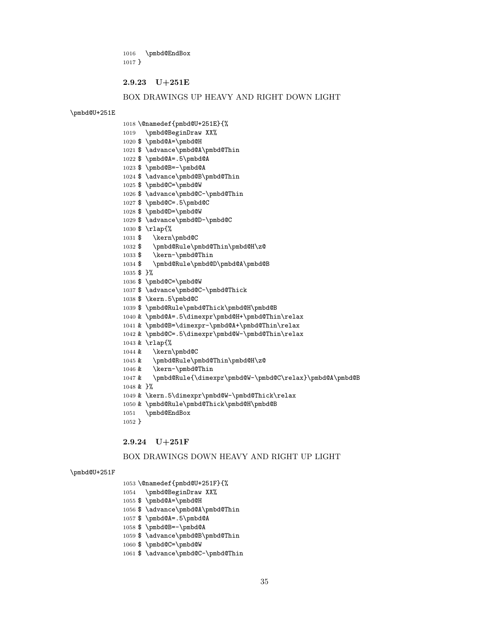\pmbd@EndBox }

#### 2.9.23 U+251E

#### BOX DRAWINGS UP HEAVY AND RIGHT DOWN LIGHT

\pmbd@U+251E

\@namedef{pmbd@U+251E}{%

\pmbd@BeginDraw XX%

\$ \pmbd@A=\pmbd@H

\$ \advance\pmbd@A\pmbd@Thin

\$ \pmbd@A=.5\pmbd@A

\$ \pmbd@B=-\pmbd@A

\$ \advance\pmbd@B\pmbd@Thin

 \$ \pmbd@C=\pmbd@W \$ \pmbd@C=.5\pmbd@C

\$ \pmbd@D=\pmbd@W

\$ \kern-\pmbd@Thin

\$ \pmbd@C=\pmbd@W

\$ \kern.5\pmbd@C

& \kern-\pmbd@Thin

\pmbd@EndBox

2.9.24 U+251F

 \@namedef{pmbd@U+251F}{% \pmbd@BeginDraw XX% \$ \pmbd@A=\pmbd@H

 \$ \pmbd@A=.5\pmbd@A \$ \pmbd@B=-\pmbd@A

\$ \pmbd@C=\pmbd@W

\$ \advance\pmbd@A\pmbd@Thin

\$ \advance\pmbd@B\pmbd@Thin

\$ \advance\pmbd@C-\pmbd@Thin

 & \rlap{% & \kern\pmbd@C

& }%

}

\pmbd@U+251F

 \$ \rlap{% \$ \kern\pmbd@C

\$ }%

\$ \advance\pmbd@C-\pmbd@Thin

\$ \pmbd@Rule\pmbd@Thin\pmbd@H\z@

\$ \pmbd@Rule\pmbd@D\pmbd@A\pmbd@B

 \$ \pmbd@Rule\pmbd@Thick\pmbd@H\pmbd@B & \pmbd@A=.5\dimexpr\pmbd@H+\pmbd@Thin\relax & \pmbd@B=\dimexpr-\pmbd@A+\pmbd@Thin\relax & \pmbd@C=.5\dimexpr\pmbd@W-\pmbd@Thin\relax

& \pmbd@Rule\pmbd@Thin\pmbd@H\z@

 & \kern.5\dimexpr\pmbd@W-\pmbd@Thick\relax & \pmbd@Rule\pmbd@Thick\pmbd@H\pmbd@B

& \pmbd@Rule{\dimexpr\pmbd@W-\pmbd@C\relax}\pmbd@A\pmbd@B

BOX DRAWINGS DOWN HEAVY AND RIGHT UP LIGHT

\$ \advance\pmbd@C-\pmbd@Thick

\$ \advance\pmbd@D-\pmbd@C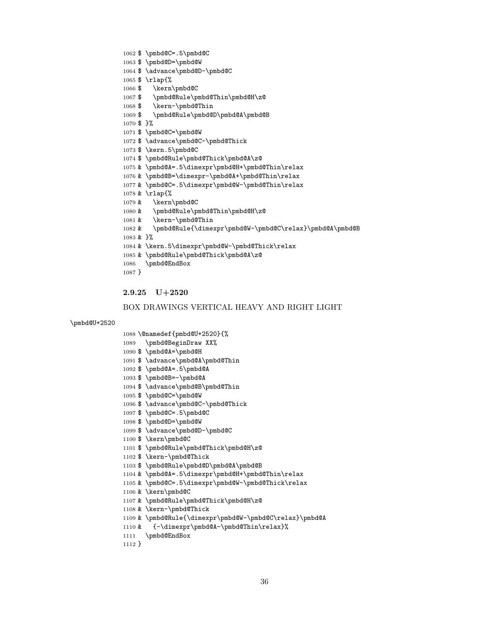```
1102 $ \kern-\pmbd@Thick
1103 $ \pmbd@Rule\pmbd@D\pmbd@A\pmbd@B
1104 & \pmbd@A=.5\dimexpr\pmbd@H+\pmbd@Thin\relax
1105 & \pmbd@C=.5\dimexpr\pmbd@W-\pmbd@Thick\relax
1106 & \kern\pmbd@C
1107 & \pmbd@Rule\pmbd@Thick\pmbd@H\z@
1108 & \kern-\pmbd@Thick
1109 & \pmbd@Rule{\dimexpr\pmbd@W-\pmbd@C\relax}\pmbd@A
1110 & {-\dimexpr\pmbd@A-\pmbd@Thin\relax}%
1111 \pmbd@EndBox
1112 }
```

```
1098 $ \pmbd@D=\pmbd@W
1099 $ \advance\pmbd@D-\pmbd@C
1100 $ \kern\pmbd@C
1101 $ \pmbd@Rule\pmbd@Thick\pmbd@H\z@
```

```
BOX DRAWINGS VERTICAL HEAVY AND RIGHT LIGHT
```

```
2.9.25 U+2520
```
 \@namedef{pmbd@U+2520}{% \pmbd@BeginDraw XX% \$ \pmbd@A=\pmbd@H

 \$ \pmbd@A=.5\pmbd@A \$ \pmbd@B=-\pmbd@A

\$ \pmbd@C=\pmbd@W

\$ \pmbd@C=.5\pmbd@C

\$ \advance\pmbd@A\pmbd@Thin

\$ \advance\pmbd@B\pmbd@Thin

\$ \advance\pmbd@C-\pmbd@Thick

\pmbd@U+2520

 \$ \pmbd@C=.5\pmbd@C \$ \pmbd@D=\pmbd@W

\$ \kern-\pmbd@Thin

 \$ \rlap{% \$ \kern\pmbd@C

\$ \advance\pmbd@D-\pmbd@C

\$ \pmbd@Rule\pmbd@Thin\pmbd@H\z@

```
1069 $ \pmbd@Rule\pmbd@D\pmbd@A\pmbd@B
1070 $ }%
1071 $ \pmbd@C=\pmbd@W
1072 $ \advance\pmbd@C-\pmbd@Thick
1073 $ \kern.5\pmbd@C
1074 $ \pmbd@Rule\pmbd@Thick\pmbd@A\z@
1075 & \pmbd@A=.5\dimexpr\pmbd@H+\pmbd@Thin\relax
1076 & \pmbd@B=\dimexpr-\pmbd@A+\pmbd@Thin\relax
1077 & \pmbd@C=.5\dimexpr\pmbd@W-\pmbd@Thin\relax
1078 & \rlap{%
1079 & \kern\pmbd@C
1080 & \pmbd@Rule\pmbd@Thin\pmbd@H\z@
1081 & \kern-\pmbd@Thin
1082 & \pmbd@Rule{\dimexpr\pmbd@W-\pmbd@C\relax}\pmbd@A\pmbd@B
1083 & }%
1084 & \kern.5\dimexpr\pmbd@W-\pmbd@Thick\relax
1085 & \pmbd@Rule\pmbd@Thick\pmbd@A\z@
1086 \pmbd@EndBox
1087 }
```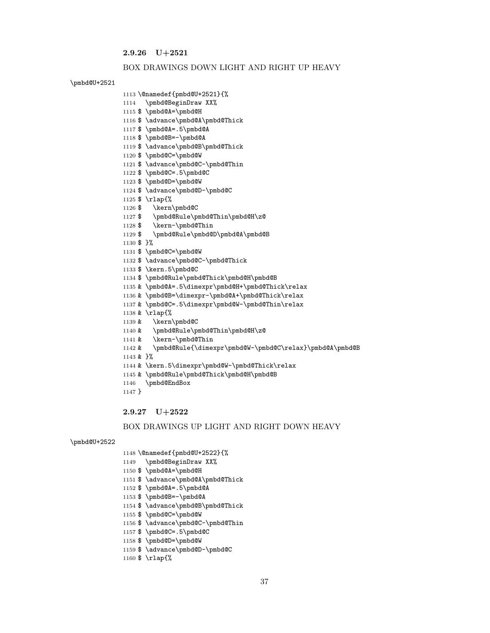## 2.9.26 U+2521

#### BOX DRAWINGS DOWN LIGHT AND RIGHT UP HEAVY

#### \pmbd@U+2521

```
1113 \@namedef{pmbd@U+2521}{%
```

```
1114 \pmbd@BeginDraw XX%
```

```
1115 $ \pmbd@A=\pmbd@H
```
- \$ \advance\pmbd@A\pmbd@Thick
- \$ \pmbd@A=.5\pmbd@A
- \$ \pmbd@B=-\pmbd@A
- \$ \advance\pmbd@B\pmbd@Thick
- \$ \pmbd@C=\pmbd@W
- \$ \advance\pmbd@C-\pmbd@Thin
- \$ \pmbd@C=.5\pmbd@C
- \$ \pmbd@D=\pmbd@W
- \$ \advance\pmbd@D-\pmbd@C
- \$ \rlap{%
- \$ \kern\pmbd@C
- \$ \pmbd@Rule\pmbd@Thin\pmbd@H\z@
- \$ \kern-\pmbd@Thin
- \$ \pmbd@Rule\pmbd@D\pmbd@A\pmbd@B
- \$ }%

& }%

}

\pmbd@U+2522

- \$ \pmbd@C=\pmbd@W
- \$ \advance\pmbd@C-\pmbd@Thick
- \$ \kern.5\pmbd@C
- \$ \pmbd@Rule\pmbd@Thick\pmbd@H\pmbd@B
- & \pmbd@A=.5\dimexpr\pmbd@H+\pmbd@Thick\relax
- & \pmbd@B=\dimexpr-\pmbd@A+\pmbd@Thick\relax
- & \pmbd@C=.5\dimexpr\pmbd@W-\pmbd@Thin\relax
	-

& \kern-\pmbd@Thin

\pmbd@EndBox

2.9.27 U+2522

 \@namedef{pmbd@U+2522}{% \pmbd@BeginDraw XX% \$ \pmbd@A=\pmbd@H

 \$ \pmbd@A=.5\pmbd@A \$ \pmbd@B=-\pmbd@A

\$ \pmbd@C=\pmbd@W

\$ \rlap{%

 \$ \pmbd@C=.5\pmbd@C \$ \pmbd@D=\pmbd@W

\$ \advance\pmbd@A\pmbd@Thick

\$ \advance\pmbd@B\pmbd@Thick

\$ \advance\pmbd@C-\pmbd@Thin

\$ \advance\pmbd@D-\pmbd@C

- 
- 
- 

 & \kern.5\dimexpr\pmbd@W-\pmbd@Thick\relax & \pmbd@Rule\pmbd@Thick\pmbd@H\pmbd@B

- 
- 
- 
- 
- 
- & \pmbd@Rule\pmbd@Thin\pmbd@H\z@
- 
- 
- 
- 
- 
- 
- 
- -
- 
- 
- & \rlap{%
	-
- 

& \pmbd@Rule{\dimexpr\pmbd@W-\pmbd@C\relax}\pmbd@A\pmbd@B

BOX DRAWINGS UP LIGHT AND RIGHT DOWN HEAVY

- 
- 
- & \kern\pmbd@C
- 
- 
-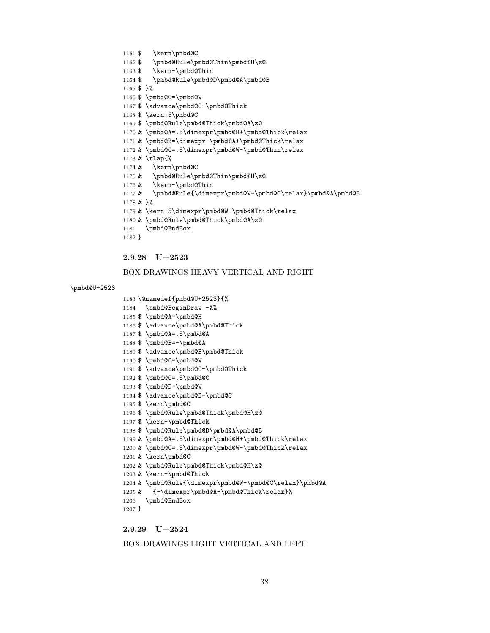#### BOX DRAWINGS LIGHT VERTICAL AND LEFT

# 2.9.29 U+2524

```
1207 }
```

```
1206 \pmbd@EndBox
```

```
1205 & {-\dimexpr\pmbd@A-\pmbd@Thick\relax}%
```

```
1203 & \kern-\pmbd@Thick
```

```
1202 & \pmbd@Rule\pmbd@Thick\pmbd@H\z@
```

```
1201 & \kern\pmbd@C
```

```
1200 & \pmbd@C=.5\dimexpr\pmbd@W-\pmbd@Thick\relax
```
& \pmbd@Rule{\dimexpr\pmbd@W-\pmbd@C\relax}\pmbd@A

```
1199 & \pmbd@A=.5\dimexpr\pmbd@H+\pmbd@Thick\relax
```

```
1197 $ \kern-\pmbd@Thick
1198 $ \pmbd@Rule\pmbd@D\pmbd@A\pmbd@B
```

```
1196 $ \pmbd@Rule\pmbd@Thick\pmbd@H\z@
```

```
1195 $ \kern\pmbd@C
```

```
1194 $ \advance\pmbd@D-\pmbd@C
```
- \$ \pmbd@D=\pmbd@W
- \$ \pmbd@C=.5\pmbd@C
- \$ \advance\pmbd@C-\pmbd@Thick
- \$ \pmbd@C=\pmbd@W
- \$ \advance\pmbd@B\pmbd@Thick
- \$ \pmbd@B=-\pmbd@A
- \$ \pmbd@A=.5\pmbd@A
- \$ \advance\pmbd@A\pmbd@Thick
- 1184 \pmbd@BeginDraw -X% \$ \pmbd@A=\pmbd@H
- \@namedef{pmbd@U+2523}{%

# \pmbd@U+2523

# BOX DRAWINGS HEAVY VERTICAL AND RIGHT

# 2.9.28 U+2523

```
1182 }
```

```
1181 \pmbd@EndBox
```

```
1180 & \pmbd@Rule\pmbd@Thick\pmbd@A\z@
```

```
1179 & \kern.5\dimexpr\pmbd@W-\pmbd@Thick\relax
```

```
1178 & }%
```

```
1177 & \pmbd@Rule{\dimexpr\pmbd@W-\pmbd@C\relax}\pmbd@A\pmbd@B
```

```
1176 & \kern-\pmbd@Thin
```

```
1175 & \pmbd@Rule\pmbd@Thin\pmbd@H\z@
```

```
1174 & \kern\pmbd@C
```

```
1173 & \rlap{%
```
- & \pmbd@C=.5\dimexpr\pmbd@W-\pmbd@Thin\relax
- & \pmbd@B=\dimexpr-\pmbd@A+\pmbd@Thick\relax
- & \pmbd@A=.5\dimexpr\pmbd@H+\pmbd@Thick\relax
- \$ \pmbd@Rule\pmbd@Thick\pmbd@A\z@
- 
- \$ \kern.5\pmbd@C
- \$ \advance\pmbd@C-\pmbd@Thick
- \$ \pmbd@C=\pmbd@W
- \$ }%
- \$ \pmbd@Rule\pmbd@D\pmbd@A\pmbd@B
- \$ \kern-\pmbd@Thin
- \$ \pmbd@Rule\pmbd@Thin\pmbd@H\z@
- \$ \kern\pmbd@C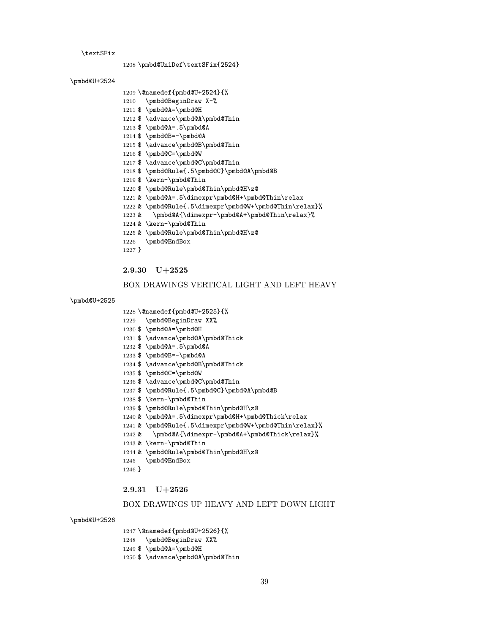#### \textSFix

\pmbd@UniDef\textSFix{2524}

### \pmbd@U+2524

\pmbd@U+2525

\pmbd@U+2526

\@namedef{pmbd@U+2524}{%

\$ \pmbd@A=\pmbd@H

 \$ \pmbd@A=.5\pmbd@A \$ \pmbd@B=-\pmbd@A

\$ \pmbd@C=\pmbd@W

\$ \kern-\pmbd@Thin

& \kern-\pmbd@Thin

\pmbd@EndBox

2.9.30 U+2525

 \@namedef{pmbd@U+2525}{% \pmbd@BeginDraw XX% \$ \pmbd@A=\pmbd@H

 \$ \pmbd@A=.5\pmbd@A \$ \pmbd@B=-\pmbd@A

\$ \pmbd@C=\pmbd@W

\$ \kern-\pmbd@Thin

& \kern-\pmbd@Thin

\pmbd@EndBox

2.9.31 U+2526

 \@namedef{pmbd@U+2526}{% \pmbd@BeginDraw XX% \$ \pmbd@A=\pmbd@H

\$ \advance\pmbd@A\pmbd@Thin

}

1231 \$ \advance\pmbd@A\pmbd@Thick

1234 \$ \advance\pmbd@B\pmbd@Thick

1236 \$ \advance\pmbd@C\pmbd@Thin

\$ \pmbd@Rule{.5\pmbd@C}\pmbd@A\pmbd@B

 & \pmbd@A=.5\dimexpr\pmbd@H+\pmbd@Thick\relax & \pmbd@Rule{.5\dimexpr\pmbd@W+\pmbd@Thin\relax}% 1242 & \pmbd@A{\dimexpr-\pmbd@A+\pmbd@Thick\relax}%

BOX DRAWINGS UP HEAVY AND LEFT DOWN LIGHT

\$ \pmbd@Rule\pmbd@Thin\pmbd@H\z@

& \pmbd@Rule\pmbd@Thin\pmbd@H\z@

}

\$ \advance\pmbd@A\pmbd@Thin

\$ \advance\pmbd@B\pmbd@Thin

1217 \$ \advance\pmbd@C\pmbd@Thin

\$ \pmbd@Rule{.5\pmbd@C}\pmbd@A\pmbd@B

 & \pmbd@A=.5\dimexpr\pmbd@H+\pmbd@Thin\relax & \pmbd@Rule{.5\dimexpr\pmbd@W+\pmbd@Thin\relax}% & \pmbd@A{\dimexpr-\pmbd@A+\pmbd@Thin\relax}%

BOX DRAWINGS VERTICAL LIGHT AND LEFT HEAVY

\$ \pmbd@Rule\pmbd@Thin\pmbd@H\z@

& \pmbd@Rule\pmbd@Thin\pmbd@H\z@

- 
- 
- 
- 
- 
- 
- 
- 
- 
- 
- 
- 
- 
- 
- 
- \pmbd@BeginDraw X-%
- 
- 
- 
- 
- 
- 
- 
- 
- 
- 
- 
- 
- 
- 
- 
- 
- 
- 
- 
- 
- 
- 
- 
- 
- 
- 
- 
- 
-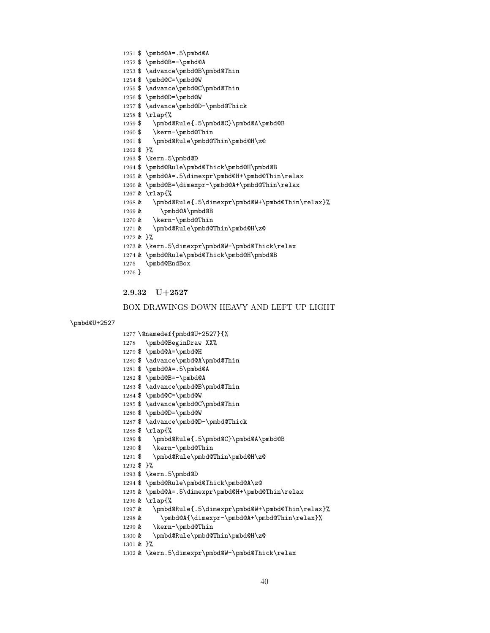```
1279 $ \pmbd@A=\pmbd@H
1280 $ \advance\pmbd@A\pmbd@Thin
1281 $ \pmbd@A=.5\pmbd@A
1282 $ \pmbd@B=-\pmbd@A
1283 $ \advance\pmbd@B\pmbd@Thin
1284 $ \pmbd@C=\pmbd@W
1285 $ \advance\pmbd@C\pmbd@Thin
1286 $ \pmbd@D=\pmbd@W
1287 $ \advance\pmbd@D-\pmbd@Thick
1288 $ \rlap{%
1289 $ \pmbd@Rule{.5\pmbd@C}\pmbd@A\pmbd@B
1290 $ \kern-\pmbd@Thin
1291 $ \pmbd@Rule\pmbd@Thin\pmbd@H\z@
1292 $ }%
1293 $ \kern.5\pmbd@D
1294 $ \pmbd@Rule\pmbd@Thick\pmbd@A\z@
1295 & \pmbd@A=.5\dimexpr\pmbd@H+\pmbd@Thin\relax
1296 & \rlap{%
1297 & \pmbd@Rule{.5\dimexpr\pmbd@W+\pmbd@Thin\relax}%
1298 & \pmbd@A{\dimexpr-\pmbd@A+\pmbd@Thin\relax}%
1299 & \kern-\pmbd@Thin
1300 & \pmbd@Rule\pmbd@Thin\pmbd@H\z@
1301 & }%
1302 & \kern.5\dimexpr\pmbd@W-\pmbd@Thick\relax
```

```
BOX DRAWINGS DOWN HEAVY AND LEFT UP LIGHT
```

```
2.9.32 U+2527
```
 \@namedef{pmbd@U+2527}{% \pmbd@BeginDraw XX%

\pmbd@U+2527

 \$ \pmbd@A=.5\pmbd@A \$ \pmbd@B=-\pmbd@A

\$ \advance\pmbd@B\pmbd@Thin

```
1254 $ \pmbd@C=\pmbd@W
1255 $ \advance\pmbd@C\pmbd@Thin
1256 $ \pmbd@D=\pmbd@W
1257 $ \advance\pmbd@D-\pmbd@Thick
1258 $ \rlap{%
1259 $ \pmbd@Rule{.5\pmbd@C}\pmbd@A\pmbd@B
1260 $ \kern-\pmbd@Thin
1261 $ \pmbd@Rule\pmbd@Thin\pmbd@H\z@
1262 $ }%
1263 $ \kern.5\pmbd@D
1264 $ \pmbd@Rule\pmbd@Thick\pmbd@H\pmbd@B
1265 & \pmbd@A=.5\dimexpr\pmbd@H+\pmbd@Thin\relax
1266 & \pmbd@B=\dimexpr-\pmbd@A+\pmbd@Thin\relax
1267 & \rlap{%
1268 & \pmbd@Rule{.5\dimexpr\pmbd@W+\pmbd@Thin\relax}%
1269 & \pmbd@A\pmbd@B
1270 & \kern-\pmbd@Thin
1271 & \pmbd@Rule\pmbd@Thin\pmbd@H\z@
1272 & }%
1273 & \kern.5\dimexpr\pmbd@W-\pmbd@Thick\relax
1274 & \pmbd@Rule\pmbd@Thick\pmbd@H\pmbd@B
1275 \pmbd@EndBox
1276 }
```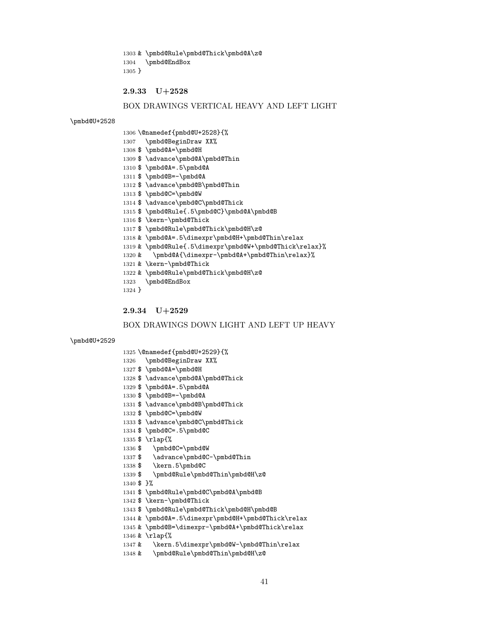& \pmbd@Rule\pmbd@Thick\pmbd@A\z@ \pmbd@EndBox }

2.9.33 U+2528

### BOX DRAWINGS VERTICAL HEAVY AND LEFT LIGHT

#### \pmbd@U+2528

 \@namedef{pmbd@U+2528}{% \pmbd@BeginDraw XX% \$ \pmbd@A=\pmbd@H \$ \advance\pmbd@A\pmbd@Thin \$ \pmbd@A=.5\pmbd@A \$ \pmbd@B=-\pmbd@A \$ \advance\pmbd@B\pmbd@Thin \$ \pmbd@C=\pmbd@W 1314 \$ \advance\pmbd@C\pmbd@Thick \$ \pmbd@Rule{.5\pmbd@C}\pmbd@A\pmbd@B \$ \kern-\pmbd@Thick \$ \pmbd@Rule\pmbd@Thick\pmbd@H\z@ & \pmbd@A=.5\dimexpr\pmbd@H+\pmbd@Thin\relax & \pmbd@Rule{.5\dimexpr\pmbd@W+\pmbd@Thick\relax}% & \pmbd@A{\dimexpr-\pmbd@A+\pmbd@Thin\relax}% & \kern-\pmbd@Thick & \pmbd@Rule\pmbd@Thick\pmbd@H\z@ \pmbd@EndBox }

2.9.34 U+2529

#### BOX DRAWINGS DOWN LIGHT AND LEFT UP HEAVY

#### \pmbd@U+2529

- \@namedef{pmbd@U+2529}{%
- \pmbd@BeginDraw XX%
- \$ \pmbd@A=\pmbd@H
- \$ \advance\pmbd@A\pmbd@Thick
- \$ \pmbd@A=.5\pmbd@A
- \$ \pmbd@B=-\pmbd@A
- 1331 \$ \advance\pmbd@B\pmbd@Thick
- \$ \pmbd@C=\pmbd@W
- \$ \advance\pmbd@C\pmbd@Thick
- \$ \pmbd@C=.5\pmbd@C
- \$ \rlap{%
- \$ \pmbd@C=\pmbd@W
- 1337 \$ \advance\pmbd@C-\pmbd@Thin
- \$ \kern.5\pmbd@C
- \$ \pmbd@Rule\pmbd@Thin\pmbd@H\z@
- \$ }%
- \$ \pmbd@Rule\pmbd@C\pmbd@A\pmbd@B
- \$ \kern-\pmbd@Thick
- \$ \pmbd@Rule\pmbd@Thick\pmbd@H\pmbd@B
- & \pmbd@A=.5\dimexpr\pmbd@H+\pmbd@Thick\relax
- & \pmbd@B=\dimexpr-\pmbd@A+\pmbd@Thick\relax
- & \rlap{%
- & \kern.5\dimexpr\pmbd@W-\pmbd@Thin\relax
- & \pmbd@Rule\pmbd@Thin\pmbd@H\z@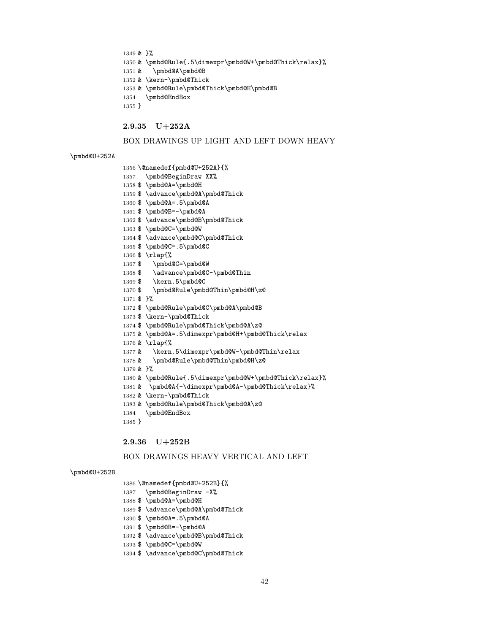& }%

- & \pmbd@Rule{.5\dimexpr\pmbd@W+\pmbd@Thick\relax}%
- & \pmbd@A\pmbd@B

& \kern-\pmbd@Thick

- & \pmbd@Rule\pmbd@Thick\pmbd@H\pmbd@B
- \pmbd@EndBox
- }

## 2.9.35 U+252A

### BOX DRAWINGS UP LIGHT AND LEFT DOWN HEAVY

#### \pmbd@U+252A

- \@namedef{pmbd@U+252A}{%
- \pmbd@BeginDraw XX%
- \$ \pmbd@A=\pmbd@H
- \$ \advance\pmbd@A\pmbd@Thick
- \$ \pmbd@A=.5\pmbd@A
- \$ \pmbd@B=-\pmbd@A
- \$ \advance\pmbd@B\pmbd@Thick
- \$ \pmbd@C=\pmbd@W
- \$ \advance\pmbd@C\pmbd@Thick
- \$ \pmbd@C=.5\pmbd@C
- \$ \rlap{%
- \$ \pmbd@C=\pmbd@W
- 1368 \$ \advance\pmbd@C-\pmbd@Thin
- \$ \kern.5\pmbd@C
- \$ \pmbd@Rule\pmbd@Thin\pmbd@H\z@
- \$ }%
- \$ \pmbd@Rule\pmbd@C\pmbd@A\pmbd@B
- \$ \kern-\pmbd@Thick
- \$ \pmbd@Rule\pmbd@Thick\pmbd@A\z@
- & \pmbd@A=.5\dimexpr\pmbd@H+\pmbd@Thick\relax
- & \rlap{%
- 1377 & \kern.5\dimexpr\pmbd@W-\pmbd@Thin\relax
- & \pmbd@Rule\pmbd@Thin\pmbd@H\z@
- & }%
- & \pmbd@Rule{.5\dimexpr\pmbd@W+\pmbd@Thick\relax}%
- & \pmbd@A{-\dimexpr\pmbd@A-\pmbd@Thick\relax}%
- & \kern-\pmbd@Thick
- & \pmbd@Rule\pmbd@Thick\pmbd@A\z@
- \pmbd@EndBox
- }

### 2.9.36 U+252B

#### BOX DRAWINGS HEAVY VERTICAL AND LEFT

#### \pmbd@U+252B

- \@namedef{pmbd@U+252B}{%
- \pmbd@BeginDraw -X%
- \$ \pmbd@A=\pmbd@H
- 1389 \$ \advance\pmbd@A\pmbd@Thick
- \$ \pmbd@A=.5\pmbd@A
- \$ \pmbd@B=-\pmbd@A
- \$ \advance\pmbd@B\pmbd@Thick
- \$ \pmbd@C=\pmbd@W
- \$ \advance\pmbd@C\pmbd@Thick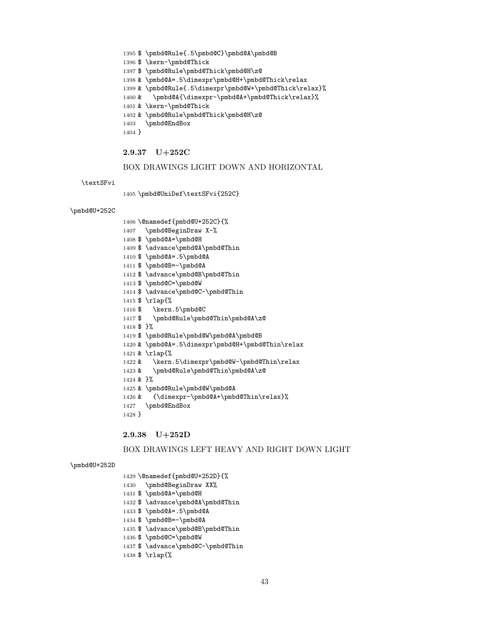```
1406 \@namedef{pmbd@U+252C}{%
1407 \pmbd@BeginDraw X-%
1408 $ \pmbd@A=\pmbd@H
1409 $ \advance\pmbd@A\pmbd@Thin
1410 $ \pmbd@A=.5\pmbd@A
1411 $ \pmbd@B=-\pmbd@A
1412 $ \advance\pmbd@B\pmbd@Thin
1413 $ \pmbd@C=\pmbd@W
1414 $ \advance\pmbd@C-\pmbd@Thin
1415 $ \rlap{%
1416 $ \kern.5\pmbd@C
```
\$ \pmbd@Rule{.5\pmbd@C}\pmbd@A\pmbd@B

 & \pmbd@A=.5\dimexpr\pmbd@H+\pmbd@Thick\relax & \pmbd@Rule{.5\dimexpr\pmbd@W+\pmbd@Thick\relax}% 1400 & \pmbd@A{\dimexpr-\pmbd@A+\pmbd@Thick\relax}%

BOX DRAWINGS LIGHT DOWN AND HORIZONTAL

\$ \pmbd@Rule\pmbd@Thick\pmbd@H\z@

& \pmbd@Rule\pmbd@Thick\pmbd@H\z@

\pmbd@UniDef\textSFvi{252C}

\$ \kern-\pmbd@Thick

& \kern-\pmbd@Thick

\pmbd@EndBox

2.9.37 U+252C

}

\textSFvi

\pmbd@U+252C

```
1417 $ \pmbd@Rule\pmbd@Thin\pmbd@A\z@
1418 $ }%
1419 $ \pmbd@Rule\pmbd@W\pmbd@A\pmbd@B
1420 & \pmbd@A=.5\dimexpr\pmbd@H+\pmbd@Thin\relax
1421 & \rlap{%
1422 & \kern.5\dimexpr\pmbd@W-\pmbd@Thin\relax
1423 & \pmbd@Rule\pmbd@Thin\pmbd@A\z@
1424 & }%
1425 & \pmbd@Rule\pmbd@W\pmbd@A
1426 & {\dimexpr-\pmbd@A+\pmbd@Thin\relax}%
1427 \pmbd@EndBox
1428 }
```
# 2.9.38 U+252D

# BOX DRAWINGS LEFT HEAVY AND RIGHT DOWN LIGHT

### \pmbd@U+252D

# \@namedef{pmbd@U+252D}{% 1430 \pmbd@BeginDraw XX% \$ \pmbd@A=\pmbd@H 1432 \$ \advance\pmbd@A\pmbd@Thin \$ \pmbd@A=.5\pmbd@A \$ \pmbd@B=-\pmbd@A \$ \advance\pmbd@B\pmbd@Thin \$ \pmbd@C=\pmbd@W \$ \advance\pmbd@C-\pmbd@Thin \$ \rlap{%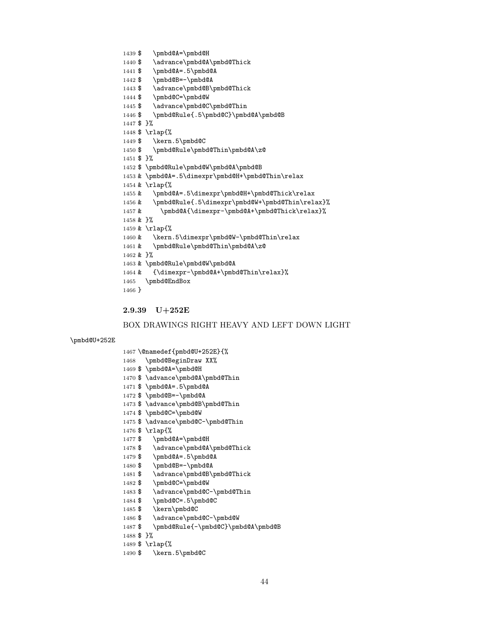- \$ \kern.5\pmbd@C
- \$ \rlap{%
- \$ }%
- \$ \pmbd@Rule{-\pmbd@C}\pmbd@A\pmbd@B
- 1486 \$ \advance\pmbd@C-\pmbd@W
- \$ \kern\pmbd@C
- \$ \pmbd@C=.5\pmbd@C
- 
- 1483 \$ \advance\pmbd@C-\pmbd@Thin
- \$ \pmbd@C=\pmbd@W
- 1481 \$ \advance\pmbd@B\pmbd@Thick
- 1480 \$ \pmbd@B=-\pmbd@A
- \$ \pmbd@A=.5\pmbd@A
- 1478 \$ \advance\pmbd@A\pmbd@Thick
- \$ \pmbd@A=\pmbd@H
- \$ \rlap{%
- \$ \advance\pmbd@C-\pmbd@Thin
- \$ \pmbd@C=\pmbd@W
- \$ \advance\pmbd@B\pmbd@Thin
- 
- \$ \pmbd@B=-\pmbd@A
- \$ \pmbd@A=.5\pmbd@A
- \$ \advance\pmbd@A\pmbd@Thin
- \$ \pmbd@A=\pmbd@H
- \pmbd@BeginDraw XX%

\$ \pmbd@A=\pmbd@H

1441 \$ \pmbd@A=.5\pmbd@A

1440 \$ \advance\pmbd@A\pmbd@Thick

- \@namedef{pmbd@U+252E}{%
- \pmbd@U+252E

#### BOX DRAWINGS RIGHT HEAVY AND LEFT DOWN LIGHT

# 2.9.39 U+252E

```
1442 \ \\\r\r\rho \bold@B=-\pm\bold@A \label{2.9} 1443 <br> \advanc\bold@A \end{2}\advance\pmbd@B\pmbd@Thick
1444 $ \pmbd@C=\pmbd@W
1445 $ \advance\pmbd@C\pmbd@Thin
1446 $ \pmbd@Rule{.5\pmbd@C}\pmbd@A\pmbd@B
1447 $ }%
1448 $ \rlap{%
1449 $ \kern.5\pmbd@C
1450 $ \pmbd@Rule\pmbd@Thin\pmbd@A\z@
1451 $ }%
1452 $ \pmbd@Rule\pmbd@W\pmbd@A\pmbd@B
1453 & \pmbd@A=.5\dimexpr\pmbd@H+\pmbd@Thin\relax
1454 & \rlap{%
1455 & \pmbd@A=.5\dimexpr\pmbd@H+\pmbd@Thick\relax
1456 & \pmbd@Rule{.5\dimexpr\pmbd@W+\pmbd@Thin\relax}%
1457 & \pmbd@A{\dimexpr-\pmbd@A+\pmbd@Thick\relax}%
1458 & }%
1459 & \rlap{%
1460 & \kern.5\dimexpr\pmbd@W-\pmbd@Thin\relax
1461 & \pmbd@Rule\pmbd@Thin\pmbd@A\z@
1462 & }%
1463 & \pmbd@Rule\pmbd@W\pmbd@A
1464 & {\dimexpr-\pmbd@A+\pmbd@Thin\relax}%
1465 \pmbd@EndBox
1466 }
```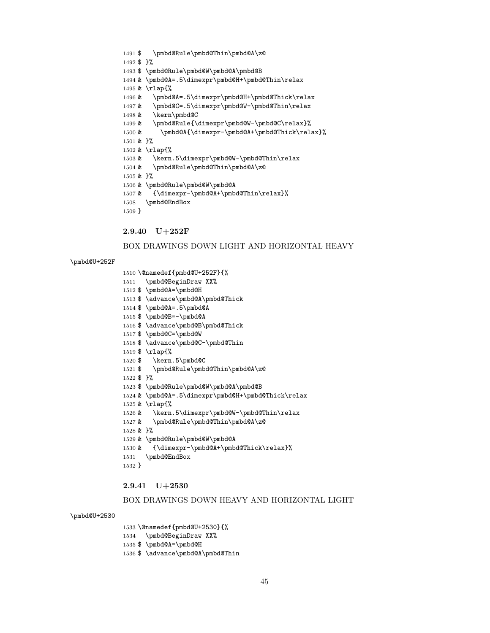```
1491 $ \pmbd@Rule\pmbd@Thin\pmbd@A\z@
1492 $ }%
1493 $ \pmbd@Rule\pmbd@W\pmbd@A\pmbd@B
1494 & \pmbd@A=.5\dimexpr\pmbd@H+\pmbd@Thin\relax
1495 & \rlap{%
1496 & \pmbd@A=.5\dimexpr\pmbd@H+\pmbd@Thick\relax
1497 & \pmbd@C=.5\dimexpr\pmbd@W-\pmbd@Thin\relax
1498 & \kern\pmbd@C
1499 & \pmbd@Rule{\dimexpr\pmbd@W-\pmbd@C\relax}%
1500 & \pmbd@A{\dimexpr-\pmbd@A+\pmbd@Thick\relax}%
1501 & }%
1502 & \rlap{%
1503 & \kern.5\dimexpr\pmbd@W-\pmbd@Thin\relax
1504 & \pmbd@Rule\pmbd@Thin\pmbd@A\z@
1505 & }%
1506 & \pmbd@Rule\pmbd@W\pmbd@A
1507 & {\dimexpr-\pmbd@A+\pmbd@Thin\relax}%
1508 \pmbd@EndBox
```
BOX DRAWINGS DOWN LIGHT AND HORIZONTAL HEAVY

}

\pmbd@U+252F

2.9.40 U+252F

 \@namedef{pmbd@U+252F}{% \pmbd@BeginDraw XX% \$ \pmbd@A=\pmbd@H

 \$ \pmbd@A=.5\pmbd@A \$ \pmbd@B=-\pmbd@A

\$ \pmbd@C=\pmbd@W

\$ \kern.5\pmbd@C

\$ \rlap{%

& \rlap{%

\pmbd@EndBox

2.9.41 U+2530

\$ }%

& }%

}

\pmbd@U+2530

\$ \advance\pmbd@A\pmbd@Thick

\$ \advance\pmbd@B\pmbd@Thick

\$ \advance\pmbd@C-\pmbd@Thin

\$ \pmbd@Rule\pmbd@Thin\pmbd@A\z@

\$ \pmbd@Rule\pmbd@W\pmbd@A\pmbd@B

& \pmbd@Rule\pmbd@Thin\pmbd@A\z@

& \pmbd@Rule\pmbd@W\pmbd@A

& \pmbd@A=.5\dimexpr\pmbd@H+\pmbd@Thick\relax

& \kern.5\dimexpr\pmbd@W-\pmbd@Thin\relax

& {\dimexpr-\pmbd@A+\pmbd@Thick\relax}%

BOX DRAWINGS DOWN HEAVY AND HORIZONTAL LIGHT

```
1533 \@namedef{pmbd@U+2530}{%
1534 \pmbd@BeginDraw XX%
1535 $ \pmbd@A=\pmbd@H
```

```
1536 $ \advance\pmbd@A\pmbd@Thin
```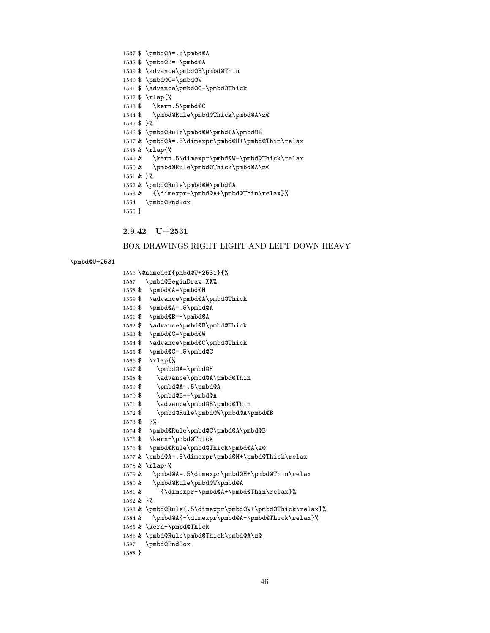```
1563 $ \pmbd@C=\pmbd@W
1564 $ \advance\pmbd@C\pmbd@Thick
1565 $ \pmbd@C=.5\pmbd@C
1566 $ \rlap{%
1567 $ \pmbd@A=\pmbd@H
1568 $ \advance\pmbd@A\pmbd@Thin
1569 $ \pmbd@A=.5\pmbd@A
1570 $ \pmbd@B=-\pmbd@A
1571 $ \advance\pmbd@B\pmbd@Thin
1572 $ \pmbd@Rule\pmbd@W\pmbd@A\pmbd@B
1573 $ }%
1574 $ \pmbd@Rule\pmbd@C\pmbd@A\pmbd@B
1575 $ \kern-\pmbd@Thick
1576 $ \pmbd@Rule\pmbd@Thick\pmbd@A\z@
1577 & \pmbd@A=.5\dimexpr\pmbd@H+\pmbd@Thick\relax
1578 & \rlap{%
1579 & \pmbd@A=.5\dimexpr\pmbd@H+\pmbd@Thin\relax
1580 & \pmbd@Rule\pmbd@W\pmbd@A
1581 & {\dimexpr-\pmbd@A+\pmbd@Thin\relax}%
1582 & }%
1583 & \pmbd@Rule{.5\dimexpr\pmbd@W+\pmbd@Thick\relax}%
1584 & \pmbd@A{-\dimexpr\pmbd@A-\pmbd@Thick\relax}%
1585 & \kern-\pmbd@Thick
1586 & \pmbd@Rule\pmbd@Thick\pmbd@A\z@
1587 \pmbd@EndBox
1588 }
```

```
1556 \@namedef{pmbd@U+2531}{%
1557 \pmbd@BeginDraw XX%
1558 $ \pmbd@A=\pmbd@H
1559 $ \advance\pmbd@A\pmbd@Thick
1560 $ \pmbd@A=.5\pmbd@A
```

```
\pmbd@U+2531
```
# BOX DRAWINGS RIGHT LIGHT AND LEFT DOWN HEAVY

```
2.9.42 U+2531
```
\$ \pmbd@B=-\pmbd@A

\$ \advance\pmbd@B\pmbd@Thick

```
1537 $ \pmbd@A=.5\pmbd@A
1538 $ \pmbd@B=-\pmbd@A
1539 $ \advance\pmbd@B\pmbd@Thin
1540 $ \pmbd@C=\pmbd@W
1541 $ \advance\pmbd@C-\pmbd@Thick
1542 $ \rlap{%
1543 $ \kern.5\pmbd@C
1544 $ \pmbd@Rule\pmbd@Thick\pmbd@A\z@
1545 $ }%
1546 $ \pmbd@Rule\pmbd@W\pmbd@A\pmbd@B
1547 & \pmbd@A=.5\dimexpr\pmbd@H+\pmbd@Thin\relax
1548 & \rlap{%
1549 & \kern.5\dimexpr\pmbd@W-\pmbd@Thick\relax
1550 & \pmbd@Rule\pmbd@Thick\pmbd@A\z@
1551 & }%
1552 & \pmbd@Rule\pmbd@W\pmbd@A
1553 & {\dimexpr-\pmbd@A+\pmbd@Thin\relax}%
1554 \pmbd@EndBox
1555 }
```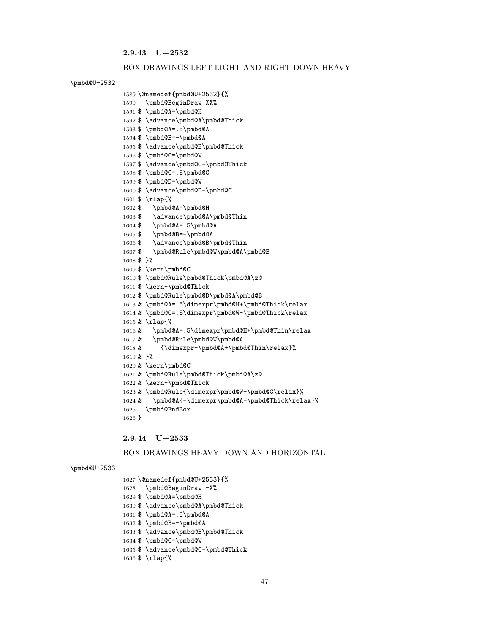2.9.43 U+2532

#### BOX DRAWINGS LEFT LIGHT AND RIGHT DOWN HEAVY

#### \pmbd@U+2532

```
1589 \@namedef{pmbd@U+2532}{%
1590 \pmbd@BeginDraw XX%
1591 $ \pmbd@A=\pmbd@H
1592 $ \advance\pmbd@A\pmbd@Thick
1593 $ \pmbd@A=.5\pmbd@A
1594 $ \pmbd@B=-\pmbd@A
1595 $ \advance\pmbd@B\pmbd@Thick
1596 $ \pmbd@C=\pmbd@W
1597 $ \advance\pmbd@C-\pmbd@Thick
1598 $ \pmbd@C=.5\pmbd@C
1599 $ \pmbd@D=\pmbd@W
1600 $ \advance\pmbd@D-\pmbd@C
1601 $ \rlap{%
1602 $ \pmbd@A=\pmbd@H
1603 $ \advance\pmbd@A\pmbd@Thin
1604 $ \pmbd@A=.5\pmbd@A
1605 $ \pmbd@B=-\pmbd@A
1606 $ \advance\pmbd@B\pmbd@Thin
1607 $ \pmbd@Rule\pmbd@W\pmbd@A\pmbd@B
1608 $ }%
1609 $ \kern\pmbd@C
1610 $ \pmbd@Rule\pmbd@Thick\pmbd@A\z@
1611 $ \kern-\pmbd@Thick
1612 $ \pmbd@Rule\pmbd@D\pmbd@A\pmbd@B
1613 & \pmbd@A=.5\dimexpr\pmbd@H+\pmbd@Thick\relax
1614 & \pmbd@C=.5\dimexpr\pmbd@W-\pmbd@Thick\relax
1615 & \rlap{%
1616 & \pmbd@A=.5\dimexpr\pmbd@H+\pmbd@Thin\relax
1617 & \pmbd@Rule\pmbd@W\pmbd@A
1618 & {\dimexpr-\pmbd@A+\pmbd@Thin\relax}%
1619 & }%
1620 & \kern\pmbd@C
1621 & \pmbd@Rule\pmbd@Thick\pmbd@A\z@
1622 & \kern-\pmbd@Thick
1623 & \pmbd@Rule{\dimexpr\pmbd@W-\pmbd@C\relax}%
1624 & \pmbd@A{-\dimexpr\pmbd@A-\pmbd@Thick\relax}%
1625 \pmbd@EndBox
1626 }
```
2.9.44 U+2533

#### BOX DRAWINGS HEAVY DOWN AND HORIZONTAL

#### \pmbd@U+2533

```
1627 \@namedef{pmbd@U+2533}{%
1628 \pmbd@BeginDraw -X%
1629 $ \pmbd@A=\pmbd@H
1630 $ \advance\pmbd@A\pmbd@Thick
1631 $ \pmbd@A=.5\pmbd@A
1632 $ \pmbd@B=-\pmbd@A
1633 $ \advance\pmbd@B\pmbd@Thick
1634 $ \pmbd@C=\pmbd@W
1635 $ \advance\pmbd@C-\pmbd@Thick
1636 $ \rlap{%
```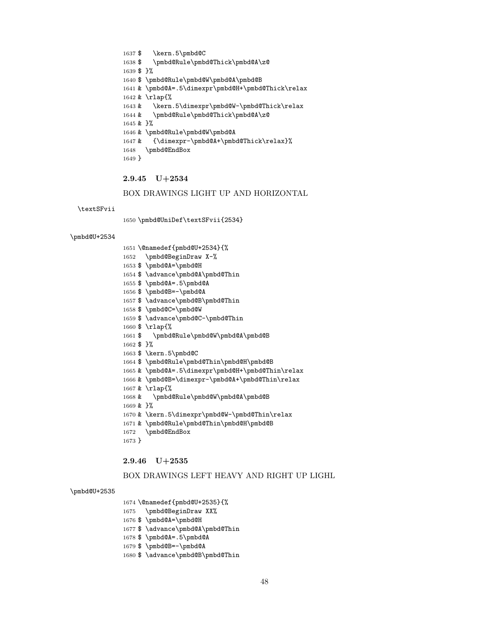#### 

2.9.46 U+2535

\pmbd@EndBox

# BOX DRAWINGS LEFT HEAVY AND RIGHT UP LIGHL

### \pmbd@U+2535

- 
- \@namedef{pmbd@U+2535}{%
- 

\$ \kern.5\pmbd@C

\$ }%

& }%

}

\textSFvii

\pmbd@U+2534

& \rlap{%

\pmbd@EndBox

2.9.45 U+2534

\$ \pmbd@Rule\pmbd@Thick\pmbd@A\z@

& \pmbd@A=.5\dimexpr\pmbd@H+\pmbd@Thick\relax

1643 & \kern.5\dimexpr\pmbd@W-\pmbd@Thick\relax

& {\dimexpr-\pmbd@A+\pmbd@Thick\relax}%

BOX DRAWINGS LIGHT UP AND HORIZONTAL

\$ \pmbd@Rule\pmbd@W\pmbd@A\pmbd@B

& \pmbd@Rule\pmbd@Thick\pmbd@A\z@

& \pmbd@Rule\pmbd@W\pmbd@A

\pmbd@UniDef\textSFvii{2534}

 \@namedef{pmbd@U+2534}{% \pmbd@BeginDraw X-% \$ \pmbd@A=\pmbd@H

 \$ \pmbd@A=.5\pmbd@A \$ \pmbd@B=-\pmbd@A

\$ \pmbd@C=\pmbd@W

\$ \kern.5\pmbd@C

\$ \rlap{%

& \rlap{%

& }%

}

\$ }%

\$ \advance\pmbd@A\pmbd@Thin

1657 \$ \advance\pmbd@B\pmbd@Thin

\$ \advance\pmbd@C-\pmbd@Thin

\$ \pmbd@Rule\pmbd@W\pmbd@A\pmbd@B

\$ \pmbd@Rule\pmbd@Thin\pmbd@H\pmbd@B

& \pmbd@Rule\pmbd@W\pmbd@A\pmbd@B

 & \pmbd@A=.5\dimexpr\pmbd@H+\pmbd@Thin\relax 1666 & \pmbd@B=\dimexpr-\pmbd@A+\pmbd@Thin\relax

 & \kern.5\dimexpr\pmbd@W-\pmbd@Thin\relax & \pmbd@Rule\pmbd@Thin\pmbd@H\pmbd@B

- 
- \pmbd@BeginDraw XX%
- 
- 
- 
- 
- 
- 
- 
- 
- 
- 
- 
- 
- 
- \$ \pmbd@A=\pmbd@H
- 

\$ \advance\pmbd@B\pmbd@Thin

- \$ \advance\pmbd@A\pmbd@Thin
- \$ \pmbd@A=.5\pmbd@A
- \$ \pmbd@B=-\pmbd@A
-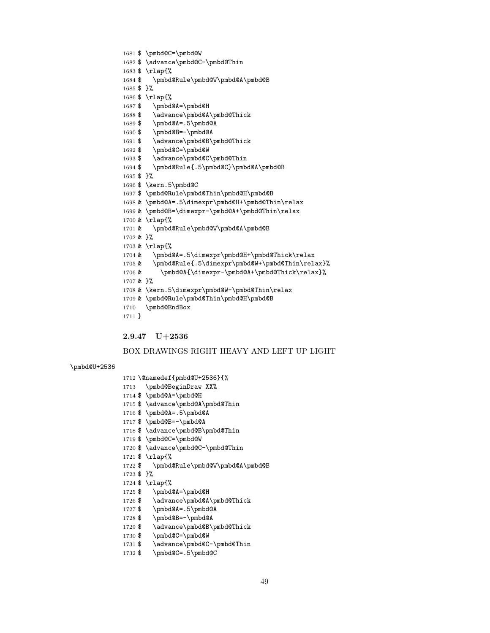- 
- 1731 \$ \advance\pmbd@C-\pmbd@Thin
- 
- 1729 \$ \advance\pmbd@B\pmbd@Thick

1727 \$ \pmbd@A=.5\pmbd@A

- 1728 \$ \pmbd@B=-\pmbd@A
- 
- 

\$ \pmbd@A=\pmbd@H

2.9.47 U+2536

 \@namedef{pmbd@U+2536}{% \pmbd@BeginDraw XX% \$ \pmbd@A=\pmbd@H

 \$ \pmbd@A=.5\pmbd@A \$ \pmbd@B=-\pmbd@A

\$ \pmbd@C=\pmbd@W

\$ \rlap{%

 \$ }% \$ \rlap{%

\$ \advance\pmbd@A\pmbd@Thin

1718 \$ \advance\pmbd@B\pmbd@Thin

\$ \advance\pmbd@C-\pmbd@Thin

\$ \pmbd@Rule\pmbd@W\pmbd@A\pmbd@B

\pmbd@U+2536

- 
- 1730 \$ \pmbd@C=\pmbd@W

1726 \$ \advance\pmbd@A\pmbd@Thick

- 
- 
- 1732 \$ \pmbd@C=.5\pmbd@C

 \$ \rlap{% \$ \pmbd@A=\pmbd@H 1688 \$ \advance\pmbd@A\pmbd@Thick \$ \pmbd@A=.5\pmbd@A \$ \pmbd@B=-\pmbd@A 1691 \$ \advance\pmbd@B\pmbd@Thick \$ \pmbd@C=\pmbd@W 1693 \$ \advance\pmbd@C\pmbd@Thin \$ \pmbd@Rule{.5\pmbd@C}\pmbd@A\pmbd@B \$ }% \$ \kern.5\pmbd@C \$ \pmbd@Rule\pmbd@Thin\pmbd@H\pmbd@B & \pmbd@A=.5\dimexpr\pmbd@H+\pmbd@Thin\relax & \pmbd@B=\dimexpr-\pmbd@A+\pmbd@Thin\relax & \rlap{% & \pmbd@Rule\pmbd@W\pmbd@A\pmbd@B & }% & \rlap{% 1704 & \pmbd@A=.5\dimexpr\pmbd@H+\pmbd@Thick\relax & \pmbd@Rule{.5\dimexpr\pmbd@W+\pmbd@Thin\relax}% 1706 & \pmbd@A{\dimexpr-\pmbd@A+\pmbd@Thick\relax}% & }% & \kern.5\dimexpr\pmbd@W-\pmbd@Thin\relax & \pmbd@Rule\pmbd@Thin\pmbd@H\pmbd@B \pmbd@EndBox }

BOX DRAWINGS RIGHT HEAVY AND LEFT UP LIGHT

\$ \pmbd@C=\pmbd@W

\$ \rlap{%

\$ }%

\$ \advance\pmbd@C-\pmbd@Thin

\$ \pmbd@Rule\pmbd@W\pmbd@A\pmbd@B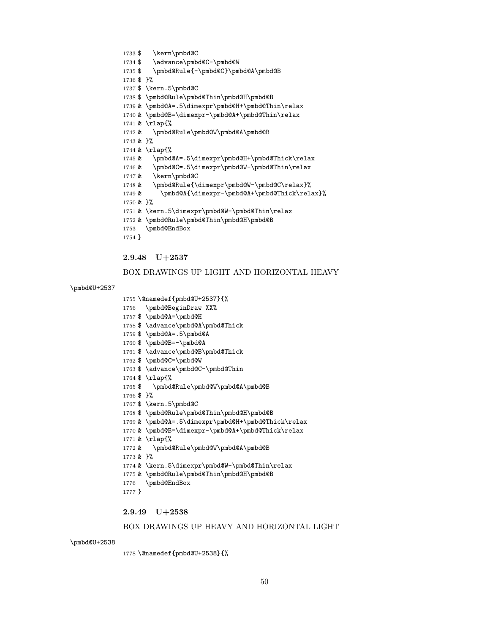#### 

### BOX DRAWINGS UP HEAVY AND HORIZONTAL LIGHT

#### \pmbd@U+2538

\@namedef{pmbd@U+2538}{%

}

# \pmbd@EndBox

- & \pmbd@Rule\pmbd@Thin\pmbd@H\pmbd@B
- & \kern.5\dimexpr\pmbd@W-\pmbd@Thin\relax
- & }%

2.9.49 U+2538

- & \pmbd@Rule\pmbd@W\pmbd@A\pmbd@B
- & \rlap{%
- & \pmbd@B=\dimexpr-\pmbd@A+\pmbd@Thick\relax
- 1769 & \pmbd@A=.5\dimexpr\pmbd@H+\pmbd@Thick\relax
- \$ \pmbd@Rule\pmbd@Thin\pmbd@H\pmbd@B
- \$ \kern.5\pmbd@C
- \$ }%
- 
- \$ \pmbd@Rule\pmbd@W\pmbd@A\pmbd@B
- \$ \rlap{%
- 
- 
- \$ \advance\pmbd@C-\pmbd@Thin
- 
- 
- 
- 
- 
- 
- 
- 
- 
- 
- 
- 
- 
- 
- 
- 
- 
- 
- 
- 
- 
- 
- 
- 
- 
- 
- \$ \pmbd@C=\pmbd@W
- 1761 \$\advance\pmbd@B\pmbd@Thick
- 
- \$ \pmbd@B=-\pmbd@A
- 
- \$ \pmbd@A=.5\pmbd@A
- 1758 \$ \advance\pmbd@A\pmbd@Thick
- \pmbd@BeginDraw XX% \$ \pmbd@A=\pmbd@H
- \@namedef{pmbd@U+2537}{%

#### \pmbd@U+2537

### BOX DRAWINGS UP LIGHT AND HORIZONTAL HEAVY

#### 2.9.48 U+2537

\$ \kern\pmbd@C

\$ \kern.5\pmbd@C

\$ }%

1734 \$ \advance\pmbd@C-\pmbd@W

\$ \pmbd@Rule{-\pmbd@C}\pmbd@A\pmbd@B

\$ \pmbd@Rule\pmbd@Thin\pmbd@H\pmbd@B

1739 & \pmbd@A=.5\dimexpr\pmbd@H+\pmbd@Thin\relax & \pmbd@B=\dimexpr-\pmbd@A+\pmbd@Thin\relax & \rlap{% & \pmbd@Rule\pmbd@W\pmbd@A\pmbd@B & }% & \rlap{% 1745 & \pmbd@A=.5\dimexpr\pmbd@H+\pmbd@Thick\relax & \pmbd@C=.5\dimexpr\pmbd@W-\pmbd@Thin\relax & \kern\pmbd@C & \pmbd@Rule{\dimexpr\pmbd@W-\pmbd@C\relax}% 1749 & \pmbd@A{\dimexpr-\pmbd@A+\pmbd@Thick\relax}% & }% & \kern.5\dimexpr\pmbd@W-\pmbd@Thin\relax & \pmbd@Rule\pmbd@Thin\pmbd@H\pmbd@B \pmbd@EndBox }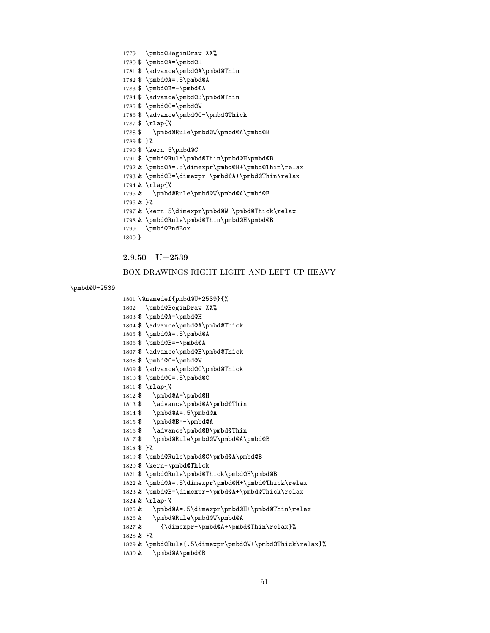```
1817 $ \pmbd@Rule\pmbd@W\pmbd@A\pmbd@B
1818 $ }%
1819 $ \pmbd@Rule\pmbd@C\pmbd@A\pmbd@B
1820 $ \kern-\pmbd@Thick
1821 $ \pmbd@Rule\pmbd@Thick\pmbd@H\pmbd@B
1822 & \pmbd@A=.5\dimexpr\pmbd@H+\pmbd@Thick\relax
1823 & \pmbd@B=\dimexpr-\pmbd@A+\pmbd@Thick\relax
1824 & \rlap{%
1825 & \pmbd@A=.5\dimexpr\pmbd@H+\pmbd@Thin\relax
1826 & \pmbd@Rule\pmbd@W\pmbd@A
1827 & {\dimexpr-\pmbd@A+\pmbd@Thin\relax}%
1828 & }%
1829 & \pmbd@Rule{.5\dimexpr\pmbd@W+\pmbd@Thick\relax}%
1830 & \pmbd@A\pmbd@B
```
- \$ \pmbd@B=-\pmbd@A 1816 \$ \advance\pmbd@B\pmbd@Thin
- \$ \pmbd@A=.5\pmbd@A
- 1813 \$ \advance\pmbd@A\pmbd@Thin
- \$ \pmbd@A=\pmbd@H
- 
- \$ \rlap{%
- \$ \pmbd@C=.5\pmbd@C
- \$ \advance\pmbd@C\pmbd@Thick
- 
- \$ \pmbd@C=\pmbd@W
- 
- \$ \advance\pmbd@B\pmbd@Thick
- 
- \$ \pmbd@B=-\pmbd@A
- 
- \$ \pmbd@A=.5\pmbd@A
- 1804 \$ \advance\pmbd@A\pmbd@Thick
- \$ \pmbd@A=\pmbd@H
- \pmbd@BeginDraw XX%

1779 \pmbd@BeginDraw XX% \$ \pmbd@A=\pmbd@H

 \$ \pmbd@A=.5\pmbd@A \$ \pmbd@B=-\pmbd@A

\$ \pmbd@C=\pmbd@W

\$ \rlap{%

1781 \$\advance\pmbd@A\pmbd@Thin

1784 \$ \advance\pmbd@B\pmbd@Thin

\$ \advance\pmbd@C-\pmbd@Thick

\@namedef{pmbd@U+2539}{%

### \pmbd@U+2539

# BOX DRAWINGS RIGHT LIGHT AND LEFT UP HEAVY

# 2.9.50 U+2539

 \$ \pmbd@Rule\pmbd@W\pmbd@A\pmbd@B \$ }% \$ \kern.5\pmbd@C \$ \pmbd@Rule\pmbd@Thin\pmbd@H\pmbd@B & \pmbd@A=.5\dimexpr\pmbd@H+\pmbd@Thin\relax & \pmbd@B=\dimexpr-\pmbd@A+\pmbd@Thin\relax & \rlap{% & \pmbd@Rule\pmbd@W\pmbd@A\pmbd@B & }% 1797 & \kern.5\dimexpr\pmbd@W-\pmbd@Thick\relax & \pmbd@Rule\pmbd@Thin\pmbd@H\pmbd@B \pmbd@EndBox }

####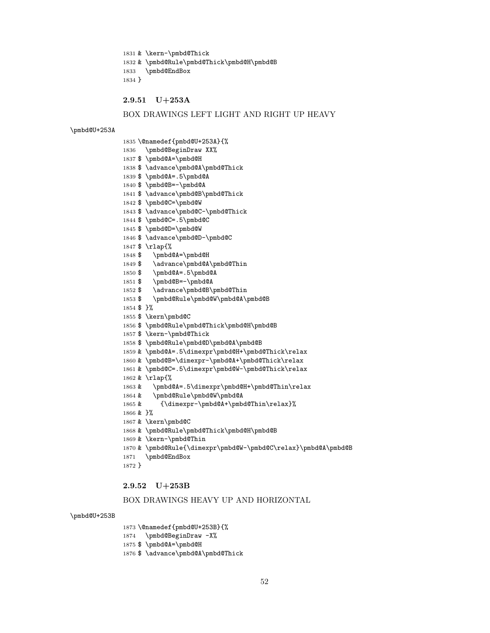& \kern-\pmbd@Thick & \pmbd@Rule\pmbd@Thick\pmbd@H\pmbd@B \pmbd@EndBox }

# 2.9.51 U+253A

### BOX DRAWINGS LEFT LIGHT AND RIGHT UP HEAVY

#### \pmbd@U+253A

 \@namedef{pmbd@U+253A}{% \pmbd@BeginDraw XX% \$ \pmbd@A=\pmbd@H \$ \advance\pmbd@A\pmbd@Thick \$ \pmbd@A=.5\pmbd@A \$ \pmbd@B=-\pmbd@A \$ \advance\pmbd@B\pmbd@Thick \$ \pmbd@C=\pmbd@W \$ \advance\pmbd@C-\pmbd@Thick \$ \pmbd@C=.5\pmbd@C \$ \pmbd@D=\pmbd@W \$ \advance\pmbd@D-\pmbd@C \$ \rlap{% \$ \pmbd@A=\pmbd@H 1849 \$ \advance\pmbd@A\pmbd@Thin \$ \pmbd@A=.5\pmbd@A 1851 \$ \pmbd@B=-\pmbd@A 1852 \$ \advance\pmbd@B\pmbd@Thin \$ \pmbd@Rule\pmbd@W\pmbd@A\pmbd@B \$ }% \$ \kern\pmbd@C \$ \pmbd@Rule\pmbd@Thick\pmbd@H\pmbd@B \$ \kern-\pmbd@Thick \$ \pmbd@Rule\pmbd@D\pmbd@A\pmbd@B & \pmbd@A=.5\dimexpr\pmbd@H+\pmbd@Thick\relax & \pmbd@B=\dimexpr-\pmbd@A+\pmbd@Thick\relax & \pmbd@C=.5\dimexpr\pmbd@W-\pmbd@Thick\relax & \rlap{% & \pmbd@A=.5\dimexpr\pmbd@H+\pmbd@Thin\relax & \pmbd@Rule\pmbd@W\pmbd@A & {\dimexpr-\pmbd@A+\pmbd@Thin\relax}% & }% & \kern\pmbd@C & \pmbd@Rule\pmbd@Thick\pmbd@H\pmbd@B & \kern-\pmbd@Thin & \pmbd@Rule{\dimexpr\pmbd@W-\pmbd@C\relax}\pmbd@A\pmbd@B \pmbd@EndBox

#### }

#### 2.9.52 U+253B

### BOX DRAWINGS HEAVY UP AND HORIZONTAL

#### \pmbd@U+253B

 \@namedef{pmbd@U+253B}{% \pmbd@BeginDraw -X% \$ \pmbd@A=\pmbd@H

1876 \$ \advance\pmbd@A\pmbd@Thick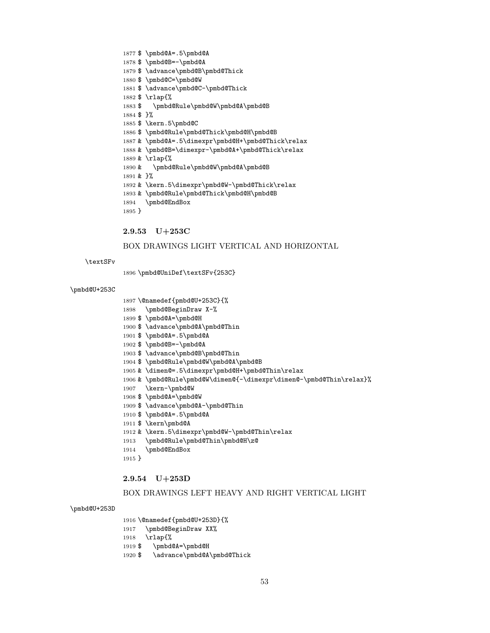```
1877 $ \pmbd@A=.5\pmbd@A
1878 $ \pmbd@B=-\pmbd@A
1879 $ \advance\pmbd@B\pmbd@Thick
1880 $ \pmbd@C=\pmbd@W
1881 $ \advance\pmbd@C-\pmbd@Thick
1882 $ \rlap{%
1883 $ \pmbd@Rule\pmbd@W\pmbd@A\pmbd@B
1884 $ }%
1885 $ \kern.5\pmbd@C
1886 $ \pmbd@Rule\pmbd@Thick\pmbd@H\pmbd@B
1887 & \pmbd@A=.5\dimexpr\pmbd@H+\pmbd@Thick\relax
1888 & \pmbd@B=\dimexpr-\pmbd@A+\pmbd@Thick\relax
1889 & \rlap{%
1890 & \pmbd@Rule\pmbd@W\pmbd@A\pmbd@B
1891 & }%
1892 & \kern.5\dimexpr\pmbd@W-\pmbd@Thick\relax
1893 & \pmbd@Rule\pmbd@Thick\pmbd@H\pmbd@B
1894 \pmbd@EndBox
```

```
1895 }
2.9.53 U+253C
BOX DRAWINGS LIGHT VERTICAL AND HORIZONTAL
```

```
\textSFv
```
\pmbd@UniDef\textSFv{253C}

#### \pmbd@U+253C

```
1897 \@namedef{pmbd@U+253C}{%
```

```
1898 \pmbd@BeginDraw X-%
```
- \$ \pmbd@A=\pmbd@H
- \$ \advance\pmbd@A\pmbd@Thin
- 
- \$ \pmbd@A=.5\pmbd@A
- \$ \pmbd@B=-\pmbd@A
- \$ \advance\pmbd@B\pmbd@Thin
- \$ \pmbd@Rule\pmbd@W\pmbd@A\pmbd@B
- & \dimen@=.5\dimexpr\pmbd@H+\pmbd@Thin\relax
- & \pmbd@Rule\pmbd@W\dimen@{-\dimexpr\dimen@-\pmbd@Thin\relax}%
- \kern-\pmbd@W
- \$ \pmbd@A=\pmbd@W
- \$ \advance\pmbd@A-\pmbd@Thin
- \$ \pmbd@A=.5\pmbd@A
- \$ \kern\pmbd@A
- & \kern.5\dimexpr\pmbd@W-\pmbd@Thin\relax
- \pmbd@Rule\pmbd@Thin\pmbd@H\z@
- \pmbd@EndBox
- }

#### 2.9.54 U+253D

## BOX DRAWINGS LEFT HEAVY AND RIGHT VERTICAL LIGHT

#### \pmbd@U+253D

\@namedef{pmbd@U+253D}{%

- \pmbd@BeginDraw XX%
- \rlap{%
- \$ \pmbd@A=\pmbd@H
- 1920 \$ \advance\pmbd@A\pmbd@Thick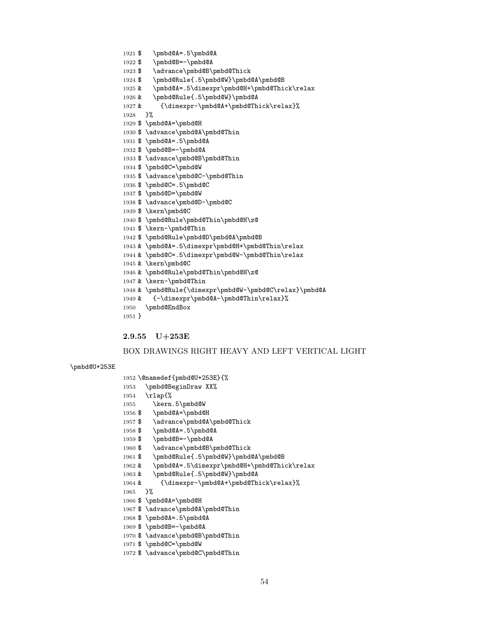```
54
```

```
1965 }%
1966 $ \pmbd@A=\pmbd@H
1968 $ \pmbd@A=.5\pmbd@A
```
 \@namedef{pmbd@U+253E}{% \pmbd@BeginDraw XX%

1957 \$ \advance\pmbd@A\pmbd@Thick

1960 \$ \advance\pmbd@B\pmbd@Thick

& \pmbd@Rule{.5\pmbd@W}\pmbd@A

\$ \pmbd@Rule{.5\pmbd@W}\pmbd@A\pmbd@B

& \pmbd@A=.5\dimexpr\pmbd@H+\pmbd@Thick\relax

1964 & {\dimexpr-\pmbd@A+\pmbd@Thick\relax}%

 \kern.5\pmbd@W \$ \pmbd@A=\pmbd@H

 \$ \pmbd@A=.5\pmbd@A \$ \pmbd@B=-\pmbd@A

- \$ \advance\pmbd@A\pmbd@Thin
- \$ \pmbd@B=-\pmbd@A
- 
- \$ \advance\pmbd@B\pmbd@Thin
- 

2.9.55 U+253E

\rlap{%

\pmbd@U+253E

- 
- 
- \$ \pmbd@C=\pmbd@W
- 1972 \$ \advance\pmbd@C\pmbd@Thin

```
1924 $ \pmbd@Rule{.5\pmbd@W}\pmbd@A\pmbd@B
1925 & \pmbd@A=.5\dimexpr\pmbd@H+\pmbd@Thick\relax
1926 & \pmbd@Rule{.5\pmbd@W}\pmbd@A
1927 & {\dimexpr-\pmbd@A+\pmbd@Thick\relax}%
1928 }%
1929 $ \pmbd@A=\pmbd@H
1930 $ \advance\pmbd@A\pmbd@Thin
1931 $ \pmbd@A=.5\pmbd@A
1932 $ \pmbd@B=-\pmbd@A
1933 $ \advance\pmbd@B\pmbd@Thin
1934 $ \pmbd@C=\pmbd@W
1935 $ \advance\pmbd@C-\pmbd@Thin
1936 $ \pmbd@C=.5\pmbd@C
1937 $ \pmbd@D=\pmbd@W
1938 $ \advance\pmbd@D-\pmbd@C
1939 $ \kern\pmbd@C
1940 $ \pmbd@Rule\pmbd@Thin\pmbd@H\z@
1941 $ \kern-\pmbd@Thin
1942 $ \pmbd@Rule\pmbd@D\pmbd@A\pmbd@B
1943 & \pmbd@A=.5\dimexpr\pmbd@H+\pmbd@Thin\relax
1944 & \pmbd@C=.5\dimexpr\pmbd@W-\pmbd@Thin\relax
1945 & \kern\pmbd@C
1946 & \pmbd@Rule\pmbd@Thin\pmbd@H\z@
1947 & \kern-\pmbd@Thin
1948 & \pmbd@Rule{\dimexpr\pmbd@W-\pmbd@C\relax}\pmbd@A
1949 & {-\dimexpr\pmbd@A-\pmbd@Thin\relax}%
1950 \pmbd@EndBox
1951 }
```
BOX DRAWINGS RIGHT HEAVY AND LEFT VERTICAL LIGHT

 \$ \pmbd@A=.5\pmbd@A \$ \pmbd@B=-\pmbd@A

\$ \advance\pmbd@B\pmbd@Thick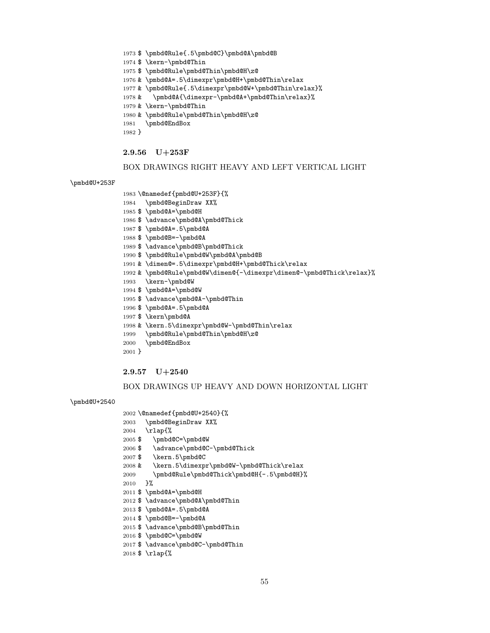- \$ \rlap{%
- \$ \advance\pmbd@C-\pmbd@Thin

\$ \advance\pmbd@B\pmbd@Thin

- 
- 
- 
- 
- 
- 
- 
- 
- 
- 
- \$ \pmbd@C=\pmbd@W
- 
- \$ \pmbd@B=-\pmbd@A

\$ \pmbd@A=\pmbd@H

\$ \pmbd@Rule{.5\pmbd@C}\pmbd@A\pmbd@B

 & \pmbd@A=.5\dimexpr\pmbd@H+\pmbd@Thin\relax & \pmbd@Rule{.5\dimexpr\pmbd@W+\pmbd@Thin\relax}% & \pmbd@A{\dimexpr-\pmbd@A+\pmbd@Thin\relax}%

BOX DRAWINGS RIGHT HEAVY AND LEFT VERTICAL LIGHT

& \pmbd@Rule\pmbd@W\dimen@{-\dimexpr\dimen@-\pmbd@Thick\relax}%

BOX DRAWINGS UP HEAVY AND DOWN HORIZONTAL LIGHT

\$ \pmbd@Rule\pmbd@Thin\pmbd@H\z@

& \pmbd@Rule\pmbd@Thin\pmbd@H\z@

\$ \kern-\pmbd@Thin

& \kern-\pmbd@Thin

\pmbd@EndBox

2.9.56 U+253F

 \@namedef{pmbd@U+253F}{% \pmbd@BeginDraw XX% \$ \pmbd@A=\pmbd@H

 \$ \pmbd@A=.5\pmbd@A \$ \pmbd@B=-\pmbd@A

 \kern-\pmbd@W \$ \pmbd@A=\pmbd@W

\pmbd@EndBox

2.9.57 U+2540

\rlap{%

}%

}

 \$ \pmbd@A=.5\pmbd@A \$ \kern\pmbd@A

\$ \advance\pmbd@A\pmbd@Thick

 \$ \advance\pmbd@B\pmbd@Thick \$ \pmbd@Rule\pmbd@W\pmbd@A\pmbd@B

\$ \advance\pmbd@A-\pmbd@Thin

\pmbd@Rule\pmbd@Thin\pmbd@H\z@

& \dimen@=.5\dimexpr\pmbd@H+\pmbd@Thick\relax

& \kern.5\dimexpr\pmbd@W-\pmbd@Thin\relax

}

\pmbd@U+253F

\pmbd@U+2540

- 
- \$ \advance\pmbd@A\pmbd@Thin
- 
- 
- 
- 
- 
- 
- 
- 
- 
- 
- 
- 
- 

\$ \pmbd@C=\pmbd@W

\$ \kern.5\pmbd@C

 \@namedef{pmbd@U+2540}{% \pmbd@BeginDraw XX%

\$ \advance\pmbd@C-\pmbd@Thick

 & \kern.5\dimexpr\pmbd@W-\pmbd@Thick\relax \pmbd@Rule\pmbd@Thick\pmbd@H{-.5\pmbd@H}%

- \$ \pmbd@A=.5\pmbd@A
- 
- 
- 
- 
- 
- 
- 
- 
-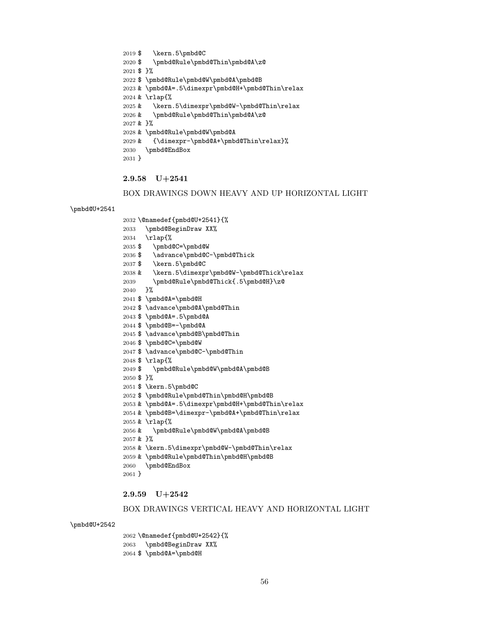### BOX DRAWINGS VERTICAL HEAVY AND HORIZONTAL LIGHT

\pmbd@U+2542

 \@namedef{pmbd@U+2542}{% \pmbd@BeginDraw XX% \$ \pmbd@A=\pmbd@H

- 2.9.59 U+2542
- & \pmbd@Rule\pmbd@Thin\pmbd@H\pmbd@B
- & \kern.5\dimexpr\pmbd@W-\pmbd@Thin\relax
- & \pmbd@Rule\pmbd@W\pmbd@A\pmbd@B & }%
- & \rlap{%
- & \pmbd@A=.5\dimexpr\pmbd@H+\pmbd@Thin\relax & \pmbd@B=\dimexpr-\pmbd@A+\pmbd@Thin\relax
- \$ \pmbd@Rule\pmbd@Thin\pmbd@H\pmbd@B
- \$ \kern.5\pmbd@C
- \$ }%
- \$ \pmbd@Rule\pmbd@W\pmbd@A\pmbd@B
- 
- \$ \rlap{%
- \$ \advance\pmbd@C-\pmbd@Thin
- \$ \pmbd@C=\pmbd@W

\pmbd@EndBox

}

- \$ \advance\pmbd@B\pmbd@Thin
- \$ \pmbd@B=-\pmbd@A
- \$ \pmbd@A=.5\pmbd@A
- \$ \advance\pmbd@A\pmbd@Thin
- \$ \pmbd@A=\pmbd@H
- \pmbd@Rule\pmbd@Thick{.5\pmbd@H}\z@ }%
- & \kern.5\dimexpr\pmbd@W-\pmbd@Thick\relax
- \$ \advance\pmbd@C-\pmbd@Thick \$ \kern.5\pmbd@C
- \$ \pmbd@C=\pmbd@W
- \rlap{%

\pmbd@U+2541

- \pmbd@BeginDraw XX%
- \@namedef{pmbd@U+2541}{%
- BOX DRAWINGS DOWN HEAVY AND UP HORIZONTAL LIGHT
- 2.9.58 U+2541
- }
- \pmbd@EndBox
- & {\dimexpr-\pmbd@A+\pmbd@Thin\relax}%
- & \pmbd@Rule\pmbd@W\pmbd@A
- & \pmbd@Rule\pmbd@Thin\pmbd@A\z@ & }%
- & \kern.5\dimexpr\pmbd@W-\pmbd@Thin\relax
- & \rlap{%
- & \pmbd@A=.5\dimexpr\pmbd@H+\pmbd@Thin\relax
- 
- \$ \pmbd@Rule\pmbd@W\pmbd@A\pmbd@B
- \$ }%
- \$ \pmbd@Rule\pmbd@Thin\pmbd@A\z@
- \$ \kern.5\pmbd@C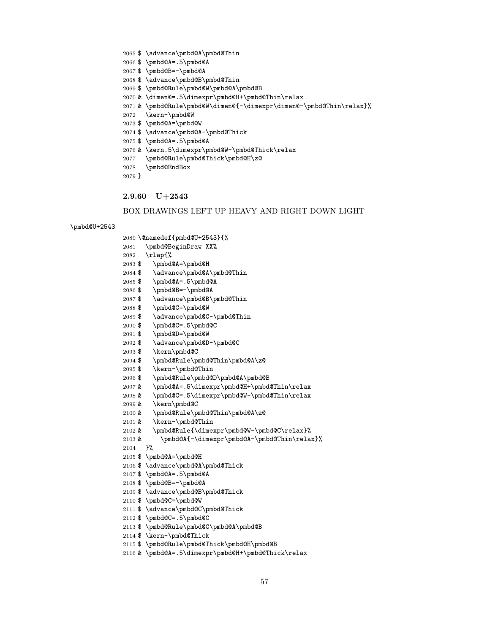```
2084 $ \advance\pmbd@A\pmbd@Thin
2085 $ \pmbd@A=.5\pmbd@A
2086 $ \pmbd@B=-\pmbd@A
2087 $ \advance\pmbd@B\pmbd@Thin
2088 $ \pmbd@C=\pmbd@W
2089 $ \advance\pmbd@C-\pmbd@Thin
2090 $ \pmbd@C=.5\pmbd@C
2091 $ \pmbd@D=\pmbd@W
2092 $ \advance\pmbd@D-\pmbd@C
2093 $ \kern\pmbd@C
2094 $ \pmbd@Rule\pmbd@Thin\pmbd@A\z@
2095 $ \kern-\pmbd@Thin
2096 $ \pmbd@Rule\pmbd@D\pmbd@A\pmbd@B
2097 & \pmbd@A=.5\dimexpr\pmbd@H+\pmbd@Thin\relax
2098 & \pmbd@C=.5\dimexpr\pmbd@W-\pmbd@Thin\relax
2099 & \kern\pmbd@C
2100 & \pmbd@Rule\pmbd@Thin\pmbd@A\z@
2101 & \kern-\pmbd@Thin
2102 & \pmbd@Rule{\dimexpr\pmbd@W-\pmbd@C\relax}%
2103 & \pmbd@A{-\dimexpr\pmbd@A-\pmbd@Thin\relax}%
2104 }%
2105 $ \pmbd@A=\pmbd@H
2106 $ \advance\pmbd@A\pmbd@Thick
2107 $ \pmbd@A=.5\pmbd@A
2108 $ \pmbd@B=-\pmbd@A
2109 $ \advance\pmbd@B\pmbd@Thick
2110 $ \pmbd@C=\pmbd@W
2111 $ \advance\pmbd@C\pmbd@Thick
2112 $ \pmbd@C=.5\pmbd@C
2113 $ \pmbd@Rule\pmbd@C\pmbd@A\pmbd@B
2114 $ \kern-\pmbd@Thick
2115 $ \pmbd@Rule\pmbd@Thick\pmbd@H\pmbd@B
2116 & \pmbd@A=.5\dimexpr\pmbd@H+\pmbd@Thick\relax
```
BOX DRAWINGS LEFT UP HEAVY AND RIGHT DOWN LIGHT

2.9.60 U+2543

}

\pmbd@U+2543

\pmbd@EndBox

\rlap{%

- \pmbd@Rule\pmbd@Thick\pmbd@H\z@
- & \kern.5\dimexpr\pmbd@W-\pmbd@Thick\relax
- \$ \pmbd@A=.5\pmbd@A

 \@namedef{pmbd@U+2543}{% \pmbd@BeginDraw XX%

\$ \pmbd@A=\pmbd@H

- \$ \advance\pmbd@A-\pmbd@Thick
- 
- \$ \pmbd@A=\pmbd@W
- \kern-\pmbd@W
- & \pmbd@Rule\pmbd@W\dimen@{-\dimexpr\dimen@-\pmbd@Thin\relax}%
- 
- & \dimen@=.5\dimexpr\pmbd@H+\pmbd@Thin\relax
- \$ \pmbd@Rule\pmbd@W\pmbd@A\pmbd@B
- 
- \$ \advance\pmbd@B\pmbd@Thin
- 
- \$ \pmbd@B=-\pmbd@A
- 
- \$ \pmbd@A=.5\pmbd@A
- \$ \advance\pmbd@A\pmbd@Thin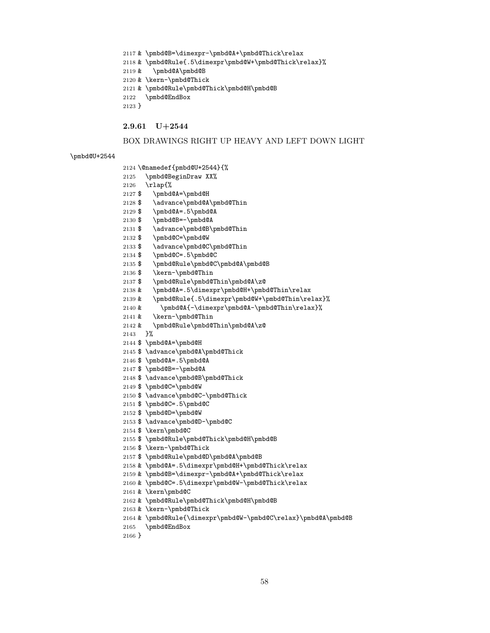& \pmbd@B=\dimexpr-\pmbd@A+\pmbd@Thick\relax & \pmbd@Rule{.5\dimexpr\pmbd@W+\pmbd@Thick\relax}% & \pmbd@A\pmbd@B & \kern-\pmbd@Thick & \pmbd@Rule\pmbd@Thick\pmbd@H\pmbd@B \pmbd@EndBox }

2.9.61 U+2544

#### BOX DRAWINGS RIGHT UP HEAVY AND LEFT DOWN LIGHT

\pmbd@U+2544

- 
- \@namedef{pmbd@U+2544}{%
- \pmbd@BeginDraw XX%
- \rlap{%
- \$ \pmbd@A=\pmbd@H
- 2128 $\ \$  \advance\pmbd@A\pmbd@Thin
- \$ \pmbd@A=.5\pmbd@A
- \$ \pmbd@B=-\pmbd@A
- \$ \advance\pmbd@B\pmbd@Thin
- \$ \pmbd@C=\pmbd@W
- \$ \advance\pmbd@C\pmbd@Thin
- \$ \pmbd@C=.5\pmbd@C
- \$ \pmbd@Rule\pmbd@C\pmbd@A\pmbd@B
- \$ \kern-\pmbd@Thin
- \$ \pmbd@Rule\pmbd@Thin\pmbd@A\z@
- 2138 & \pmbd@A=.5\dimexpr\pmbd@H+\pmbd@Thin\relax <br>2139 & \pmbd@Rule{.5\dimexpr\pmbd@W+\pmbd@Thin\rel
- \pmbd@Rule{.5\dimexpr\pmbd@W+\pmbd@Thin\relax}%
- & \pmbd@A{-\dimexpr\pmbd@A-\pmbd@Thin\relax}%
- & \kern-\pmbd@Thin
- & \pmbd@Rule\pmbd@Thin\pmbd@A\z@

}%

- \$ \pmbd@A=\pmbd@H
- \$ \advance\pmbd@A\pmbd@Thick
- \$ \pmbd@A=.5\pmbd@A
- \$ \pmbd@B=-\pmbd@A
- \$ \advance\pmbd@B\pmbd@Thick
- \$ \pmbd@C=\pmbd@W
- \$ \advance\pmbd@C-\pmbd@Thick
- \$ \pmbd@C=.5\pmbd@C
- \$ \pmbd@D=\pmbd@W
- \$ \advance\pmbd@D-\pmbd@C
- \$ \kern\pmbd@C

& \kern\pmbd@C

\pmbd@EndBox

}

& \kern-\pmbd@Thick

- \$ \pmbd@Rule\pmbd@Thick\pmbd@H\pmbd@B
- \$ \kern-\pmbd@Thick
- \$ \pmbd@Rule\pmbd@D\pmbd@A\pmbd@B
- & \pmbd@A=.5\dimexpr\pmbd@H+\pmbd@Thick\relax
- 

& \pmbd@Rule\pmbd@Thick\pmbd@H\pmbd@B

- 
- & \pmbd@C=.5\dimexpr\pmbd@W-\pmbd@Thick\relax
- 

& \pmbd@Rule{\dimexpr\pmbd@W-\pmbd@C\relax}\pmbd@A\pmbd@B

- 
- 
- 
- 
- 
- 
- 
- 
- 
- 
- 
- 
- 
- 
- 
- 
- 
- 
- 
- 
- 
- 
- 
- & \pmbd@B=\dimexpr-\pmbd@A+\pmbd@Thick\relax
-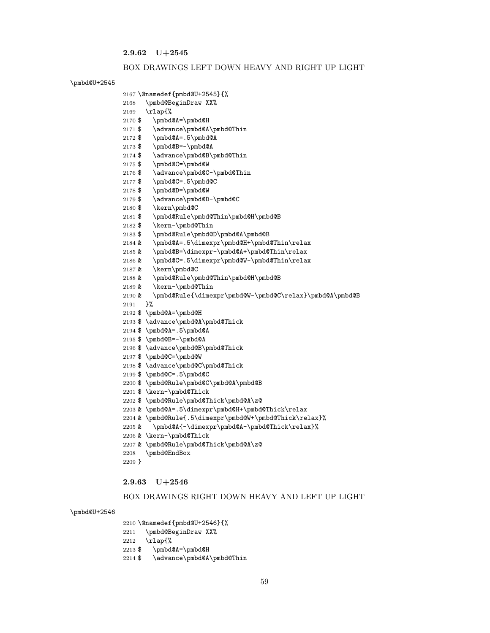# 2.9.62 U+2545

\rlap{%

 \@namedef{pmbd@U+2545}{% \pmbd@BeginDraw XX%

2171 \$ \advance\pmbd@A\pmbd@Thin

2174  $\mathcal{V}$  \advance\pmbd@B\pmbd@Thin

2176 \$\advance\pmbd@C-\pmbd@Thin

\$ \pmbd@Rule\pmbd@Thin\pmbd@H\pmbd@B

& \pmbd@Rule\pmbd@Thin\pmbd@H\pmbd@B

 & \pmbd@A=.5\dimexpr\pmbd@H+\pmbd@Thin\relax & \pmbd@B=\dimexpr-\pmbd@A+\pmbd@Thin\relax & \pmbd@C=.5\dimexpr\pmbd@W-\pmbd@Thin\relax

& \pmbd@Rule{\dimexpr\pmbd@W-\pmbd@C\relax}\pmbd@A\pmbd@B

\$ \pmbd@Rule\pmbd@D\pmbd@A\pmbd@B

\$ \advance\pmbd@D-\pmbd@C

\$ \pmbd@A=\pmbd@H

\$ \pmbd@C=\pmbd@W

\$ \kern\pmbd@C

& \kern\pmbd@C

\$ \pmbd@A=\pmbd@H

\$ \pmbd@C=\pmbd@W

\$ \pmbd@C=.5\pmbd@C

\$ \kern-\pmbd@Thick

& \kern-\pmbd@Thick

\pmbd@EndBox

2.9.63 U+2546

}

 \$ \pmbd@A=.5\pmbd@A \$ \pmbd@B=-\pmbd@A

}%

& \kern-\pmbd@Thin

\$ \advance\pmbd@A\pmbd@Thick

\$ \advance\pmbd@B\pmbd@Thick

\$ \advance\pmbd@C\pmbd@Thick

\$ \pmbd@Rule\pmbd@C\pmbd@A\pmbd@B

\$ \pmbd@Rule\pmbd@Thick\pmbd@A\z@

& \pmbd@Rule\pmbd@Thick\pmbd@A\z@

 & \pmbd@A=.5\dimexpr\pmbd@H+\pmbd@Thick\relax & \pmbd@Rule{.5\dimexpr\pmbd@W+\pmbd@Thick\relax}% & \pmbd@A{-\dimexpr\pmbd@A-\pmbd@Thick\relax}%

 \$ \pmbd@C=.5\pmbd@C \$ \pmbd@D=\pmbd@W

\$ \kern-\pmbd@Thin

 \$ \pmbd@A=.5\pmbd@A \$ \pmbd@B=-\pmbd@A

#### BOX DRAWINGS LEFT DOWN HEAVY AND RIGHT UP LIGHT

#### \pmbd@U+2545

#### \pmbd@U+2546

\@namedef{pmbd@U+2546}{%

```
2211 \pmbd@BeginDraw XX%
```
\rlap{%

- \$ \pmbd@A=\pmbd@H
- 2214 \$ \advance\pmbd@A\pmbd@Thin

BOX DRAWINGS RIGHT DOWN HEAVY AND LEFT UP LIGHT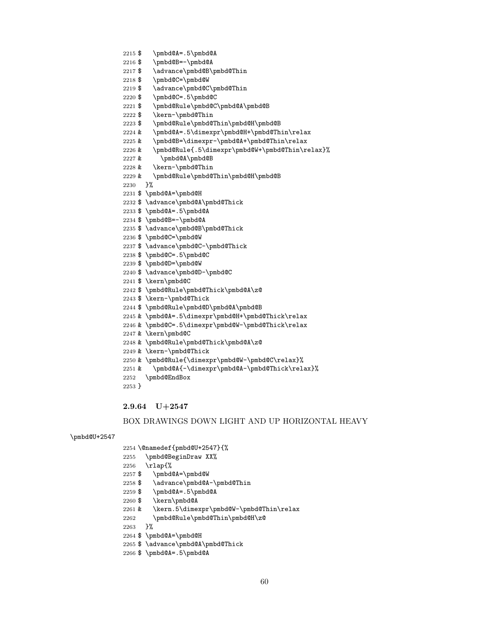```
2258 $ \advance\pmbd@A-\pmbd@Thin
2259 $ \pmbd@A=.5\pmbd@A
2260 $ \kern\pmbd@A
2261 & \kern.5\dimexpr\pmbd@W-\pmbd@Thin\relax
2262 \pmbd@Rule\pmbd@Thin\pmbd@H\z@
2263 }%
2264 $ \pmbd@A=\pmbd@H
2265 $ \advance\pmbd@A\pmbd@Thick
2266 $ \pmbd@A=.5\pmbd@A
```
#### \pmbd@U+2547

### BOX DRAWINGS DOWN LIGHT AND UP HORIZONTAL HEAVY

# 2.9.64 U+2547

# \$ \pmbd@A=\pmbd@W

### \pmbd@BeginDraw XX% \rlap{%

# \@namedef{pmbd@U+2547}{%

### \pmbd@EndBox }

### & \pmbd@Rule\pmbd@Thick\pmbd@A\z@ & \kern-\pmbd@Thick & \pmbd@Rule{\dimexpr\pmbd@W-\pmbd@C\relax}% & \pmbd@A{-\dimexpr\pmbd@A-\pmbd@Thick\relax}%

# & \pmbd@A=.5\dimexpr\pmbd@H+\pmbd@Thick\relax & \pmbd@C=.5\dimexpr\pmbd@W-\pmbd@Thick\relax & \kern\pmbd@C

# \$ \pmbd@Rule\pmbd@D\pmbd@A\pmbd@B

# \$ \kern-\pmbd@Thick

# \$ \pmbd@Rule\pmbd@Thick\pmbd@A\z@

# \$ \kern\pmbd@C

# \$ \advance\pmbd@D-\pmbd@C

# \$ \pmbd@D=\pmbd@W

# \$ \pmbd@C=.5\pmbd@C

#### \$ \advance\pmbd@C-\pmbd@Thick

# \$ \pmbd@C=\pmbd@W

### \$ \advance\pmbd@B\pmbd@Thick

# \$ \pmbd@B=-\pmbd@A

### \$ \pmbd@A=.5\pmbd@A

### \$ \advance\pmbd@A\pmbd@Thick

### \$ \pmbd@A=\pmbd@H

### }%

# & \pmbd@Rule\pmbd@Thin\pmbd@H\pmbd@B

### & \kern-\pmbd@Thin

# & \pmbd@A\pmbd@B

## & \pmbd@Rule{.5\dimexpr\pmbd@W+\pmbd@Thin\relax}%

#### & \pmbd@A=.5\dimexpr\pmbd@H+\pmbd@Thin\relax & \pmbd@B=\dimexpr-\pmbd@A+\pmbd@Thin\relax

# \$ \pmbd@Rule\pmbd@Thin\pmbd@H\pmbd@B

# \$ \kern-\pmbd@Thin

# \$ \pmbd@Rule\pmbd@C\pmbd@A\pmbd@B

# \$ \pmbd@C=.5\pmbd@C

# \$ \advance\pmbd@C\pmbd@Thin

# \$ \pmbd@C=\pmbd@W

# 2217  $\mathcal{Q}$  \advance\pmbd@B\pmbd@Thin

#### \$ \pmbd@A=.5\pmbd@A \$ \pmbd@B=-\pmbd@A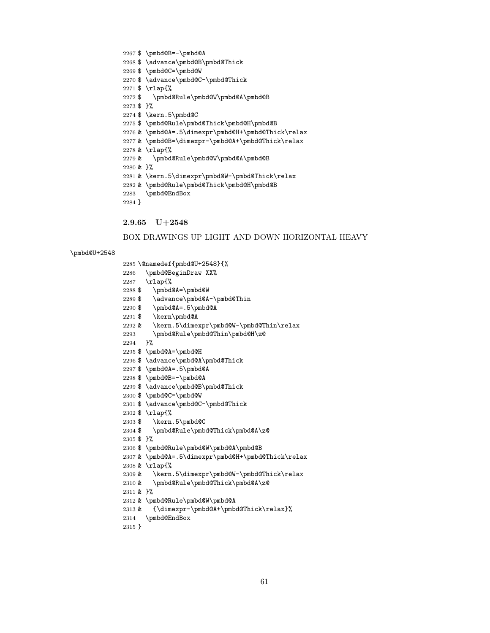```
2294 }%
2295 $ \pmbd@A=\pmbd@H
2296 $ \advance\pmbd@A\pmbd@Thick
2297 $ \pmbd@A=.5\pmbd@A
2298 $ \pmbd@B=-\pmbd@A
2299 $ \advance\pmbd@B\pmbd@Thick
2300 $ \pmbd@C=\pmbd@W
2301 $ \advance\pmbd@C-\pmbd@Thick
2302 $ \rlap{%
2303 $ \kern.5\pmbd@C
2304 $ \pmbd@Rule\pmbd@Thick\pmbd@A\z@
2305 $ }%
2306 $ \pmbd@Rule\pmbd@W\pmbd@A\pmbd@B
2307 & \pmbd@A=.5\dimexpr\pmbd@H+\pmbd@Thick\relax
2308 & \rlap{%
2309 & \kern.5\dimexpr\pmbd@W-\pmbd@Thick\relax
2310 & \pmbd@Rule\pmbd@Thick\pmbd@A\z@
2311 & }%
2312 & \pmbd@Rule\pmbd@W\pmbd@A
2313 & {\dimexpr-\pmbd@A+\pmbd@Thick\relax}%
2314 \pmbd@EndBox
2315 }
```

```
2293 \pmbd@Rule\pmbd@Thin\pmbd@H\z@
```

```
2292 & \kern.5\dimexpr\pmbd@W-\pmbd@Thin\relax
```

```
2291 $ \kern\pmbd@A
```

```
2290 $ \pmbd@A=.5\pmbd@A
```

```
2289 $ \advance\pmbd@A-\pmbd@Thin
```

```
2288 $ \pmbd@A=\pmbd@W
```

```
2287 \rlap{%
```

```
2286 \pmbd@BeginDraw XX%
```

```
2285 \@namedef{pmbd@U+2548}{%
```
# \pmbd@U+2548

# BOX DRAWINGS UP LIGHT AND DOWN HORIZONTAL HEAVY

# 2.9.65 U+2548

\$ \pmbd@B=-\pmbd@A

\$ \pmbd@C=\pmbd@W

\$ \kern.5\pmbd@C

\$ \rlap{%

\$ }%

\$ \advance\pmbd@B\pmbd@Thick

\$ \advance\pmbd@C-\pmbd@Thick

\$ \pmbd@Rule\pmbd@W\pmbd@A\pmbd@B

\$ \pmbd@Rule\pmbd@Thick\pmbd@H\pmbd@B

```
2276 & \pmbd@A=.5\dimexpr\pmbd@H+\pmbd@Thick\relax
2277 & \pmbd@B=\dimexpr-\pmbd@A+\pmbd@Thick\relax
2278 & \rlap{%
2279 & \pmbd@Rule\pmbd@W\pmbd@A\pmbd@B
2280 & }%
2281 & \kern.5\dimexpr\pmbd@W-\pmbd@Thick\relax
2282 & \pmbd@Rule\pmbd@Thick\pmbd@H\pmbd@B
2283 \pmbd@EndBox
2284 }
```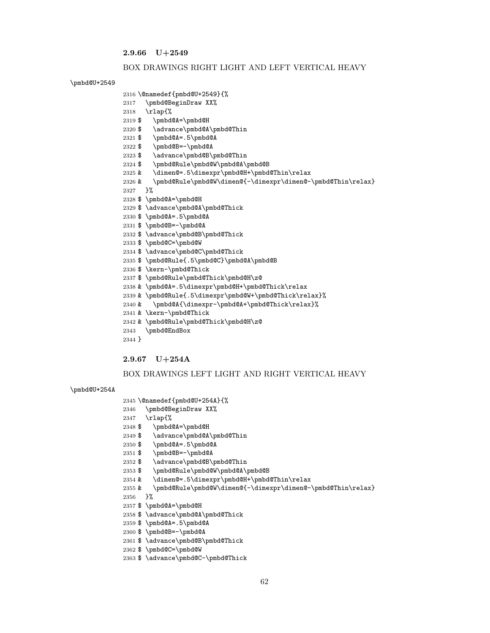2.9.66 U+2549

#### BOX DRAWINGS RIGHT LIGHT AND LEFT VERTICAL HEAVY

\pmbd@U+2549

```
2316 \@namedef{pmbd@U+2549}{%
2317 \pmbd@BeginDraw XX%
2318 \rlap{%
2319 $ \pmbd@A=\pmbd@H
2320 $ \advance\pmbd@A\pmbd@Thin
2321 $ \pmbd@A=.5\pmbd@A
2322 $ \pmbd@B=-\pmbd@A
2323 $ \advance\pmbd@B\pmbd@Thin
2324 $ \pmbd@Rule\pmbd@W\pmbd@A\pmbd@B
2325 & \dimen@=.5\dimexpr\pmbd@H+\pmbd@Thin\relax
2326 & \pmbd@Rule\pmbd@W\dimen@{-\dimexpr\dimen@-\pmbd@Thin\relax}
2327 }%
2328 $ \pmbd@A=\pmbd@H
2329 $ \advance\pmbd@A\pmbd@Thick
2330 $ \pmbd@A=.5\pmbd@A
2331 $ \pmbd@B=-\pmbd@A
2332 $ \advance\pmbd@B\pmbd@Thick
2333 $ \pmbd@C=\pmbd@W
2334 $ \advance\pmbd@C\pmbd@Thick
2335 $ \pmbd@Rule{.5\pmbd@C}\pmbd@A\pmbd@B
2336 $ \kern-\pmbd@Thick
2337 $ \pmbd@Rule\pmbd@Thick\pmbd@H\z@
2338 & \pmbd@A=.5\dimexpr\pmbd@H+\pmbd@Thick\relax
2339 & \pmbd@Rule{.5\dimexpr\pmbd@W+\pmbd@Thick\relax}%
2340 & \pmbd@A{\dimexpr-\pmbd@A+\pmbd@Thick\relax}%
2341 & \kern-\pmbd@Thick
2342 & \pmbd@Rule\pmbd@Thick\pmbd@H\z@
2343 \pmbd@EndBox
2344 }
```
#### 2.9.67 U+254A

#### BOX DRAWINGS LEFT LIGHT AND RIGHT VERTICAL HEAVY

& \pmbd@Rule\pmbd@W\dimen@{-\dimexpr\dimen@-\pmbd@Thin\relax}

#### \pmbd@U+254A

```
2345 \@namedef{pmbd@U+254A}{%
```

```
2346 \pmbd@BeginDraw XX%
```

```
2347 \rlap{%
```

```
2348 $ \pmbd@A=\pmbd@H
```

```
2349 $ \advance\pmbd@A\pmbd@Thin
```
\$ \pmbd@A=\pmbd@H

 \$ \pmbd@A=.5\pmbd@A \$ \pmbd@B=-\pmbd@A

\$ \pmbd@C=\pmbd@W

}%

\$ \pmbd@Rule\pmbd@W\pmbd@A\pmbd@B

& \dimen@=.5\dimexpr\pmbd@H+\pmbd@Thin\relax

```
2350 $ \pmbd@A=.5\pmbd@A
```

```
2351 $ \pmbd@B=-\pmbd@A
```

```
2352 $ \advance\pmbd@B\pmbd@Thin
```
\$ \advance\pmbd@A\pmbd@Thick

\$ \advance\pmbd@B\pmbd@Thick

\$ \advance\pmbd@C-\pmbd@Thick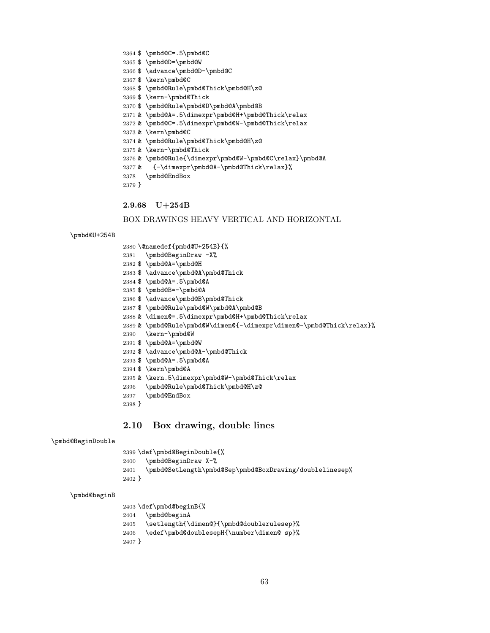\$ \pmbd@C=.5\pmbd@C \$ \pmbd@D=\pmbd@W \$ \advance\pmbd@D-\pmbd@C \$ \kern\pmbd@C \$ \pmbd@Rule\pmbd@Thick\pmbd@H\z@ \$ \kern-\pmbd@Thick \$ \pmbd@Rule\pmbd@D\pmbd@A\pmbd@B & \pmbd@A=.5\dimexpr\pmbd@H+\pmbd@Thick\relax & \pmbd@C=.5\dimexpr\pmbd@W-\pmbd@Thick\relax & \kern\pmbd@C & \pmbd@Rule\pmbd@Thick\pmbd@H\z@ & \kern-\pmbd@Thick & \pmbd@Rule{\dimexpr\pmbd@W-\pmbd@C\relax}\pmbd@A & {-\dimexpr\pmbd@A-\pmbd@Thick\relax}% \pmbd@EndBox }

2.9.68 U+254B

BOX DRAWINGS HEAVY VERTICAL AND HORIZONTAL

\pmbd@U+254B

\@namedef{pmbd@U+254B}{%

- \pmbd@BeginDraw -X%
- \$ \pmbd@A=\pmbd@H
- \$ \advance\pmbd@A\pmbd@Thick
- \$ \pmbd@A=.5\pmbd@A
- \$ \pmbd@B=-\pmbd@A
- \$ \advance\pmbd@B\pmbd@Thick
- \$ \pmbd@Rule\pmbd@W\pmbd@A\pmbd@B
- & \dimen@=.5\dimexpr\pmbd@H+\pmbd@Thick\relax
- & \pmbd@Rule\pmbd@W\dimen@{-\dimexpr\dimen@-\pmbd@Thick\relax}%
- \kern-\pmbd@W
- \$ \pmbd@A=\pmbd@W
- \$ \advance\pmbd@A-\pmbd@Thick
- \$ \pmbd@A=.5\pmbd@A
- \$ \kern\pmbd@A
- & \kern.5\dimexpr\pmbd@W-\pmbd@Thick\relax
- \pmbd@Rule\pmbd@Thick\pmbd@H\z@
- \pmbd@EndBox
- }

## 2.10 Box drawing, double lines

#### \pmbd@BeginDouble

\def\pmbd@BeginDouble{%

- \pmbd@BeginDraw X-%
- \pmbd@SetLength\pmbd@Sep\pmbd@BoxDrawing/doublelinesep%
- }

#### \pmbd@beginB

 \def\pmbd@beginB{% \pmbd@beginA

- \setlength{\dimen@}{\pmbd@doublerulesep}%
- \edef\pmbd@doublesepH{\number\dimen@ sp}%
- }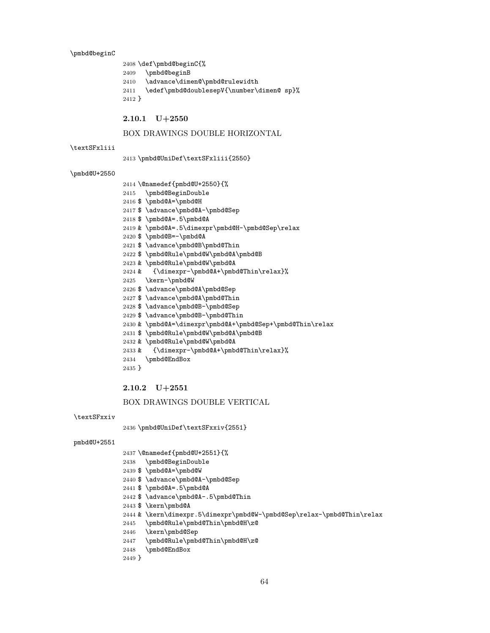\pmbd@beginC

```
2408 \def\pmbd@beginC{%
2409 \pmbd@beginB
2410 \advance\dimen@\pmbd@rulewidth
2411 \edef\pmbd@doublesepV{\number\dimen@ sp}%
2412 }
```
2.10.1 U+2550

# BOX DRAWINGS DOUBLE HORIZONTAL

#### \textSFxliii

\pmbd@UniDef\textSFxliii{2550}

#### \pmbd@U+2550

- \@namedef{pmbd@U+2550}{%
- \pmbd@BeginDouble
- 
- 
- 
- 
- 
- 
- 
- 
- 
- 
- 
- 
- \$ \pmbd@A=\pmbd@H
- 
- \$ \advance\pmbd@A-\pmbd@Sep
- 
- 
- 
- 
- 
- 
- 
- 
- 
- 
- 
- 
- 
- 
- 
- 
- 
- 
- 
- 
- \$ \pmbd@A=.5\pmbd@A
- 
- & \pmbd@A=.5\dimexpr\pmbd@H-\pmbd@Sep\relax
- \$ \pmbd@B=-\pmbd@A
- 
- \$ \advance\pmbd@B\pmbd@Thin
- 
- \$ \pmbd@Rule\pmbd@W\pmbd@A\pmbd@B
- & \pmbd@Rule\pmbd@W\pmbd@A
- & {\dimexpr-\pmbd@A+\pmbd@Thin\relax}%
- \kern-\pmbd@W
- 2426 \$ \advance\pmbd@A\pmbd@Sep
- \$ \advance\pmbd@A\pmbd@Thin
- \$ \advance\pmbd@B-\pmbd@Sep
- 
- \$ \advance\pmbd@B-\pmbd@Thin
	-
	-
- 
- & \pmbd@A=\dimexpr\pmbd@A+\pmbd@Sep+\pmbd@Thin\relax
- \$ \pmbd@Rule\pmbd@W\pmbd@A\pmbd@B
- 
- 
- & \pmbd@Rule\pmbd@W\pmbd@A
- & {\dimexpr-\pmbd@A+\pmbd@Thin\relax}%
- \pmbd@EndBox
- }

### 2.10.2 U+2551

#### BOX DRAWINGS DOUBLE VERTICAL

```
\textSFxxiv
```
\pmbd@UniDef\textSFxxiv{2551}

#### pmbd@U+2551

- \@namedef{pmbd@U+2551}{%
- \pmbd@BeginDouble
- \$ \pmbd@A=\pmbd@W
- \$ \advance\pmbd@A-\pmbd@Sep
- \$ \pmbd@A=.5\pmbd@A
- \$ \advance\pmbd@A-.5\pmbd@Thin
- \$ \kern\pmbd@A
- & \kern\dimexpr.5\dimexpr\pmbd@W-\pmbd@Sep\relax-\pmbd@Thin\relax

- \pmbd@Rule\pmbd@Thin\pmbd@H\z@
- \kern\pmbd@Sep

\pmbd@EndBox

}

\pmbd@Rule\pmbd@Thin\pmbd@H\z@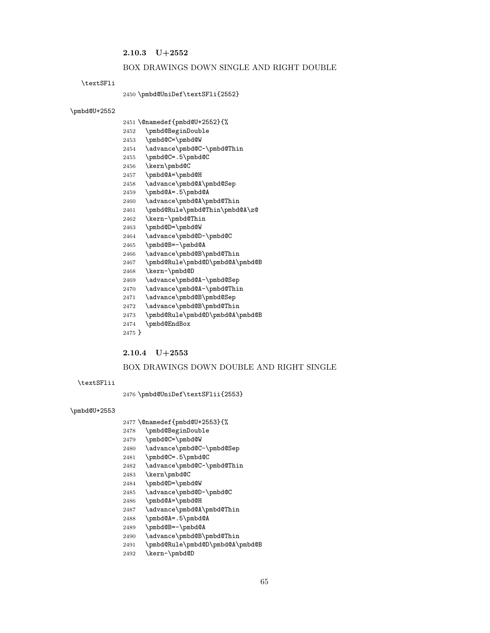## 2.10.3 U+2552

#### BOX DRAWINGS DOWN SINGLE AND RIGHT DOUBLE

#### \textSFli

\pmbd@UniDef\textSFli{2552}

#### \pmbd@U+2552

- \@namedef{pmbd@U+2552}{%
- \pmbd@BeginDouble
- \pmbd@C=\pmbd@W
- \advance\pmbd@C-\pmbd@Thin
- \pmbd@C=.5\pmbd@C
- \kern\pmbd@C
- \pmbd@A=\pmbd@H
- 2458 \advance\pmbd@A\pmbd@Sep
- \pmbd@A=.5\pmbd@A
- \advance\pmbd@A\pmbd@Thin
- \pmbd@Rule\pmbd@Thin\pmbd@A\z@
- \kern-\pmbd@Thin
- \pmbd@D=\pmbd@W
- \advance\pmbd@D-\pmbd@C
- \pmbd@B=-\pmbd@A
- 2466 \advance\pmbd@B\pmbd@Thin
- \pmbd@Rule\pmbd@D\pmbd@A\pmbd@B
- \kern-\pmbd@D
- \advance\pmbd@A-\pmbd@Sep
- \advance\pmbd@A-\pmbd@Thin
- \advance\pmbd@B\pmbd@Sep
- \advance\pmbd@B\pmbd@Thin
- \pmbd@Rule\pmbd@D\pmbd@A\pmbd@B
- \pmbd@EndBox
- }

### 2.10.4 U+2553

#### BOX DRAWINGS DOWN DOUBLE AND RIGHT SINGLE

#### \textSFlii

\pmbd@UniDef\textSFlii{2553}

#### \pmbd@U+2553

- \@namedef{pmbd@U+2553}{%
- \pmbd@BeginDouble
- \pmbd@C=\pmbd@W
- \advance\pmbd@C-\pmbd@Sep
- \pmbd@C=.5\pmbd@C
- 2482 \advance\pmbd@C-\pmbd@Thin
- \kern\pmbd@C
- \pmbd@D=\pmbd@W
- \advance\pmbd@D-\pmbd@C
- \pmbd@A=\pmbd@H
- \advance\pmbd@A\pmbd@Thin
- \pmbd@A=.5\pmbd@A
- \pmbd@B=-\pmbd@A
- \advance\pmbd@B\pmbd@Thin
- \pmbd@Rule\pmbd@D\pmbd@A\pmbd@B
- \kern-\pmbd@D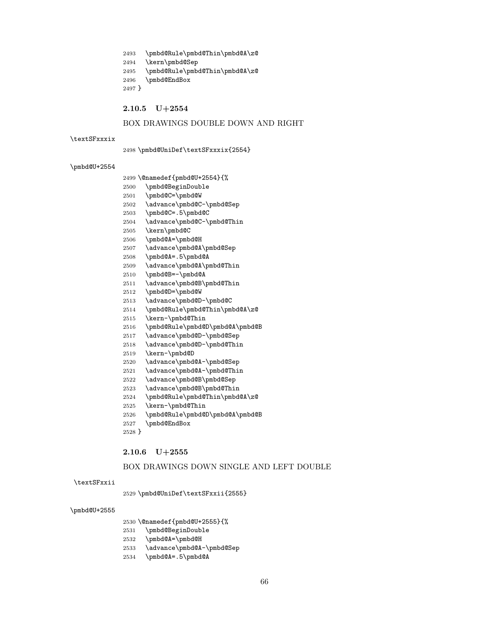- \pmbd@Rule\pmbd@Thin\pmbd@A\z@
- \kern\pmbd@Sep

\pmbd@EndBox

2.10.5 U+2554

}

\textSFxxxix

\pmbd@U+2554

- 
- 
- \pmbd@Rule\pmbd@Thin\pmbd@A\z@

\pmbd@UniDef\textSFxxxix{2554}

 \@namedef{pmbd@U+2554}{% \pmbd@BeginDouble \pmbd@C=\pmbd@W

\pmbd@C=.5\pmbd@C

\pmbd@B=-\pmbd@A

\pmbd@D=\pmbd@W

\kern-\pmbd@Thin

\kern-\pmbd@D

\kern-\pmbd@Thin

\pmbd@EndBox

2.10.6 U+2555

}

\textSFxxii

\pmbd@U+2555

 \kern\pmbd@C \pmbd@A=\pmbd@H

\advance\pmbd@C-\pmbd@Sep

\advance\pmbd@C-\pmbd@Thin

 \advance\pmbd@A\pmbd@Sep \pmbd@A=.5\pmbd@A

\advance\pmbd@A\pmbd@Thin

\advance\pmbd@B\pmbd@Thin

 \advance\pmbd@A-\pmbd@Sep \advance\pmbd@A-\pmbd@Thin \advance\pmbd@B\pmbd@Sep \advance\pmbd@B\pmbd@Thin \pmbd@Rule\pmbd@Thin\pmbd@A\z@

 \pmbd@Rule\pmbd@D\pmbd@A\pmbd@B \advance\pmbd@D-\pmbd@Sep \advance\pmbd@D-\pmbd@Thin

\pmbd@Rule\pmbd@D\pmbd@A\pmbd@B

\pmbd@UniDef\textSFxxii{2555}

 \@namedef{pmbd@U+2555}{% \pmbd@BeginDouble \pmbd@A=\pmbd@H

\pmbd@A=.5\pmbd@A

\advance\pmbd@A-\pmbd@Sep

BOX DRAWINGS DOWN SINGLE AND LEFT DOUBLE

 \advance\pmbd@D-\pmbd@C \pmbd@Rule\pmbd@Thin\pmbd@A\z@

- 
- 
- 
- 
- 
- 
- 
- 

BOX DRAWINGS DOUBLE DOWN AND RIGHT

- 
- 
- 
- 
-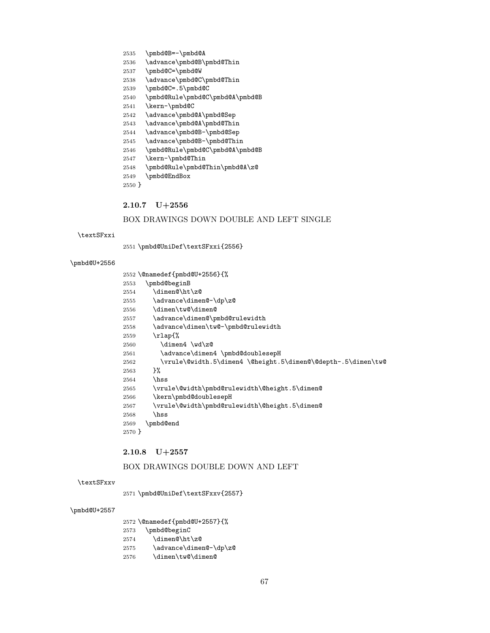### \dimen@\ht\z@ 2555 \advance\dimen@-\dp\z@ \dimen\tw@\dimen@ 2557 \advance\dimen@\pmbd@rulewidth \advance\dimen\tw@-\pmbd@rulewidth \rlap{% \dimen4 \wd\z@ 2561 \advance\dimen4 \pmbd@doublesepH \vrule\@width.5\dimen4 \@height.5\dimen@\@depth-.5\dimen\tw@ }% \hss \vrule\@width\pmbd@rulewidth\@height.5\dimen@ \kern\pmbd@doublesepH \vrule\@width\pmbd@rulewidth\@height.5\dimen@ \hss \pmbd@end }

# 2.10.8 U+2557

\pmbd@B=-\pmbd@A

\pmbd@C=\pmbd@W

\kern-\pmbd@C

\pmbd@C=.5\pmbd@C

\kern-\pmbd@Thin

\pmbd@EndBox

2.10.7 U+2556

\pmbd@beginB

}

\textSFxxi

\pmbd@U+2556

\advance\pmbd@B\pmbd@Thin

\advance\pmbd@C\pmbd@Thin

 \advance\pmbd@A\pmbd@Sep \advance\pmbd@A\pmbd@Thin \advance\pmbd@B-\pmbd@Sep \advance\pmbd@B-\pmbd@Thin \pmbd@Rule\pmbd@C\pmbd@A\pmbd@B

\pmbd@Rule\pmbd@C\pmbd@A\pmbd@B

\pmbd@Rule\pmbd@Thin\pmbd@A\z@

\pmbd@UniDef\textSFxxi{2556}

\@namedef{pmbd@U+2556}{%

BOX DRAWINGS DOWN DOUBLE AND LEFT SINGLE

# BOX DRAWINGS DOUBLE DOWN AND LEFT

# \textSFxxv

\pmbd@UniDef\textSFxxv{2557}

### \pmbd@U+2557

\@namedef{pmbd@U+2557}{%

- \pmbd@beginC
- 2574 \dimen@\ht\z@
- \advance\dimen@-\dp\z@
- \dimen\tw@\dimen@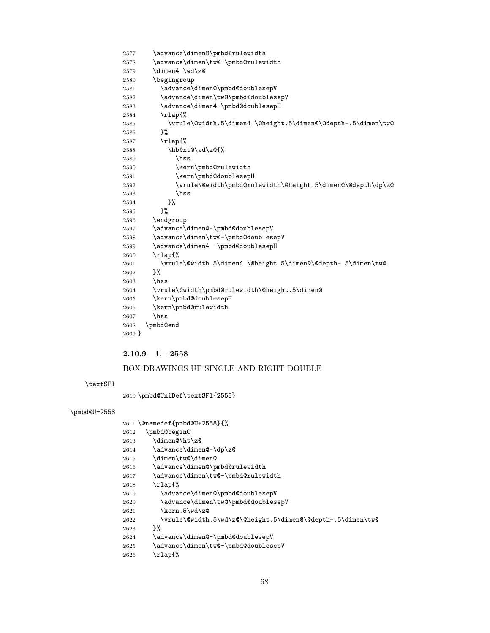```
2577 \advance\dimen@\pmbd@rulewidth
2578 \advance\dimen\tw@-\pmbd@rulewidth
2579 \dimen4 \wd\z@
2580 \begingroup
2581 \advance\dimen@\pmbd@doublesepV
2582 \advance\dimen\tw@\pmbd@doublesepV
2583 \advance\dimen4 \pmbd@doublesepH
2584 \rlap{%
2585 \vrule\@width.5\dimen4 \@height.5\dimen@\@depth-.5\dimen\tw@
2586 }%
2587 \rlap{%
2588 \hb@xt@\wd\z@{%
2589 \hss
2590 \kern\pmbd@rulewidth
2591 \kern\pmbd@doublesepH
2592 \vrule\@width\pmbd@rulewidth\@height.5\dimen@\@depth\dp\z@
2593 \hss
2594 }%
2595 }%
2596 \endgroup
2597 \advance\dimen@-\pmbd@doublesepV
2598 \advance\dimen\tw@-\pmbd@doublesepV
2599 \advance\dimen4 -\pmbd@doublesepH
2600 \rlap{%
2601 \vrule\@width.5\dimen4 \@height.5\dimen@\@depth-.5\dimen\tw@
2602 }%
2603 \hss
2604 \vrule\@width\pmbd@rulewidth\@height.5\dimen@
2605 \kern\pmbd@doublesepH
2606 \kern\pmbd@rulewidth
2607 \hss
2608 \pmbd@end
2609 }
```
### 2.10.9 U+2558

# BOX DRAWINGS UP SINGLE AND RIGHT DOUBLE

#### \textSFl

\pmbd@UniDef\textSFl{2558}

# \pmbd@U+2558

|      | 2611 \@namedef{pmbd@U+2558}{%                              |
|------|------------------------------------------------------------|
| 2612 | \pmbd@beginC                                               |
| 2613 | \dimen@\ht\z@                                              |
| 2614 | \advance\dimen@-\dp\z@                                     |
| 2615 | \dimen\tw@\dimen@                                          |
| 2616 | \advance\dimen@\pmbd@rulewidth                             |
| 2617 | \advance\dimen\tw@-\pmbd@rulewidth                         |
| 2618 | $\tau$ lap{%                                               |
| 2619 | \advance\dimen@\pmbd@doublesepV                            |
| 2620 | \advance\dimen\tw@\pmbd@doublesepV                         |
| 2621 | \kern.5\wd\z@                                              |
| 2622 | \vrule\@width.5\wd\z@\@height.5\dimen@\@depth-.5\dimen\tw@ |
| 2623 | ጉ%                                                         |
| 2624 | \advance\dimen@-\pmbd@doublesepV                           |
| 2625 | \advance\dimen\tw@-\pmbd@doublesepV                        |
| 2626 | \rlap{%                                                    |
|      |                                                            |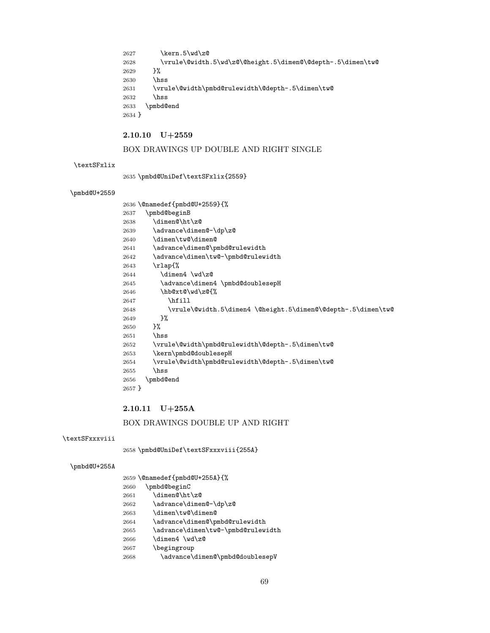```
2627 \kern.5\wd\z@
2628 \vrule\@width.5\wd\z@\@height.5\dimen@\@depth-.5\dimen\tw@<br>2629 }%
26292630 \hss
2631 \vrule\@width\pmbd@rulewidth\@depth-.5\dimen\tw@
2632 \hss
2633 \pmbd@end
2634 }
```
# $2.10.10 \quad \mathrm{U}{+}2559$

# BOX DRAWINGS UP DOUBLE AND RIGHT SINGLE

#### \textSFxlix

\pmbd@UniDef\textSFxlix{2559}

# \pmbd@U+2559

|        | 2636 \@namedef{pmbd@U+2559}{%                                |
|--------|--------------------------------------------------------------|
| 2637   | \pmbd@beginB                                                 |
| 2638   | \dimen@\ht\z@                                                |
| 2639   | \advance\dimen@-\dp\z@                                       |
| 2640   | \dimen\tw@\dimen@                                            |
| 2641   | \advance\dimen@\pmbd@rulewidth                               |
| 2642   | \advance\dimen\tw@-\pmbd@rulewidth                           |
| 2643   | $\tau$ lap{%                                                 |
| 2644   | \dimen4 \wd\z@                                               |
| 2645   | \advance\dimen4 \pmbd@doublesepH                             |
| 2646   | \hb@xt@\wd\z@{%                                              |
| 2647   | \hfill                                                       |
| 2648   | \vrule\@width.5\dimen4 \@height.5\dimen@\@depth-.5\dimen\tw@ |
| 2649   | }‰                                                           |
| 2650   | ጉ%                                                           |
| 2651   | \hss                                                         |
| 2652   | \vrule\@width\pmbd@rulewidth\@depth-.5\dimen\tw@             |
| 2653   | \kern\pmbd@doublesepH                                        |
| 2654   | \vrule\@width\pmbd@rulewidth\@depth-.5\dimen\tw@             |
| 2655   | \hss                                                         |
| 2656   | \pmbd@end                                                    |
| 2657 } |                                                              |
|        |                                                              |

# 2.10.11 U+255A

# BOX DRAWINGS DOUBLE UP AND RIGHT

#### \textSFxxxviii

\pmbd@UniDef\textSFxxxviii{255A}

#### \pmbd@U+255A

|      | 2659 \@namedef{pmbd@U+255A}{%      |
|------|------------------------------------|
| 2660 | \pmbd@beginC                       |
| 2661 | \dimen@\ht\z@                      |
| 2662 | \advance\dimen@-\dp\z@             |
| 2663 | \dimen\tw@\dimen@                  |
| 2664 | \advance\dimen@\pmbd@rulewidth     |
| 2665 | \advance\dimen\tw@-\pmbd@rulewidth |
| 2666 | \dimen4 \wd\z@                     |
| 2667 | \begingroup                        |
| 2668 | \advance\dimen@\pmbd@doublesepV    |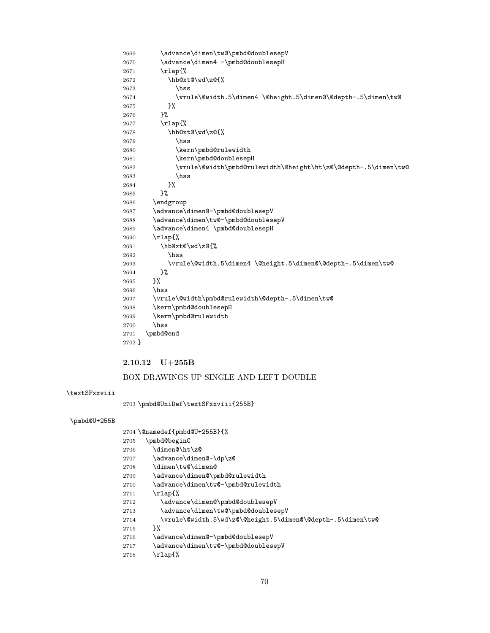### 2669 \advance\dimen\tw@\pmbd@doublesepV 2670 \advance\dimen4 -\pmbd@doublesepH \rlap{% \hb@xt@\wd\z@{% \hss \vrule\@width.5\dimen4 \@height.5\dimen@\@depth-.5\dimen\tw@ }% }% \rlap{% \hb@xt@\wd\z@{% \hss 2680 \kern\pmbd@rulewidth 2681 \kern\pmbd@doublesepH \vrule\@width\pmbd@rulewidth\@height\ht\z@\@depth-.5\dimen\tw@ \hss }%<br>2685 }%  $2685\,$  \endgroup 2687 \advance\dimen@-\pmbd@doublesepV 2688 \advance\dimen\tw@-\pmbd@doublesepV 2689 \advance\dimen4 \pmbd@doublesepH \rlap{% \hb@xt@\wd\z@{% \hss \vrule\@width.5\dimen4 \@height.5\dimen@\@depth-.5\dimen\tw@ }%<br>2695 }%  $\,2695$  \hss \vrule\@width\pmbd@rulewidth\@depth-.5\dimen\tw@ \kern\pmbd@doublesepH \kern\pmbd@rulewidth \hss \pmbd@end }

#### 2.10.12 U+255B

#### BOX DRAWINGS UP SINGLE AND LEFT DOUBLE

#### \textSFxxviii

\pmbd@UniDef\textSFxxviii{255B}

#### \pmbd@U+255B

|      | 2704 \@namedef{pmbd@U+255B}{%                              |
|------|------------------------------------------------------------|
| 2705 | \pmbd@beginC                                               |
| 2706 | \dimen@\ht\z@                                              |
| 2707 | \advance\dimen@-\dp\z@                                     |
| 2708 | \dimen\tw@\dimen@                                          |
| 2709 | \advance\dimen@\pmbd@rulewidth                             |
| 2710 | \advance\dimen\tw@-\pmbd@rulewidth                         |
| 2711 | \rlap{%                                                    |
| 2712 | \advance\dimen@\pmbd@doublesepV                            |
| 2713 | \advance\dimen\tw@\pmbd@doublesepV                         |
| 2714 | \vrule\@width.5\wd\z@\@height.5\dimen@\@depth-.5\dimen\tw@ |
| 2715 | ጉ%                                                         |
| 2716 | \advance\dimen@-\pmbd@doublesepV                           |
| 2717 | \advance\dimen\tw@-\pmbd@doublesepV                        |
| 2718 | \rlap{%                                                    |
|      |                                                            |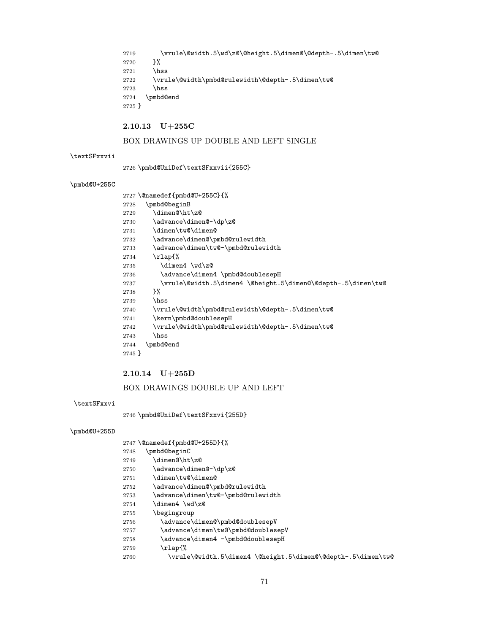2719 \vrule\@width.5\wd\z@\@height.5\dimen@\@depth-.5\dimen\tw@ }% \hss \vrule\@width\pmbd@rulewidth\@depth-.5\dimen\tw@ \hss \pmbd@end }

### 2.10.13 U+255C

## BOX DRAWINGS UP DOUBLE AND LEFT SINGLE

#### \textSFxxvii

\pmbd@UniDef\textSFxxvii{255C}

#### \pmbd@U+255C

 \@namedef{pmbd@U+255C}{% \pmbd@beginB \dimen@\ht\z@ 2730 \advance\dimen@-\dp\z@ \dimen\tw@\dimen@ 2732 \advance\dimen@\pmbd@rulewidth 2733 \advance\dimen\tw@-\pmbd@rulewidth \rlap{% \dimen4 \wd\z@ 2736 \advance\dimen4 \pmbd@doublesepH \vrule\@width.5\dimen4 \@height.5\dimen@\@depth-.5\dimen\tw@ }% \hss \vrule\@width\pmbd@rulewidth\@depth-.5\dimen\tw@ 2741 \kern\pmbd@doublesepH 2742 \vrule\@width\pmbd@rulewidth\@depth-.5\dimen\tw@ \hss \pmbd@end }

### 2.10.14 U+255D

#### BOX DRAWINGS DOUBLE UP AND LEFT

#### \textSFxxvi

\pmbd@UniDef\textSFxxvi{255D}

#### \pmbd@U+255D

- \@namedef{pmbd@U+255D}{%
- \pmbd@beginC
- \dimen@\ht\z@
- 2750 \advance\dimen@-\dp\z@
- \dimen\tw@\dimen@
- 2752 \advance\dimen@\pmbd@rulewidth
- 2753 \advance\dimen\tw@-\pmbd@rulewidth
- \dimen4 \wd\z@
- \begingroup
- \advance\dimen@\pmbd@doublesepV
- 2757 \advance\dimen\tw@\pmbd@doublesepV
- 2758 \advance\dimen4 -\pmbd@doublesepH
- \rlap{%
- \vrule\@width.5\dimen4 \@height.5\dimen@\@depth-.5\dimen\tw@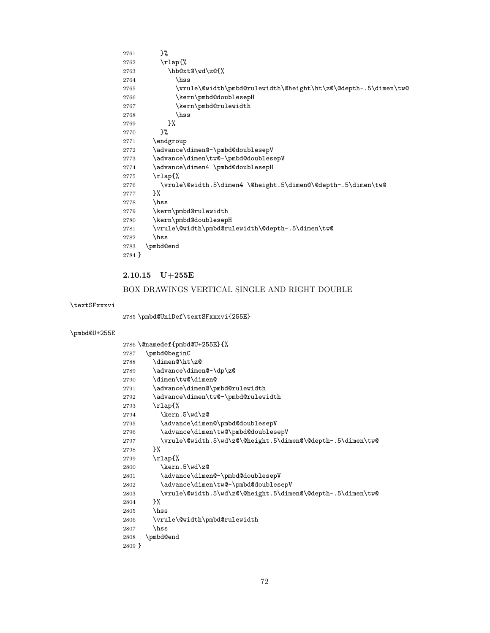| 2761   | }%                                                             |
|--------|----------------------------------------------------------------|
| 2762   | $\tau$ lap{%                                                   |
| 2763   | \hb@xt@\wd\z@{%                                                |
| 2764   | \hss                                                           |
| 2765   | \vrule\@width\pmbd@rulewidth\@height\ht\z@\@depth-.5\dimen\tw@ |
| 2766   | \kern\pmbd@doublesepH                                          |
| 2767   | \kern\pmbd@rulewidth                                           |
| 2768   | \hss                                                           |
| 2769   | }‰                                                             |
| 2770   | }‰                                                             |
| 2771   | \endgroup                                                      |
| 2772   | \advance\dimen@-\pmbd@doublesepV                               |
| 2773   | \advance\dimen\tw@-\pmbd@doublesepV                            |
| 2774   | \advance\dimen4 \pmbd@doublesepH                               |
| 2775   | $\tau$ lap{%                                                   |
| 2776   | \vrule\@width.5\dimen4 \@height.5\dimen@\@depth-.5\dimen\tw@   |
| 2777   | }‰                                                             |
| 2778   | hss                                                            |
| 2779   | \kern\pmbd@rulewidth                                           |
| 2780   | \kern\pmbd@doublesepH                                          |
| 2781   | \vrule\@width\pmbd@rulewidth\@depth-.5\dimen\tw@               |
| 2782   | hss                                                            |
| 2783   | \pmbd@end                                                      |
| 2784 } |                                                                |

# 2.10.15 U+255E

# BOX DRAWINGS VERTICAL SINGLE AND RIGHT DOUBLE

# \textSFxxxvi

\pmbd@UniDef\textSFxxxvi{255E}

# \pmbd@U+255E

|          | 2786 \@namedef{pmbd@U+255E}{%                              |
|----------|------------------------------------------------------------|
| 2787     | \pmbd@beginC                                               |
| 2788     | \dimen@\ht\z@                                              |
| 2789     | \advance\dimen@-\dp\z@                                     |
| 2790     | \dimen\tw@\dimen@                                          |
| 2791     | \advance\dimen@\pmbd@rulewidth                             |
| 2792     | \advance\dimen\tw@-\pmbd@rulewidth                         |
| 2793     | \rlap{%                                                    |
| 2794     | \kern.5\wd\z@                                              |
| 2795     | \advance\dimen@\pmbd@doublesepV                            |
| 2796     | \advance\dimen\tw@\pmbd@doublesepV                         |
| 2797     | \vrule\@width.5\wd\z@\@height.5\dimen@\@depth-.5\dimen\tw@ |
| 2798     | }‰                                                         |
| 2799     | \rlap{%                                                    |
| 2800     | \kern.5\wd\z@                                              |
| 2801     | \advance\dimen@-\pmbd@doublesepV                           |
| 2802     | \advance\dimen\tw@-\pmbd@doublesepV                        |
| 2803     | \vrule\@width.5\wd\z@\@height.5\dimen@\@depth-.5\dimen\tw@ |
| 2804     | }‰                                                         |
| 2805     | \hss                                                       |
| 2806     | \vrule\@width\pmbd@rulewidth                               |
| 2807     | \hss                                                       |
| 2808     | \pmbd@end                                                  |
| $2809$ } |                                                            |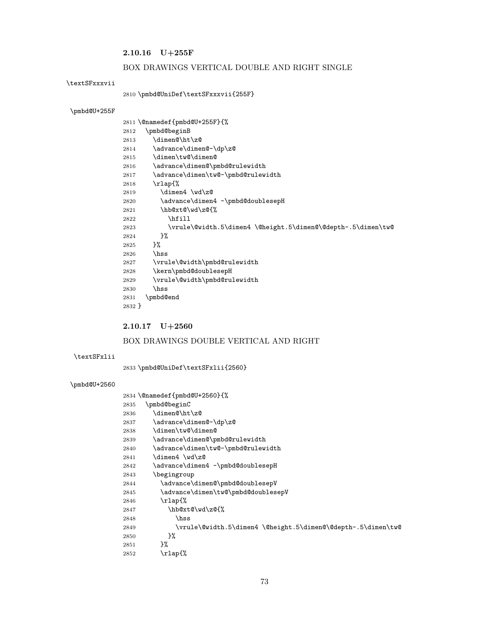# $\textbf{2.10.16}\quad \textbf{U+255F}$

## BOX DRAWINGS VERTICAL DOUBLE AND RIGHT SINGLE

#### <span id="page-72-24"></span>\textSFxxxvii

## <span id="page-72-21"></span>\pmbd@UniDef\textSFxxxvii{255F}

## <span id="page-72-19"></span>\pmbd@U+255F

<span id="page-72-14"></span><span id="page-72-13"></span><span id="page-72-7"></span><span id="page-72-5"></span><span id="page-72-4"></span><span id="page-72-2"></span><span id="page-72-0"></span>

|        | 2811 \@namedef{pmbd@U+255F}{%                                |
|--------|--------------------------------------------------------------|
| 2812   | \pmbd@beginB                                                 |
| 2813   | \dimen@\ht\z@                                                |
| 2814   | \advance\dimen@-\dp\z@                                       |
| 2815   | \dimen\tw@\dimen@                                            |
| 2816   | \advance\dimen@\pmbd@rulewidth                               |
| 2817   | \advance\dimen\tw@-\pmbd@rulewidth                           |
| 2818   | $\tau$ lap{%                                                 |
| 2819   | \dimen4 \wd\z@                                               |
| 2820   | \advance\dimen4 -\pmbd@doublesepH                            |
| 2821   | \hb@xt@\wd\z@{%                                              |
| 2822   | \hfill                                                       |
| 2823   | \vrule\@width.5\dimen4 \@height.5\dimen@\@depth-.5\dimen\tw@ |
| 2824   | }%                                                           |
| 2825   | }‰                                                           |
| 2826   | \hss                                                         |
| 2827   | \vrule\@width\pmbd@rulewidth                                 |
| 2828   | \kern\pmbd@doublesepH                                        |
| 2829   | \vrule\@width\pmbd@rulewidth                                 |
| 2830   | \hss                                                         |
| 2831   | \pmbd@end                                                    |
| 2832 } |                                                              |

# <span id="page-72-16"></span><span id="page-72-15"></span><span id="page-72-12"></span><span id="page-72-8"></span>2.10.17 U+2560

## BOX DRAWINGS DOUBLE VERTICAL AND RIGHT

### <span id="page-72-23"></span><span id="page-72-20"></span>\textSFxlii

<span id="page-72-22"></span>\pmbd@UniDef\textSFxlii{2560}

<span id="page-72-18"></span><span id="page-72-17"></span><span id="page-72-11"></span><span id="page-72-10"></span><span id="page-72-9"></span><span id="page-72-6"></span><span id="page-72-3"></span><span id="page-72-1"></span>

|      | 2834 \@namedef{pmbd@U+2560}{%                                |
|------|--------------------------------------------------------------|
| 2835 | \pmbd@beginC                                                 |
| 2836 | \dimen@\ht\z@                                                |
| 2837 | \advance\dimen@-\dp\z@                                       |
| 2838 | \dimen\tw@\dimen@                                            |
| 2839 | \advance\dimen@\pmbd@rulewidth                               |
| 2840 | \advance\dimen\tw@-\pmbd@rulewidth                           |
| 2841 | \dimen4 \wd\z@                                               |
| 2842 | \advance\dimen4 -\pmbd@doublesepH                            |
| 2843 | \begingroup                                                  |
| 2844 | \advance\dimen@\pmbd@doublesepV                              |
| 2845 | \advance\dimen\tw@\pmbd@doublesepV                           |
| 2846 | $\tau$ lap{%                                                 |
| 2847 | \hb@xt@\wd\z@{%                                              |
| 2848 | \hss                                                         |
| 2849 | \vrule\@width.5\dimen4 \@height.5\dimen@\@depth-.5\dimen\tw@ |
| 2850 | }‰                                                           |
| 2851 | }‰                                                           |
| 2852 | \rlap{%                                                      |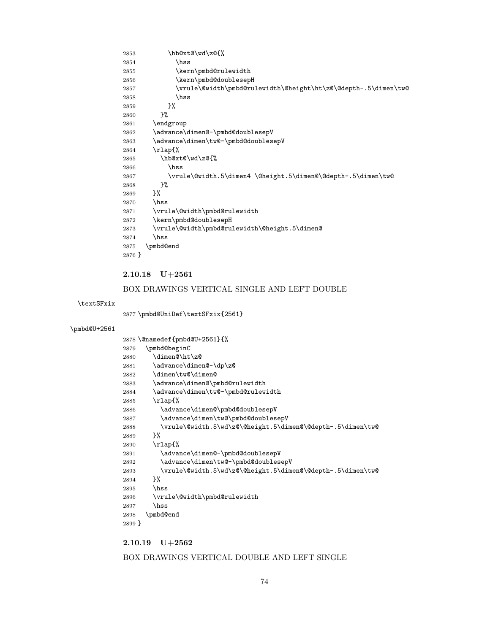<span id="page-73-15"></span><span id="page-73-14"></span><span id="page-73-7"></span><span id="page-73-6"></span><span id="page-73-4"></span><span id="page-73-2"></span><span id="page-73-1"></span>

| 2853     | \hb@xt@\wd\z@{%                                                |
|----------|----------------------------------------------------------------|
| 2854     | hss                                                            |
| 2855     | \kern\pmbd@rulewidth                                           |
| 2856     | \kern\pmbd@doublesepH                                          |
| 2857     | \vrule\@width\pmbd@rulewidth\@height\ht\z@\@depth-.5\dimen\tw@ |
| 2858     | \hss                                                           |
| 2859     | }%                                                             |
| 2860     | }‰                                                             |
| 2861     | \endgroup                                                      |
| 2862     | \advance\dimen@-\pmbd@doublesepV                               |
| 2863     | \advance\dimen\tw@-\pmbd@doublesepV                            |
| 2864     | \rlap{%                                                        |
| 2865     | \hb@xt@\wd\z@{%                                                |
| 2866     | \hss                                                           |
| 2867     | \vrule\@width.5\dimen4 \@height.5\dimen@\@depth-.5\dimen\tw@   |
| 2868     | }‰                                                             |
| 2869     | }‰                                                             |
| 2870     | hss                                                            |
| 2871     | \vrule\@width\pmbd@rulewidth                                   |
| 2872     | \kern\pmbd@doublesepH                                          |
| 2873     | \vrule\@width\pmbd@rulewidth\@height.5\dimen@                  |
| 2874     | \hss                                                           |
| 2875     | \pmbd@end                                                      |
| $2876$ } |                                                                |
|          |                                                                |

# <span id="page-73-17"></span><span id="page-73-16"></span><span id="page-73-12"></span><span id="page-73-5"></span>2.10.18 U+2561

## BOX DRAWINGS VERTICAL SINGLE AND LEFT DOUBLE

## <span id="page-73-23"></span>\textSFxix

<span id="page-73-22"></span>\pmbd@UniDef\textSFxix{2561}

# <span id="page-73-21"></span>\pmbd@U+2561

<span id="page-73-19"></span><span id="page-73-18"></span><span id="page-73-9"></span><span id="page-73-8"></span><span id="page-73-3"></span><span id="page-73-0"></span>

|        | 2878 \@namedef{pmbd@U+2561}{%                              |
|--------|------------------------------------------------------------|
| 2879   | \pmbd@beginC                                               |
| 2880   | \dimen@\ht\z@                                              |
| 2881   | \advance\dimen@-\dp\z@                                     |
| 2882   | \dimen\tw@\dimen@                                          |
| 2883   | \advance\dimen@\pmbd@rulewidth                             |
| 2884   | \advance\dimen\tw@-\pmbd@rulewidth                         |
| 2885   | \rlap{%                                                    |
| 2886   | \advance\dimen@\pmbd@doublesepV                            |
| 2887   | \advance\dimen\tw@\pmbd@doublesepV                         |
| 2888   | \vrule\@width.5\wd\z@\@height.5\dimen@\@depth-.5\dimen\tw@ |
| 2889   | }‰                                                         |
| 2890   | $\tau$ lap{%                                               |
| 2891   | \advance\dimen@-\pmbd@doublesepV                           |
| 2892   | \advance\dimen\tw@-\pmbd@doublesepV                        |
| 2893   | \vrule\@width.5\wd\z@\@height.5\dimen@\@depth-.5\dimen\tw@ |
| 2894   | }‰                                                         |
| 2895   | \hss                                                       |
| 2896   | \vrule\@width\pmbd@rulewidth                               |
| 2897   | \hss                                                       |
| 2898   | \pmbd@end                                                  |
| 2899 } |                                                            |

# <span id="page-73-20"></span><span id="page-73-13"></span><span id="page-73-11"></span><span id="page-73-10"></span>2.10.19 U+2562

## BOX DRAWINGS VERTICAL DOUBLE AND LEFT SINGLE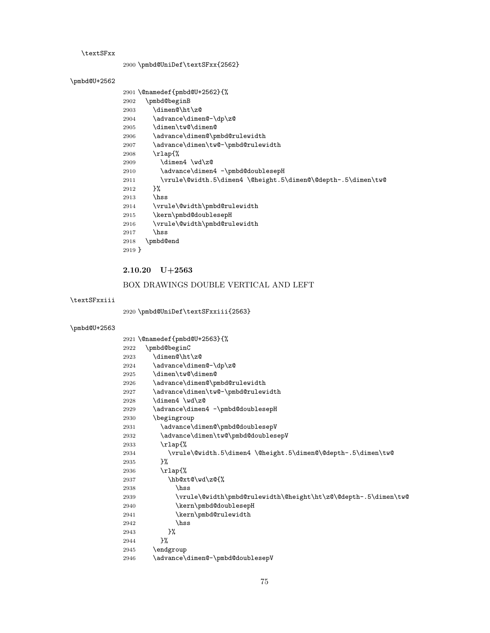#### <span id="page-74-25"></span>\textSFxx

<span id="page-74-23"></span>\pmbd@UniDef\textSFxx{2562}

# <span id="page-74-21"></span>\pmbd@U+2562

<span id="page-74-14"></span><span id="page-74-13"></span><span id="page-74-5"></span><span id="page-74-3"></span><span id="page-74-0"></span>

|        | 2901 \@namedef{pmbd@U+2562}{%                                |
|--------|--------------------------------------------------------------|
| 2902   | \pmbd@beginB                                                 |
| 2903   | \dimen@\ht\z@                                                |
| 2904   | \advance\dimen@-\dp\z@                                       |
| 2905   | \dimen\tw@\dimen@                                            |
| 2906   | \advance\dimen@\pmbd@rulewidth                               |
| 2907   | \advance\dimen\tw@-\pmbd@rulewidth                           |
| 2908   | $\tau$ lap{%                                                 |
| 2909   | \dimen4 \wd\z@                                               |
| 2910   | \advance\dimen4 -\pmbd@doublesepH                            |
| 2911   | \vrule\@width.5\dimen4 \@height.5\dimen@\@depth-.5\dimen\tw@ |
| 2912   | }‰                                                           |
| 2913   | \hss                                                         |
| 2914   | \vrule\@width\pmbd@rulewidth                                 |
| 2915   | \kern\pmbd@doublesepH                                        |
| 2916   | \vrule\@width\pmbd@rulewidth                                 |
| 2917   | \hss                                                         |
| 2918   | \pmbd@end                                                    |
| 2919 } |                                                              |
|        |                                                              |

# <span id="page-74-16"></span><span id="page-74-15"></span><span id="page-74-12"></span><span id="page-74-6"></span>2.10.20 U+2563

# BOX DRAWINGS DOUBLE VERTICAL AND LEFT

#### <span id="page-74-26"></span><span id="page-74-22"></span>\textSFxxiii

<span id="page-74-24"></span>\pmbd@UniDef\textSFxxiii{2563}

<span id="page-74-20"></span><span id="page-74-19"></span><span id="page-74-18"></span><span id="page-74-17"></span><span id="page-74-11"></span><span id="page-74-10"></span><span id="page-74-9"></span><span id="page-74-8"></span><span id="page-74-7"></span><span id="page-74-4"></span><span id="page-74-2"></span><span id="page-74-1"></span>

|      | 2921 \@namedef{pmbd@U+2563}{%                                  |
|------|----------------------------------------------------------------|
| 2922 | \pmbd@beginC                                                   |
| 2923 | \dimen@\ht\z@                                                  |
| 2924 | \advance\dimen@-\dp\z@                                         |
| 2925 | \dimen\tw@\dimen@                                              |
| 2926 | \advance\dimen@\pmbd@rulewidth                                 |
| 2927 | \advance\dimen\tw@-\pmbd@rulewidth                             |
| 2928 | \dimen4 \wd\z@                                                 |
| 2929 | \advance\dimen4 -\pmbd@doublesepH                              |
| 2930 | \begingroup                                                    |
| 2931 | \advance\dimen@\pmbd@doublesepV                                |
| 2932 | \advance\dimen\tw@\pmbd@doublesepV                             |
| 2933 | $\tau$ lap{%                                                   |
| 2934 | \vrule\@width.5\dimen4 \@height.5\dimen@\@depth-.5\dimen\tw@   |
| 2935 | ጉ%                                                             |
| 2936 | \rlap{%                                                        |
| 2937 | \hb@xt@\wd\z@{%                                                |
| 2938 | hss                                                            |
| 2939 | \vrule\@width\pmbd@rulewidth\@height\ht\z@\@depth-.5\dimen\tw@ |
| 2940 | \kern\pmbd@doublesepH                                          |
| 2941 | \kern\pmbd@rulewidth                                           |
| 2942 | \hss                                                           |
| 2943 | }%                                                             |
| 2944 | }%                                                             |
| 2945 | \endgroup                                                      |
| 2946 | \advance\dimen@-\pmbd@doublesepV                               |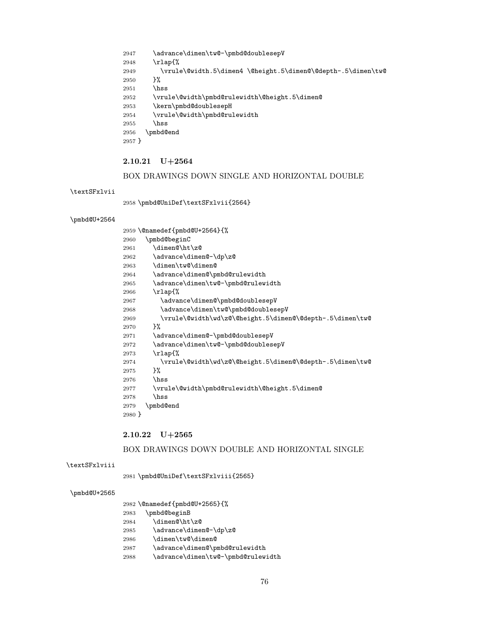<span id="page-75-12"></span><span id="page-75-5"></span><span id="page-75-4"></span> \advance\dimen\tw@-\pmbd@doublesepV \rlap{% 2949 \vrule\@width.5\dimen4 \@height.5\dimen@\@depth-.5\dimen\tw@<br>2950 }%  $2950\,$  \hss \vrule\@width\pmbd@rulewidth\@height.5\dimen@ \kern\pmbd@doublesepH \vrule\@width\pmbd@rulewidth \hss \pmbd@end }

### <span id="page-75-13"></span><span id="page-75-10"></span>2.10.21 U+2564

# BOX DRAWINGS DOWN SINGLE AND HORIZONTAL DOUBLE

#### <span id="page-75-23"></span>\textSFxlvii

<span id="page-75-21"></span>\pmbd@UniDef\textSFxlvii{2564}

#### <span id="page-75-19"></span>\pmbd@U+2564

<span id="page-75-15"></span><span id="page-75-14"></span><span id="page-75-7"></span><span id="page-75-6"></span><span id="page-75-3"></span><span id="page-75-0"></span>

|        | 2959 \@namedef{pmbd@U+2564}{%                            |
|--------|----------------------------------------------------------|
| 2960   | \pmbd@beginC                                             |
| 2961   | \dimen@\ht\z@                                            |
| 2962   | \advance\dimen@-\dp\z@                                   |
| 2963   | \dimen\tw@\dimen@                                        |
| 2964   | \advance\dimen@\pmbd@rulewidth                           |
| 2965   | \advance\dimen\tw@-\pmbd@rulewidth                       |
| 2966   | \rlap{%                                                  |
| 2967   | \advance\dimen@\pmbd@doublesepV                          |
| 2968   | \advance\dimen\tw@\pmbd@doublesepV                       |
| 2969   | \vrule\@width\wd\z@\@height.5\dimen@\@depth-.5\dimen\tw@ |
| 2970   | ጉ%                                                       |
| 2971   | \advance\dimen@-\pmbd@doublesepV                         |
| 2972   | \advance\dimen\tw@-\pmbd@doublesepV                      |
| 2973   | \rlap{%                                                  |
| 2974   | \vrule\@width\wd\z@\@height.5\dimen@\@depth-.5\dimen\tw@ |
| 2975   | }‰                                                       |
| 2976   | \hss                                                     |
| 2977   | \vrule\@width\pmbd@rulewidth\@height.5\dimen@            |
| 2978   | \hss                                                     |
| 2979   | \pmbd@end                                                |
| 2980 } |                                                          |
|        |                                                          |

#### <span id="page-75-16"></span><span id="page-75-11"></span><span id="page-75-9"></span><span id="page-75-8"></span> $2.10.22 \quad \mathrm{U}+2565$

#### BOX DRAWINGS DOWN DOUBLE AND HORIZONTAL SINGLE

#### <span id="page-75-24"></span><span id="page-75-20"></span>\textSFxlviii

<span id="page-75-22"></span>\pmbd@UniDef\textSFxlviii{2565}

<span id="page-75-1"></span>

|  |  | 2982 \@namedef{pmbd@U+2565}{% |  |
|--|--|-------------------------------|--|
|--|--|-------------------------------|--|

- <span id="page-75-2"></span>\pmbd@beginB
- 2984  $\dimen@\ht\zeta$
- \advance\dimen@-\dp\z@
- \dimen\tw@\dimen@
- <span id="page-75-17"></span>\advance\dimen@\pmbd@rulewidth
- <span id="page-75-18"></span>\advance\dimen\tw@-\pmbd@rulewidth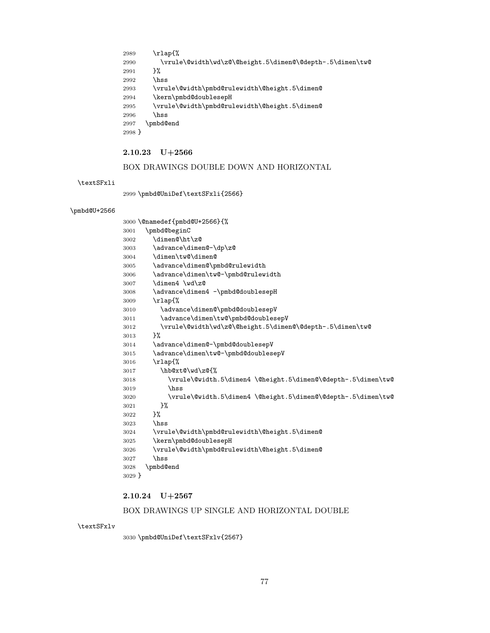```
2989 \rlap{%
2990 \vrule\@width\wd\z@\@height.5\dimen@\@depth-.5\dimen\tw@<br>2991 }%
29912992 \hss
2993 \vrule\@width\pmbd@rulewidth\@height.5\dimen@
2994 \kern\pmbd@doublesepH
2995 \vrule\@width\pmbd@rulewidth\@height.5\dimen@
2996 \hss
2997 \pmbd@end
2998 }
```
## <span id="page-76-13"></span><span id="page-76-10"></span>2.10.23 U+2566

## BOX DRAWINGS DOUBLE DOWN AND HORIZONTAL

<span id="page-76-21"></span>\textSFxli

<span id="page-76-19"></span>\pmbd@UniDef\textSFxli{2566}

#### <span id="page-76-18"></span>\pmbd@U+2566

<span id="page-76-15"></span><span id="page-76-14"></span><span id="page-76-9"></span><span id="page-76-8"></span><span id="page-76-7"></span><span id="page-76-6"></span><span id="page-76-4"></span><span id="page-76-2"></span><span id="page-76-0"></span>

| 3000 \@namedef{pmbd@U+2566}{%                                |
|--------------------------------------------------------------|
| \pmbd@beginC                                                 |
| \dimen@\ht\z@                                                |
| \advance\dimen@-\dp\z@                                       |
| \dimen\tw@\dimen@                                            |
| \advance\dimen@\pmbd@rulewidth                               |
| \advance\dimen\tw@-\pmbd@rulewidth                           |
| \dimen4 \wd\z@                                               |
| \advance\dimen4 -\pmbd@doublesepH                            |
| $\tau$ lap{%                                                 |
| \advance\dimen@\pmbd@doublesepV                              |
| \advance\dimen\tw@\pmbd@doublesepV                           |
| \vrule\@width\wd\z@\@height.5\dimen@\@depth-.5\dimen\tw@     |
| ን%                                                           |
| \advance\dimen@-\pmbd@doublesepV                             |
| \advance\dimen\tw@-\pmbd@doublesepV                          |
| \rlap{%                                                      |
| \hb@xt@\wd\z@{%                                              |
| \vrule\@width.5\dimen4 \@height.5\dimen@\@depth-.5\dimen\tw@ |
| hss                                                          |
| \vrule\@width.5\dimen4 \@height.5\dimen@\@depth-.5\dimen\tw@ |
| }%                                                           |
| }‰                                                           |
| \hss                                                         |
| \vrule\@width\pmbd@rulewidth\@height.5\dimen@                |
| \kern\pmbd@doublesepH                                        |
| \vrule\@width\pmbd@rulewidth\@height.5\dimen@                |
| \hss                                                         |
| \pmbd@end                                                    |
| $3029$ }                                                     |
|                                                              |

## <span id="page-76-17"></span><span id="page-76-16"></span><span id="page-76-11"></span><span id="page-76-5"></span><span id="page-76-1"></span>2.10.24 U+2567

#### BOX DRAWINGS UP SINGLE AND HORIZONTAL DOUBLE

#### <span id="page-76-22"></span>\textSFxlv

<span id="page-76-20"></span>\pmbd@UniDef\textSFxlv{2567}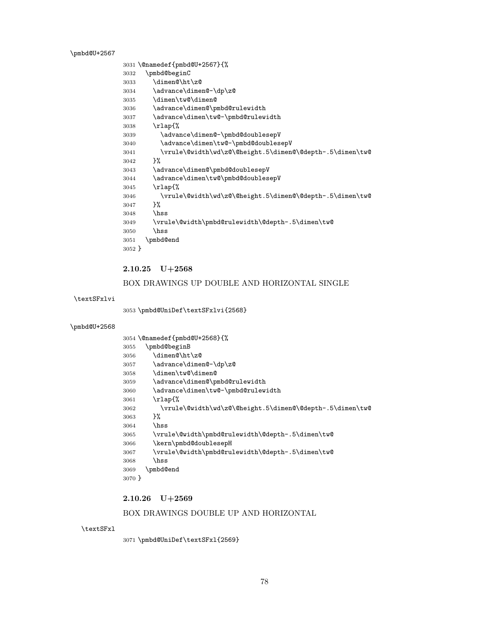<span id="page-77-18"></span>\pmbd@U+2567

<span id="page-77-12"></span><span id="page-77-11"></span><span id="page-77-6"></span><span id="page-77-5"></span><span id="page-77-3"></span><span id="page-77-0"></span>

|          | 3031 \@namedef{pmbd@U+2567}{%                            |
|----------|----------------------------------------------------------|
| 3032     | \pmbd@beginC                                             |
| 3033     | \dimen@\ht\z@                                            |
| 3034     | \advance\dimen@-\dp\z@                                   |
| 3035     | \dimen\tw@\dimen@                                        |
| 3036     | \advance\dimen@\pmbd@rulewidth                           |
| 3037     | \advance\dimen\tw@-\pmbd@rulewidth                       |
| 3038     | $\tau$ lap{%                                             |
| 3039     | \advance\dimen@-\pmbd@doublesepV                         |
| 3040     | \advance\dimen\tw@-\pmbd@doublesepV                      |
| 3041     | \vrule\@width\wd\z@\@height.5\dimen@\@depth-.5\dimen\tw@ |
| 3042     | ጉ%                                                       |
| 3043     | \advance\dimen@\pmbd@doublesepV                          |
| 3044     | \advance\dimen\tw@\pmbd@doublesepV                       |
| 3045     | $\tau$ lap $\%$                                          |
| 3046     | \vrule\@width\wd\z@\@height.5\dimen@\@depth-.5\dimen\tw@ |
| 3047     | ጉ%                                                       |
| 3048     | hss                                                      |
| 3049     | \vrule\@width\pmbd@rulewidth\@depth-.5\dimen\tw@         |
| 3050     | \hss                                                     |
| 3051     | \pmbd@end                                                |
| $3052$ } |                                                          |

# <span id="page-77-13"></span><span id="page-77-9"></span><span id="page-77-8"></span><span id="page-77-7"></span> $2.10.25 \quad \mathrm{U}+2568$

## BOX DRAWINGS UP DOUBLE AND HORIZONTAL SINGLE

## <span id="page-77-23"></span>\textSFxlvi

<span id="page-77-20"></span>\pmbd@UniDef\textSFxlvi{2568}

#### <span id="page-77-19"></span>\pmbd@U+2568

<span id="page-77-15"></span><span id="page-77-14"></span><span id="page-77-2"></span><span id="page-77-1"></span>

|        | 3054 \@namedef{pmbd@U+2568}{%                            |
|--------|----------------------------------------------------------|
| 3055   | \pmbd@beginB                                             |
| 3056   | \dimen@\ht\z@                                            |
| 3057   | \advance\dimen@-\dp\z@                                   |
| 3058   | \dimen\tw@\dimen@                                        |
| 3059   | \advance\dimen@\pmbd@rulewidth                           |
| 3060   | \advance\dimen\tw@-\pmbd@rulewidth                       |
| 3061   | $\tau$ lap{%                                             |
| 3062   | \vrule\@width\wd\z@\@height.5\dimen@\@depth-.5\dimen\tw@ |
| 3063   | ን%                                                       |
| 3064   | \hss                                                     |
| 3065   | \vrule\@width\pmbd@rulewidth\@depth-.5\dimen\tw@         |
| 3066   | \kern\pmbd@doublesepH                                    |
| 3067   | \vrule\@width\pmbd@rulewidth\@depth-.5\dimen\tw@         |
| 3068   | \hss                                                     |
| 3069   | \pmbd@end                                                |
| 3070 } |                                                          |
|        |                                                          |

# <span id="page-77-17"></span><span id="page-77-16"></span><span id="page-77-10"></span><span id="page-77-4"></span> $2.10.26 \quad \mathrm{U}{+}2569$

## BOX DRAWINGS DOUBLE UP AND HORIZONTAL

<span id="page-77-22"></span>\textSFxl

<span id="page-77-21"></span>\pmbd@UniDef\textSFxl{2569}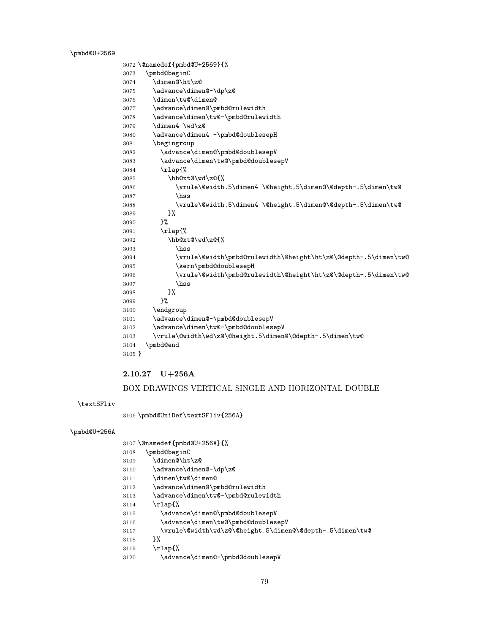<span id="page-78-22"></span>\pmbd@U+2569

```
3072 \@namedef{pmbd@U+2569}{%
3073 \pmbd@beginC
3074 \dimen@\ht\z@
3075 \advance\dimen@-\dp\z@
3076 \dimen\tw@\dimen@
3077 \advance\dimen@\pmbd@rulewidth
3078 \advance\dimen\tw@-\pmbd@rulewidth
3079 \dimen4 \wd\z@
3080 \advance\dimen4 -\pmbd@doublesepH
3081 \begingroup
3082 \advance\dimen@\pmbd@doublesepV
3083 \advance\dimen\tw@\pmbd@doublesepV
3084 \rlap{%
3085 \hb@xt@\wd\z@{%
3086 \vrule\@width.5\dimen4 \@height.5\dimen@\@depth-.5\dimen\tw@
3087 \hss
3088 \vrule\@width.5\dimen4 \@height.5\dimen@\@depth-.5\dimen\tw@
3089 }%
3090 }%
3091 \rlap{%
3092 \hb@xt@\wd\z@{%
3093 \hss
3094 \vrule\@width\pmbd@rulewidth\@height\ht\z@\@depth-.5\dimen\tw@
3095 \kern\pmbd@doublesepH
3096 \vrule\@width\pmbd@rulewidth\@height\ht\z@\@depth-.5\dimen\tw@
3097 \hss
3098 }%
3099 }%
3100 \endgroup
3101 \advance\dimen@-\pmbd@doublesepV
3102 \advance\dimen\tw@-\pmbd@doublesepV
3103 \vrule\@width\wd\z@\@height.5\dimen@\@depth-.5\dimen\tw@
3104 \pmbd@end
3105 }
```
## <span id="page-78-19"></span><span id="page-78-18"></span><span id="page-78-15"></span><span id="page-78-11"></span><span id="page-78-10"></span><span id="page-78-7"></span><span id="page-78-3"></span>2.10.27 U+256A

### BOX DRAWINGS VERTICAL SINGLE AND HORIZONTAL DOUBLE

<span id="page-78-25"></span>\textSFliv

<span id="page-78-24"></span>\pmbd@UniDef\textSFliv{256A}

#### <span id="page-78-23"></span>\pmbd@U+256A

<span id="page-78-21"></span><span id="page-78-20"></span><span id="page-78-14"></span><span id="page-78-13"></span><span id="page-78-12"></span><span id="page-78-5"></span><span id="page-78-1"></span>

|      | $3107$ \@namedef{pmbd@U+256A}{%                          |
|------|----------------------------------------------------------|
| 3108 | \pmbd@beginC                                             |
| 3109 | \dimen@\ht\z@                                            |
| 3110 | \advance\dimen@-\dp\z@                                   |
| 3111 | \dimen\tw@\dimen@                                        |
| 3112 | \advance\dimen@\pmbd@rulewidth                           |
| 3113 | \advance\dimen\tw@-\pmbd@rulewidth                       |
| 3114 | \rlap{%                                                  |
| 3115 | \advance\dimen@\pmbd@doublesepV                          |
| 3116 | \advance\dimen\tw@\pmbd@doublesepV                       |
| 3117 | \vrule\@width\wd\z@\@height.5\dimen@\@depth-.5\dimen\tw@ |
| 3118 | ጉ%                                                       |
| 3119 | $\tau$ lap{%                                             |
| 3120 | \advance\dimen@-\pmbd@doublesepV                         |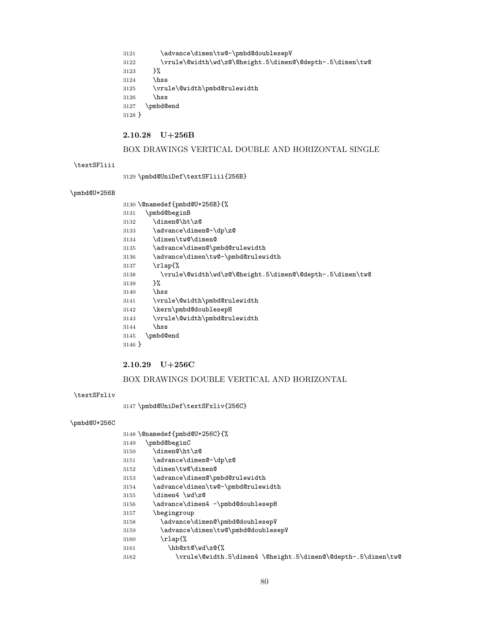<span id="page-79-12"></span><span id="page-79-7"></span>3121 \advance\dimen\tw@-\pmbd@doublesepV \vrule\@width\wd\z@\@height.5\dimen@\@depth-.5\dimen\tw@ }% \hss \vrule\@width\pmbd@rulewidth \hss \pmbd@end }

### <span id="page-79-10"></span>2.10.28 U+256B

## BOX DRAWINGS VERTICAL DOUBLE AND HORIZONTAL SINGLE

#### <span id="page-79-23"></span>\textSFliii

<span id="page-79-21"></span>\pmbd@UniDef\textSFliii{256B}

#### <span id="page-79-19"></span>\pmbd@U+256B

<span id="page-79-14"></span><span id="page-79-13"></span><span id="page-79-3"></span><span id="page-79-0"></span>

|        | 3130 \@namedef{pmbd@U+256B}{%                            |
|--------|----------------------------------------------------------|
| 3131   | \pmbd@beginB                                             |
| 3132   | \dimen@\ht\z@                                            |
| 3133   | \advance\dimen@-\dp\z@                                   |
| 3134   | \dimen\tw@\dimen@                                        |
| 3135   | \advance\dimen@\pmbd@rulewidth                           |
| 3136   | \advance\dimen\tw@-\pmbd@rulewidth                       |
| 3137   | $\tau$ lap{%                                             |
| 3138   | \vrule\@width\wd\z@\@height.5\dimen@\@depth-.5\dimen\tw@ |
| 3139   | ጉ%                                                       |
| 3140   | \hss                                                     |
| 3141   | \vrule\@width\pmbd@rulewidth                             |
| 3142   | \kern\pmbd@doublesepH                                    |
| 3143   | \vrule\@width\pmbd@rulewidth                             |
| 3144   | \hss                                                     |
| 3145   | \pmbd@end                                                |
| 3146 } |                                                          |

#### <span id="page-79-16"></span><span id="page-79-15"></span><span id="page-79-11"></span><span id="page-79-5"></span>2.10.29 U+256C

### BOX DRAWINGS DOUBLE VERTICAL AND HORIZONTAL

<span id="page-79-24"></span>\textSFxliv

<span id="page-79-22"></span>\pmbd@UniDef\textSFxliv{256C}

#### <span id="page-79-20"></span>\pmbd@U+256C

<span id="page-79-1"></span>\@namedef{pmbd@U+256C}{%

- <span id="page-79-4"></span>\pmbd@beginC
- \dimen@\ht\z@
- \advance\dimen@-\dp\z@
- \dimen\tw@\dimen@
- <span id="page-79-17"></span>\advance\dimen@\pmbd@rulewidth
- <span id="page-79-18"></span>\advance\dimen\tw@-\pmbd@rulewidth
- \dimen4 \wd\z@
- <span id="page-79-6"></span>3156 \advance\dimen4 -\pmbd@doublesepH
- \begingroup
- <span id="page-79-8"></span>\advance\dimen@\pmbd@doublesepV
- <span id="page-79-9"></span>\advance\dimen\tw@\pmbd@doublesepV
- \rlap{%
- <span id="page-79-2"></span>\hb@xt@\wd\z@{%
- \vrule\@width.5\dimen4 \@height.5\dimen@\@depth-.5\dimen\tw@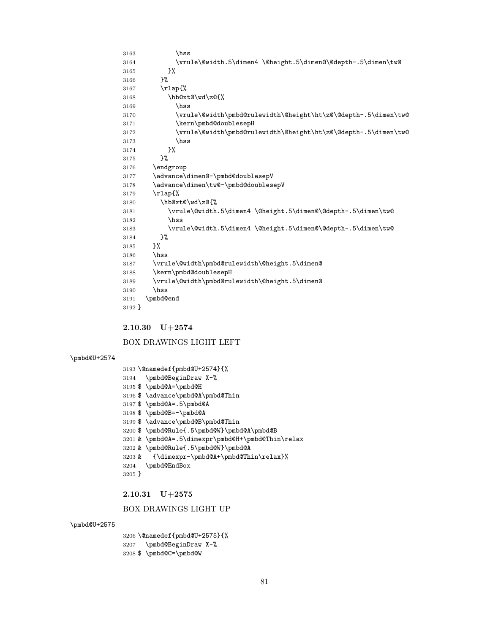```
3206 \@namedef{pmbd@U+2575}{%
3207 \pmbd@BeginDraw X-%
3208 $ \pmbd@C=\pmbd@W
```
BOX DRAWINGS LIGHT UP

```
3201 & \pmbd@A=.5\dimexpr\pmbd@H+\pmbd@Thin\relax
3202 & \pmbd@Rule{.5\pmbd@W}\pmbd@A<br>3203 & {\dimexpr-\pmbd@A+\pmbd@Th:
         3203 & {\dimexpr-\pmbd@A+\pmbd@Thin\relax}%
3204 \pmbd@EndBox
3205 }
2.10.31 U+2575
```
- <span id="page-80-21"></span><span id="page-80-11"></span><span id="page-80-3"></span>
- 
- 
- 
- 
- 
- 
- 
- 
- 
- 
- 
- 
- 
- 
- 
- 
- 
- 
- 
- 
- 
- 
- 
- 
- <span id="page-80-12"></span> \$ \advance\pmbd@B\pmbd@Thin
	-
	-
- 
- 
- 
- 
- 
- 
- 
- 
- 
- 
- 
- 
- 
- 
- 
- 
- 
- 
- 
- <span id="page-80-10"></span>\$ \pmbd@Rule{.5\pmbd@W}\pmbd@A\pmbd@B
- <span id="page-80-9"></span>\$ \pmbd@B=-\pmbd@A
- <span id="page-80-7"></span><span id="page-80-6"></span> \$ \pmbd@A=\pmbd@H \$ \advance\pmbd@A\pmbd@Thin
- <span id="page-80-13"></span><span id="page-80-0"></span> \@namedef{pmbd@U+2574}{% \pmbd@BeginDraw X-%

<span id="page-80-8"></span>\$ \pmbd@A=.5\pmbd@A

- 
- BOX DRAWINGS LIGHT LEFT
- 2.10.30 U+2574

<span id="page-80-25"></span><span id="page-80-24"></span><span id="page-80-20"></span><span id="page-80-19"></span><span id="page-80-17"></span><span id="page-80-5"></span>\pmbd@end

}

<span id="page-80-26"></span>\pmbd@U+2574

<span id="page-80-27"></span>\pmbd@U+2575

\hss

<span id="page-80-23"></span><span id="page-80-22"></span><span id="page-80-18"></span><span id="page-80-16"></span><span id="page-80-4"></span> \vrule\@width.5\dimen4 \@height.5\dimen@\@depth-.5\dimen\tw@ }% }% \rlap{% \hb@xt@\wd\z@{% \hss \vrule\@width\pmbd@rulewidth\@height\ht\z@\@depth-.5\dimen\tw@ 3171 \kern\pmbd@doublesepH  $3172 \qquad \quad \forall x \in \mathbb{Q} \text{ with } \mathbb{Q} \text{ the right } \mathbb{Z} \text{ and } \mathbb{Z} \text{ the right } \mathbb{Z} \text{ is } \mathbb{Z} \text{ with } \mathbb{Z} \text{ and } \mathbb{Z} \text{ is } \mathbb{Z} \text{ with } \mathbb{Z} \text{ the right } \mathbb{Z} \text{ is } \mathbb{Z} \text{ with } \mathbb{Z} \text{ is } \mathbb{Z} \text{ with } \mathbb{Z} \text{ is } \mathbb{Z} \text{ with } \mathbb{Z} \text{ is } \mathbb{Z} \text{ with } \mathbb{Z$  \hss }% }% \endgroup \advance\dimen@-\pmbd@doublesepV \advance\dimen\tw@-\pmbd@doublesepV \rlap{% \hb@xt@\wd\z@{% \vrule\@width.5\dimen4 \@height.5\dimen@\@depth-.5\dimen\tw@ \hss \vrule\@width.5\dimen4 \@height.5\dimen@\@depth-.5\dimen\tw@ }% }% \hss \vrule\@width\pmbd@rulewidth\@height.5\dimen@ \kern\pmbd@doublesepH \vrule\@width\pmbd@rulewidth\@height.5\dimen@ \hss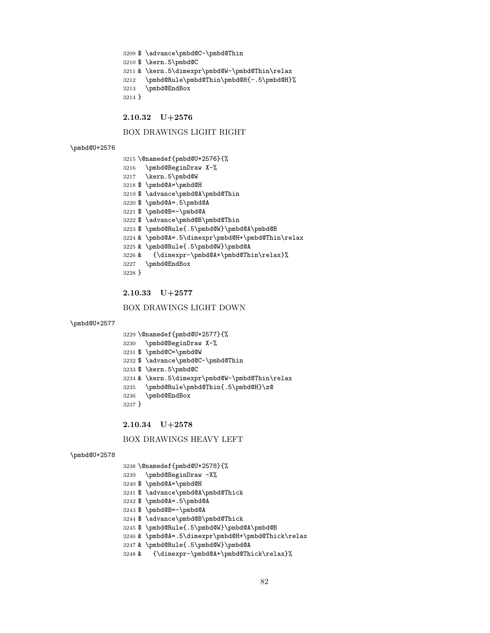```
3209 $ \advance\pmbd@C-\pmbd@Thin
3210 $ \kern.5\pmbd@C
3211 & \kern.5\dimexpr\pmbd@W-\pmbd@Thin\relax
3212 \pmbd@Rule\pmbd@Thin\pmbd@H{-.5\pmbd@H}%
3213 \pmbd@EndBox
3214 }
```
#### BOX DRAWINGS LIGHT RIGHT

<span id="page-81-31"></span>2.10.32 U+2576

#### <span id="page-81-36"></span>\pmbd@U+2576

```
3215 \@namedef{pmbd@U+2576}{%
3216 \pmbd@BeginDraw X-%
3217 \kern.5\pmbd@W
3218 $ \pmbd@A=\pmbd@H
3219 $ \advance\pmbd@A\pmbd@Thin
3220 $ \pmbd@A=.5\pmbd@A
3221 $ \pmbd@B=-\pmbd@A
3222 $ \advance\pmbd@B\pmbd@Thin
3223 $ \pmbd@Rule{.5\pmbd@W}\pmbd@A\pmbd@B
3224 & \pmbd@A=.5\dimexpr\pmbd@H+\pmbd@Thin\relax
3225 & \pmbd@Rule{.5\pmbd@W}\pmbd@A
3226 & {\dimexpr-\pmbd@A+\pmbd@Thin\relax}%
3227 \pmbd@EndBox
3228 }
```
#### <span id="page-81-32"></span><span id="page-81-14"></span><span id="page-81-13"></span><span id="page-81-5"></span><span id="page-81-4"></span>2.10.33 U+2577

#### BOX DRAWINGS LIGHT DOWN

```
\pmbd@U+2577
```

```
3229 \@namedef{pmbd@U+2577}{%
```

```
3230 \pmbd@BeginDraw X-%
```

```
3231 $ \pmbd@C=\pmbd@W
```
- <span id="page-81-29"></span>\$ \advance\pmbd@C-\pmbd@Thin
- <span id="page-81-30"></span>\$ \kern.5\pmbd@C
- <span id="page-81-6"></span>& \kern.5\dimexpr\pmbd@W-\pmbd@Thin\relax
- <span id="page-81-35"></span>\pmbd@Rule\pmbd@Thin{.5\pmbd@H}\z@
- <span id="page-81-33"></span>\pmbd@EndBox
- }

#### 2.10.34 U+2578

#### BOX DRAWINGS HEAVY LEFT

```
3238 \@namedef{pmbd@U+2578}{%
```
- <span id="page-81-25"></span>\pmbd@BeginDraw -X%
- <span id="page-81-15"></span>\$ \pmbd@A=\pmbd@H
- <span id="page-81-16"></span>\$ \advance\pmbd@A\pmbd@Thick
- <span id="page-81-17"></span>\$ \pmbd@A=.5\pmbd@A
- <span id="page-81-18"></span>\$ \pmbd@B=-\pmbd@A
- <span id="page-81-22"></span>\$ \advance\pmbd@B\pmbd@Thick
- <span id="page-81-19"></span>\$ \pmbd@Rule{.5\pmbd@W}\pmbd@A\pmbd@B
- <span id="page-81-7"></span>& \pmbd@A=.5\dimexpr\pmbd@H+\pmbd@Thick\relax
- <span id="page-81-20"></span>& \pmbd@Rule{.5\pmbd@W}\pmbd@A
- <span id="page-81-8"></span>& {\dimexpr-\pmbd@A+\pmbd@Thick\relax}%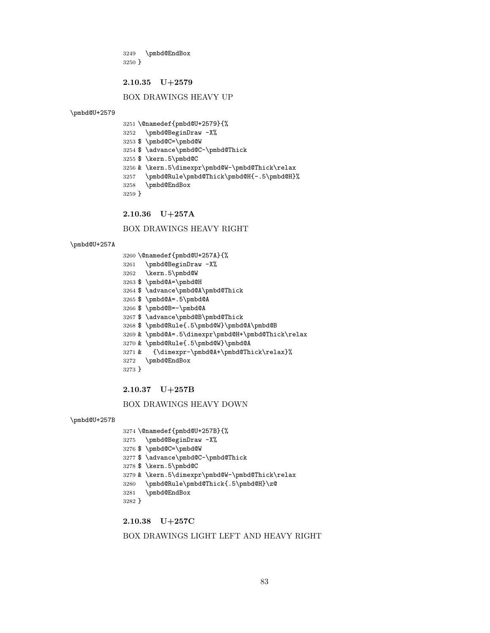<span id="page-82-23"></span> \pmbd@EndBox }

#### 2.10.35 U+2579

### BOX DRAWINGS HEAVY UP

<span id="page-82-29"></span>\pmbd@U+2579

<span id="page-82-19"></span><span id="page-82-18"></span><span id="page-82-17"></span><span id="page-82-14"></span><span id="page-82-0"></span> \@namedef{pmbd@U+2579}{% \pmbd@BeginDraw -X% \$ \pmbd@C=\pmbd@W \$ \advance\pmbd@C-\pmbd@Thick \$ \kern.5\pmbd@C & \kern.5\dimexpr\pmbd@W-\pmbd@Thick\relax \pmbd@Rule\pmbd@Thick\pmbd@H{-.5\pmbd@H}% \pmbd@EndBox }

<span id="page-82-27"></span><span id="page-82-24"></span><span id="page-82-3"></span>

2.10.36 U+257A

BOX DRAWINGS HEAVY RIGHT

#### <span id="page-82-30"></span>\pmbd@U+257A

<span id="page-82-32"></span><span id="page-82-15"></span><span id="page-82-13"></span><span id="page-82-10"></span><span id="page-82-9"></span><span id="page-82-8"></span><span id="page-82-7"></span><span id="page-82-1"></span>

|          | 3260 \@namedef{pmbd@U+257A}{%                      |
|----------|----------------------------------------------------|
| 3261     | \pmbd@BeginDraw -X%                                |
|          | 3262 \kern.5\pmbd@W                                |
|          | 3263 \$ \pmbd@A=\pmbd@H                            |
|          | 3264 \$ \advance\pmbd@A\pmbd@Thick                 |
|          | $3265$ \$ \pmbd@A=.5\pmbd@A                        |
|          | 3266 \$\pmbd@B=-\pmbd@A                            |
|          | 3267 \$ \advance\pmbd@B\pmbd@Thick                 |
|          | 3268 \$ \pmbd@Rule{.5\pmbd@W}\pmbd@A\pmbd@B        |
|          | 3269 & \pmbd@A=.5\dimexpr\pmbd@H+\pmbd@Thick\relax |
|          | 3270 & \pmbd@Rule{.5\pmbd@W}\pmbd@A                |
|          | 3271 & {\dimexpr-\pmbd@A+\pmbd@Thick\relax}%       |
| 3272     | \pmbd@EndBox                                       |
| $3273$ } |                                                    |

### <span id="page-82-25"></span><span id="page-82-12"></span><span id="page-82-11"></span><span id="page-82-5"></span><span id="page-82-4"></span>2.10.37 U+257B

## BOX DRAWINGS HEAVY DOWN

<span id="page-82-31"></span>\pmbd@U+257B

```
3274 \@namedef{pmbd@U+257B}{%
3275 \pmbd@BeginDraw -X%
3276 $ \pmbd@C=\pmbd@W
3277 $ \advance\pmbd@C-\pmbd@Thick
3278 $ \kern.5\pmbd@C
3279 & \kern.5\dimexpr\pmbd@W-\pmbd@Thick\relax
3280 \pmbd@Rule\pmbd@Thick{.5\pmbd@H}\z@
3281 \pmbd@EndBox
3282 }
```
<span id="page-82-28"></span><span id="page-82-26"></span>2.10.38 U+257C

### BOX DRAWINGS LIGHT LEFT AND HEAVY RIGHT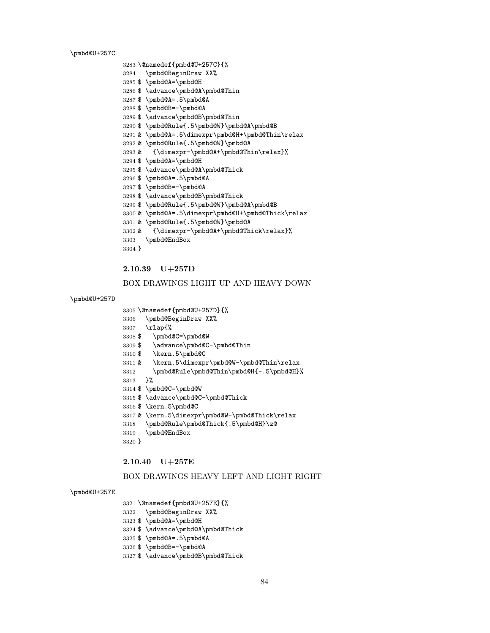<span id="page-83-41"></span>\pmbd@U+257C

```
3283 \@namedef{pmbd@U+257C}{%
3284 \pmbd@BeginDraw XX%
3285 $ \pmbd@A=\pmbd@H
3286 $ \advance\pmbd@A\pmbd@Thin
3287 $ \pmbd@A=.5\pmbd@A
3288 $ \pmbd@B=-\pmbd@A
3289 $ \advance\pmbd@B\pmbd@Thin
3290 $ \pmbd@Rule{.5\pmbd@W}\pmbd@A\pmbd@B
3291 & \pmbd@A=.5\dimexpr\pmbd@H+\pmbd@Thin\relax
3292 & \pmbd@Rule{.5\pmbd@W}\pmbd@A
3293 & {\dimexpr-\pmbd@A+\pmbd@Thin\relax}%
3294 $ \pmbd@A=\pmbd@H
3295 $ \advance\pmbd@A\pmbd@Thick
3296 $ \pmbd@A=.5\pmbd@A
3297 $ \pmbd@B=-\pmbd@A
3298 $ \advance\pmbd@B\pmbd@Thick
3299 $ \pmbd@Rule{.5\pmbd@W}\pmbd@A\pmbd@B
3300 & \pmbd@A=.5\dimexpr\pmbd@H+\pmbd@Thick\relax
3301 & \pmbd@Rule{.5\pmbd@W}\pmbd@A
3302 & {\dimexpr-\pmbd@A+\pmbd@Thick\relax}%
3303 \pmbd@EndBox
3304 }
```
## <span id="page-83-37"></span><span id="page-83-26"></span><span id="page-83-20"></span><span id="page-83-19"></span><span id="page-83-18"></span><span id="page-83-17"></span><span id="page-83-16"></span><span id="page-83-6"></span><span id="page-83-5"></span>2.10.39 U+257D

### BOX DRAWINGS LIGHT UP AND HEAVY DOWN

#### <span id="page-83-42"></span>\pmbd@U+257D

<span id="page-83-1"></span>\@namedef{pmbd@U+257D}{%

<span id="page-83-29"></span>\pmbd@BeginDraw XX%

\rlap{%

- <span id="page-83-31"></span>\$ \pmbd@C=\pmbd@W
- <span id="page-83-32"></span>\$ \advance\pmbd@C-\pmbd@Thin
- <span id="page-83-33"></span>\$ \kern.5\pmbd@C
- <span id="page-83-7"></span>& \kern.5\dimexpr\pmbd@W-\pmbd@Thin\relax
- <span id="page-83-39"></span>\pmbd@Rule\pmbd@Thin\pmbd@H{-.5\pmbd@H}%
- }%
- <span id="page-83-34"></span>\$ \pmbd@C=\pmbd@W
- <span id="page-83-35"></span>\$ \advance\pmbd@C-\pmbd@Thick
- <span id="page-83-36"></span>\$ \kern.5\pmbd@C
- <span id="page-83-8"></span>& \kern.5\dimexpr\pmbd@W-\pmbd@Thick\relax
- <span id="page-83-40"></span>\pmbd@Rule\pmbd@Thick{.5\pmbd@H}\z@
- <span id="page-83-38"></span>\pmbd@EndBox
- }

#### 2.10.40 U+257E

#### BOX DRAWINGS HEAVY LEFT AND LIGHT RIGHT

#### <span id="page-83-43"></span>\pmbd@U+257E

- <span id="page-83-2"></span>\@namedef{pmbd@U+257E}{%
- <span id="page-83-30"></span>\pmbd@BeginDraw XX%
- <span id="page-83-21"></span>\$ \pmbd@A=\pmbd@H
- <span id="page-83-22"></span>\$ \advance\pmbd@A\pmbd@Thick
- <span id="page-83-23"></span>\$ \pmbd@A=.5\pmbd@A
- <span id="page-83-24"></span>\$ \pmbd@B=-\pmbd@A
- <span id="page-83-27"></span>\$ \advance\pmbd@B\pmbd@Thick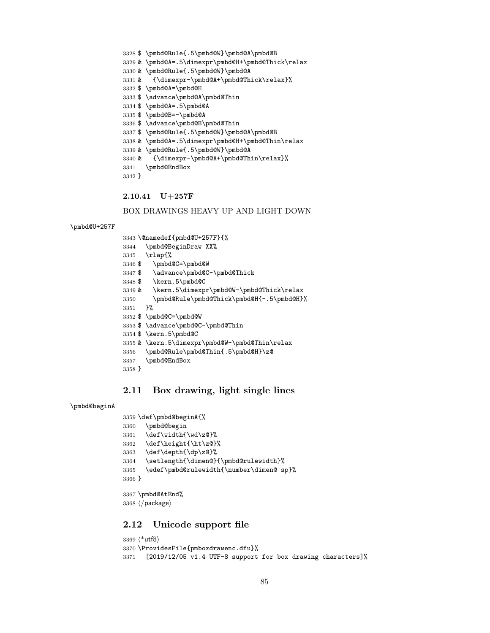```
3328 $ \pmbd@Rule{.5\pmbd@W}\pmbd@A\pmbd@B
3329 & \pmbd@A=.5\dimexpr\pmbd@H+\pmbd@Thick\relax
3330 & \pmbd@Rule{.5\pmbd@W}\pmbd@A
3331 & {\dimexpr-\pmbd@A+\pmbd@Thick\relax}%
3332 $ \pmbd@A=\pmbd@H
3333 $ \advance\pmbd@A\pmbd@Thin
3334 $ \pmbd@A=.5\pmbd@A
3335 $ \pmbd@B=-\pmbd@A
3336 $ \advance\pmbd@B\pmbd@Thin
3337 $ \pmbd@Rule{.5\pmbd@W}\pmbd@A\pmbd@B
3338 & \pmbd@A=.5\dimexpr\pmbd@H+\pmbd@Thin\relax
3339 & \pmbd@Rule{.5\pmbd@W}\pmbd@A
3340 & {\dimexpr-\pmbd@A+\pmbd@Thin\relax}%
3341 \pmbd@EndBox
3342 }
```
<span id="page-84-29"></span><span id="page-84-17"></span><span id="page-84-16"></span><span id="page-84-5"></span><span id="page-84-4"></span>2.10.41 U+257F

BOX DRAWINGS HEAVY UP AND LIGHT DOWN

```
\pmbd@U+257F
```

```
3343 \@namedef{pmbd@U+257F}{%
3344 \pmbd@BeginDraw XX%
3345 \rlap{%
3346 $ \pmbd@C=\pmbd@W
3347 $ \advance\pmbd@C-\pmbd@Thick
3348 $ \kern.5\pmbd@C
3349 & \kern.5\dimexpr\pmbd@W-\pmbd@Thick\relax
3350 \pmbd@Rule\pmbd@Thick\pmbd@H{-.5\pmbd@H}%
3351 }%
3352 $ \pmbd@C=\pmbd@W
3353 $ \advance\pmbd@C-\pmbd@Thin
3354 $ \kern.5\pmbd@C
3355 & \kern.5\dimexpr\pmbd@W-\pmbd@Thin\relax
3356 \pmbd@Rule\pmbd@Thin{.5\pmbd@H}\z@
3357 \pmbd@EndBox
3358 }
```
# <span id="page-84-32"></span><span id="page-84-30"></span><span id="page-84-28"></span><span id="page-84-27"></span><span id="page-84-26"></span><span id="page-84-7"></span>2.11 Box drawing, light single lines

```
\pmbd@beginA
```

```
3359 \def\pmbd@beginA{%
3360 \pmbd@begin
3361 \def\width{\wd\z@}%
3362 \def\height{\ht\z@}%
3363 \def\depth{\dp\z@}%
3364 \setlength{\dimen@}{\pmbd@rulewidth}%
3365 \edef\pmbd@rulewidth{\number\dimen@ sp}%
3366 }
3367 \pmbd@AtEnd%
```

```
3368 \ \langle / \text{package} \rangle
```
# 2.12 Unicode support file

```
3369 (*utf8)
3370 \ProvidesFile{pmboxdrawenc.dfu}%
3371 [2019/12/05 v1.4 UTF-8 support for box drawing characters]%
```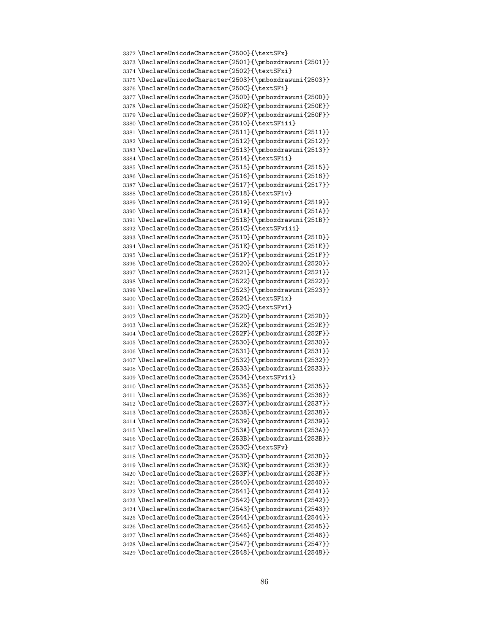```
3372 \DeclareUnicodeCharacter{2500}{\textSFx}
3373 \DeclareUnicodeCharacter{2501}{\pmboxdrawuni{2501}}
3374 \DeclareUnicodeCharacter{2502}{\textSFxi}
3375 \DeclareUnicodeCharacter{2503}{\pmboxdrawuni{2503}}
3376 \DeclareUnicodeCharacter{250C}{\textSFi}
3377 \DeclareUnicodeCharacter{250D}{\pmboxdrawuni{250D}}
3378 \DeclareUnicodeCharacter{250E}{\pmboxdrawuni{250E}}
3379 \DeclareUnicodeCharacter{250F}{\pmboxdrawuni{250F}}
3380 \DeclareUnicodeCharacter{2510}{\textSFiii}
3381 \DeclareUnicodeCharacter{2511}{\pmboxdrawuni{2511}}
3382 \DeclareUnicodeCharacter{2512}{\pmboxdrawuni{2512}}
3383 \DeclareUnicodeCharacter{2513}{\pmboxdrawuni{2513}}
3384 \DeclareUnicodeCharacter{2514}{\textSFii}
3385 \DeclareUnicodeCharacter{2515}{\pmboxdrawuni{2515}}
3386 \DeclareUnicodeCharacter{2516}{\pmboxdrawuni{2516}}
3387 \DeclareUnicodeCharacter{2517}{\pmboxdrawuni{2517}}
3388 \DeclareUnicodeCharacter{2518}{\textSFiv}
3389 \DeclareUnicodeCharacter{2519}{\pmboxdrawuni{2519}}
3390 \DeclareUnicodeCharacter{251A}{\pmboxdrawuni{251A}}
3391 \DeclareUnicodeCharacter{251B}{\pmboxdrawuni{251B}}
3392 \DeclareUnicodeCharacter{251C}{\textSFviii}
3393 \DeclareUnicodeCharacter{251D}{\pmboxdrawuni{251D}}
3394 \DeclareUnicodeCharacter{251E}{\pmboxdrawuni{251E}}
3395 \DeclareUnicodeCharacter{251F}{\pmboxdrawuni{251F}}
3396 \DeclareUnicodeCharacter{2520}{\pmboxdrawuni{2520}}
3397 \DeclareUnicodeCharacter{2521}{\pmboxdrawuni{2521}}
3398 \DeclareUnicodeCharacter{2522}{\pmboxdrawuni{2522}}
3399 \DeclareUnicodeCharacter{2523}{\pmboxdrawuni{2523}}
3400 \DeclareUnicodeCharacter{2524}{\textSFix}
3401 \DeclareUnicodeCharacter{252C}{\textSFvi}
3402 \DeclareUnicodeCharacter{252D}{\pmboxdrawuni{252D}}
3403 \DeclareUnicodeCharacter{252E}{\pmboxdrawuni{252E}}
3404 \DeclareUnicodeCharacter{252F}{\pmboxdrawuni{252F}}
3405 \DeclareUnicodeCharacter{2530}{\pmboxdrawuni{2530}}
3406 \DeclareUnicodeCharacter{2531}{\pmboxdrawuni{2531}}
3407 \DeclareUnicodeCharacter{2532}{\pmboxdrawuni{2532}}
3408 \DeclareUnicodeCharacter{2533}{\pmboxdrawuni{2533}}
3409 \DeclareUnicodeCharacter{2534}{\textSFvii}
3410 \DeclareUnicodeCharacter{2535}{\pmboxdrawuni{2535}}
3411 \DeclareUnicodeCharacter{2536}{\pmboxdrawuni{2536}}
3412 \DeclareUnicodeCharacter{2537}{\pmboxdrawuni{2537}}
3413 \DeclareUnicodeCharacter{2538}{\pmboxdrawuni{2538}}
3414 \DeclareUnicodeCharacter{2539}{\pmboxdrawuni{2539}}
3415 \DeclareUnicodeCharacter{253A}{\pmboxdrawuni{253A}}
3416 \DeclareUnicodeCharacter{253B}{\pmboxdrawuni{253B}}
3417 \DeclareUnicodeCharacter{253C}{\textSFv}
3418 \DeclareUnicodeCharacter{253D}{\pmboxdrawuni{253D}}
3419 \DeclareUnicodeCharacter{253E}{\pmboxdrawuni{253E}}
3420 \DeclareUnicodeCharacter{253F}{\pmboxdrawuni{253F}}
3421 \DeclareUnicodeCharacter{2540}{\pmboxdrawuni{2540}}
3422 \DeclareUnicodeCharacter{2541}{\pmboxdrawuni{2541}}
3423 \DeclareUnicodeCharacter{2542}{\pmboxdrawuni{2542}}
3424 \DeclareUnicodeCharacter{2543}{\pmboxdrawuni{2543}}
3425 \DeclareUnicodeCharacter{2544}{\pmboxdrawuni{2544}}
3426 \DeclareUnicodeCharacter{2545}{\pmboxdrawuni{2545}}
3427 \DeclareUnicodeCharacter{2546}{\pmboxdrawuni{2546}}
3428 \DeclareUnicodeCharacter{2547}{\pmboxdrawuni{2547}}
3429 \DeclareUnicodeCharacter{2548}{\pmboxdrawuni{2548}}
```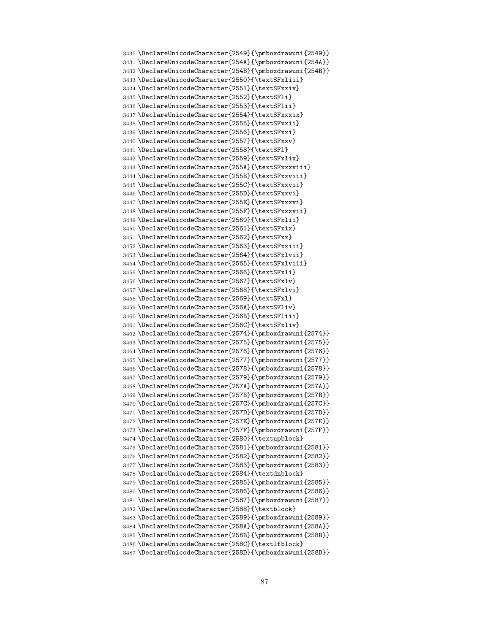```
3430 \DeclareUnicodeCharacter{2549}{\pmboxdrawuni{2549}}
3431 \DeclareUnicodeCharacter{254A}{\pmboxdrawuni{254A}}
3432 \DeclareUnicodeCharacter{254B}{\pmboxdrawuni{254B}}
3433 \DeclareUnicodeCharacter{2550}{\textSFxliii}
3434 \DeclareUnicodeCharacter{2551}{\textSFxxiv}
3435 \DeclareUnicodeCharacter{2552}{\textSFli}
3436 \DeclareUnicodeCharacter{2553}{\textSFlii}
3437 \DeclareUnicodeCharacter{2554}{\textSFxxxix}
3438 \DeclareUnicodeCharacter{2555}{\textSFxxii}
3439 \DeclareUnicodeCharacter{2556}{\textSFxxi}
3440 \DeclareUnicodeCharacter{2557}{\textSFxxv}
3441 \DeclareUnicodeCharacter{2558}{\textSFl}
3442 \DeclareUnicodeCharacter{2559}{\textSFxlix}
3443 \DeclareUnicodeCharacter{255A}{\textSFxxxviii}
3444 \DeclareUnicodeCharacter{255B}{\textSFxxviii}
3445 \DeclareUnicodeCharacter{255C}{\textSFxxvii}
3446 \DeclareUnicodeCharacter{255D}{\textSFxxvi}
3447 \DeclareUnicodeCharacter{255E}{\textSFxxxvi}
3448 \DeclareUnicodeCharacter{255F}{\textSFxxxvii}
3449 \DeclareUnicodeCharacter{2560}{\textSFxlii}
3450 \DeclareUnicodeCharacter{2561}{\textSFxix}
3451 \DeclareUnicodeCharacter{2562}{\textSFxx}
3452 \DeclareUnicodeCharacter{2563}{\textSFxxiii}
3453 \DeclareUnicodeCharacter{2564}{\textSFxlvii}
3454 \DeclareUnicodeCharacter{2565}{\textSFxlviii}
3455 \DeclareUnicodeCharacter{2566}{\textSFxli}
3456 \DeclareUnicodeCharacter{2567}{\textSFxlv}
3457 \DeclareUnicodeCharacter{2568}{\textSFxlvi}
3458 \DeclareUnicodeCharacter{2569}{\textSFxl}
3459 \DeclareUnicodeCharacter{256A}{\textSFliv}
3460 \DeclareUnicodeCharacter{256B}{\textSFliii}
3461 \DeclareUnicodeCharacter{256C}{\textSFxliv}
3462 \DeclareUnicodeCharacter{2574}{\pmboxdrawuni{2574}}
3463 \DeclareUnicodeCharacter{2575}{\pmboxdrawuni{2575}}
3464 \DeclareUnicodeCharacter{2576}{\pmboxdrawuni{2576}}
3465 \DeclareUnicodeCharacter{2577}{\pmboxdrawuni{2577}}
3466 \DeclareUnicodeCharacter{2578}{\pmboxdrawuni{2578}}
3467 \DeclareUnicodeCharacter{2579}{\pmboxdrawuni{2579}}
3468 \DeclareUnicodeCharacter{257A}{\pmboxdrawuni{257A}}
3469 \DeclareUnicodeCharacter{257B}{\pmboxdrawuni{257B}}
3470 \DeclareUnicodeCharacter{257C}{\pmboxdrawuni{257C}}
3471 \DeclareUnicodeCharacter{257D}{\pmboxdrawuni{257D}}
3472 \DeclareUnicodeCharacter{257E}{\pmboxdrawuni{257E}}
3473 \DeclareUnicodeCharacter{257F}{\pmboxdrawuni{257F}}
3474 \DeclareUnicodeCharacter{2580}{\textupblock}
3475 \DeclareUnicodeCharacter{2581}{\pmboxdrawuni{2581}}
3476 \DeclareUnicodeCharacter{2582}{\pmboxdrawuni{2582}}
3477 \DeclareUnicodeCharacter{2583}{\pmboxdrawuni{2583}}
3478 \DeclareUnicodeCharacter{2584}{\textdnblock}
3479 \DeclareUnicodeCharacter{2585}{\pmboxdrawuni{2585}}
3480 \DeclareUnicodeCharacter{2586}{\pmboxdrawuni{2586}}
3481 \DeclareUnicodeCharacter{2587}{\pmboxdrawuni{2587}}
3482 \DeclareUnicodeCharacter{2588}{\textblock}
3483 \DeclareUnicodeCharacter{2589}{\pmboxdrawuni{2589}}
3484 \DeclareUnicodeCharacter{258A}{\pmboxdrawuni{258A}}
3485 \DeclareUnicodeCharacter{258B}{\pmboxdrawuni{258B}}
3486 \DeclareUnicodeCharacter{258C}{\textlfblock}
3487 \DeclareUnicodeCharacter{258D}{\pmboxdrawuni{258D}}
```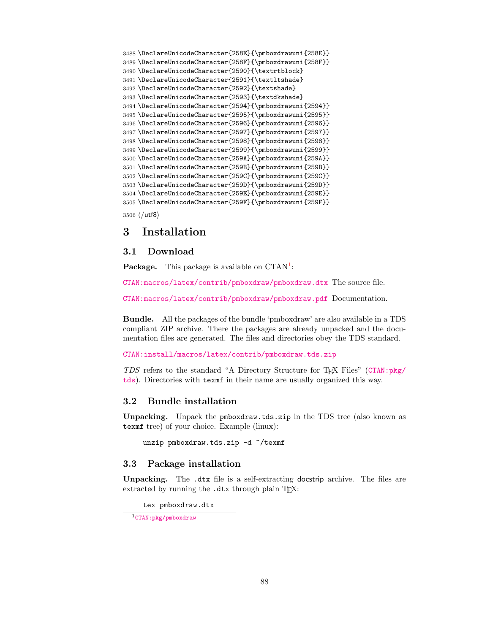```
3488 \DeclareUnicodeCharacter{258E}{\pmboxdrawuni{258E}}
3489 \DeclareUnicodeCharacter{258F}{\pmboxdrawuni{258F}}
3490 \DeclareUnicodeCharacter{2590}{\textrtblock}
3491 \DeclareUnicodeCharacter{2591}{\textltshade}
3492 \DeclareUnicodeCharacter{2592}{\textshade}
3493 \DeclareUnicodeCharacter{2593}{\textdkshade}
3494 \DeclareUnicodeCharacter{2594}{\pmboxdrawuni{2594}}
3495 \DeclareUnicodeCharacter{2595}{\pmboxdrawuni{2595}}
3496 \DeclareUnicodeCharacter{2596}{\pmboxdrawuni{2596}}
3497 \DeclareUnicodeCharacter{2597}{\pmboxdrawuni{2597}}
3498 \DeclareUnicodeCharacter{2598}{\pmboxdrawuni{2598}}
3499 \DeclareUnicodeCharacter{2599}{\pmboxdrawuni{2599}}
3500 \DeclareUnicodeCharacter{259A}{\pmboxdrawuni{259A}}
3501 \DeclareUnicodeCharacter{259B}{\pmboxdrawuni{259B}}
3502 \DeclareUnicodeCharacter{259C}{\pmboxdrawuni{259C}}
3503 \DeclareUnicodeCharacter{259D}{\pmboxdrawuni{259D}}
3504 \DeclareUnicodeCharacter{259E}{\pmboxdrawuni{259E}}
3505 \DeclareUnicodeCharacter{259F}{\pmboxdrawuni{259F}}
```
<span id="page-87-18"></span><span id="page-87-17"></span><span id="page-87-16"></span><span id="page-87-15"></span><span id="page-87-14"></span><span id="page-87-13"></span><span id="page-87-12"></span><span id="page-87-11"></span>3506 (/utf8)

# 3 Installation

# 3.1 Download

Package. This package is available on CTAN<sup>[1](#page-87-0)</sup>:

[CTAN:macros/latex/contrib/pmboxdraw/pmboxdraw.dtx](https://ctan.org/tex-archive/macros/latex/contrib/pmboxdraw/pmboxdraw.dtx) The source file.

[CTAN:macros/latex/contrib/pmboxdraw/pmboxdraw.pdf](https://ctan.org/tex-archive/macros/latex/contrib/pmboxdraw/pmboxdraw.pdf) Documentation.

Bundle. All the packages of the bundle 'pmboxdraw' are also available in a TDS compliant ZIP archive. There the packages are already unpacked and the documentation files are generated. The files and directories obey the TDS standard.

[CTAN:install/macros/latex/contrib/pmboxdraw.tds.zip](http://mirrors.ctan.org/install/macros/latex/contrib/pmboxdraw.tds.zip)

TDS refers to the standard "A Directory Structure for TEX Files" ([CTAN:pkg/](http://ctan.org/pkg/tds) [tds](http://ctan.org/pkg/tds)). Directories with texmf in their name are usually organized this way.

### 3.2 Bundle installation

Unpacking. Unpack the pmboxdraw.tds.zip in the TDS tree (also known as texmf tree) of your choice. Example (linux):

unzip pmboxdraw.tds.zip -d "/texmf

### 3.3 Package installation

Unpacking. The .dtx file is a self-extracting docstrip archive. The files are extracted by running the  $.$ dtx through plain T<sub>E</sub>X:

tex pmboxdraw.dtx

<span id="page-87-0"></span><sup>1</sup>[CTAN:pkg/pmboxdraw](http://ctan.org/pkg/pmboxdraw)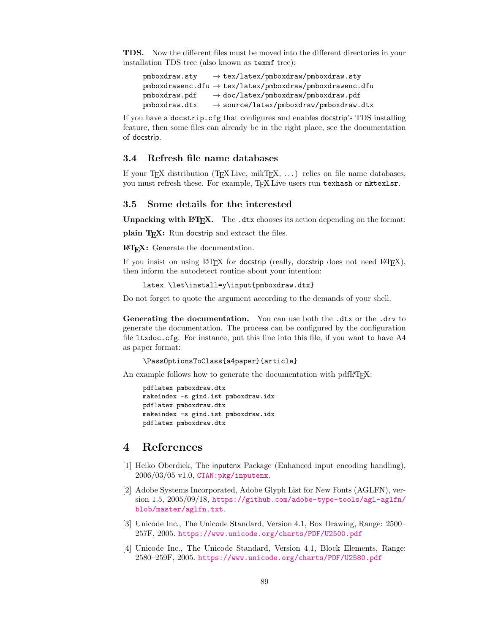TDS. Now the different files must be moved into the different directories in your installation TDS tree (also known as texmf tree):

 $pmboxdraw.sty \rightarrow tex/lates/pmboxdraw/pmboxdraw.sty$ pmboxdrawenc.dfu → tex/latex/pmboxdraw/pmboxdrawenc.dfu  $pmboxdraw.pdf$   $\rightarrow$  doc/latex/pmboxdraw/pmboxdraw.pdf  $pmboxdraw.dx \rightarrow source/lates/pmboxdraw/pmboxdraw.dtx$ 

If you have a docstrip.cfg that configures and enables docstrip's TDS installing feature, then some files can already be in the right place, see the documentation of docstrip.

## 3.4 Refresh file name databases

If your T<sub>E</sub>X distribution  $(TEX\text{ Live}, \text{mikTrX}, \ldots)$  relies on file name databases, you must refresh these. For example, TFX Live users run texhash or mktexlsr.

#### 3.5 Some details for the interested

Unpacking with LATEX. The .dtx chooses its action depending on the format:

plain T<sub>E</sub>X: Run docstrip and extract the files.

LATEX: Generate the documentation.

If you insist on using  $L^2T_FX$  for docstrip (really, docstrip does not need  $L^2T_FX$ ), then inform the autodetect routine about your intention:

```
latex \let\install=y\input{pmboxdraw.dtx}
```
Do not forget to quote the argument according to the demands of your shell.

Generating the documentation. You can use both the .dtx or the .drv to generate the documentation. The process can be configured by the configuration file ltxdoc.cfg. For instance, put this line into this file, if you want to have A4 as paper format:

```
\PassOptionsToClass{a4paper}{article}
```
An example follows how to generate the documentation with pdfI $\mathbb{F}$ F<sub>EX</sub>:

```
pdflatex pmboxdraw.dtx
makeindex -s gind.ist pmboxdraw.idx
pdflatex pmboxdraw.dtx
makeindex -s gind.ist pmboxdraw.idx
pdflatex pmboxdraw.dtx
```
# 4 References

- [1] Heiko Oberdiek, The inputenx Package (Enhanced input encoding handling), 2006/03/05 v1.0, [CTAN:pkg/inputenx](http://ctan.org/pkg/inputenx).
- [2] Adobe Systems Incorporated, Adobe Glyph List for New Fonts (AGLFN), version 1.5, 2005/09/18, [https://github.com/adobe-type-tools/agl-aglfn/](https://github.com/adobe-type-tools/agl-aglfn/blob/master/aglfn.txt) [blob/master/aglfn.txt](https://github.com/adobe-type-tools/agl-aglfn/blob/master/aglfn.txt).
- [3] Unicode Inc., The Unicode Standard, Version 4.1, Box Drawing, Range: 2500– 257F, 2005. <https://www.unicode.org/charts/PDF/U2500.pdf>
- [4] Unicode Inc., The Unicode Standard, Version 4.1, Block Elements, Range: 2580–259F, 2005. <https://www.unicode.org/charts/PDF/U2580.pdf>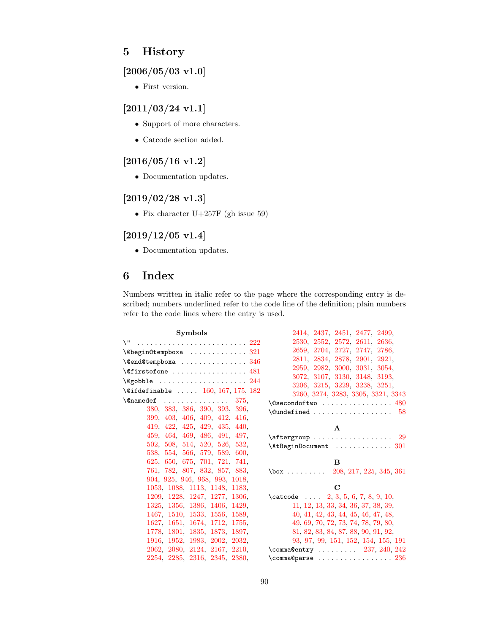# 5 History

# $[2006/05/03 \text{ v}1.0]$

• First version.

# [2011/03/24 v1.1]

- Support of more characters.
- $\bullet\,$  Catcode section added.

# [2016/05/16 v1.2]

• Documentation updates.

# [2019/02/28 v1.3]

• Fix character U+257F (gh issue 59)

# $[2019/12/05 \text{ v}1.4]$

• Documentation updates.

# 6 Index

Numbers written in italic refer to the page where the corresponding entry is described; numbers underlined refer to the code line of the definition; plain numbers refer to the code lines where the entry is used.

| <b>Symbols</b>                                                         | 2414, 2437, 2451, 2477, 2499,                                |
|------------------------------------------------------------------------|--------------------------------------------------------------|
| \"  222                                                                | 2530, 2552, 2572, 2611, 2636,                                |
| $\texttt{\textbackslash}$ @begin@tempboxa 321                          | 2659, 2704, 2727, 2747, 2786,                                |
| $\text{Qend@tempboxa} \dots \dots \dots \dots \dots \, 346$            | 2811, 2834, 2878, 2901, 2921,                                |
| $\setminus$ @firstofone  481                                           | 2959, 2982, 3000, 3031, 3054,                                |
| $\qquad$ Qgobble $244$                                                 | 3072, 3107, 3130, 3148, 3193,                                |
| $\text{\textbackslash} 0$ ifdefinable $\ \dots \ \ 160, 167, 175, 182$ | 3206, 3215, 3229, 3238, 3251,                                |
| $\{\Omega$ namedef $375,$                                              | 3260, 3274, 3283, 3305, 3321, 3343                           |
| 380, 383, 386, 390, 393, 396,                                          | $\texttt{\textbackslash@secondoftwo}}$ $480$                 |
| 399, 403, 406, 409, 412, 416,                                          | $\text{Qundefined} \dots \dots \dots \dots \dots \dots \ 58$ |
| 419, 422, 425, 429, 435, 440,                                          | $\mathbf{A}$                                                 |
| 459, 464, 469, 486, 491, 497,                                          | $\text{targroup} \dots \dots \dots \dots \dots \ 29$         |
| 502, 508, 514, 520, 526, 532,                                          | $\{\texttt{AtBeginDocument} \dots \dots \dots \dots \ 301\}$ |
| 538, 554, 566, 579, 589, 600,                                          |                                                              |
| 625, 650, 675, 701, 721, 741,                                          | B                                                            |
| 761, 782, 807, 832, 857, 883,                                          | $\text{box}$ 208, 217, 225, 345, 361                         |
| 904, 925, 946, 968, 993, 1018,                                         |                                                              |
| 1053, 1088, 1113, 1148, 1183,                                          | $\mathbf C$                                                  |
| 1209, 1228, 1247, 1277, 1306,                                          | $\text{catcode}$ 2, 3, 5, 6, 7, 8, 9, 10,                    |
| 1325, 1356, 1386, 1406, 1429,                                          | 11, 12, 13, 33, 34, 36, 37, 38, 39,                          |
| 1467, 1510, 1533, 1556, 1589,                                          | 40, 41, 42, 43, 44, 45, 46, 47, 48,                          |
| 1627, 1651, 1674, 1712, 1755,                                          | 49, 69, 70, 72, 73, 74, 78, 79, 80,                          |
| 1778, 1801, 1835, 1873, 1897,                                          | 81, 82, 83, 84, 87, 88, 90, 91, 92,                          |
| 1916, 1952, 1983, 2002, 2032,                                          | 93, 97, 99, 151, 152, 154, 155, 191                          |
| 2062, 2080, 2124, 2167, 2210,                                          | $\text{Commona@entry} \dots \dots \dots \quad 237, 240, 242$ |
| 2254, 2285, 2316, 2345, 2380,                                          | $\{\text{comm} \$ $236$                                      |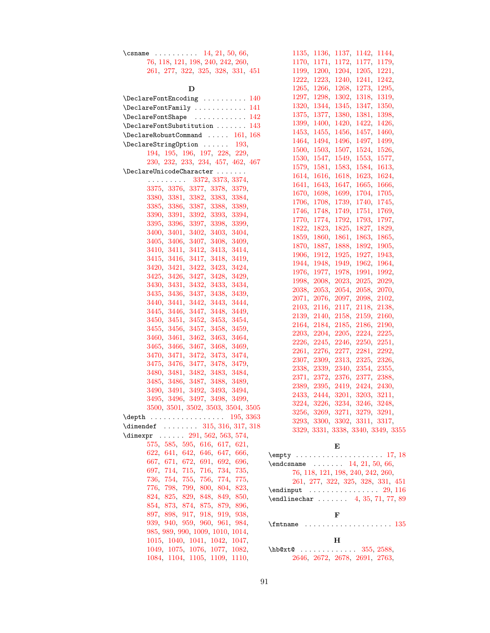| \csname $14, 21, 50, 66$          |  |  |
|-----------------------------------|--|--|
| 76, 118, 121, 198, 240, 242, 260, |  |  |
| 261, 277, 322, 325, 328, 331, 451 |  |  |

| D                                                                                                             |       |
|---------------------------------------------------------------------------------------------------------------|-------|
| $\verb+\DeclarefontEncoding + \verb+.\+.\+.\+.\+140$                                                          |       |
| \DeclareFontFamily  141                                                                                       |       |
| \DeclareFontShape  142                                                                                        |       |
| $\Delta$ PeclareFontSubstitution  143                                                                         |       |
| $\label{thm:1} \texttt{\texttt{DeclareRobustCommand}} \dots \dots \ 161, \, 168$                              |       |
| $\Delta$ -DeclareStringOption  193,                                                                           |       |
| 194, 195, 196, 197, 228, 229,                                                                                 |       |
| 230, 232, 233, 234, 457, 462, 467                                                                             |       |
| $\verb+\Declarel+ UnicodeCharacter \dots$                                                                     |       |
| $\cdots \cdots \cdots$ 3372, 3373, 3374,                                                                      |       |
| 3375, 3376, 3377, 3378, 3379,                                                                                 |       |
| 3380, 3381, 3382, 3383, 3384,                                                                                 |       |
| 3385, 3386, 3387, 3388, 3389,                                                                                 |       |
| 3390, 3391, 3392, 3393, 3394,                                                                                 |       |
|                                                                                                               |       |
| $\begin{array}{c} 3395, \ 3396, \ 3397, \ 3398, \ 3399, \\ 3400, \ 3401, \ 3402, \ 3403, \ 3404, \end{array}$ |       |
| 3405, 3406, 3407, 3408, 3409,                                                                                 |       |
| 3410, 3411, 3412, 3413, 3414,                                                                                 |       |
| 3415, 3416, 3417, 3418, 3419,                                                                                 |       |
| 3420, 3421, 3422, 3423, 3424,                                                                                 |       |
| 3425, 3426, 3427, 3428, 3429,                                                                                 |       |
| 3430, 3431, 3432, 3433, 3434,                                                                                 |       |
| 3435, 3436, 3437, 3438, 3439,                                                                                 |       |
| 3440, 3441, 3442, 3443, 3444,                                                                                 |       |
| 3445, 3446, 3447, 3448, 3449,                                                                                 |       |
| 3450, 3451, 3452, 3453, 3454,                                                                                 |       |
| 3455, 3456, 3457, 3458, 3459,                                                                                 |       |
| 3460, 3461, 3462, 3463, 3464,                                                                                 |       |
| 3465, 3466, 3467, 3468, 3469,                                                                                 |       |
| 3470, 3471, 3472, 3473, 3474,                                                                                 |       |
| 3475, 3476, 3477, 3478, 3479,                                                                                 |       |
| 3480, 3481, 3482, 3483, 3484,                                                                                 |       |
| 3485, 3486, 3487, 3488, 3489,                                                                                 |       |
| 3490, 3491, 3492, 3493, 3494,                                                                                 |       |
| 3495, 3496, 3497, 3498, 3499,                                                                                 |       |
| 3500, 3501, 3502, 3503, 3504, 3505                                                                            |       |
| $\text{depth}$ 195, 3363                                                                                      |       |
| $\dim$ endef  315, 316, 317, 318                                                                              |       |
| $\dim \text{expr} \dots 291, 562, 563, 574,$                                                                  |       |
| 575, 585, 595, 616, 617, 621,                                                                                 |       |
| 622, 641, 642, 646, 647, 666,                                                                                 | \empt |
| 667, 671, 672, 691, 692, 696,                                                                                 | \endc |
| 697, 714, 715, 716, 734, 735,                                                                                 |       |
| 736, 754, 755, 756, 774, 775,                                                                                 |       |
| 776, 798, 799, 800, 804, 823,<br>824, 825, 829, 848, 849, 850,                                                | \endi |
| 854, 873, 874, 875, 879, 896,                                                                                 | \endl |
| 897, 898, 917, 918, 919,<br>938,                                                                              |       |
| 939, 940, 959, 960, 961, 984,                                                                                 |       |
| 985, 989, 990, 1009, 1010, 1014,                                                                              | \fmtn |
| $1015, \ 1040, \ 1041, \ 1042, \ 1047,$                                                                       |       |
| 1049, 1075, 1076, 1077, 1082,                                                                                 | \hb@x |
| 1084, 1104, 1105, 1109, 1110,                                                                                 |       |

| 1135,        | 1136,     | 1137,        | 1142,        | 1144,         |
|--------------|-----------|--------------|--------------|---------------|
| 1170,        | 1171,     | 1172,        | 1177,        | 1179,         |
| 1199,        | 1200,     | 1204,        | 1205,        | 1221,         |
| 1222,        | 1223,     | 1240,        | 1241,        | 1242,         |
| 1265,        | 1266,     | 1268,        | 1273,        | 1295,         |
| 1297,        | 1298,     | 1302,        | 1318,        | 1319,         |
| 1320,        | 1344,     | 1345,        | 1347,        | $1350_\odot$  |
| 1375,        | 1377,     | 1380,        | 1381,        | 1398,         |
| 1399,        | 1400,     | 1420,        | 1422,        | 1426,         |
| 1453,        | 1455,     | 1456,        | 1457,        | 1460,         |
| 1464,        | 1494,     | 1496,        | 1497,        | 1499,         |
| 1500,        | 1503,     | 1507,        | 1524,        | 1526,         |
| 1530,        | 1547,     | 1549,        | 1553,        | 1577,         |
| 1579,        | 1581,     | 1583,        | 1584,        | 1613,         |
| 1614.        | 1616,     | 1618,        | 1623,        | 1624,         |
| 1641,        | 1643,     | 1647,        | 1665,        | 1666,         |
| 1670,        | 1698,     | 1699,        | 1704,        | 1705,         |
| 1706,        | 1708,     | 1739,        | 1740.        | 1745,         |
| 1746.        | 1748.     | 1749,        | 1751,        | 1769,         |
| 1770,        | 1774,     | 1792,        | 1793,        | 1797,         |
| 1822,        | 1823,     | 1825,        | 1827,        | 1829,         |
| 1859,        | 1860,     | 1861,        | 1863,        | 1865,         |
| 1870,        | 1887,     | 1888,        | 1892,        | 1905,         |
| 1906,        | 1912,     | 1925,        | 1927,        | 1943,         |
| 1944,        | 1948,     | 1949,        | 1962,        | 1964,         |
| 1976,        | 1977,     | 1978,        | 1991,        | 1992,         |
| 1998,        | 2008,     | 2023,        | 2025,        | 2029,         |
| 2038,        | 2053,     | 2054,        | 2058,        | 2070,         |
| 2071,        | 2076,     | 2097,        | 2098,        | 2102,         |
| 2103,        | 2116,     | 2117,        | 2118,        | 2138,         |
| 2139,        | 2140,     | 2158,        | 2159,        | 2160,         |
| 2164,        | 2184,     | 2185,        | 2186,        | 2190,         |
| 2203,        | 2204,     | 2205,        | 2224,        | 2225,         |
| 2226,        | 2245,     | 2246,        | 2250,        | 2251,         |
| 2261,        | 2276,     | 2277,        | 2281,        | 2292,         |
| 2307,        | 2309,     | 2313,        | 2325,        | 2326,         |
| 2338.        | 2339,     | 2340.        | 2354,        | 2355,         |
| 2371,        | $2372,\,$ | 2376.        | $2377_\odot$ | 2388,         |
| 2389,        | 2395,     | 2419,        | 2424,        | 2430,         |
| 2433,        | 2444,     | 3201,        | 3203,        | 3211,         |
| 3224,        | 3226,     | 3234,        | 3246,        | 3248,         |
| 3256,        | 3269,     | 3271,        | 3279,        | 3291,         |
| $3293_\odot$ | 3300.     | $3302_\odot$ | 3311,        | 3317,         |
| 3329,        | 3331,     | 3338,        | 3340,        | 3349,<br>3355 |

# E

| $\end{math}$ 14, 21, 50, 66,      |
|-----------------------------------|
| 76, 118, 121, 198, 240, 242, 260, |
| 261, 277, 322, 325, 328, 331, 451 |
|                                   |
| $\end{line}$ 4, 35, 71, 77, 89    |
|                                   |

# F

\fmtname . . . . . . . . . . . . . . . . . . . . [135](#page-11-10)

H \hb@xt@ ............ [355,](#page-16-3) [2588,](#page-67-1) [2646,](#page-68-2) [2672,](#page-69-1) [2678,](#page-69-2) [2691,](#page-69-3) [2763,](#page-71-1)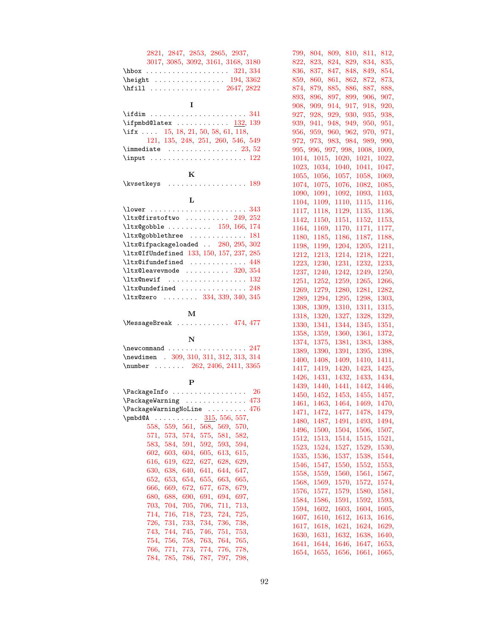| 2821, 2847, 2853, 2865, 2937,<br>3017, 3085, 3092, 3161, 3168, 3180<br>$\hbox{\tt hbox} \ldots \ldots \ldots \ldots 321, 334$<br>$\begin{array}{ccc}\n\text{height} & \text{ }} \ldots & \text{ }} 194,3362\n\end{array}$<br>\hfill $\ldots \ldots \ldots \ldots \quad 2647, 2822$ |  |
|------------------------------------------------------------------------------------------------------------------------------------------------------------------------------------------------------------------------------------------------------------------------------------|--|
| I                                                                                                                                                                                                                                                                                  |  |
| \ifdim  341<br>\ifpmbd@latex <u>132</u> , 139<br>\ifx $15, 18, 21, 50, 58, 61, 118,$<br>121, 135, 248, 251, 260, 546, 549<br>\immediate $\ldots \ldots \ldots \ldots 23, 52$                                                                                                       |  |
| ${\bf K}$                                                                                                                                                                                                                                                                          |  |
|                                                                                                                                                                                                                                                                                    |  |
| L                                                                                                                                                                                                                                                                                  |  |
| 343                                                                                                                                                                                                                                                                                |  |
| $\texttt{ltx@firstoftwo}$ 249, 252                                                                                                                                                                                                                                                 |  |
| $\text{ltx@gobble } \ldots \ldots \ldots \quad 159, 166, 174$                                                                                                                                                                                                                      |  |
| $\text{ltx@gobblethree}$ 181                                                                                                                                                                                                                                                       |  |
|                                                                                                                                                                                                                                                                                    |  |
| \ltx@ifpackageloaded  280, 295, 302                                                                                                                                                                                                                                                |  |
| \ltx@IfUndefined 133, 150, 157, 237, 285                                                                                                                                                                                                                                           |  |
| $\texttt{ltx@ifundefined}$ 448                                                                                                                                                                                                                                                     |  |
| $\texttt{ltx@leavevmode}$ 320, 354                                                                                                                                                                                                                                                 |  |
|                                                                                                                                                                                                                                                                                    |  |
| $\text{ltx@undefined}$ $248$                                                                                                                                                                                                                                                       |  |
| \ltx@zero  334, 339, 340, 345                                                                                                                                                                                                                                                      |  |
|                                                                                                                                                                                                                                                                                    |  |
| $\mathbf{M}$<br>MessageBreak  474, 477                                                                                                                                                                                                                                             |  |
|                                                                                                                                                                                                                                                                                    |  |
| $\mathbf N$<br>\newcommand<br>. 247                                                                                                                                                                                                                                                |  |
|                                                                                                                                                                                                                                                                                    |  |
| \newdimen . 309, 310, 311, 312, 313, 314                                                                                                                                                                                                                                           |  |
| $\text{number} \dots 262, 2406, 2411, 3365$                                                                                                                                                                                                                                        |  |
| P                                                                                                                                                                                                                                                                                  |  |
|                                                                                                                                                                                                                                                                                    |  |
| $\texttt{VackageWarning} \dots \dots \dots \dots \dots \ 473$                                                                                                                                                                                                                      |  |
| \PackageWarningNoLine<br>476                                                                                                                                                                                                                                                       |  |
| 315, 556, 557,<br>\pmbd@A<br>$\begin{array}{cccccccccccccc} . & . & . & . & . & . & . & . \end{array}$<br>$\ddot{\phantom{a}}$                                                                                                                                                     |  |
| 558,<br>559,<br>561,<br>568, 569,<br>570,                                                                                                                                                                                                                                          |  |
| 571,<br>573,<br>574.<br>575,<br>581.<br>582,                                                                                                                                                                                                                                       |  |
|                                                                                                                                                                                                                                                                                    |  |
| 583,<br>584,<br>591,<br>592,<br>593,<br>594,                                                                                                                                                                                                                                       |  |
| 602,<br>603,<br>604,<br>605, 613,<br>615,                                                                                                                                                                                                                                          |  |
| 619, 622,<br>629,<br>616,<br>627,<br>628,                                                                                                                                                                                                                                          |  |
| 630,<br>638, 640,<br>641,<br>644,<br>647,                                                                                                                                                                                                                                          |  |
| 652,<br>653,<br>654.<br>655,<br>663,<br>665,                                                                                                                                                                                                                                       |  |
| 666,<br>669,<br>672,<br>677,<br>678,<br>679,                                                                                                                                                                                                                                       |  |
| 680.<br>688,<br>690,<br>691,<br>694,<br>697,                                                                                                                                                                                                                                       |  |
| 703,<br>704,<br>705,<br>706,<br>711,<br>713,                                                                                                                                                                                                                                       |  |
| 714,<br>716,<br>723,<br>724,<br>725,<br>718,                                                                                                                                                                                                                                       |  |
| 734,<br>726,<br>731,<br>733,<br>738,<br>736,                                                                                                                                                                                                                                       |  |
| 751,<br>753,<br>743,<br>744, 745,<br>746,                                                                                                                                                                                                                                          |  |
| 754,<br>756,<br>763,<br>764,<br>765,<br>758,                                                                                                                                                                                                                                       |  |
| 766,<br>771,<br>774,<br>776,<br>773,<br>778,                                                                                                                                                                                                                                       |  |
|                                                                                                                                                                                                                                                                                    |  |
| 784,<br>785,<br>786,<br>787,<br>797,<br>798,                                                                                                                                                                                                                                       |  |

| 799,<br>804,   | 809,<br>810, | 811,      | 812,  |
|----------------|--------------|-----------|-------|
| 822,<br>823,   | 824,<br>829, | 834,      | 835,  |
| 836,<br>837,   | 847,<br>848, | 849,      | 854,  |
| 859,<br>860,   | 861,<br>862, | 872,      | 873,  |
|                |              |           |       |
| 874,<br>879,   | 885,<br>886, | 887,      | 888,  |
| 893,<br>896,   | 899,<br>897, | 906,      | 907,  |
| 908,<br>909,   | 914,<br>917, | 918,      | 920,  |
| 927,<br>928,   | 930,<br>929, | 935,      | 938,  |
| 939,<br>941,   | 949,<br>948, | 950,      | 951,  |
| 956,<br>959,   | 960,<br>962, | 970,      | 971,  |
| 973,<br>972.   | 984,         |           |       |
|                | 983,         | 989,      | 990,  |
| 995,<br>996,   | 997, 998,    | 1008,     | 1009, |
| 1015,<br>1014. | 1020,        | 1021,     | 1022, |
| 1023,<br>1034, | 1040,        | 1041,     | 1047, |
| 1055,<br>1056, | 1057,        | 1058,     | 1069, |
| 1074,<br>1075, | 1076,        | 1082,     | 1085, |
| 1090,<br>1091, | 1092,        | 1093,     | 1103, |
|                |              |           |       |
| 1104,<br>1109, | 1110,        | 1115,     | 1116, |
| 1117,<br>1118, | 1129,        | 1135,     | 1136, |
| 1142.<br>1150, | 1151,        | 1152,     | 1153, |
| 1164,<br>1169, | 1170,        | 1171.     | 1177, |
| 1180.<br>1185, | 1186,        | 1187,     | 1188, |
| 1198,<br>1199, | 1204,        | 1205,     | 1211, |
|                |              |           |       |
| 1212.<br>1213, | 1214.        | 1218.     | 1221, |
| 1223,<br>1230, | 1231,        | 1232,     | 1233, |
| 1237,<br>1240, | 1242,        | 1249,     | 1250, |
| 1251,<br>1252, | 1259,        | 1265,     | 1266, |
| 1269,<br>1279, | 1280,        | 1281,     | 1282, |
| 1289,<br>1294, | 1295,        | 1298,     | 1303, |
| 1308,<br>1309, | 1310,        | 1311,     | 1315, |
|                |              |           |       |
| 1318,<br>1320, | 1327,        | 1328,     | 1329, |
| 1330,<br>1341, | 1344,        | 1345,     | 1351, |
| 1358,<br>1359, | 1360,        | 1361,     | 1372, |
| 1374,<br>1375, | 1381,        | 1383,     | 1388, |
| 1389,<br>1390, | 1391,        | 1395,     | 1398, |
| 1400,<br>1408, | 1409,        | 1410,     | 1411, |
| 1417,<br>1419, | 1420,        | 1423,     | 1425, |
| 1426.          |              |           |       |
| 1431,          | 1432,        | 1433,     | 1434, |
| 1439,<br>1440. | 1441,        | 1442.     | 1446, |
| 1450,<br>1452, | 1453,        | 1455,     | 1457, |
| 1463.<br>1461. | 1464.        | 1469.     | 1470, |
| 1471,<br>1472, | 1477,        | 1478,     | 1479, |
| 1480,<br>1487, | 1491,        | 1493,     | 1494, |
| 1496,<br>1500, | 1504,        | 1506,     | 1507, |
|                |              | 1515,     |       |
| 1512,<br>1513, | 1514,        |           | 1521, |
| 1523,<br>1524, | 1527,        | 1529,     | 1530, |
| 1535,<br>1536, | $1537,\,$    | 1538,     | 1544, |
| 1546,<br>1547, | 1550,        | 1552,     | 1553, |
| 1558,<br>1559, | 1560,        | 1561,     | 1567, |
| 1568,<br>1569, | 1570,        | $1572,\,$ | 1574, |
| 1576,<br>1577, | 1579,        | 1580,     | 1581, |
| 1584,<br>1586, | 1591,        | 1592,     | 1593, |
|                |              |           |       |
| 1594,<br>1602, | 1603,        | 1604,     | 1605, |
| 1610,<br>1607, | 1612,        | 1613,     | 1616, |
| 1617,<br>1618, | 1621,        | 1624,     | 1629, |
| 1630,<br>1631, | 1632,        | 1638,     | 1640, |
| 1641,<br>1644, | 1646,        | 1647,     | 1653, |
| 1654,<br>1655, | 1656,        | 1661,     | 1665, |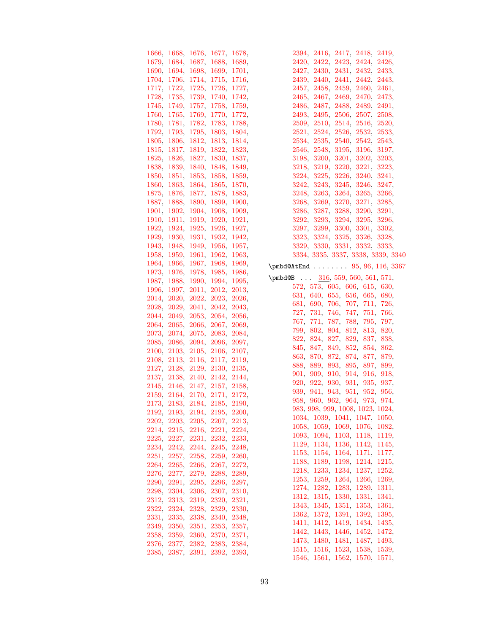|                               | 1666, 1668, 1676, 1677, 1678, |  | 2394, 2416, 2417, 2418, 2419,                                  |
|-------------------------------|-------------------------------|--|----------------------------------------------------------------|
|                               | 1679, 1684, 1687, 1688, 1689, |  | 2420, 2422, 2423, 2424, 2426,                                  |
|                               | 1690, 1694, 1698, 1699, 1701, |  | 2427, 2430, 2431, 2432, 2433,                                  |
|                               | 1704, 1706, 1714, 1715, 1716, |  | 2439, 2440, 2441, 2442, 2443,                                  |
|                               | 1717, 1722, 1725, 1726, 1727, |  | 2457, 2458, 2459, 2460, 2461,                                  |
|                               | 1728, 1735, 1739, 1740, 1742, |  | 2465, 2467, 2469, 2470, 2473,                                  |
|                               | 1745, 1749, 1757, 1758, 1759, |  | 2486, 2487, 2488, 2489, 2491,                                  |
|                               | 1760, 1765, 1769, 1770, 1772, |  | 2493, 2495, 2506, 2507, 2508,                                  |
|                               | 1780, 1781, 1782, 1783, 1788, |  | 2509, 2510, 2514, 2516, 2520,                                  |
|                               | 1792, 1793, 1795, 1803, 1804, |  | 2521, 2524, 2526, 2532, 2533,                                  |
|                               | 1805, 1806, 1812, 1813, 1814, |  |                                                                |
|                               |                               |  | 2534, 2535, 2540, 2542, 2543,                                  |
|                               | 1815, 1817, 1819, 1822, 1823, |  | 2546, 2548, 3195, 3196, 3197,                                  |
|                               | 1825, 1826, 1827, 1830, 1837, |  | 3198, 3200, 3201, 3202, 3203,                                  |
|                               | 1838, 1839, 1840, 1848, 1849, |  | 3218, 3219, 3220, 3221, 3223,                                  |
|                               | 1850, 1851, 1853, 1858, 1859, |  | 3224, 3225, 3226, 3240, 3241,                                  |
|                               | 1860, 1863, 1864, 1865, 1870, |  | 3242, 3243, 3245, 3246, 3247,                                  |
|                               | 1875, 1876, 1877, 1878, 1883, |  | 3248, 3263, 3264, 3265, 3266,                                  |
|                               | 1887, 1888, 1890, 1899, 1900, |  | 3268, 3269, 3270, 3271, 3285,                                  |
|                               | 1901, 1902, 1904, 1908, 1909, |  | 3286, 3287, 3288, 3290, 3291,                                  |
|                               | 1910, 1911, 1919, 1920, 1921, |  | 3292, 3293, 3294, 3295, 3296,                                  |
|                               | 1922, 1924, 1925, 1926, 1927, |  | 3297, 3299, 3300, 3301, 3302,                                  |
|                               | 1929, 1930, 1931, 1932, 1942, |  | 3323, 3324, 3325, 3326, 3328,                                  |
|                               | 1943, 1948, 1949, 1956, 1957, |  | 3329, 3330, 3331, 3332, 3333,                                  |
|                               | 1958, 1959, 1961, 1962, 1963, |  | 3334, 3335, 3337, 3338, 3339, 3340                             |
|                               | 1964, 1966, 1967, 1968, 1969, |  | $\pm 95, 96, 116, 3367$                                        |
|                               | 1973, 1976, 1978, 1985, 1986, |  | $\pm 316, 559, 560, 561, 571,$                                 |
|                               | 1987, 1988, 1990, 1994, 1995, |  | 572, 573, 605, 606, 615, 630,                                  |
|                               | 1996, 1997, 2011, 2012, 2013, |  | 631, 640, 655, 656, 665, 680,                                  |
|                               | 2014, 2020, 2022, 2023, 2026, |  | 681, 690, 706, 707, 711, 726,                                  |
|                               | 2028, 2029, 2041, 2042, 2043, |  | 727, 731, 746, 747, 751, 766,                                  |
|                               | 2044, 2049, 2053, 2054, 2056, |  | 767, 771, 787, 788, 795, 797,                                  |
|                               | 2064, 2065, 2066, 2067, 2069, |  | 799, 802, 804, 812, 813, 820,                                  |
|                               | 2073, 2074, 2075, 2083, 2084, |  | 822, 824, 827, 829, 837, 838,                                  |
|                               | 2085, 2086, 2094, 2096, 2097, |  | 845, 847, 849, 852, 854, 862,                                  |
|                               | 2100, 2103, 2105, 2106, 2107, |  | 863, 870, 872, 874, 877, 879,                                  |
|                               | 2108, 2113, 2116, 2117, 2119, |  | 888, 889, 893, 895, 897, 899,                                  |
|                               | 2127, 2128, 2129, 2130, 2135, |  | 901, 909, 910, 914, 916, 918,                                  |
|                               | 2137, 2138, 2140, 2142, 2144, |  | 920, 922, 930, 931, 935, 937,                                  |
|                               | 2145, 2146, 2147, 2157, 2158, |  | 939, 941, 943, 951, 952, 956,                                  |
|                               | 2159, 2164, 2170, 2171, 2172, |  | 958, 960, 962, 964, 973, 974,                                  |
|                               | 2173, 2183, 2184, 2185, 2190, |  | 983, 998, 999, 1008, 1023, 1024,                               |
|                               | 2192, 2193, 2194, 2195, 2200, |  | 1034, 1039, 1041, 1047, 1050,                                  |
|                               | 2202, 2203, 2205, 2207, 2213, |  | 1058, 1059, 1069, 1076, 1082,                                  |
|                               | 2214, 2215, 2216, 2221, 2224, |  | 1093, 1094, 1103, 1118, 1119,                                  |
|                               | 2225, 2227, 2231, 2232, 2233, |  | 1129, 1134, 1136, 1142, 1145,                                  |
|                               | 2234, 2242, 2244, 2245, 2248, |  | 1153, 1154, 1164, 1171, 1177,                                  |
|                               | 2251, 2257, 2258, 2259, 2260, |  | 1188, 1189, 1198, 1214, 1215,                                  |
|                               | 2264, 2265, 2266, 2267, 2272, |  | 1218, 1233, 1234, 1237, 1252,                                  |
|                               | 2276, 2277, 2279, 2288, 2289, |  | 1253, 1259, 1264, 1266, 1269,                                  |
|                               | 2290, 2291, 2295, 2296, 2297, |  | 1274, 1282, 1283, 1289, 1311,                                  |
|                               | 2298, 2304, 2306, 2307, 2310, |  | 1312, 1315, 1330, 1331, 1341,                                  |
|                               | 2312, 2313, 2319, 2320, 2321, |  | 1343, 1345, 1351, 1353, 1361,                                  |
|                               | 2322, 2324, 2328, 2329, 2330, |  | 1362, 1372, 1391, 1392, 1395,                                  |
|                               | 2331, 2335, 2338, 2340, 2348, |  | 1411, 1412, 1419, 1434, 1435,                                  |
|                               | 2349, 2350, 2351, 2353, 2357, |  | 1442, 1443, 1446, 1452, 1472,                                  |
|                               | 2358, 2359, 2360, 2370, 2371, |  | 1473, 1480, 1481, 1487, 1493,                                  |
| 2376, 2377, 2382, 2383, 2384, |                               |  |                                                                |
|                               |                               |  |                                                                |
|                               | 2385, 2387, 2391, 2392, 2393, |  | 1515, 1516, 1523, 1538, 1539,<br>1546, 1561, 1562, 1570, 1571, |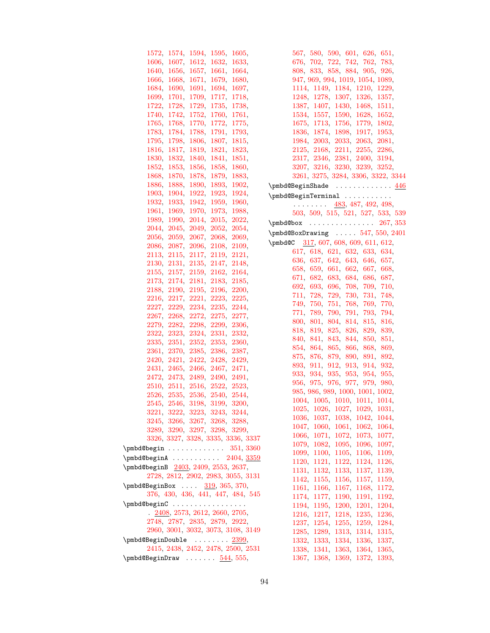| 1572,<br>1594,<br>1574,               | 1595, | 1605,    |      |
|---------------------------------------|-------|----------|------|
| 1606,<br>1607,<br>1612,               | 1632, | 1633,    |      |
| 1640,<br>1656,<br>1657,               | 1661, | 1664,    |      |
| 1666,<br>1668,<br>1671,               | 1679, | 1680,    |      |
| 1684,<br>1690,<br>1691,               | 1694, | 1697,    |      |
| 1699.<br>1701,<br>1709,               | 1717, | 1718,    |      |
| 1722,<br>1728,<br>1729,               | 1735, | 1738,    |      |
| 1740,<br>1742,<br>1752,               | 1760, | 1761,    |      |
| 1765,<br>1768,<br>1770,               | 1772, | 1775,    |      |
| 1783,<br>1784,<br>1788,               | 1791, | 1793,    |      |
| 1795,<br>1798,<br>1806,               | 1807, | 1815,    |      |
| 1816,<br>1817,<br>1819,               | 1821, | 1823,    |      |
| 1832,<br>1830,<br>1840,               | 1841, | 1851,    |      |
| 1852,<br>1853,<br>1856,               | 1858, | 1860,    |      |
| 1868,<br>1870,<br>1878,               | 1879, | 1883,    |      |
| 1886,<br>1888,<br>1890,               | 1893, | 1902,    | \pml |
| 1903,<br>1904,<br>1922,               | 1923, | 1924,    | \pml |
| 1933,<br>1932,<br>1942,               | 1959, | 1960,    |      |
| 1961,<br>1969.<br>1970,               | 1973, | 1988,    |      |
| 1990.<br>2014,<br>1989.               | 2015, | 2022,    |      |
| 2044,<br>2045.<br>2049.               | 2052, | $2054\,$ | \pml |
| 2056.<br>2059,<br>2067,               | 2068, | 2069,    | \pml |
| 2086.<br>2087,<br>2096,               | 2108, | 2109,    | \pml |
| 2113.<br>2115,<br>2117,               | 2119, | 2121,    |      |
| 2130,<br>2131,<br>2135,               | 2147, | 2148,    |      |
| 2155,<br>$2157\,$<br>$2159_\odot$     | 2162, | 2164,    |      |
| 2173.<br>2174.<br>2181,               | 2183. | 2185,    |      |
| 2188,<br>2190,<br>2195,               | 2196, | 2200,    |      |
|                                       |       |          |      |
| 2216,<br>2217,<br>2221,               | 2223, | 2225,    |      |
| 2227,<br>2229,<br>2234,               | 2235, | 2244,    |      |
| 2267,<br>2268,<br>2272,               | 2275, | 2277,    |      |
| 2279,<br>2282,<br>2298,               | 2299, | 2306,    |      |
| 2323,<br>2324,<br>2322,               | 2331, | 2332,    |      |
| 2335,<br>2351,<br>2352,               | 2353, | 2360,    |      |
| 2361,<br>2370,<br>2385,               | 2386, | 2387,    |      |
| 2420,<br>2421,<br>2422,               | 2428, | 2429,    |      |
| 2431,<br>2465,<br>2466,               | 2467. | 2471,    |      |
| 2473,<br>2489,<br>2472.               | 2490, | 2491,    |      |
| 2510.<br>2511,<br>2516,               | 2522, | 2523,    |      |
| 2535,<br>2526.<br>2536,               | 2540, | 2544,    |      |
| 2545,<br>2546,<br>3198,               | 3199, | 3200,    |      |
| 3221, 3222, 3223, 3243, 3244,         |       |          |      |
| 3245, 3266, 3267, 3268, 3288,         |       |          |      |
| 3289, 3290, 3297, 3298, 3299,         |       |          |      |
| 3326, 3327, 3328, 3335, 3336, 3337    |       |          |      |
| $\pm 351, 3360$                       |       |          |      |
| $\pm 2404, \frac{3359}{ }$            |       |          |      |
| \pmbd@beginB 2403, 2409, 2553, 2637,  |       |          |      |
| 2728, 2812, 2902, 2983, 3055, 3131    |       |          |      |
| \pmbd@BeginBox  319, 365, 370,        |       |          |      |
| 376, 430, 436, 441, 447, 484, 545     |       |          |      |
| \pmbd@beginC                          |       |          |      |
| $. \ \ 2408, 2573, 2612, 2660, 2705,$ |       |          |      |
| 2748, 2787, 2835, 2879, 2922,         |       |          |      |
| 2960, 3001, 3032, 3073, 3108, 3149    |       |          |      |
| \pmbd@BeginDouble  2399,              |       |          |      |
| 2415, 2438, 2452, 2478, 2500, 2531    |       |          |      |
|                                       |       |          |      |
| $\pm 55,$                             |       |          |      |

| $\begin{array}{rrrr} 567, & 580, & 590, & 601, & 626, & 651, \\ 676, & 702, & 722, & 742, & 762, & 783, \end{array}$ |
|----------------------------------------------------------------------------------------------------------------------|
|                                                                                                                      |
| 808, 833, 858, 884, 905, 926,                                                                                        |
| 947, 969, 994, 1019, 1054, 1089,                                                                                     |
| 1114, 1149, 1184, 1210, 1229,                                                                                        |
| 1248, 1278, 1307, 1326, 1357,                                                                                        |
|                                                                                                                      |
| $\begin{array}{cccc} 1387, & 1407, & 1430, & 1468, & 1511, \\ 1534, & 1557, & 1590, & 1628, & 1652, \end{array}$     |
| 1675, 1713, 1756, 1779, 1802,                                                                                        |
| 1836, 1874, 1898, 1917, 1953,                                                                                        |
| 1984, 2003, 2033, 2063, 2081,                                                                                        |
| 2125, 2168, 2211, 2255, 2286,                                                                                        |
| $\begin{array}{c} 2317, \ 2346, \ 2381, \ 2400, \ 3194, \\ 3207, \ 3216, \ 3230, \ 3239, \ 3252, \end{array}$        |
|                                                                                                                      |
| 3261, 3275, 3284, 3306, 3322, 3344                                                                                   |
| \pmbd@BeginShade  446                                                                                                |
| \pmbd@BeginTerminal                                                                                                  |
| $\cdots \cdots \frac{483}{487}$ , 487, 492, 498,                                                                     |
| 503, 509, 515, 521, 527, 533, 539                                                                                    |
| $\pm 267, 353$                                                                                                       |
| $\pm 547, 550, 2401$                                                                                                 |
| $\pm 607, 608, 609, 611, 612,$                                                                                       |
|                                                                                                                      |
| 617, 618, 621, 632, 633, 634,                                                                                        |
| 636, 637, 642, 643, 646, 657,                                                                                        |
| $\begin{array}{rrrr} 658, & 659, & 661, & 662, & 667, & 668, \\ 671, & 682, & 683, & 684, & 686, & 687, \end{array}$ |
| 692, 693, 696, 708, 709, 710,                                                                                        |
| 711, 728, 729, 730, 731, 748,                                                                                        |
| 749, 750, 751, 768, 769, 770,                                                                                        |
| 771,                                                                                                                 |
| 789, 790, 791,<br>793, 794,                                                                                          |
| 800, 801, 804, 814, 815, 816,<br>818, 819, 825, 826,<br>829, 839,                                                    |
| 840, 841, 843, 844,<br>850, 851,                                                                                     |
| 854, 864, 865, 866, 868, 869,                                                                                        |
|                                                                                                                      |
| 875, 876, 879, 890, 891, 892,                                                                                        |
| 893, 911, 912, 913, 914, 932,                                                                                        |
| $\begin{array}{cccc} 933, & 934, & 935, & 953, & 954, & 955, \\ 956, & 975, & 976, & 977, & 979, & 980, \end{array}$ |
| 985, 986, 989, 1000, 1001, 1002,                                                                                     |
| 1004, 1005, 1010, 1011, 1014,                                                                                        |
| 1027,<br>1029,<br>1026,<br>1031,<br>1025,                                                                            |
| 1036.<br>1037,<br>1042,<br>1038,<br>1044,                                                                            |
| 1047,<br>1060,<br>1061,<br>1062,<br>1064,                                                                            |
| 1066,<br>1071,<br>1072,<br>1073,<br>1077,                                                                            |
| 1079,<br>1082,<br>1095,<br>1097,<br>1096,                                                                            |
| 1099,<br>1100,<br>1105,<br>1106,<br>1109,                                                                            |
| 1121,<br>1120.<br>1122,<br>1124,<br>1126,                                                                            |
| 1131,<br>1132,<br>1133,<br>1139,<br>1137,                                                                            |
| 1155,<br>1159,<br>1142,<br>1156,<br>1157,                                                                            |
| 1161,<br>1166,<br>1167,<br>1168,<br>1172,                                                                            |
| 1174.<br>1177.<br>1190,<br>1191,<br>1192,                                                                            |
| 1194,<br>1195,<br>1200,<br>1201,<br>1204,                                                                            |
| 1217,<br>1216,<br>1218,<br>1235,<br>1236,                                                                            |
| 1237,<br>1254,<br>1255,<br>1259,<br>1284,                                                                            |
| 1285,<br>1289,<br>1313,<br>1314,<br>1315,                                                                            |
| 1332,<br>1333,<br>1334,<br>1336,<br>1337,                                                                            |
| 1338,<br>1341,<br>1364,<br>1365,<br>1363,                                                                            |
| $1367,\,$<br>1368,<br>1369,<br>1372,<br>1393,                                                                        |
|                                                                                                                      |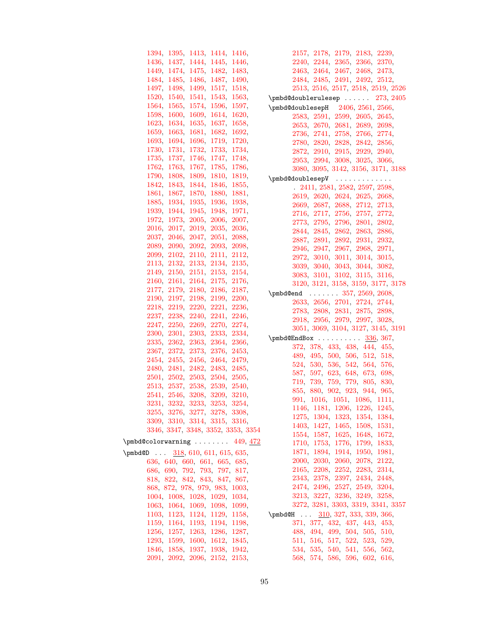| 1394,<br>1395,                                                                                                                                            | 1413.    | 1414,    | 1416. |             |
|-----------------------------------------------------------------------------------------------------------------------------------------------------------|----------|----------|-------|-------------|
| 1436,<br>1437,                                                                                                                                            | 1444,    | 1445,    | 1446, |             |
| 1474,<br>1449,                                                                                                                                            | 1475,    | 1482,    | 1483, |             |
| 1484.<br>1485,                                                                                                                                            | 1486.    | 1487,    | 1490, |             |
| 1497,<br>1498,                                                                                                                                            | 1499,    | 1517,    | 1518, |             |
| 1520,<br>1540,                                                                                                                                            | 1541,    | 1543,    | 1563, | \pn         |
| 1564.<br>1565,                                                                                                                                            | 1574,    | 1596,    | 1597, | \pn         |
| 1598,<br>1600,                                                                                                                                            | 1609,    | 1614,    | 1620, |             |
| 1623,<br>1634,                                                                                                                                            | 1635,    | 1637,    | 1658, |             |
| 1659,<br>1663,                                                                                                                                            | 1681,    | 1682,    | 1692, |             |
| 1693.<br>1694,                                                                                                                                            | 1696,    | 1719,    | 1720, |             |
| 1730,<br>1731.                                                                                                                                            | 1732,    | 1733,    | 1734, |             |
| 1735,<br>1737,                                                                                                                                            | 1746.    | 1747,    | 1748. |             |
| 1762,<br>1763,                                                                                                                                            | 1767,    | 1785,    | 1786, |             |
| 1790,<br>1808,                                                                                                                                            | 1809,    | 1810,    | 1819, |             |
| 1842,<br>1843,                                                                                                                                            | 1844,    | 1846,    | 1855, | \pn         |
| 1861,<br>1867,                                                                                                                                            | 1870,    | 1880,    | 1881, |             |
| 1885,<br>1934,                                                                                                                                            | 1935,    | 1936,    | 1938, |             |
| 1939,<br>1944,                                                                                                                                            | 1945,    | 1948,    | 1971, |             |
|                                                                                                                                                           | $2005$ , | $2006$ . |       |             |
| 1972,<br>1973,                                                                                                                                            |          |          | 2007, |             |
| 2016,<br>2017,                                                                                                                                            | 2019,    | 2035,    | 2036, |             |
| 2037,<br>2046,                                                                                                                                            | 2047,    | 2051,    | 2088, |             |
| 2089.<br>2090,                                                                                                                                            | 2092,    | 2093,    | 2098, |             |
| 2102,<br>2099,                                                                                                                                            | 2110,    | 2111,    | 2112, |             |
| 2113,<br>2132.                                                                                                                                            | 2133,    | 2134,    | 2135, |             |
| 2149,<br>2150,                                                                                                                                            | 2151.    | $2153$ . | 2154, |             |
| 2160,<br>2161,                                                                                                                                            | $2164\,$ | 2175,    | 2176, |             |
| 2177,<br>2179,                                                                                                                                            | 2180,    | 2186,    | 2187, | \pn         |
| 2190,<br>2197,                                                                                                                                            | 2198,    | 2199,    | 2200, |             |
| 2218,<br>2219,                                                                                                                                            | 2220,    | 2221,    | 2236, |             |
| 2237,<br>2238,                                                                                                                                            | 2240,    | 2241,    | 2246, |             |
| 2247,<br>2250,                                                                                                                                            | 2269,    | 2270,    | 2274, |             |
| 2300,<br>2301,                                                                                                                                            | 2303,    | 2333,    | 2334, | $\n{\rm p}$ |
| 2335,<br>2362,                                                                                                                                            | 2363,    | 2364,    | 2366, |             |
| 2367,<br>2372,                                                                                                                                            | 2373,    | 2376,    | 2453, |             |
| 2454,<br>2455.                                                                                                                                            | 2456,    | 2464.    | 2479. |             |
| 2480,<br>2481,                                                                                                                                            | 2482.    | 2483.    | 2485, |             |
| 2501,<br>2502,                                                                                                                                            | 2503,    | 2504.    | 2505, |             |
| 2513,<br>$2537_\odot$                                                                                                                                     | 2538,    | 2539,    | 2540, |             |
| 2541,<br>2546,                                                                                                                                            | 3208,    | 3209.    | 3210, |             |
| 3231,<br>3232.                                                                                                                                            | 3233,    | 3253.    | 3254, |             |
| 3255, 3276, 3277, 3278, 3308,                                                                                                                             |          |          |       |             |
| 3309, 3310, 3314, 3315, 3316,                                                                                                                             |          |          |       |             |
| 3346, 3347, 3348, 3352, 3353, 3354                                                                                                                        |          |          |       |             |
| $\pm 449, 472$                                                                                                                                            |          |          |       |             |
| \pmbd@D $318, 610, 611, 615, 635,$                                                                                                                        |          |          |       |             |
| 636, 640, 660, 661, 665, 685,                                                                                                                             |          |          |       |             |
| 686, 690, 792, 793, 797, 817,                                                                                                                             |          |          |       |             |
| 818, 822, 842, 843, 847, 867,                                                                                                                             |          |          |       |             |
| 868, 872, 978, 979, 983, 1003,                                                                                                                            |          |          |       |             |
| 1004, 1008, 1028, 1029, 1034,                                                                                                                             |          |          |       |             |
|                                                                                                                                                           |          |          |       |             |
|                                                                                                                                                           |          |          |       | $\n{\rm p}$ |
| $\begin{array}{rrrr} 1063, & 1064, & 1069, & 1098, & 1099, \\ 1103, & 1123, & 1124, & 1129, & 1158, \\ 1159, & 1164, & 1193, & 1194, & 1198, \end{array}$ |          |          |       |             |
| 1256, 1257, 1263, 1286, 1287,                                                                                                                             |          |          |       |             |
| 1293, 1599, 1600, 1612, 1845,                                                                                                                             |          |          |       |             |
| 1846, 1858, 1937, 1938, 1942,                                                                                                                             |          |          |       |             |
| 2091, 2092, 2096, 2152, 2153,                                                                                                                             |          |          |       |             |
|                                                                                                                                                           |          |          |       |             |

[2157,](#page-57-22) [2178,](#page-58-38) [2179,](#page-58-32) [2183,](#page-58-13) [2239,](#page-59-41) [2240,](#page-59-38) [2244,](#page-59-18) [2365,](#page-62-30) [2366,](#page-62-27) [2370,](#page-62-9) [2463,](#page-64-34) [2464,](#page-64-27) [2467,](#page-64-8) [2468,](#page-64-35) [2473,](#page-64-11) [2484,](#page-64-36) [2485,](#page-64-33) [2491,](#page-64-16) [2492,](#page-64-37) [2512,](#page-65-29) [2513,](#page-65-28) [2516,](#page-65-10) [2517,](#page-65-30) [2518,](#page-65-31) [2519,](#page-65-32) [2526](#page-65-14)  $\texttt{mbd@doublerulesep}$  ......  $273, \, 2405$  $273, \, 2405$  $273, \, 2405$  $\texttt{nbd@doublesepH} = 2406, 2561, 2566,$  $\texttt{nbd@doublesepH} = 2406, 2561, 2566,$  $\texttt{nbd@doublesepH} = 2406, 2561, 2566,$  $\texttt{nbd@doublesepH} = 2406, 2561, 2566,$  $\texttt{nbd@doublesepH} = 2406, 2561, 2566,$  $\texttt{nbd@doublesepH} = 2406, 2561, 2566,$ [2583,](#page-67-3) [2591,](#page-67-4) [2599,](#page-67-5) [2605,](#page-67-6) [2645,](#page-68-6) [2653,](#page-68-7) [2670,](#page-69-5) [2681,](#page-69-6) [2689,](#page-69-7) [2698,](#page-69-8) [2736,](#page-70-4) [2741,](#page-70-5) [2758,](#page-70-6) [2766,](#page-71-3) [2774,](#page-71-4) [2780,](#page-71-5) [2820,](#page-72-7) [2828,](#page-72-8) [2842,](#page-72-9) [2856,](#page-73-4) [2872,](#page-73-5) [2910,](#page-74-5) [2915,](#page-74-6) [2929,](#page-74-7) [2940,](#page-74-8) [2953,](#page-75-4) [2994,](#page-76-3) [3008,](#page-76-4) [3025,](#page-76-5) [3066,](#page-77-4) [3080,](#page-78-6) [3095,](#page-78-7) [3142,](#page-79-5) [3156,](#page-79-6) [3171,](#page-80-16) [3188](#page-80-17)  $\mathsf{nbd@double}$ sep $\mathtt{V}$  ............. . [2411,](#page-63-7) [2581,](#page-67-7) [2582,](#page-67-8) [2597,](#page-67-9) [2598,](#page-67-10) [2619,](#page-67-11) [2620,](#page-67-12) [2624,](#page-67-13) [2625,](#page-67-14) [2668,](#page-68-8) [2669,](#page-69-9) [2687,](#page-69-10) [2688,](#page-69-11) [2712,](#page-69-12) [2713,](#page-69-13) [2716,](#page-69-14) [2717,](#page-69-15) [2756,](#page-70-7) [2757,](#page-70-8) [2772,](#page-71-6) [2773,](#page-71-7) [2795,](#page-71-8) [2796,](#page-71-9) [2801,](#page-71-10) [2802,](#page-71-11) [2844,](#page-72-10) [2845,](#page-72-11) [2862,](#page-73-6) [2863,](#page-73-7) [2886,](#page-73-8) [2887,](#page-73-9) [2891,](#page-73-10) [2892,](#page-73-11) [2931,](#page-74-9) [2932,](#page-74-10) [2946,](#page-74-11) [2947,](#page-75-5) [2967,](#page-75-6) [2968,](#page-75-7) [2971,](#page-75-8) [2972,](#page-75-9) [3010,](#page-76-6) [3011,](#page-76-7) [3014,](#page-76-8) [3015,](#page-76-9) [3039,](#page-77-5) [3040,](#page-77-6) [3043,](#page-77-7) [3044,](#page-77-8) [3082,](#page-78-8) [3083,](#page-78-9) [3101,](#page-78-10) [3102,](#page-78-11) [3115,](#page-78-12) [3116,](#page-78-13) [3120,](#page-78-14) [3121,](#page-79-7) [3158,](#page-79-8) [3159,](#page-79-9) [3177,](#page-80-18) [3178](#page-80-19)  $\text{nbd@end }$  . . . . . . . [357,](#page-16-10) [2569,](#page-66-19) [2608,](#page-67-15) [2633,](#page-68-9) [2656,](#page-68-10) [2701,](#page-69-16) [2724,](#page-70-9) [2744,](#page-70-10) [2783,](#page-71-12) [2808,](#page-71-13) [2831,](#page-72-12) [2875,](#page-73-12) [2898,](#page-73-13) [2918,](#page-74-12) [2956,](#page-75-10) [2979,](#page-75-11) [2997,](#page-76-10) [3028,](#page-76-11) [3051,](#page-77-9) [3069,](#page-77-10) [3104,](#page-78-15) [3127,](#page-79-10) [3145,](#page-79-11) [3191](#page-80-20)  $\texttt{nbd@EndBox}$  . . . . . . . . . . [336,](#page-15-25) [367,](#page-16-11) [372,](#page-16-12) [378,](#page-16-13) [433,](#page-19-8) [438,](#page-19-9) [444,](#page-19-10) [455,](#page-20-11) [489,](#page-21-15) [495,](#page-21-16) [500,](#page-21-17) [506,](#page-22-10) [512,](#page-22-11) [518,](#page-22-12) [524,](#page-22-13) [530,](#page-22-14) [536,](#page-23-20) [542,](#page-23-21) [564,](#page-23-22) [576,](#page-24-24) [587,](#page-24-25) [597,](#page-24-26) [623,](#page-25-42) [648,](#page-25-43) [673,](#page-26-42) [698,](#page-27-32) [719,](#page-27-33) [739,](#page-27-34) [759,](#page-28-32) [779,](#page-28-33) [805,](#page-29-42) [830,](#page-29-43) [855,](#page-30-42) [880,](#page-31-34) [902,](#page-31-35) [923,](#page-31-36) [944,](#page-32-34) [965,](#page-32-35) [991,](#page-33-38) [1016,](#page-34-34) [1051,](#page-34-35) [1086,](#page-35-35) [1111,](#page-35-36) [1146,](#page-36-37) [1181,](#page-37-32) [1206,](#page-37-33) [1226,](#page-38-30) [1245,](#page-38-31) [1275,](#page-39-34) [1304,](#page-40-32) [1323,](#page-40-33) [1354,](#page-41-32) [1384,](#page-41-33) [1403,](#page-42-30) [1427,](#page-42-31) [1465,](#page-43-40) [1508,](#page-44-33) [1531,](#page-44-34) [1554,](#page-45-38) [1587,](#page-45-39) [1625,](#page-46-39) [1648,](#page-47-32) [1672,](#page-47-33) [1710,](#page-48-39) [1753,](#page-49-33) [1776,](#page-49-34) [1799,](#page-50-41) [1833,](#page-51-35) [1871,](#page-51-36) [1894,](#page-52-32) [1914,](#page-52-33) [1950,](#page-53-42) [1981,](#page-54-32) [2000,](#page-54-33) [2030,](#page-55-32) [2060,](#page-55-33) [2078,](#page-56-43) [2122,](#page-57-39) [2165,](#page-57-40) [2208,](#page-58-39) [2252,](#page-59-42) [2283,](#page-60-34) [2314,](#page-60-35) [2343,](#page-61-38) [2378,](#page-62-32) [2397,](#page-62-33) [2434,](#page-63-30) [2448,](#page-63-31) [2474,](#page-64-38) [2496,](#page-65-33) [2527,](#page-65-34) [2549,](#page-66-20) [3204,](#page-80-21) [3213,](#page-81-31) [3227,](#page-81-32) [3236,](#page-81-33) [3249,](#page-82-23) [3258,](#page-82-24) [3272,](#page-82-25) [3281,](#page-82-26) [3303,](#page-83-37) [3319,](#page-83-38) [3341,](#page-84-29) [3357](#page-84-30)  $\texttt{mbd@H}$  ...  $\frac{310}{327}$ , [333,](#page-15-27) [339,](#page-15-15) [366,](#page-16-14) [371,](#page-16-15) [377,](#page-16-16) [432,](#page-19-11) [437,](#page-19-12) [443,](#page-19-13) [453,](#page-20-12) [488,](#page-21-18) [494,](#page-21-19) [499,](#page-21-20) [504,](#page-22-15) [505,](#page-22-16) [510,](#page-22-17) [511,](#page-22-18) [516,](#page-22-19) [517,](#page-22-20) [522,](#page-22-21) [523,](#page-22-22) [529,](#page-22-23) [534,](#page-23-23) [535,](#page-23-24) [540,](#page-23-25) [541,](#page-23-26) [556,](#page-23-7) [562,](#page-23-3) [568,](#page-24-7) [574,](#page-24-3) [586,](#page-24-27) [596,](#page-24-28) [602,](#page-25-10) [616,](#page-25-2)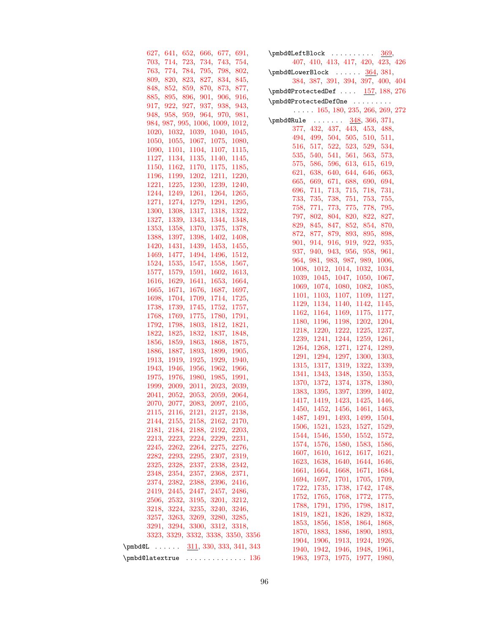| 627, 641, 652, 666, 677, 691,                                  | $\pm 369$                                                      |
|----------------------------------------------------------------|----------------------------------------------------------------|
| 703, 714, 723, 734, 743, 754,                                  | 407, 410, 413, 417, 420, 423, 426                              |
| 763, 774, 784, 795, 798, 802,                                  | $\pm 381,$                                                     |
| 809, 820, 823, 827, 834, 845,                                  | 384, 387, 391, 394, 397, 400, 404                              |
| 848, 852, 859, 870, 873, 877,                                  | $\phi$ QProtectedDef $157, 188, 276$                           |
| 885, 895, 896, 901, 906, 916,                                  | \pmbd@ProtectedDef0ne                                          |
| 917, 922, 927, 937, 938, 943,                                  | $\ldots$ 165, 180, 235, 266, 269, 272                          |
| 948, 958, 959, 964, 970, 981,                                  | $\pm 348, 366, 371,$                                           |
| 984, 987, 995, 1006, 1009, 1012,                               | 377, 432, 437, 443, 453, 488,                                  |
| 1020, 1032, 1039, 1040, 1045,                                  | 494, 499, 504, 505, 510, 511,                                  |
| 1050, 1055, 1067, 1075, 1080,                                  | 516, 517, 522, 523, 529, 534,                                  |
| 1090, 1101, 1104, 1107, 1115,                                  | 535, 540, 541, 561, 563, 573,                                  |
| 1127, 1134, 1135, 1140, 1145,                                  | 575, 586, 596, 613, 615, 619,                                  |
| 1150, 1162, 1170, 1175, 1185,                                  | 621, 638, 640, 644, 646, 663,                                  |
| 1196, 1199, 1202, 1211, 1220,<br>1221, 1225, 1230, 1239, 1240, | 665, 669, 671, 688, 690, 694,                                  |
| 1244, 1249, 1261, 1264, 1265,                                  | 696, 711, 713, 715, 718, 731,                                  |
| 1271, 1274, 1279, 1291, 1295,                                  | 733, 735, 738, 751, 753, 755,                                  |
| 1300, 1308, 1317, 1318, 1322,                                  | 758, 771, 773, 775, 778, 795,                                  |
| 1327, 1339, 1343, 1344, 1348,                                  | 797, 802, 804, 820, 822, 827,                                  |
| 1353, 1358, 1370, 1375, 1378,                                  | 829, 845, 847, 852, 854, 870,                                  |
| 1388, 1397, 1398, 1402, 1408,                                  | 872, 877, 879, 893, 895, 898,                                  |
| 1420, 1431, 1439, 1453, 1455,                                  | 901, 914, 916, 919, 922, 935,                                  |
| 1469, 1477, 1494, 1496, 1512,                                  | 937, 940, 943, 956, 958, 961,                                  |
| 1524, 1535, 1547, 1558, 1567,                                  | 964, 981, 983, 987, 989, 1006,                                 |
| 1577, 1579, 1591, 1602, 1613,                                  | 1008, 1012, 1014, 1032, 1034,                                  |
| 1616, 1629, 1641, 1653, 1664,                                  | 1039, 1045, 1047, 1050, 1067,                                  |
| 1665, 1671, 1676, 1687, 1697,                                  | 1069, 1074, 1080, 1082, 1085,                                  |
| 1698, 1704, 1709, 1714, 1725,                                  | 1101, 1103, 1107, 1109, 1127,                                  |
| 1738, 1739, 1745, 1752, 1757,                                  | 1129, 1134, 1140, 1142, 1145,<br>1162, 1164, 1169, 1175, 1177, |
| 1768, 1769, 1775, 1780, 1791,                                  | 1180, 1196, 1198, 1202, 1204,                                  |
| 1792, 1798, 1803, 1812, 1821,                                  | 1218, 1220, 1222, 1225, 1237,                                  |
| 1822, 1825, 1832, 1837, 1848,                                  | 1239, 1241, 1244, 1259, 1261,                                  |
| 1856, 1859, 1863, 1868, 1875,                                  | 1264, 1268, 1271, 1274, 1289,                                  |
| 1886, 1887, 1893, 1899, 1905,<br>1913, 1919, 1925, 1929, 1940, | 1291, 1294, 1297, 1300, 1303,                                  |
| 1943, 1946, 1956, 1962, 1966,                                  | 1315, 1317, 1319, 1322, 1339,                                  |
| 1975, 1976, 1980, 1985, 1991,                                  | 1341, 1343, 1348, 1350, 1353,                                  |
| 1999, 2009, 2011, 2023, 2039,                                  | 1370, 1372, 1374, 1378, 1380,                                  |
| 2041, 2052, 2053, 2059, 2064,                                  | 1383, 1395, 1397, 1399, 1402,                                  |
| 2070, 2077, 2083, 2097, 2105,                                  | 1417, 1419, 1423, 1425, 1446,                                  |
| 2115, 2116, 2121, 2127, 2138,                                  | 1450, 1452, 1456, 1461, 1463,                                  |
| 2144, 2155, 2158, 2162, 2170,                                  | 1487, 1491, 1493, 1499, 1504,                                  |
| 2181, 2184, 2188, 2192, 2203,                                  | 1506, 1521, 1523, 1527, 1529,                                  |
| 2213, 2223, 2224, 2229, 2231,                                  | 1544, 1546, 1550, 1552, 1572,                                  |
| 2245, 2262, 2264, 2275, 2276,                                  | 1574, 1576, 1580, 1583, 1586,                                  |
| 2282, 2293, 2295, 2307, 2319,                                  | 1607, 1610, 1612, 1617, 1621,                                  |
| 2325, 2328, 2337, 2338, 2342,                                  | 1623, 1638, 1640, 1644, 1646,<br>1661, 1664, 1668, 1671, 1684, |
| 2348, 2354, 2357, 2368, 2371,                                  | 1694, 1697, 1701, 1705, 1709,                                  |
| 2374, 2382, 2388, 2396, 2416,                                  | 1722, 1735, 1738, 1742, 1748,                                  |
| 2419, 2445, 2447, 2457, 2486,                                  | 1752, 1765, 1768, 1772, 1775,                                  |
| 2506, 2532, 3195, 3201, 3212,                                  | 1788, 1791, 1795, 1798, 1817,                                  |
| 3218, 3224, 3235, 3240, 3246,                                  | 1819, 1821, 1826, 1829, 1832,                                  |
| 3257, 3263, 3269, 3280, 3285,                                  | 1853, 1856, 1858, 1864, 1868,                                  |
| 3291, 3294, 3300, 3312, 3318,                                  | 1870, 1883, 1886, 1890, 1893,                                  |
| 3323, 3329, 3332, 3338, 3350, 3356                             | 1904, 1906, 1913, 1924, 1926,                                  |
| $\pm 311, 330, 333, 341, 343$                                  | 1940, 1942, 1946, 1948, 1961,                                  |
| $\pm 136$                                                      | 1963, 1973, 1975, 1977, 1980,                                  |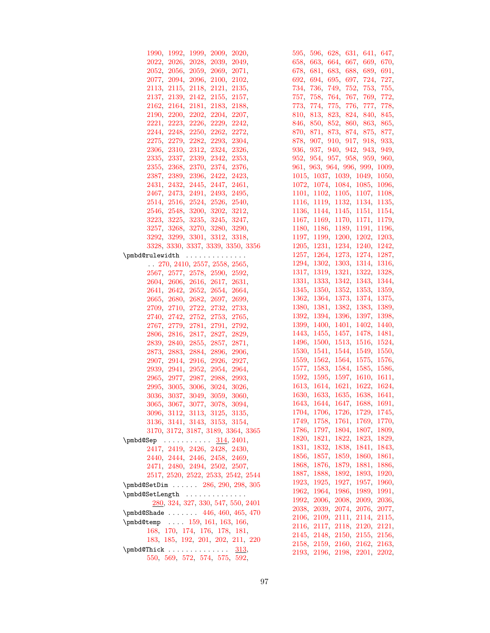| 1990, 1992, 1999, 2009, 2020,         | 595, 596, 628, 631, 641, 647,  |
|---------------------------------------|--------------------------------|
| 2022, 2026, 2028, 2039, 2049,         | 658, 663, 664, 667, 669, 670,  |
| 2052, 2056, 2059, 2069, 2071,         | 678, 681, 683, 688, 689, 691,  |
| 2077, 2094, 2096, 2100, 2102,         | 692, 694, 695, 697, 724, 727,  |
| 2113, 2115, 2118, 2121, 2135,         | 734, 736, 749, 752, 753, 755,  |
| 2137, 2139, 2142, 2155, 2157,         | 757, 758, 764, 767, 769, 772,  |
| 2162, 2164, 2181, 2183, 2188,         | 773, 774, 775, 776, 777, 778,  |
| 2190, 2200, 2202, 2204, 2207,         | 810, 813, 823, 824, 840, 845,  |
| 2221, 2223, 2226, 2229, 2242,         | 846, 850, 852, 860, 863, 865,  |
| 2244, 2248, 2250, 2262, 2272,         | 870, 871, 873, 874, 875, 877,  |
| 2275, 2279, 2282, 2293, 2304,         | 878, 907, 910, 917, 918, 933,  |
| 2306, 2310, 2312, 2324, 2326,         | 936, 937, 940, 942, 943, 949,  |
| 2335, 2337, 2339, 2342, 2353,         | 952, 954, 957, 958, 959, 960,  |
| 2355, 2368, 2370, 2374, 2376,         | 961, 963, 964, 996, 999, 1009, |
| 2387, 2389, 2396, 2422, 2423,         | 1015, 1037, 1039, 1049, 1050,  |
| 2431, 2432, 2445, 2447, 2461,         | 1072, 1074, 1084, 1085, 1096,  |
| 2467, 2473, 2491, 2493, 2495,         | 1101, 1102, 1105, 1107, 1108,  |
| 2514, 2516, 2524, 2526, 2540,         | 1116, 1119, 1132, 1134, 1135,  |
| 2546, 2548, 3200, 3202, 3212,         | 1136, 1144, 1145, 1151, 1154,  |
| 3223, 3225, 3235, 3245, 3247,         | 1167, 1169, 1170, 1171, 1179,  |
| 3257, 3268, 3270, 3280, 3290,         | 1180, 1186, 1189, 1191, 1196,  |
| 3292, 3299, 3301, 3312, 3318,         | 1197, 1199, 1200, 1202, 1203,  |
| 3328, 3330, 3337, 3339, 3350, 3356    | 1205, 1231, 1234, 1240, 1242,  |
| \pmbd@rulewidth<br>$\sim$             | 1257, 1264, 1273, 1274, 1287,  |
| $\ldots$ 270, 2410, 2557, 2558, 2565, | 1294, 1302, 1303, 1314, 1316,  |
| 2567, 2577, 2578, 2590, 2592,         | 1317, 1319, 1321, 1322, 1328,  |
| 2604, 2606, 2616, 2617, 2631,         | 1331, 1333, 1342, 1343, 1344,  |
| 2641, 2642, 2652, 2654, 2664,         | 1345, 1350, 1352, 1353, 1359,  |
| 2665, 2680, 2682, 2697, 2699,         | 1362, 1364, 1373, 1374, 1375,  |
| 2709, 2710, 2722, 2732, 2733,         | 1380, 1381, 1382, 1383, 1389,  |
| 2740, 2742, 2752, 2753, 2765,         | 1392, 1394, 1396, 1397, 1398,  |
| 2767, 2779, 2781, 2791, 2792,         | 1399, 1400, 1401, 1402, 1440,  |
| 2806, 2816, 2817, 2827, 2829,         | 1443, 1455, 1457, 1478, 1481,  |
| 2839, 2840, 2855, 2857, 2871,         | 1496, 1500, 1513, 1516, 1524,  |
| 2873, 2883, 2884, 2896, 2906,         | 1530, 1541, 1544, 1549, 1550,  |
| 2907, 2914, 2916, 2926, 2927,         | 1559, 1562, 1564, 1575, 1576,  |
| 2939, 2941, 2952, 2954, 2964,         | 1577, 1583, 1584, 1585, 1586,  |
| 2965, 2977, 2987, 2988, 2993,         | 1592, 1595, 1597, 1610, 1611,  |
| 2995, 3005, 3006, 3024, 3026,         | 1613, 1614, 1621, 1622, 1624,  |
| 3036, 3037, 3049, 3059, 3060,         | 1630, 1633, 1635, 1638, 1641,  |
| 3065, 3067, 3077, 3078, 3094,         | 1643, 1644, 1647, 1688, 1691,  |
| 3096, 3112, 3113, 3125, 3135,         | 1704, 1706, 1726, 1729, 1745,  |
| 3136, 3141, 3143, 3153, 3154,         | 1749, 1758, 1761, 1769, 1770,  |
| 3170, 3172, 3187, 3189, 3364, 3365    | 1786, 1797, 1804, 1807, 1809,  |
| $\pm 314, 2401,$                      | 1820, 1821, 1822, 1823, 1829,  |
| 2417, 2419, 2426, 2428, 2430,         | 1831, 1832, 1838, 1841, 1843,  |
| 2440, 2444, 2446, 2458, 2469,         | 1856, 1857, 1859, 1860, 1861,  |
| 2471, 2480, 2494, 2502, 2507,         | 1868, 1876, 1879, 1881, 1886,  |
| 2517, 2520, 2522, 2533, 2542, 2544    | 1887, 1888, 1892, 1893, 1920,  |
| \pmbd@SetDim  286, 290, 298, 305      | 1923, 1925, 1927, 1957, 1960,  |
| \pmbd@SetLength                       | 1962, 1964, 1986, 1989, 1991,  |
| 280, 324, 327, 330, 547, 550, 2401    | 1992, 2006, 2008, 2009, 2036,  |
| $\pm 446, 460, 465, 470$              | 2038, 2039, 2074, 2076, 2077,  |
| \pmbd@temp  159, 161, 163, 166,       | 2106, 2109, 2111, 2114, 2115,  |
| 168, 170, 174, 176, 178, 181,         | 2116, 2117, 2118, 2120, 2121,  |
| 183, 185, 192, 201, 202, 211, 220     | 2145, 2148, 2150, 2155, 2156,  |
|                                       | 2158, 2159, 2160, 2162, 2163,  |
| $\pm 0$<br>313,                       | 2193, 2196, 2198, 2201, 2202,  |
| 550, 569, 572, 574, 575, 592,         |                                |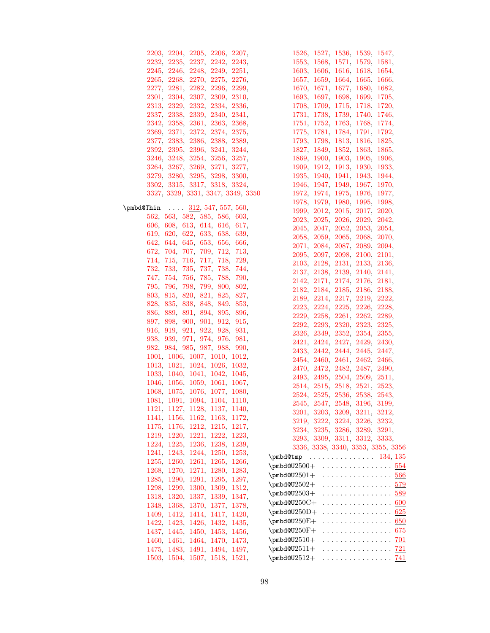| 2203, 2204, 2205, 2206, 2207,      | 1526, 1527, 1536, 1539, 1547,      |
|------------------------------------|------------------------------------|
| 2232, 2235, 2237, 2242, 2243,      | 1553, 1568, 1571, 1579, 1581,      |
| 2245, 2246, 2248, 2249, 2251,      | 1603, 1606, 1616, 1618, 1654,      |
| 2265, 2268, 2270, 2275, 2276,      | 1657, 1659, 1664, 1665, 1666,      |
| 2277, 2281, 2282, 2296, 2299,      | 1670, 1671, 1677, 1680, 1682,      |
| 2301, 2304, 2307, 2309, 2310,      | 1693, 1697, 1698, 1699, 1705,      |
| 2313, 2329, 2332, 2334, 2336,      | 1708, 1709, 1715, 1718, 1720,      |
| 2337, 2338, 2339, 2340, 2341,      | 1731, 1738, 1739, 1740, 1746,      |
| 2342, 2358, 2361, 2363, 2368,      | 1751, 1752, 1763, 1768, 1774,      |
| 2369, 2371, 2372, 2374, 2375,      | 1775, 1781, 1784, 1791, 1792,      |
|                                    |                                    |
| 2377, 2383, 2386, 2388, 2389,      | 1793, 1798, 1813, 1816, 1825,      |
| 2392, 2395, 2396, 3241, 3244,      | 1827, 1849, 1852, 1863, 1865,      |
| 3246, 3248, 3254, 3256, 3257,      | 1869, 1900, 1903, 1905, 1906,      |
| 3264, 3267, 3269, 3271, 3277,      | 1909, 1912, 1913, 1930, 1933,      |
| 3279, 3280, 3295, 3298, 3300,      | 1935, 1940, 1941, 1943, 1944,      |
| 3302, 3315, 3317, 3318, 3324,      | 1946, 1947, 1949, 1967, 1970,      |
| 3327, 3329, 3331, 3347, 3349, 3350 | 1972, 1974, 1975, 1976, 1977,      |
|                                    | 1978, 1979, 1980, 1995, 1998,      |
| $\pm 312, 547, 557, 560,$          | 1999, 2012, 2015, 2017, 2020,      |
| 562, 563, 582, 585, 586, 603,      | 2023, 2025, 2026, 2029, 2042,      |
| 606, 608, 613, 614, 616, 617,      | 2045, 2047, 2052, 2053, 2054,      |
| 619, 620, 622, 633, 638, 639,      | 2058, 2059, 2065, 2068, 2070,      |
| 642, 644, 645, 653, 656, 666,      | 2071, 2084, 2087, 2089, 2094,      |
| 672, 704, 707, 709, 712, 713,      | 2095, 2097, 2098, 2100, 2101,      |
| 714, 715, 716, 717, 718, 729,      | 2103, 2128, 2131, 2133, 2136,      |
| 732, 733, 735, 737, 738, 744,      | 2137, 2138, 2139, 2140, 2141,      |
| 747, 754, 756, 785, 788, 790,      | 2142, 2171, 2174, 2176, 2181,      |
| 795, 796, 798, 799, 800, 802,      | 2182, 2184, 2185, 2186, 2188,      |
| 803, 815, 820, 821, 825, 827,      | 2189, 2214, 2217, 2219, 2222,      |
| 828, 835, 838, 848, 849, 853,      | 2223, 2224, 2225, 2226, 2228,      |
| 886, 889, 891, 894, 895, 896,      | 2229, 2258, 2261, 2262, 2289,      |
| 897, 898, 900, 901, 912, 915,      | 2292, 2293, 2320, 2323, 2325,      |
| 916, 919, 921, 922, 928, 931,      | 2326, 2349, 2352, 2354, 2355,      |
| 938, 939, 971, 974, 976, 981,      | 2421, 2424, 2427, 2429, 2430,      |
| 982, 984, 985, 987, 988, 990,      | 2433, 2442, 2444, 2445, 2447,      |
| 1001, 1006, 1007, 1010, 1012,      | 2454, 2460, 2461, 2462, 2466,      |
| 1013, 1021, 1024, 1026, 1032,      | 2470, 2472, 2482, 2487, 2490,      |
| 1033, 1040, 1041, 1042, 1045,      | 2493, 2495, 2504, 2509, 2511,      |
| 1046, 1056, 1059, 1061, 1067,      | 2514, 2515, 2518, 2521, 2523,      |
| 1068, 1075, 1076, 1077, 1080,      | 2524, 2525, 2536, 2538, 2543,      |
| 1081, 1091, 1094, 1104, 1110,      | 2545, 2547, 2548, 3196, 3199,      |
| 1121, 1127, 1128, 1137, 1140,      | 3201, 3203, 3209, 3211, 3212,      |
| 1141, 1156, 1162, 1163, 1172,      | 3219, 3222, 3224, 3226, 3232,      |
| 1175, 1176, 1212, 1215, 1217,      | 3234, 3235, 3286, 3289, 3291,      |
| 1219, 1220, 1221, 1222, 1223,      | 3293, 3309, 3311, 3312, 3333,      |
| 1224, 1225, 1236, 1238, 1239,      | 3336, 3338, 3340, 3353, 3355, 3356 |
| 1241, 1243, 1244, 1250, 1253,      | \pmbd@tmp<br>. 134, 135            |
| 1255, 1260, 1261, 1265, 1266,      | $\pm 554$                          |
| 1268, 1270, 1271, 1280, 1283,      | \pmbd@U $2501+\,$<br>. 566         |
| 1285, 1290, 1291, 1295, 1297,      | . <u>579</u><br>\pmbd@U $2502+$    |
| 1298, 1299, 1300, 1309, 1312,      | . 589<br>$\pm 0.3 +$               |
| 1318, 1320, 1337, 1339, 1347,      | $\pm 250C +$<br>. 600              |
| 1348, 1368, 1370, 1377, 1378,      |                                    |
| 1409, 1412, 1414, 1417, 1420,      | . 625<br>$\pm 0.250D +$            |
| 1422, 1423, 1426, 1432, 1435,      | \pmbd@U250E+<br>. 650              |
| 1437, 1445, 1450, 1453, 1456,      | $\pm 0.050F +$<br>. <u>675</u>     |
| 1460, 1461, 1464, 1470, 1473,      | $\pm 0.10+$<br>. <u>701</u>        |
| 1475, 1483, 1491, 1494, 1497,      | . 721<br>$\pm 0.2511+$             |
| 1503, 1504, 1507, 1518, 1521,      | \pmbd@U $2512+$<br>. <u>741</u>    |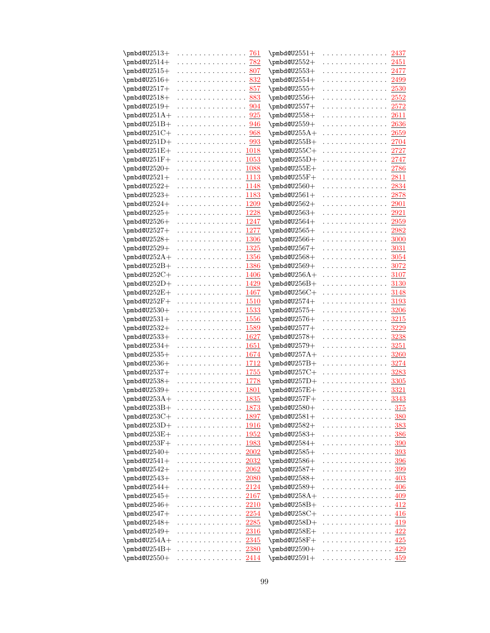| \pmbd@U $2513+$          | .             | 761          | \pmbd@U $2551+$          | .            | 2437        |
|--------------------------|---------------|--------------|--------------------------|--------------|-------------|
| $\pm 0.2514+$            | .             | 782          | \pmbd@U $2552+$          | .            | 2451        |
| \pmbd@U2515+             | .             | 807          | \pmbd@U $2553+$          | .            | 2477        |
| \pmbd@U $2516+$          | .             | <u>832</u>   | \pmbd@U $2554+$          | .            | 2499        |
| \pmbd@U $2517+$          | .             | 857          | \pmbd@U $2555+$          | .            | <b>2530</b> |
| \pmbd@U $2518+$          | .             | 883          | \pmbd@U $2556+$          | .            | 2552        |
| $\pm 0.19+$              | .             | 904          | \pmbd@U $2557+$          | .            | 2572        |
| \pmbd@U $251A+$          | .             | 925          | \pmbd@U $2558+$          | .            | 2611        |
| \pmbd@U $251B+$          | .             | 946          | \pmbd@U $2559+$          | .            | 2636        |
| \pmbd@U $251C+$          | .             | 968          | \pmbd@U $255A+$          | .            | 2659        |
| \pmbd@U $251D+$          | .             | 993          | \pmbd@U $255B+$          | .            | 2704        |
| \pmbd@U $251E+$          | . 1018        |              | \pmbd@U $255C+$          | .            | 2727        |
| \pmbd@U $251$ F $+$      | . 1053        |              | \pmbd@U255 $D+$          | .            | 2747        |
| \pmbd@U $2520+$          | .             | <b>1088</b>  | $\pm 255E+$              | .            | 2786        |
| \pmbd@U $2521+$          | .             | 1113         | $\pm 255F +$             | .            | 2811        |
| \pmbd@U2522+             | .             | 1148         | \pmbd@U $2560+$          | .            | 2834        |
| \pmbd@U $2523+$          | .             | <u> 1183</u> | \pmbd@U $2561+$          | .            | 2878        |
| \pmbd@U $2524+$          | .             | 1209         | \pmbd@U $2562+$          | .            | 2901        |
| \pmbd@U $2525+$          | .             | 1228         | \pmbd@U $2563+$          | .            | 2921        |
| \pmbd@U $2526+$          | .             | 1247         | \pmbd@U $2564+$          | .            | 2959        |
| \pmbd@U $2527+$          | .             | 1277         | \pmbd@U $2565+$          | .            | 2982        |
| \pmbd@U $2528+$          | .             | 1306         | \pmbd@U $2566+$          | .            | 3000        |
| \pmbd@U2529+             | .             | 1325         | \pmbd@U $2567+$          | .            | 3031        |
| \pmbd@U $252A+$          | .             | 1356         | \pmbd@U $2568+$          | .            | 3054        |
| \pmbd@U $252B+$          | .             | <u> 1386</u> | $\pm 0.0002569+$         | .            | 3072        |
| \pmbd@U $252C+$          | .             | <u>1406</u>  | $\pm 0.256A +$           | .            | 3107        |
| \pmbd@U $252D+$          | .             | 1429         | \pmbd@U $256B+$          | .            | 3130        |
| \pmbd@U252E+             | .             | 1467         | \pmbd@U $256C+$          | .            | 3148        |
| \pmbd@U252F+             | .             | 1510         | \pmbd@U $2574+$          | .            | 3193        |
| \pmbd@U $2530+$          | .             | 1533         | \pmbd@U $2575+$          | .            | 3206        |
| $\pm 0.331 +$            | .             | 1556         | \pmbd@U $2576+$          | .            | 3215        |
| \pmbd@U $2532+$          | .             | 1589         | \pmbd@U $2577+$          | .            | 3229        |
| \pmbd@U $2533+$          | .             | 1627         | \pmbd@U2578+             | .            | 3238        |
| $\pm 0.334 +$            | .             | 1651         | \pmbd@U $2579+$          | .            | 3251        |
| \pmbd@U $2535+$          | .             | 1674         | \pmbd@U $257A+$          | .            | 3260        |
| $\pm 0.36 +$             | .             | 1712         | $\pm 257B +$             | .            | 3274        |
| \pmbd@U $2537+$          | .             | 1755         | \pmbd@U $257C+$          | .            | 3283        |
| \pmbd@U $2538+$          | .             | 1778         | $\pm 0.257D+$            | .            | 3305        |
| $\pm 0.339 +$            | .             | 1801         | $\pm 257E+$              | .            | 3321        |
| \pmbd@U $253A+$          | .             | 1835         | \pmbd@U $257\mathrm{F}+$ | .            | 3343        |
| \pmbd@U253B+             |               | 1873         | \pmbd@U2580+             |              | 375         |
| \pmbd@U $253C+$          | . 1897        |              | \pmbd@U $2581+$          | .            | 380         |
| \pmbd@U $253D+$          | . <u>1916</u> |              | \pmbd@U $2582+$          | .            | 383         |
| \pmbd@U $253E+$          | .             | 1952         | \pmbd@U $2583+$          | .            | 386         |
| \pmbd@U $253\mathrm{F}+$ | .             | 1983         | \pmbd@U $2584+$          | .            | 390         |
| \pmbd@U $2540+$          | .             | 2002         | $\pm 0.585+$             | .            | 393         |
| \pmbd@U2541+             | .             | 2032         | \pmbd@U2586+             | .            | <b>396</b>  |
| \pmbd@U $2542+$          | .             | 2062         | \pmbd@U $2587+$          | .            | 399         |
| \pmbd@U2543+             | .             | <b>2080</b>  | \pmbd@U $2588+$          | .            | 403         |
| \pmbd@U $2544+$          | .             | 2124         | $\pm 0.3589+$            | .            | 406         |
| \pmbd@U $2545+$          | . 2167        |              | $\pm 258A +$             | .            | 409         |
| \pmbd@U2546+             | .             | 2210         | \pmbd@U $258B+$          | .            | 412         |
| \pmbd@U $2547+$          | .             | 2254         | \pmbd@U $258C+$          | .            | 416         |
| \pmbd@U $2548+$          | .             | 2285         | \pmbd@U $258D+$          | .            | 419         |
| \pmbd@U $2549+$          | . <u>2316</u> |              | $\pm 258E +$             | . <u>422</u> |             |
| \pmbd@U $254A+$          | .             | 2345         | \pmbd@U $258F+$          | . <u>425</u> |             |
| \pmbd@U254B+             | . <u>2380</u> |              | $\pm 0.2590+$            | .            | 429         |
| \pmbd@U $2550+$          | . <u>2414</u> |              | $\pm 0.2591+$            | . <u>459</u> |             |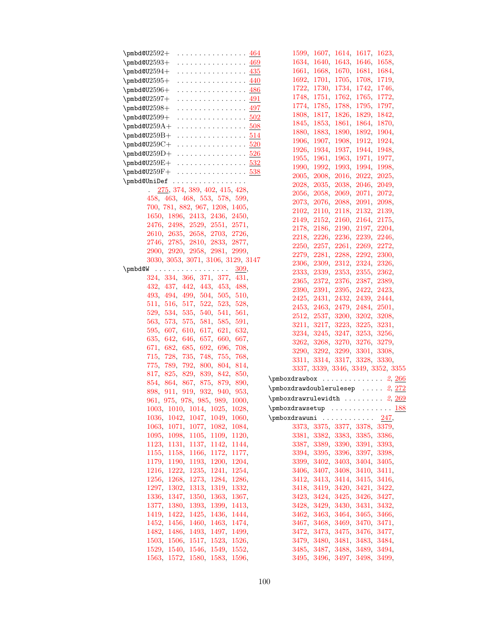| $\pm 464$                                                                        | 1599, 1607, 1614, 1617, 1623,      |
|----------------------------------------------------------------------------------|------------------------------------|
| \pmbd@U $2593\pm$<br>. 469                                                       | 1634, 1640, 1643, 1646, 1658,      |
| \pmbd@U $2594+$<br>. 435                                                         | 1661, 1668, 1670, 1681, 1684,      |
| \pmbd@U $2595+\,$<br>. 440                                                       | 1692, 1701, 1705, 1708, 1719,      |
| . <u>486</u><br>$\pm 0.0012596+$                                                 | 1722, 1730, 1734, 1742, 1746,      |
| . 491<br>\pmbd@U $2597+$                                                         | 1748, 1751, 1762, 1765, 1772,      |
| \pmbd@U $2598+\,$<br>. 497                                                       | 1774, 1785, 1788, 1795, 1797,      |
| \pmbd@U2599+<br>. 502                                                            | 1808, 1817, 1826, 1829, 1842,      |
| $\pm 508$                                                                        | 1845, 1853, 1861, 1864, 1870,      |
| $\pm 514$                                                                        | 1880, 1883, 1890, 1892, 1904,      |
| \pmbd@U $259\text{C}+\phantom{1} \ldots \ldots \ldots \phantom{1} \frac{520}{2}$ | 1906, 1907, 1908, 1912, 1924,      |
| $\pm 526$                                                                        | 1926, 1934, 1937, 1944, 1948,      |
|                                                                                  | 1955, 1961, 1963, 1971, 1977,      |
| $\pm 532$                                                                        | 1990, 1992, 1993, 1994, 1998,      |
| $\pm 538$                                                                        | 2005, 2008, 2016, 2022, 2025,      |
| \pmbd@UniDef                                                                     | 2028, 2035, 2038, 2046, 2049,      |
| 275, 374, 389, 402, 415, 428,                                                    | 2056, 2058, 2069, 2071, 2072,      |
| 458, 463, 468, 553, 578, 599,                                                    | 2073, 2076, 2088, 2091, 2098,      |
| 700, 781, 882, 967, 1208, 1405,                                                  | 2102, 2110, 2118, 2132, 2139,      |
| 1650, 1896, 2413, 2436, 2450,                                                    | 2149, 2152, 2160, 2164, 2175,      |
| 2476, 2498, 2529, 2551, 2571,                                                    | 2178, 2186, 2190, 2197, 2204,      |
| 2610, 2635, 2658, 2703, 2726,                                                    | 2218, 2226, 2236, 2239, 2246,      |
| 2746, 2785, 2810, 2833, 2877,                                                    | 2250, 2257, 2261, 2269, 2272,      |
| 2900, 2920, 2958, 2981, 2999,                                                    | 2279, 2281, 2288, 2292, 2300,      |
| 3030, 3053, 3071, 3106, 3129, 3147                                               | 2306, 2309, 2312, 2324, 2326,      |
| $\pm 309$ ,                                                                      | 2333, 2339, 2353, 2355, 2362,      |
| 324, 334, 366, 371, 377, 431,                                                    | 2365, 2372, 2376, 2387, 2389,      |
| 432, 437, 442, 443, 453, 488,                                                    | 2390, 2391, 2395, 2422, 2423,      |
| 493, 494, 499, 504, 505, 510,                                                    | 2425, 2431, 2432, 2439, 2444,      |
| 511, 516, 517, 522, 523, 528,                                                    | 2453, 2463, 2479, 2484, 2501,      |
| 529, 534, 535, 540, 541, 561,                                                    | 2512, 2537, 3200, 3202, 3208,      |
| 563, 573, 575, 581, 585, 591,                                                    | 3211, 3217, 3223, 3225, 3231,      |
| 595, 607, 610, 617, 621, 632,                                                    | 3234, 3245, 3247, 3253, 3256,      |
| 635, 642, 646, 657, 660, 667,                                                    | 3262, 3268, 3270, 3276, 3279,      |
| 671, 682, 685, 692, 696, 708,                                                    | 3290, 3292, 3299, 3301, 3308,      |
| 715, 728, 735, 748, 755, 768,                                                    | 3311, 3314, 3317, 3328, 3330,      |
| 775, 789, 792, 800, 804, 814,                                                    | 3337, 3339, 3346, 3349, 3352, 3355 |
| 817, 825, 829, 839, 842, 850,                                                    | $\pm 2, 266$                       |
| 854, 864, 867, 875, 879, 890,                                                    | $\pm 2, 272$                       |
| 898, 911, 919, 932, 940, 953,                                                    | $\pm 2, 269$                       |
| 961, 975, 978, 985, 989, 1000,                                                   |                                    |
| 1003, 1010, 1014, 1025, 1028,                                                    | <u>188</u><br>$\pm 0.1$            |
| 1036, 1042, 1047, 1049, 1060,                                                    | 247,                               |
| 1063, 1071, 1077, 1082, 1084,                                                    | 3373, 3375, 3377, 3378, 3379,      |
| 1095, 1098, 1105, 1109, 1120,                                                    | 3381, 3382, 3383, 3385, 3386,      |
| 1123, 1131, 1137, 1142, 1144,                                                    | 3387, 3389, 3390, 3391, 3393,      |
| 1155, 1158, 1166, 1172, 1177,                                                    | 3394, 3395, 3396, 3397, 3398,      |
| 1179, 1190, 1193, 1200, 1204,                                                    | 3399, 3402, 3403, 3404, 3405,      |
| 1216, 1222, 1235, 1241, 1254,                                                    | 3406, 3407, 3408, 3410, 3411,      |
| 1256, 1268, 1273, 1284, 1286,                                                    | 3412, 3413, 3414, 3415, 3416,      |
| 1297, 1302, 1313, 1319, 1332,                                                    | 3418, 3419, 3420, 3421, 3422,      |
| 1336, 1347, 1350, 1363, 1367,                                                    | 3423, 3424, 3425, 3426, 3427,      |
| 1377, 1380, 1393, 1399, 1413,                                                    | 3428, 3429, 3430, 3431, 3432,      |
| 1419, 1422, 1425, 1436, 1444,                                                    | 3462, 3463, 3464, 3465, 3466,      |
| 1452, 1456, 1460, 1463, 1474,                                                    | 3467, 3468, 3469, 3470, 3471,      |
| 1482, 1486, 1493, 1497, 1499,                                                    | 3472, 3473, 3475, 3476, 3477,      |
| 1503, 1506, 1517, 1523, 1526,                                                    | 3479, 3480, 3481, 3483, 3484,      |
| 1529, 1540, 1546, 1549, 1552,                                                    | 3485, 3487, 3488, 3489, 3494,      |
| 1563, 1572, 1580, 1583, 1596,                                                    | 3495, 3496, 3497, 3498, 3499,      |